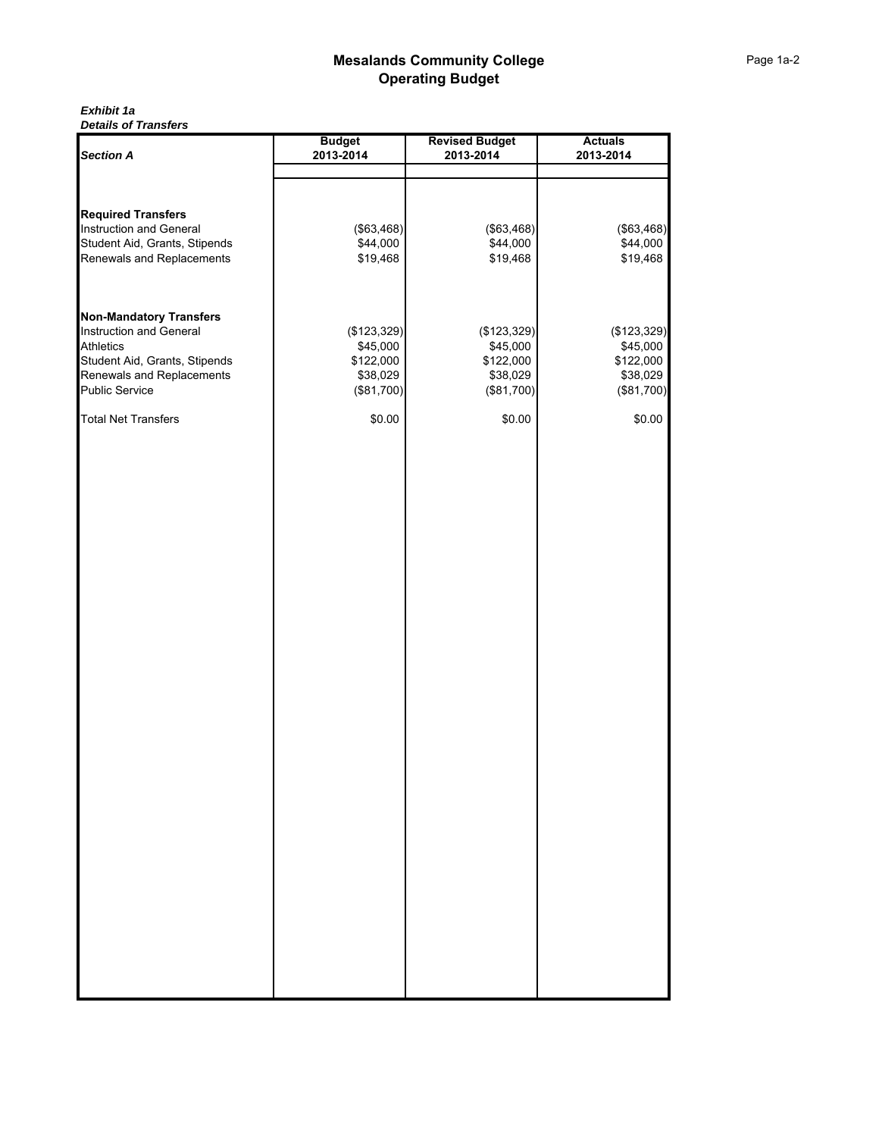#### *Exhibit 1a Details of Transfers*

| <b>Section A</b>               | <b>Budget</b> | <b>Revised Budget</b> | <b>Actuals</b> |
|--------------------------------|---------------|-----------------------|----------------|
|                                | 2013-2014     | 2013-2014             | 2013-2014      |
|                                |               |                       |                |
|                                |               |                       |                |
| <b>Required Transfers</b>      |               |                       |                |
| Instruction and General        | (\$63,468)    | (\$63,468)            | (\$63,468)     |
| Student Aid, Grants, Stipends  | \$44,000      | \$44,000              | \$44,000       |
| Renewals and Replacements      | \$19,468      | \$19,468              | \$19,468       |
|                                |               |                       |                |
|                                |               |                       |                |
| <b>Non-Mandatory Transfers</b> |               |                       |                |
| Instruction and General        | (\$123,329)   | (\$123,329)           | (\$123,329)    |
| <b>Athletics</b>               | \$45,000      | \$45,000              | \$45,000       |
| Student Aid, Grants, Stipends  | \$122,000     | \$122,000             | \$122,000      |
| Renewals and Replacements      | \$38,029      | \$38,029              | \$38,029       |
| <b>Public Service</b>          | (\$81,700)    | (\$81,700)            | (\$81,700)     |
| <b>Total Net Transfers</b>     | \$0.00        | \$0.00                | \$0.00         |
|                                |               |                       |                |
|                                |               |                       |                |
|                                |               |                       |                |
|                                |               |                       |                |
|                                |               |                       |                |
|                                |               |                       |                |
|                                |               |                       |                |
|                                |               |                       |                |
|                                |               |                       |                |
|                                |               |                       |                |
|                                |               |                       |                |
|                                |               |                       |                |
|                                |               |                       |                |
|                                |               |                       |                |
|                                |               |                       |                |
|                                |               |                       |                |
|                                |               |                       |                |
|                                |               |                       |                |
|                                |               |                       |                |
|                                |               |                       |                |
|                                |               |                       |                |
|                                |               |                       |                |
|                                |               |                       |                |
|                                |               |                       |                |
|                                |               |                       |                |
|                                |               |                       |                |
|                                |               |                       |                |
|                                |               |                       |                |
|                                |               |                       |                |
|                                |               |                       |                |
|                                |               |                       |                |
|                                |               |                       |                |
|                                |               |                       |                |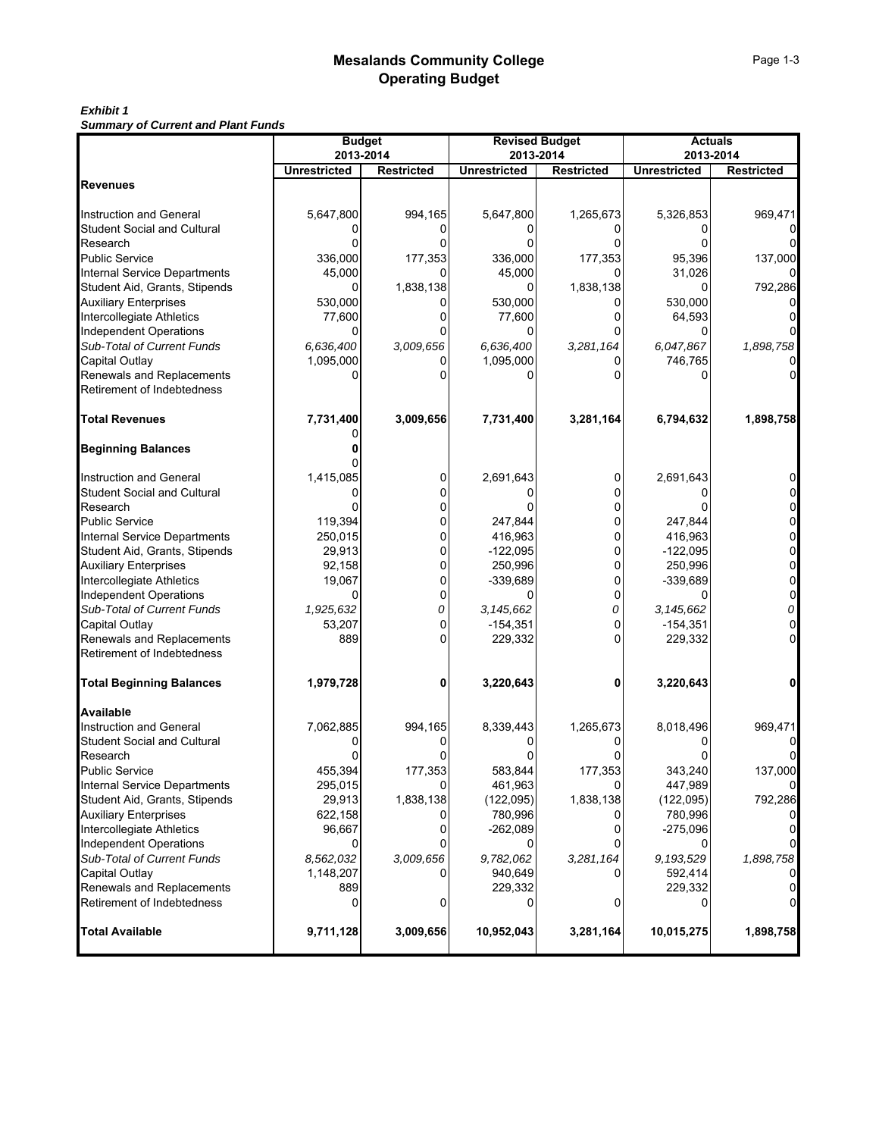# *Exhibit 1*

*Summary of Current and Plant Funds*

|                                     | <b>Budget</b>                    |                   | <b>Revised Budget</b>            | <b>Actuals</b>    |                                  |                   |
|-------------------------------------|----------------------------------|-------------------|----------------------------------|-------------------|----------------------------------|-------------------|
|                                     | 2013-2014<br><b>Unrestricted</b> | <b>Restricted</b> | 2013-2014<br><b>Unrestricted</b> | <b>Restricted</b> | 2013-2014<br><b>Unrestricted</b> | <b>Restricted</b> |
| Revenues                            |                                  |                   |                                  |                   |                                  |                   |
|                                     |                                  |                   |                                  |                   |                                  |                   |
| Instruction and General             | 5,647,800                        | 994,165           | 5,647,800                        | 1,265,673         | 5,326,853                        | 969,471           |
| <b>Student Social and Cultural</b>  |                                  |                   |                                  |                   |                                  |                   |
| Research                            |                                  |                   |                                  |                   |                                  |                   |
| Public Service                      | 336,000                          | 177,353           | 336,000                          | 177,353           | 95,396                           | 137,000           |
| <b>Internal Service Departments</b> | 45,000                           |                   | 45,000                           |                   | 31,026                           |                   |
| Student Aid, Grants, Stipends       |                                  | 1,838,138         |                                  | 1,838,138         |                                  | 792,286           |
| <b>Auxiliary Enterprises</b>        | 530,000                          |                   | 530,000                          |                   | 530,000                          |                   |
| Intercollegiate Athletics           | 77,600                           |                   | 77,600                           | 0                 | 64,593                           |                   |
| <b>Independent Operations</b>       |                                  |                   | 0                                |                   |                                  |                   |
| Sub-Total of Current Funds          | 6,636,400                        | 3,009,656         | 6,636,400                        | 3,281,164         | 6,047,867                        | 1,898,758         |
| Capital Outlay                      | 1,095,000                        |                   | 1,095,000                        |                   | 746,765                          |                   |
| Renewals and Replacements           |                                  |                   |                                  |                   |                                  |                   |
| Retirement of Indebtedness          |                                  |                   |                                  |                   |                                  |                   |
| <b>Total Revenues</b>               | 7,731,400                        | 3,009,656         | 7,731,400                        | 3,281,164         | 6,794,632                        | 1,898,758         |
| <b>Beginning Balances</b>           |                                  |                   |                                  |                   |                                  |                   |
| Instruction and General             | 1,415,085                        |                   | 2,691,643                        | 0                 | 2,691,643                        | 0                 |
| <b>Student Social and Cultural</b>  |                                  | 0                 |                                  | n                 |                                  | 0                 |
| Research                            |                                  | 0                 |                                  | O                 |                                  | 0                 |
| Public Service                      | 119,394                          | 0                 | 247,844                          | 0                 | 247,844                          | 0                 |
| Internal Service Departments        | 250,015                          | 0                 | 416,963                          | $\Omega$          | 416,963                          | 0                 |
| Student Aid, Grants, Stipends       | 29,913                           | 0                 | $-122,095$                       | 0                 | $-122,095$                       | 0                 |
| <b>Auxiliary Enterprises</b>        | 92,158                           | 0                 | 250,996                          | 0                 | 250,996                          | 0                 |
| Intercollegiate Athletics           | 19,067                           | 0                 | -339,689                         | 0                 | $-339,689$                       | 0                 |
| <b>Independent Operations</b>       |                                  | 0                 |                                  | 0                 |                                  | 0                 |
| Sub-Total of Current Funds          | 1,925,632                        | 0                 | 3, 145, 662                      | 0                 | 3,145,662                        | 0                 |
| Capital Outlay                      | 53,207                           | 0                 | $-154,351$                       | 0                 | $-154,351$                       | $\overline{0}$    |
| Renewals and Replacements           | 889                              | 0                 | 229,332                          | 0                 | 229,332                          | 0                 |
| Retirement of Indebtedness          |                                  |                   |                                  |                   |                                  |                   |
| <b>Total Beginning Balances</b>     | 1,979,728                        | 0                 | 3,220,643                        | 0                 | 3,220,643                        | 0                 |
| Available                           |                                  |                   |                                  |                   |                                  |                   |
| <b>Instruction and General</b>      | 7,062,885                        | 994,165           | 8,339,443                        | 1,265,673         | 8,018,496                        | 969,471           |
| Student Social and Cultural         |                                  |                   |                                  |                   |                                  |                   |
| Research                            |                                  |                   |                                  |                   |                                  |                   |
| Public Service                      | 455,394                          | 177,353           | 583,844                          | 177,353           | 343,240                          | 137,000           |
| <b>Internal Service Departments</b> | 295,015                          | 0                 | 461,963                          | 0                 | 447,989                          | 0                 |
| Student Aid, Grants, Stipends       | 29,913                           | 1,838,138         | (122,095)                        | 1,838,138         | (122, 095)                       | 792,286           |
| <b>Auxiliary Enterprises</b>        | 622,158                          |                   | 780,996                          |                   | 780,996                          |                   |
| Intercollegiate Athletics           | 96,667                           | 0                 | $-262,089$                       | 0                 | $-275,096$                       | $\mathbf 0$       |
| Independent Operations              |                                  |                   |                                  |                   |                                  | <sup>o</sup>      |
| Sub-Total of Current Funds          | 8,562,032                        | 3,009,656         | 9,782,062                        | 3,281,164         | 9,193,529                        | 1,898,758         |
| Capital Outlay                      | 1,148,207                        |                   | 940,649                          |                   | 592,414                          |                   |
| Renewals and Replacements           | 889                              |                   | 229,332                          |                   | 229,332                          | 0                 |
| Retirement of Indebtedness          | 0                                | 0                 | 0                                | 0                 |                                  | $\overline{0}$    |
| <b>Total Available</b>              | 9,711,128                        | 3,009,656         | 10,952,043                       | 3,281,164         | 10,015,275                       | 1,898,758         |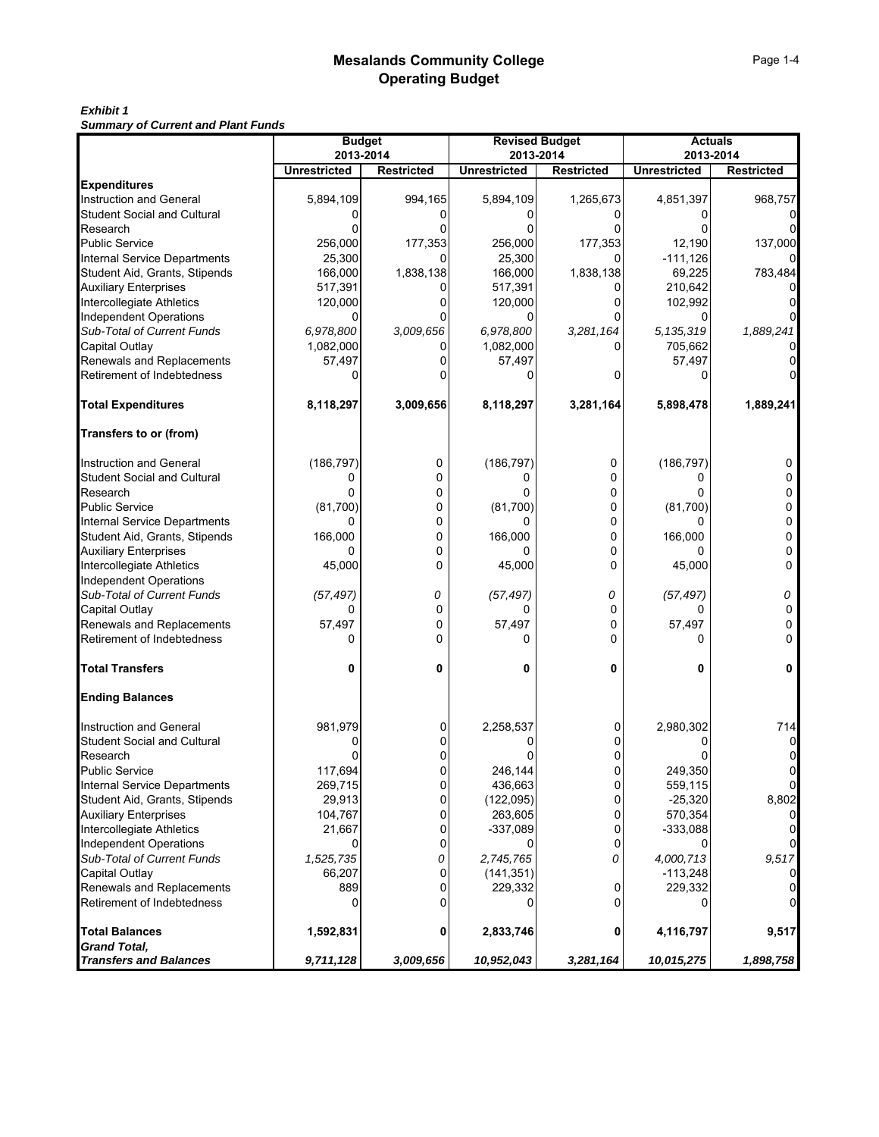## *Exhibit 1*

*Summary of Current and Plant Funds*

|                                              | <b>Budget</b>                    |                   | <b>Revised Budget</b>            |                   | <b>Actuals</b><br>2013-2014 |                   |  |  |
|----------------------------------------------|----------------------------------|-------------------|----------------------------------|-------------------|-----------------------------|-------------------|--|--|
|                                              | 2013-2014<br><b>Unrestricted</b> | <b>Restricted</b> | 2013-2014<br><b>Unrestricted</b> | <b>Restricted</b> | <b>Unrestricted</b>         | <b>Restricted</b> |  |  |
| <b>Expenditures</b>                          |                                  |                   |                                  |                   |                             |                   |  |  |
| <b>Instruction and General</b>               | 5,894,109                        | 994,165           | 5,894,109                        | 1,265,673         | 4,851,397                   | 968,757           |  |  |
| Student Social and Cultural                  |                                  |                   |                                  |                   |                             |                   |  |  |
| Research                                     |                                  |                   |                                  |                   |                             |                   |  |  |
| <b>Public Service</b>                        | 256,000                          | 177,353           | 256,000                          | 177,353           | 12,190                      | 137,000           |  |  |
| Internal Service Departments                 | 25,300                           |                   | 25,300                           |                   | $-111,126$                  |                   |  |  |
| Student Aid, Grants, Stipends                | 166,000                          | 1,838,138         | 166,000                          | 1,838,138         | 69,225                      | 783,484           |  |  |
| <b>Auxiliary Enterprises</b>                 | 517,391                          |                   | 517,391                          |                   | 210,642                     |                   |  |  |
| Intercollegiate Athletics                    | 120,000                          |                   | 120,000                          |                   | 102,992                     |                   |  |  |
| <b>Independent Operations</b>                | 0                                |                   | 0                                |                   |                             |                   |  |  |
| Sub-Total of Current Funds                   | 6,978,800                        | 3,009,656         | 6,978,800                        | 3,281,164         | 5,135,319                   | 1,889,241         |  |  |
| Capital Outlay                               | 1,082,000                        |                   | 1,082,000                        |                   | 705,662                     |                   |  |  |
| Renewals and Replacements                    | 57,497                           |                   | 57,497                           |                   | 57,497                      |                   |  |  |
| Retirement of Indebtedness                   |                                  |                   |                                  |                   |                             |                   |  |  |
| <b>Total Expenditures</b>                    | 8,118,297                        | 3,009,656         | 8,118,297                        | 3,281,164         | 5,898,478                   | 1,889,241         |  |  |
| Transfers to or (from)                       |                                  |                   |                                  |                   |                             |                   |  |  |
| Instruction and General                      | (186, 797)                       | 0                 | (186, 797)                       | 0                 | (186, 797)                  | 0                 |  |  |
| Student Social and Cultural                  | 0                                | 0                 | 0                                | 0                 | 0                           | 0                 |  |  |
| Research                                     | 0                                | 0                 | 0                                | 0                 |                             |                   |  |  |
| <b>Public Service</b>                        | (81,700)                         | 0                 | (81,700)                         | 0                 | (81,700)                    | 0                 |  |  |
| <b>Internal Service Departments</b>          | 0                                | 0                 | 0                                | 0                 | <sup>0</sup>                | 0                 |  |  |
| Student Aid, Grants, Stipends                | 166,000                          | 0                 | 166,000                          | 0                 | 166,000                     | 0                 |  |  |
| <b>Auxiliary Enterprises</b>                 | 0                                | 0                 |                                  | 0                 |                             | 0                 |  |  |
| Intercollegiate Athletics                    | 45,000                           | 0                 | 45,000                           | 0                 | 45,000                      | 0                 |  |  |
| <b>Independent Operations</b>                |                                  |                   |                                  |                   |                             |                   |  |  |
| Sub-Total of Current Funds                   | (57, 497)                        | 0                 | (57, 497)                        | 0                 | (57, 497)                   | 0                 |  |  |
| Capital Outlay                               | 0                                | 0                 | 0                                | 0                 | 0                           | 0                 |  |  |
| Renewals and Replacements                    | 57,497                           | 0                 | 57,497                           | 0                 | 57,497                      | 0                 |  |  |
| Retirement of Indebtedness                   | 0                                | $\Omega$          | 0                                | ŋ                 | n                           | 0                 |  |  |
| <b>Total Transfers</b>                       | 0                                | 0                 | 0                                | 0                 | 0                           | 0                 |  |  |
| <b>Ending Balances</b>                       |                                  |                   |                                  |                   |                             |                   |  |  |
| Instruction and General                      | 981,979                          | 0                 | 2,258,537                        | 0                 | 2,980,302                   | 714               |  |  |
| Student Social and Cultural                  |                                  |                   |                                  |                   |                             | 0                 |  |  |
| Research                                     |                                  |                   |                                  |                   |                             | 0                 |  |  |
| Public Service                               | 117,694                          | 0                 | 246,144                          | 0                 | 249,350                     | 0                 |  |  |
| <b>Internal Service Departments</b>          | 269,715                          | 0                 | 436,663                          | $\pmb{0}$         | 559,115                     | $\mathbf{0}$      |  |  |
| Student Aid, Grants, Stipends                | 29,913                           | 0                 | (122, 095)                       | $\overline{0}$    | $-25,320$                   | 8,802             |  |  |
| <b>Auxiliary Enterprises</b>                 | 104,767                          | 0                 | 263,605                          | 0                 | 570,354                     |                   |  |  |
| Intercollegiate Athletics                    | 21,667                           | 0                 | $-337,089$                       | 0                 | $-333,088$                  | $\overline{0}$    |  |  |
| <b>Independent Operations</b>                |                                  | 0                 |                                  | 0                 |                             | $\Omega$          |  |  |
| Sub-Total of Current Funds                   | 1,525,735                        | 0                 | 2,745,765                        | 0                 | 4,000,713                   | 9,517             |  |  |
| Capital Outlay                               | 66,207                           | 0                 | (141, 351)                       |                   | $-113,248$                  | 0                 |  |  |
| Renewals and Replacements                    | 889                              | 0                 | 229,332                          | 0                 | 229,332                     |                   |  |  |
| Retirement of Indebtedness                   | 0                                | 0                 | 0                                | 0                 |                             | $\overline{0}$    |  |  |
| <b>Total Balances</b><br><b>Grand Total,</b> | 1,592,831                        | 0                 | 2,833,746                        | 0                 | 4,116,797                   | 9,517             |  |  |
| <b>Transfers and Balances</b>                | 9,711,128                        | 3,009,656         | 10,952,043                       | 3,281,164         | 10,015,275                  | 1,898,758         |  |  |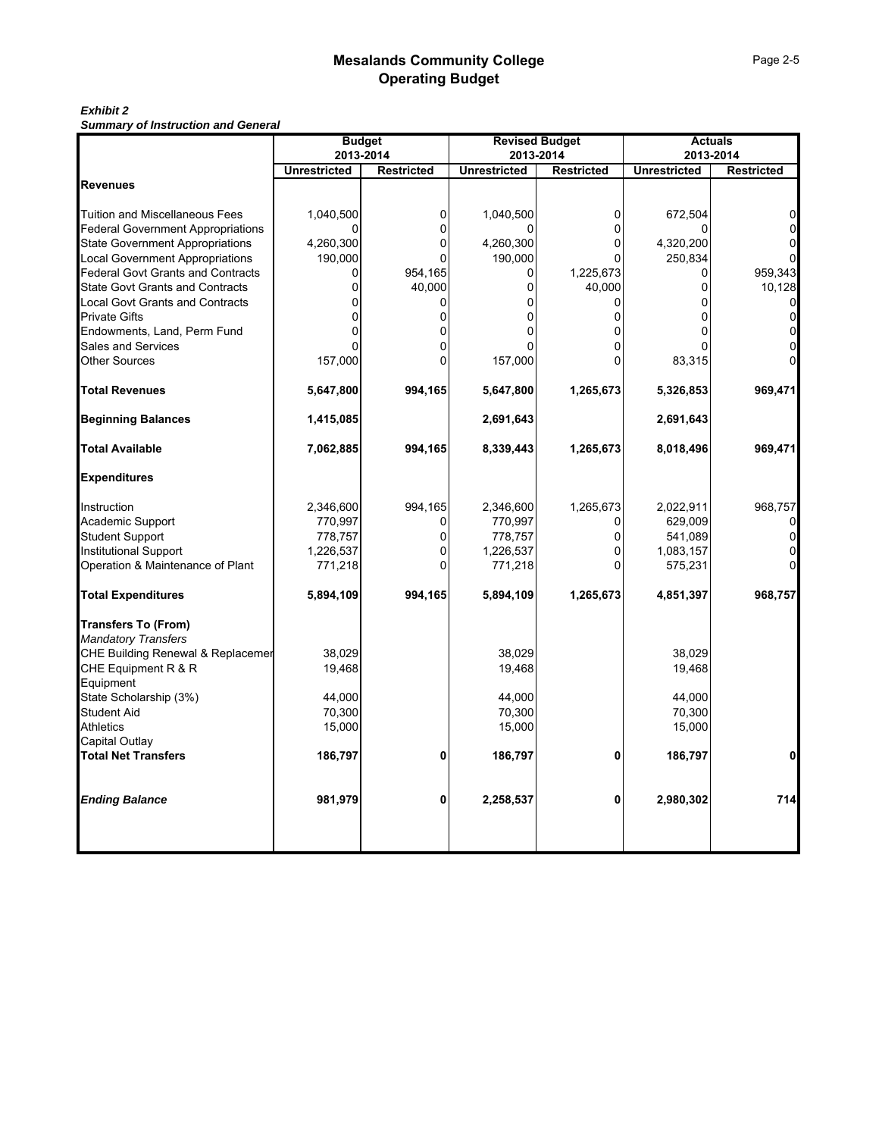#### *Exhibit 2 Summary of Instruction and General*

|                                          | <b>Budget</b><br>2013-2014 |                   | <b>Revised Budget</b><br>2013-2014 |                   | <b>Actuals</b><br>2013-2014 |                   |
|------------------------------------------|----------------------------|-------------------|------------------------------------|-------------------|-----------------------------|-------------------|
|                                          | <b>Unrestricted</b>        | <b>Restricted</b> | <b>Unrestricted</b>                | <b>Restricted</b> | <b>Unrestricted</b>         | <b>Restricted</b> |
| <b>Revenues</b>                          |                            |                   |                                    |                   |                             |                   |
| <b>Tuition and Miscellaneous Fees</b>    | 1,040,500                  | 0                 | 1,040,500                          | 0                 | 672,504                     |                   |
| <b>Federal Government Appropriations</b> |                            | ŋ                 |                                    | n                 |                             |                   |
| <b>State Government Appropriations</b>   | 4,260,300                  | 0                 | 4,260,300                          | O                 | 4,320,200                   |                   |
| <b>Local Government Appropriations</b>   | 190,000                    | O                 | 190,000                            | n                 | 250,834                     |                   |
| <b>Federal Govt Grants and Contracts</b> | 0                          | 954,165           | 0                                  | 1,225,673         | 0                           | 959,343           |
| <b>State Govt Grants and Contracts</b>   | n                          | 40,000            | U                                  | 40,000            | U                           | 10,128            |
| <b>Local Govt Grants and Contracts</b>   |                            | 0                 | 0                                  | 0                 |                             | $\Omega$          |
| <b>Private Gifts</b>                     |                            | $\Omega$          |                                    |                   |                             | $\Omega$          |
| Endowments, Land, Perm Fund              |                            | 0                 |                                    |                   |                             |                   |
| Sales and Services                       |                            |                   |                                    |                   |                             |                   |
| <b>Other Sources</b>                     | 157,000                    | $\Omega$          | 157,000                            |                   | 83,315                      |                   |
| <b>Total Revenues</b>                    | 5,647,800                  | 994,165           | 5,647,800                          | 1,265,673         | 5,326,853                   | 969,471           |
| <b>Beginning Balances</b>                | 1,415,085                  |                   | 2,691,643                          |                   | 2,691,643                   |                   |
| <b>Total Available</b>                   | 7,062,885                  | 994,165           | 8,339,443                          | 1,265,673         | 8,018,496                   | 969,471           |
| <b>Expenditures</b>                      |                            |                   |                                    |                   |                             |                   |
| Instruction                              | 2,346,600                  | 994,165           | 2,346,600                          | 1,265,673         | 2,022,911                   | 968,757           |
| Academic Support                         | 770,997                    | 0                 | 770,997                            |                   | 629,009                     |                   |
| <b>Student Support</b>                   | 778,757                    | 0                 | 778,757                            | 0                 | 541,089                     |                   |
| <b>Institutional Support</b>             | 1,226,537                  | 0                 | 1,226,537                          |                   | 1,083,157                   |                   |
| Operation & Maintenance of Plant         | 771,218                    | $\Omega$          | 771,218                            |                   | 575,231                     |                   |
| <b>Total Expenditures</b>                | 5,894,109                  | 994,165           | 5,894,109                          | 1,265,673         | 4,851,397                   | 968,757           |
| <b>Transfers To (From)</b>               |                            |                   |                                    |                   |                             |                   |
| <b>Mandatory Transfers</b>               |                            |                   |                                    |                   |                             |                   |
| CHE Building Renewal & Replacemer        | 38,029                     |                   | 38,029                             |                   | 38,029                      |                   |
| CHE Equipment R & R                      | 19,468                     |                   | 19,468                             |                   | 19,468                      |                   |
| Equipment                                |                            |                   |                                    |                   |                             |                   |
| State Scholarship (3%)                   | 44,000                     |                   | 44,000                             |                   | 44,000                      |                   |
| <b>Student Aid</b>                       | 70,300                     |                   | 70,300                             |                   | 70,300                      |                   |
| <b>Athletics</b>                         | 15,000                     |                   | 15,000                             |                   | 15,000                      |                   |
| Capital Outlay                           |                            |                   |                                    |                   |                             |                   |
| <b>Total Net Transfers</b>               | 186,797                    | 0                 | 186,797                            | 0                 | 186,797                     | $\mathbf{0}$      |
| <b>Ending Balance</b>                    | 981,979                    | 0                 | 2,258,537                          | 0                 | 2,980,302                   | 714               |
|                                          |                            |                   |                                    |                   |                             |                   |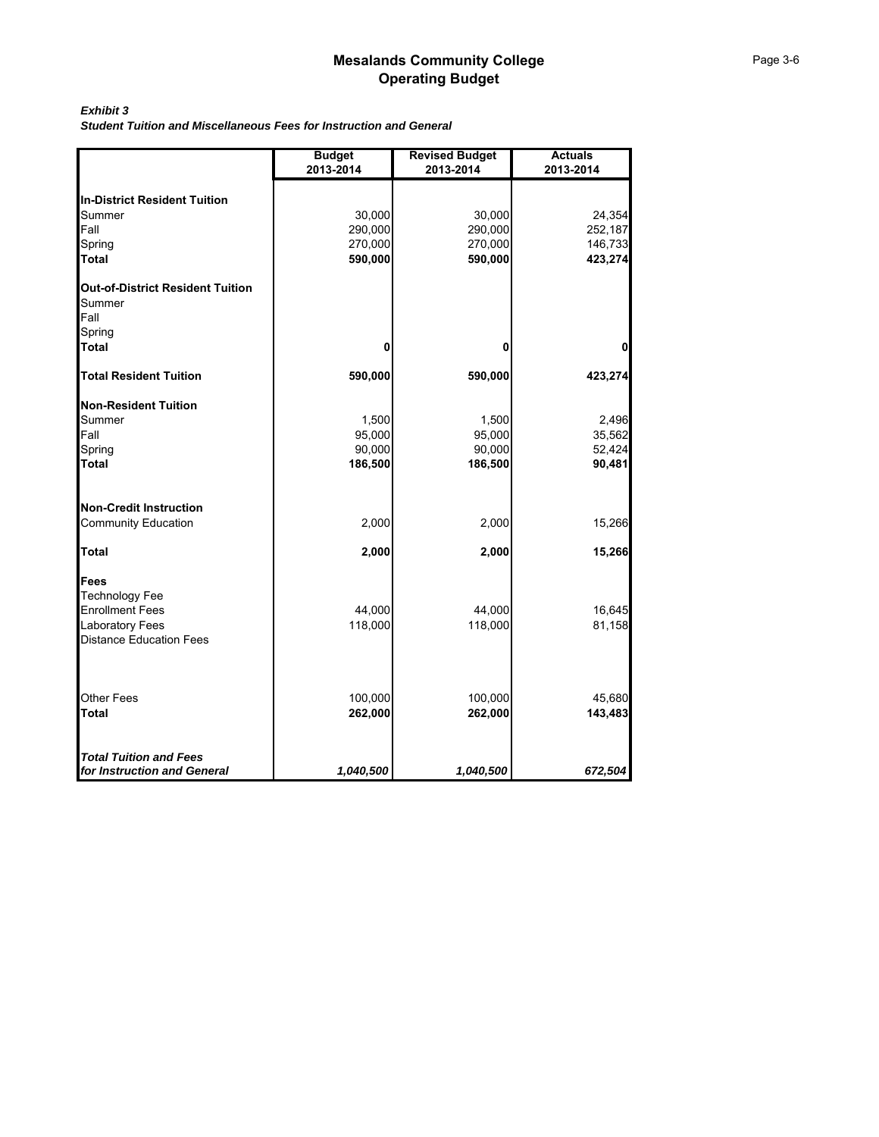#### *Exhibit 3*

*Student Tuition and Miscellaneous Fees for Instruction and General*

|                                                           | <b>Budget</b><br>2013-2014 | <b>Revised Budget</b><br>2013-2014 | <b>Actuals</b><br>2013-2014 |
|-----------------------------------------------------------|----------------------------|------------------------------------|-----------------------------|
| <b>In-District Resident Tuition</b>                       |                            |                                    |                             |
| Summer                                                    | 30,000                     | 30,000                             | 24,354                      |
| Fall                                                      | 290,000                    | 290,000                            | 252,187                     |
| Spring                                                    | 270,000                    | 270,000                            | 146,733                     |
| <b>Total</b>                                              | 590,000                    | 590,000                            | 423,274                     |
| <b>Out-of-District Resident Tuition</b><br>Summer<br>Fall |                            |                                    |                             |
| Spring<br><b>Total</b>                                    | 0                          | 0                                  | 0                           |
| <b>Total Resident Tuition</b>                             | 590,000                    | 590,000                            | 423,274                     |
| <b>Non-Resident Tuition</b>                               |                            |                                    |                             |
| Summer                                                    | 1,500                      | 1,500                              | 2,496                       |
| Fall                                                      | 95,000                     | 95,000                             | 35,562                      |
| Spring                                                    | 90,000                     | 90,000                             | 52,424                      |
| <b>Total</b>                                              | 186,500                    | 186,500                            | 90,481                      |
| <b>Non-Credit Instruction</b>                             |                            |                                    |                             |
| Community Education                                       | 2,000                      | 2,000                              | 15,266                      |
| <b>Total</b>                                              | 2,000                      | 2,000                              | 15,266                      |
| <b>Fees</b>                                               |                            |                                    |                             |
| <b>Technology Fee</b>                                     |                            |                                    |                             |
| <b>Enrollment Fees</b>                                    | 44,000                     | 44,000                             | 16,645                      |
| Laboratory Fees                                           | 118,000                    | 118,000                            | 81,158                      |
| <b>Distance Education Fees</b>                            |                            |                                    |                             |
| Other Fees                                                | 100,000                    | 100,000                            | 45,680                      |
| <b>Total</b>                                              | 262,000                    | 262,000                            | 143,483                     |
|                                                           |                            |                                    |                             |
| <b>Total Tuition and Fees</b>                             |                            |                                    |                             |
| for Instruction and General                               | 1,040,500                  | 1,040,500                          | 672,504                     |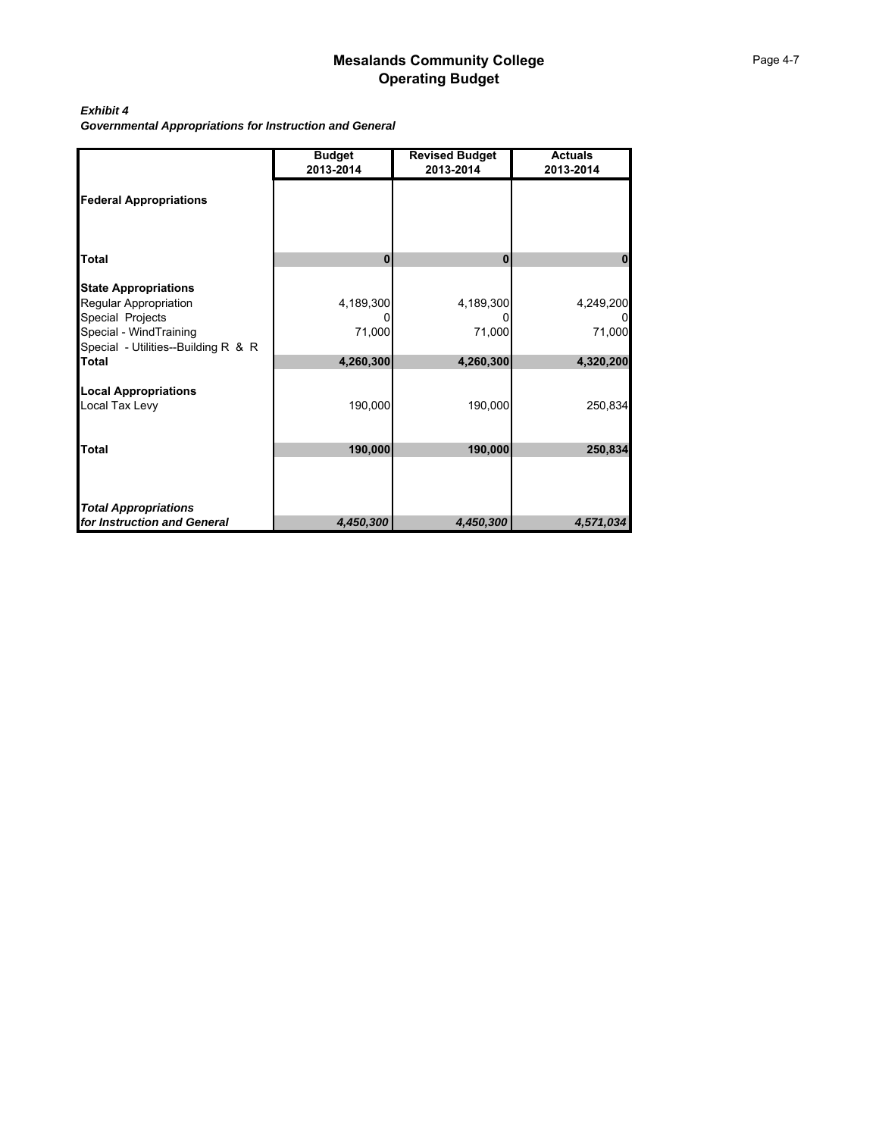## *Exhibit 4*

*Governmental Appropriations for Instruction and General*

|                                                            | <b>Budget</b><br>2013-2014 | <b>Revised Budget</b><br>2013-2014 | <b>Actuals</b><br>2013-2014 |
|------------------------------------------------------------|----------------------------|------------------------------------|-----------------------------|
| <b>Federal Appropriations</b>                              |                            |                                    |                             |
| <b>Total</b>                                               | $\bf{0}$                   | $\bf{0}$                           | Π                           |
|                                                            |                            |                                    |                             |
| <b>State Appropriations</b>                                |                            |                                    |                             |
| Regular Appropriation<br>Special Projects                  | 4,189,300                  | 4,189,300                          | 4,249,200                   |
| Special - WindTraining                                     | 71,000                     | 71,000                             | 71,000                      |
| Special - Utilities--Building R & R                        |                            |                                    |                             |
| <b>Total</b>                                               | 4,260,300                  | 4,260,300                          | 4,320,200                   |
| <b>Local Appropriations</b>                                |                            |                                    |                             |
| Local Tax Levy                                             | 190,000                    | 190,000                            | 250,834                     |
|                                                            |                            |                                    |                             |
| <b>Total</b>                                               | 190,000                    | 190,000                            | 250,834                     |
|                                                            |                            |                                    |                             |
|                                                            |                            |                                    |                             |
|                                                            |                            |                                    |                             |
| <b>Total Appropriations</b><br>for Instruction and General | 4,450,300                  | 4,450,300                          | 4,571,034                   |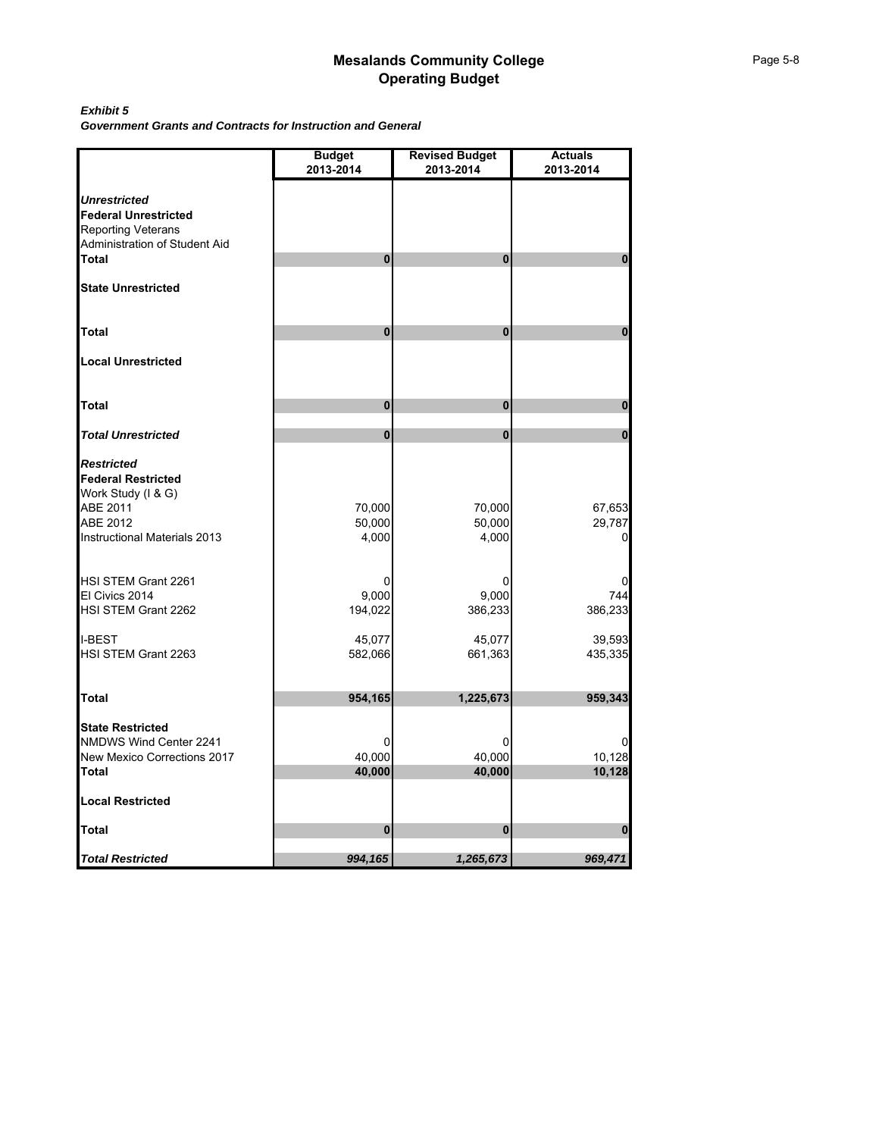#### *Exhibit 5*

*Government Grants and Contracts for Instruction and General*

|                                                       | <b>Budget</b><br>2013-2014 | <b>Revised Budget</b><br>2013-2014 | <b>Actuals</b><br>2013-2014 |
|-------------------------------------------------------|----------------------------|------------------------------------|-----------------------------|
|                                                       |                            |                                    |                             |
| <b>Unrestricted</b>                                   |                            |                                    |                             |
| <b>Federal Unrestricted</b>                           |                            |                                    |                             |
| <b>Reporting Veterans</b>                             |                            |                                    |                             |
| Administration of Student Aid                         |                            |                                    |                             |
| Total                                                 | 0                          | $\bf{0}$                           | n                           |
| <b>State Unrestricted</b>                             |                            |                                    |                             |
| <b>Total</b>                                          | 0                          | $\bf{0}$                           | $\bf{0}$                    |
| <b>Local Unrestricted</b>                             |                            |                                    |                             |
| Total                                                 | O                          | $\bf{0}$                           | 0                           |
|                                                       |                            |                                    |                             |
| <b>Total Unrestricted</b>                             | 0                          | $\bf{0}$                           | $\bf{0}$                    |
| <b>Restricted</b><br><b>Federal Restricted</b>        |                            |                                    |                             |
| Work Study (I & G)                                    |                            |                                    |                             |
| ABE 2011                                              | 70,000                     | 70,000                             | 67,653                      |
| ABE 2012                                              | 50,000                     | 50,000                             | 29,787                      |
| Instructional Materials 2013                          | 4,000                      | 4,000                              | O                           |
| HSI STEM Grant 2261                                   |                            |                                    |                             |
| El Civics 2014                                        | 9,000                      | 9,000                              | 744                         |
| HSI STEM Grant 2262                                   | 194,022                    | 386,233                            | 386,233                     |
| <b>I-BEST</b>                                         | 45,077                     | 45,077                             | 39,593                      |
| HSI STEM Grant 2263                                   | 582,066                    | 661,363                            | 435,335                     |
| Total                                                 | 954,165                    | 1,225,673                          | 959,343                     |
|                                                       |                            |                                    |                             |
| <b>State Restricted</b>                               | U                          |                                    |                             |
| NMDWS Wind Center 2241<br>New Mexico Corrections 2017 | 40,000                     | 40,000                             | 10,128                      |
| Total                                                 | 40,000                     | 40,000                             | 10,128                      |
| <b>Local Restricted</b>                               |                            |                                    |                             |
| Total                                                 | 0                          | $\bf{0}$                           | $\bf{0}$                    |
| <b>Total Restricted</b>                               | 994,165                    | 1,265,673                          | 969,471                     |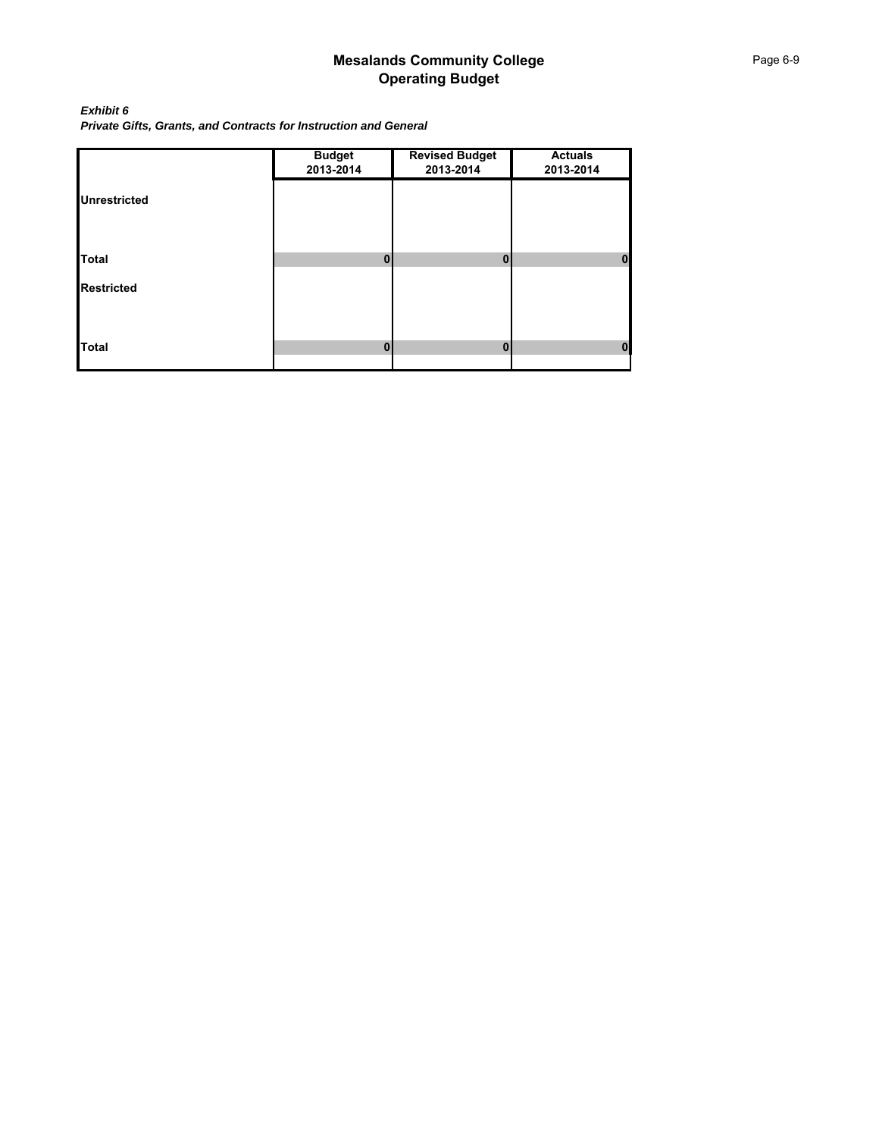*Exhibit 6 Private Gifts, Grants, and Contracts for Instruction and General*

|                     | <b>Budget</b><br>2013-2014 | <b>Revised Budget</b><br>2013-2014 | <b>Actuals</b><br>2013-2014 |
|---------------------|----------------------------|------------------------------------|-----------------------------|
| <b>Unrestricted</b> |                            |                                    |                             |
|                     |                            |                                    |                             |
| <b>Total</b>        | $\mathbf{0}$               | 0                                  | $\mathbf{0}$                |
| <b>Restricted</b>   |                            |                                    |                             |
|                     |                            |                                    |                             |
| <b>Total</b>        | 0                          | 0                                  | $\mathbf 0$                 |
|                     |                            |                                    |                             |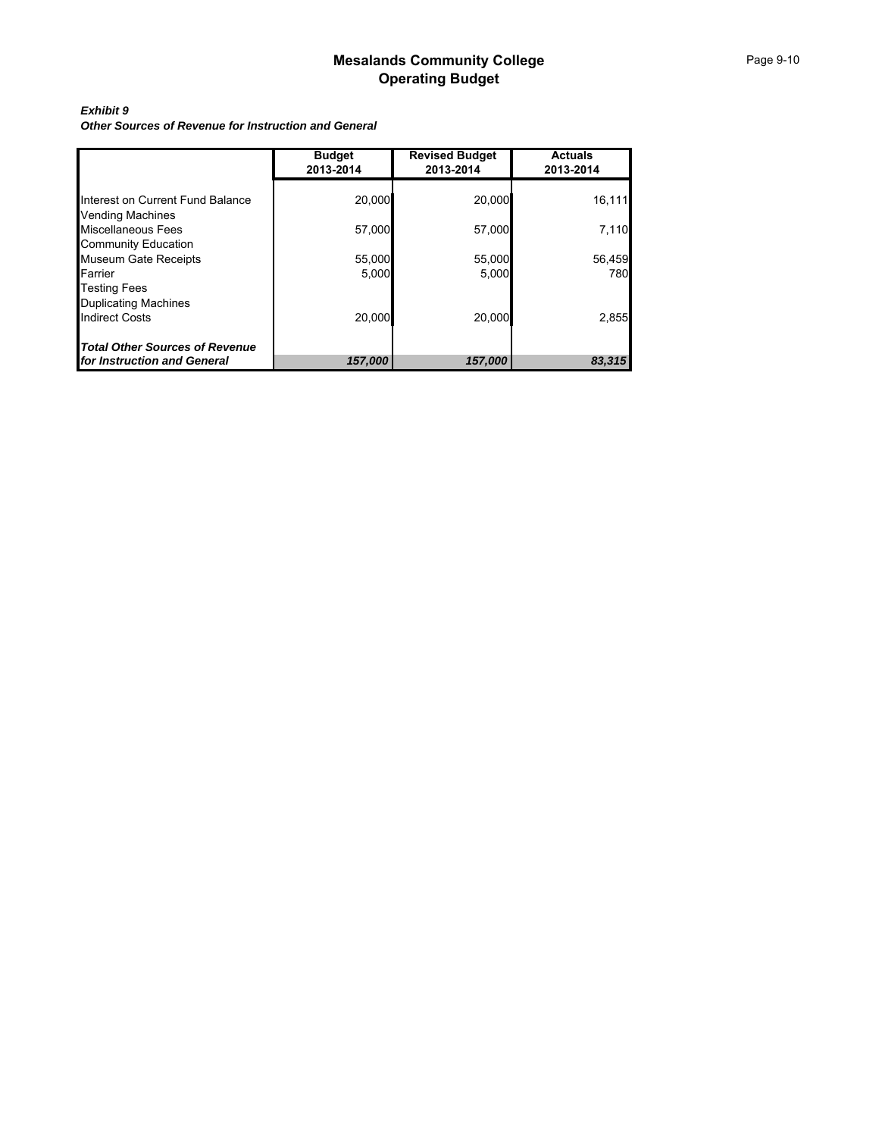## *Exhibit 9*

*Other Sources of Revenue for Instruction and General*

|                                  | <b>Budget</b><br>2013-2014 | <b>Revised Budget</b><br>2013-2014 | <b>Actuals</b><br>2013-2014 |
|----------------------------------|----------------------------|------------------------------------|-----------------------------|
|                                  |                            |                                    |                             |
| Interest on Current Fund Balance | 20,000                     | 20,000                             | 16,111                      |
| <b>Vending Machines</b>          |                            |                                    |                             |
| Miscellaneous Fees               | 57,000                     | 57,000                             | 7,110                       |
| <b>Community Education</b>       |                            |                                    |                             |
| <b>Museum Gate Receipts</b>      | 55,000                     | 55,000                             | 56,459                      |
| Farrier                          | 5.000                      | 5.000                              | 780                         |
| <b>Testing Fees</b>              |                            |                                    |                             |
| <b>Duplicating Machines</b>      |                            |                                    |                             |
| <b>Indirect Costs</b>            | 20.000                     | 20.000                             | 2,855                       |
| Total Other Sources of Revenue   |                            |                                    |                             |
| for Instruction and General      | 157,000                    | 157,000                            | 83,315                      |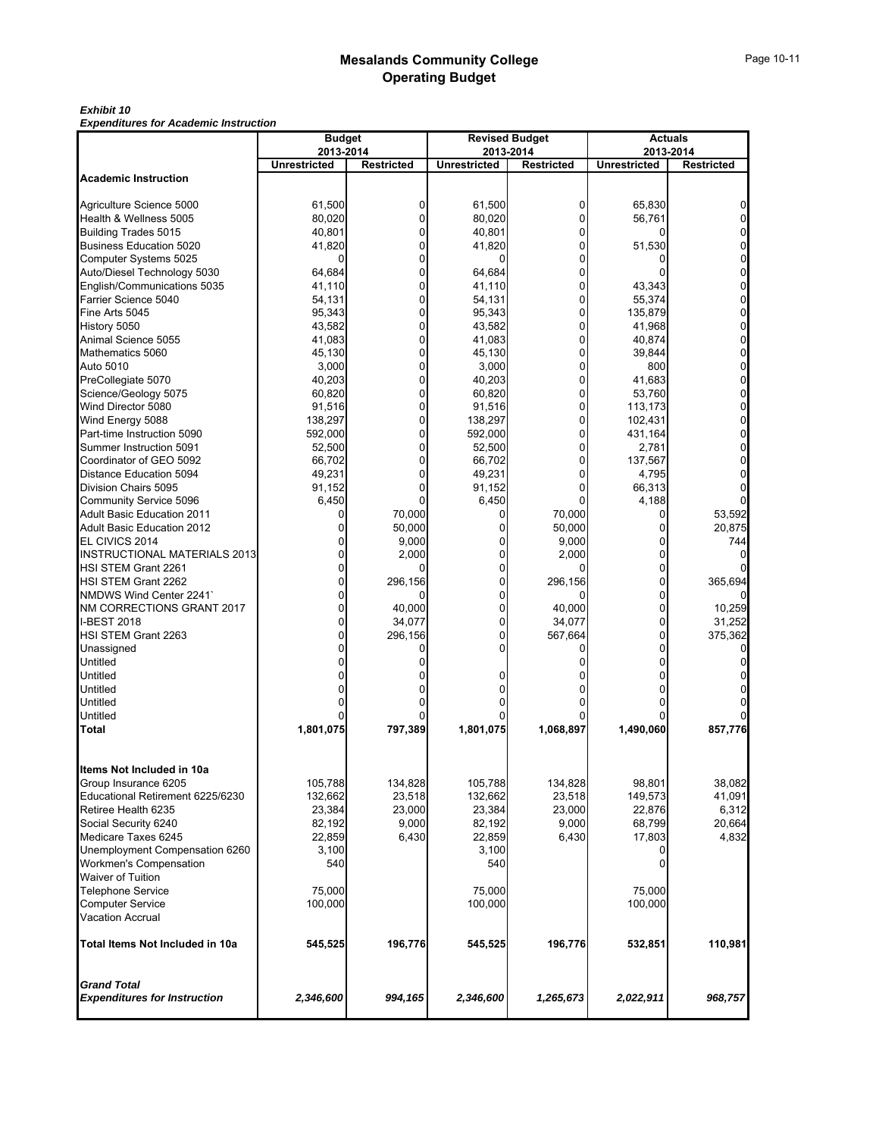#### *Exhibit 10*

*Expenditures for Academic Instruction*

|                                     | <b>Budget</b>                    |                   |                     | <b>Revised Budget</b> | <b>Actuals</b><br>2013-2014 |                   |  |  |
|-------------------------------------|----------------------------------|-------------------|---------------------|-----------------------|-----------------------------|-------------------|--|--|
|                                     | 2013-2014<br><b>Unrestricted</b> |                   |                     | 2013-2014             | <b>Unrestricted</b>         |                   |  |  |
| <b>Academic Instruction</b>         |                                  | <b>Restricted</b> | <b>Unrestricted</b> | <b>Restricted</b>     |                             | <b>Restricted</b> |  |  |
|                                     |                                  |                   |                     |                       |                             |                   |  |  |
| Agriculture Science 5000            | 61,500                           | 0                 | 61,500              | 0                     | 65,830                      |                   |  |  |
| Health & Wellness 5005              | 80,020                           | 0                 | 80,020              | $\mathbf 0$           | 56,761                      | $\Omega$          |  |  |
| Building Trades 5015                | 40,801                           | $\mathbf{0}$      | 40,801              | 0                     |                             | $\Omega$          |  |  |
| <b>Business Education 5020</b>      | 41,820                           | 0                 | 41,820              | $\overline{0}$        | 51,530                      | $\overline{0}$    |  |  |
| Computer Systems 5025               | O                                | $\Omega$          |                     | 0                     |                             | $\Omega$          |  |  |
| Auto/Diesel Technology 5030         | 64,684                           | 0                 | 64,684              | $\overline{0}$        |                             | $\overline{0}$    |  |  |
| English/Communications 5035         | 41,110                           | $\mathbf{0}$      | 41,110              | 0                     | 43,343                      | $\Omega$          |  |  |
| Farrier Science 5040                | 54,131                           | $\mathbf{0}$      | 54,131              | 0                     | 55,374                      | $\Omega$          |  |  |
| Fine Arts 5045                      | 95,343                           | 0                 | 95,343              | 0                     | 135,879                     | $\Omega$          |  |  |
| History 5050                        | 43,582                           | $\mathbf{0}$      | 43,582              | 0                     | 41,968                      | 0                 |  |  |
| Animal Science 5055                 | 41,083                           | 0                 | 41,083              | $\overline{0}$        | 40,874                      | $\overline{0}$    |  |  |
| Mathematics 5060                    | 45,130                           | $\mathbf{0}$      | 45,130              | 0                     | 39,844                      | $\mathbf 0$       |  |  |
| Auto 5010                           | 3,000                            | 0                 | 3,000               | $\mathbf 0$           | 800                         | $\mathbf 0$       |  |  |
|                                     | 40,203                           | $\mathbf{0}$      | 40,203              | 0                     | 41,683                      | $\Omega$          |  |  |
| PreCollegiate 5070                  |                                  | 0                 |                     | $\overline{0}$        |                             |                   |  |  |
| Science/Geology 5075                | 60,820                           |                   | 60,820              |                       | 53,760                      | $\mathbf 0$       |  |  |
| Wind Director 5080                  | 91,516                           | $\Omega$          | 91,516              | 0                     | 113,173                     | $\Omega$          |  |  |
| Wind Energy 5088                    | 138,297                          | $\Omega$          | 138,297             | 0                     | 102,431                     | 0                 |  |  |
| Part-time Instruction 5090          | 592,000                          | 0                 | 592,000             | 0                     | 431,164                     | 0                 |  |  |
| Summer Instruction 5091             | 52,500                           | $\mathbf{0}$      | 52,500              | 0                     | 2,781                       | $\Omega$          |  |  |
| Coordinator of GEO 5092             | 66,702                           | 0                 | 66,702              | 0                     | 137,567                     | 0                 |  |  |
| Distance Education 5094             | 49,231                           | $\Omega$          | 49,231              | 0                     | 4,795                       |                   |  |  |
| Division Chairs 5095                | 91,152                           | $\Omega$          | 91,152              | 0                     | 66,313                      |                   |  |  |
| Community Service 5096              | 6,450                            |                   | 6,450               |                       | 4,188                       |                   |  |  |
| <b>Adult Basic Education 2011</b>   | 0                                | 70,000            | 0                   | 70,000                | U                           | 53,592            |  |  |
| <b>Adult Basic Education 2012</b>   | 0                                | 50,000            | 0                   | 50,000                |                             | 20,875            |  |  |
| EL CIVICS 2014                      | O                                | 9,000             | 0                   | 9,000                 | U                           | 744               |  |  |
| <b>INSTRUCTIONAL MATERIALS 2013</b> |                                  | 2,000             | 0                   | 2,000                 | U                           |                   |  |  |
| <b>HSI STEM Grant 2261</b>          |                                  | 0                 | 0                   |                       | 0                           |                   |  |  |
| <b>HSI STEM Grant 2262</b>          | 0                                | 296,156           | 0                   | 296,156               | 0                           | 365,694           |  |  |
| NMDWS Wind Center 2241              | ŋ                                | 0                 | 0                   |                       | 0                           |                   |  |  |
| NM CORRECTIONS GRANT 2017           | 0                                | 40,000            | 0                   | 40,000                | 0                           | 10,259            |  |  |
| <b>I-BEST 2018</b>                  |                                  | 34,077            | 0                   | 34,077                | 0                           | 31,252            |  |  |
| HSI STEM Grant 2263                 | 0                                | 296,156           | 0                   | 567,664               | 0                           | 375,362           |  |  |
| Unassigned                          |                                  | 0                 | 0                   |                       |                             |                   |  |  |
| Untitled                            |                                  |                   |                     |                       |                             |                   |  |  |
| Untitled                            |                                  |                   |                     |                       |                             |                   |  |  |
| Untitled                            |                                  |                   |                     |                       |                             |                   |  |  |
| Untitled                            |                                  | 0                 |                     |                       |                             |                   |  |  |
| Untitled                            |                                  |                   |                     |                       |                             |                   |  |  |
| Total                               | 1,801,075                        | 797,389           | 1,801,075           | 1,068,897             | 1,490,060                   | 857,776           |  |  |
|                                     |                                  |                   |                     |                       |                             |                   |  |  |
| Items Not Included in 10a           |                                  |                   |                     |                       |                             |                   |  |  |
| Group Insurance 6205                | 105,788                          | 134,828           | 105,788             | 134,828               | 98,801                      | 38,082            |  |  |
| Educational Retirement 6225/6230    | 132,662                          | 23,518            | 132,662             | 23,518                | 149,573                     | 41,091            |  |  |
| Retiree Health 6235                 | 23,384                           | 23,000            | 23,384              | 23,000                | 22.876                      | 6,312             |  |  |
| Social Security 6240                | 82,192                           | 9,000             | 82,192              | 9,000                 | 68,799                      | 20,664            |  |  |
| Medicare Taxes 6245                 | 22,859                           | 6,430             | 22,859              | 6,430                 | 17,803                      | 4,832             |  |  |
| Unemployment Compensation 6260      | 3,100                            |                   | 3,100               |                       |                             |                   |  |  |
| Workmen's Compensation              | 540                              |                   | 540                 |                       | 0                           |                   |  |  |
| <b>Waiver of Tuition</b>            |                                  |                   |                     |                       |                             |                   |  |  |
| <b>Telephone Service</b>            | 75,000                           |                   | 75,000              |                       | 75,000                      |                   |  |  |
| <b>Computer Service</b>             | 100,000                          |                   | 100,000             |                       | 100,000                     |                   |  |  |
| <b>Vacation Accrual</b>             |                                  |                   |                     |                       |                             |                   |  |  |
| Total Items Not Included in 10a     | 545,525                          | 196,776           | 545,525             | 196,776               | 532,851                     | 110,981           |  |  |
| <b>Grand Total</b>                  |                                  |                   |                     |                       |                             |                   |  |  |
| <b>Expenditures for Instruction</b> | 2,346,600                        | 994,165           | 2,346,600           | 1,265,673             | 2,022,911                   | 968,757           |  |  |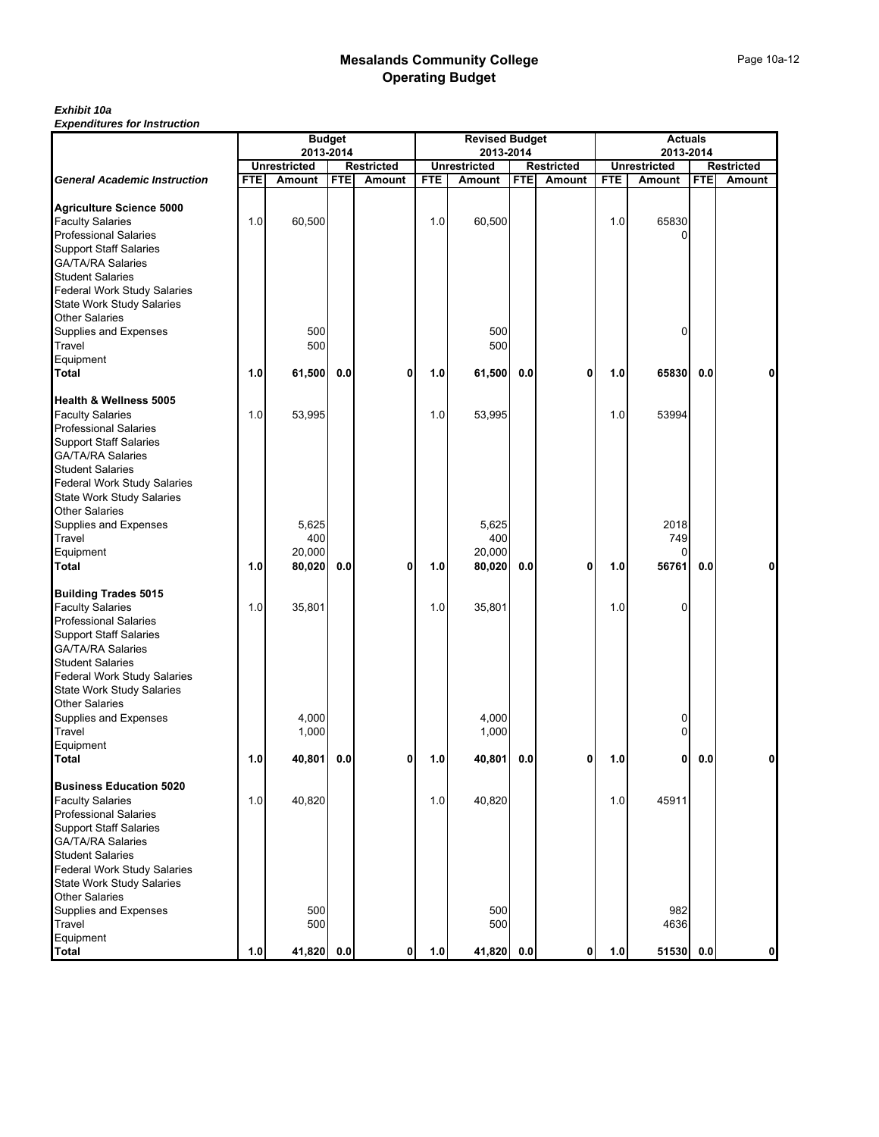## *Exhibit 10a*

|                                                                                                                                                                                                                  |            | <b>Budget</b>                 |            |                             |            | <b>Revised Budget</b>                |            |                             |            | <b>Actuals</b>                |            |                             |  |
|------------------------------------------------------------------------------------------------------------------------------------------------------------------------------------------------------------------|------------|-------------------------------|------------|-----------------------------|------------|--------------------------------------|------------|-----------------------------|------------|-------------------------------|------------|-----------------------------|--|
|                                                                                                                                                                                                                  |            | 2013-2014                     |            |                             |            | 2013-2014                            |            |                             |            | 2013-2014                     |            |                             |  |
| <b>General Academic Instruction</b>                                                                                                                                                                              | <b>FTE</b> | <b>Unrestricted</b><br>Amount | <b>FTE</b> | <b>Restricted</b><br>Amount | <b>FTE</b> | <b>Unrestricted</b><br><b>Amount</b> | <b>FTE</b> | <b>Restricted</b><br>Amount | <b>FTE</b> | <b>Unrestricted</b><br>Amount | <b>FTE</b> | <b>Restricted</b><br>Amount |  |
|                                                                                                                                                                                                                  |            |                               |            |                             |            |                                      |            |                             |            |                               |            |                             |  |
| <b>Agriculture Science 5000</b><br><b>Faculty Salaries</b><br><b>Professional Salaries</b><br><b>Support Staff Salaries</b><br><b>GA/TA/RA Salaries</b>                                                          | 1.0        | 60,500                        |            |                             | 1.0        | 60,500                               |            |                             | 1.0        | 65830                         |            |                             |  |
| <b>Student Salaries</b><br>Federal Work Study Salaries<br><b>State Work Study Salaries</b><br><b>Other Salaries</b><br>Supplies and Expenses                                                                     |            | 500                           |            |                             |            | 500                                  |            |                             |            | $\Omega$                      |            |                             |  |
| Travel                                                                                                                                                                                                           |            | 500                           |            |                             |            | 500                                  |            |                             |            |                               |            |                             |  |
| Equipment<br><b>Total</b>                                                                                                                                                                                        | 1.0        | 61,500                        | 0.0        | 0                           | 1.0        | 61,500                               | 0.0        | 0                           | 1.0        | 65830                         | 0.0        | 0                           |  |
| <b>Health &amp; Wellness 5005</b>                                                                                                                                                                                |            |                               |            |                             |            |                                      |            |                             |            |                               |            |                             |  |
| <b>Faculty Salaries</b><br><b>Professional Salaries</b><br><b>Support Staff Salaries</b><br><b>GA/TA/RA Salaries</b>                                                                                             | 1.0        | 53,995                        |            |                             | 1.0        | 53,995                               |            |                             | 1.0        | 53994                         |            |                             |  |
| <b>Student Salaries</b><br>Federal Work Study Salaries<br><b>State Work Study Salaries</b><br><b>Other Salaries</b>                                                                                              |            |                               |            |                             |            |                                      |            |                             |            |                               |            |                             |  |
| Supplies and Expenses<br>Travel                                                                                                                                                                                  |            | 5,625<br>400                  |            |                             |            | 5,625<br>400                         |            |                             |            | 2018<br>749                   |            |                             |  |
| Equipment                                                                                                                                                                                                        |            | 20,000                        |            |                             |            | 20,000                               |            |                             |            | 0                             |            |                             |  |
| Total                                                                                                                                                                                                            | 1.0        | 80,020                        | 0.0        | 0                           | 1.0        | 80,020                               | 0.0        | 0                           | 1.0        | 56761                         | 0.0        | $\mathbf{0}$                |  |
| <b>Building Trades 5015</b><br><b>Faculty Salaries</b><br><b>Professional Salaries</b><br><b>Support Staff Salaries</b><br><b>GA/TA/RA Salaries</b><br><b>Student Salaries</b>                                   | 1.0        | 35,801                        |            |                             | 1.0        | 35,801                               |            |                             | 1.0        | $\Omega$                      |            |                             |  |
| Federal Work Study Salaries<br><b>State Work Study Salaries</b><br><b>Other Salaries</b><br>Supplies and Expenses<br>Travel                                                                                      |            | 4,000<br>1,000                |            |                             |            | 4,000<br>1,000                       |            |                             |            | 0<br>0                        |            |                             |  |
| Equipment                                                                                                                                                                                                        |            |                               |            |                             |            |                                      |            |                             |            |                               |            |                             |  |
| Total                                                                                                                                                                                                            | 1.0        | 40,801                        | 0.0        | 0                           | 1.0        | 40,801                               | 0.0        | 0                           | 1.0        | 0                             | 0.0        | 0                           |  |
| <b>Business Education 5020</b><br><b>Faculty Salaries</b>                                                                                                                                                        | 1.0        | 40,820                        |            |                             | 1.0        | 40,820                               |            |                             | 1.0        | 45911                         |            |                             |  |
| <b>Professional Salaries</b><br><b>Support Staff Salaries</b><br><b>GA/TA/RA Salaries</b><br><b>Student Salaries</b><br>Federal Work Study Salaries<br><b>State Work Study Salaries</b><br><b>Other Salaries</b> |            |                               |            |                             |            |                                      |            |                             |            |                               |            |                             |  |
| Supplies and Expenses<br>Travel<br>Equipment                                                                                                                                                                     |            | 500<br>500                    |            |                             |            | 500<br>500                           |            |                             |            | 982<br>4636                   |            |                             |  |
| <b>Total</b>                                                                                                                                                                                                     | 1.0        | 41,820 0.0                    |            | $\mathbf{0}$                | 1.0        | 41,820                               | 0.0        | $\mathbf{0}$                | 1.0        | 51530 0.0                     |            | 0                           |  |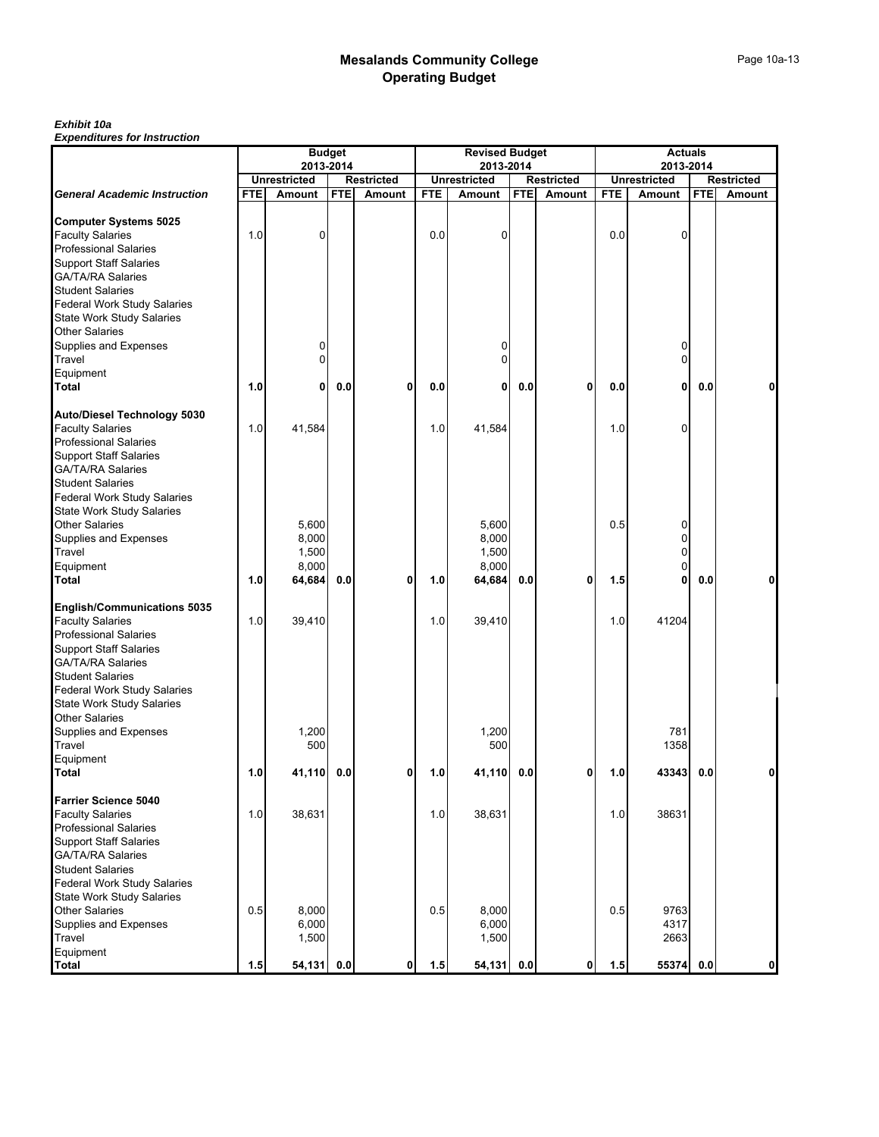#### *Exhibit 10a*

|                                     | <b>Budget</b><br>2013-2014 |                     |            |                   | <b>Revised Budget</b><br>2013-2014 |                     |            |                   | <b>Actuals</b><br>2013-2014 |                     |            |                   |
|-------------------------------------|----------------------------|---------------------|------------|-------------------|------------------------------------|---------------------|------------|-------------------|-----------------------------|---------------------|------------|-------------------|
|                                     |                            | <b>Unrestricted</b> |            | <b>Restricted</b> |                                    | <b>Unrestricted</b> |            | <b>Restricted</b> |                             | <b>Unrestricted</b> |            | <b>Restricted</b> |
| <b>General Academic Instruction</b> | <b>FTE</b>                 | Amount              | <b>FTE</b> | <b>Amount</b>     | <b>FTE</b>                         | Amount              | <b>FTE</b> | Amount            | <b>FTE</b>                  | Amount              | <b>FTE</b> | Amount            |
|                                     |                            |                     |            |                   |                                    |                     |            |                   |                             |                     |            |                   |
| <b>Computer Systems 5025</b>        |                            |                     |            |                   |                                    |                     |            |                   |                             |                     |            |                   |
| <b>Faculty Salaries</b>             | 1.0                        | $\mathbf 0$         |            |                   | 0.0                                | 0                   |            |                   | 0.0                         | 0                   |            |                   |
| <b>Professional Salaries</b>        |                            |                     |            |                   |                                    |                     |            |                   |                             |                     |            |                   |
| <b>Support Staff Salaries</b>       |                            |                     |            |                   |                                    |                     |            |                   |                             |                     |            |                   |
| <b>GA/TA/RA Salaries</b>            |                            |                     |            |                   |                                    |                     |            |                   |                             |                     |            |                   |
| <b>Student Salaries</b>             |                            |                     |            |                   |                                    |                     |            |                   |                             |                     |            |                   |
| Federal Work Study Salaries         |                            |                     |            |                   |                                    |                     |            |                   |                             |                     |            |                   |
| <b>State Work Study Salaries</b>    |                            |                     |            |                   |                                    |                     |            |                   |                             |                     |            |                   |
| <b>Other Salaries</b>               |                            |                     |            |                   |                                    |                     |            |                   |                             |                     |            |                   |
| Supplies and Expenses               |                            | 0                   |            |                   |                                    | 0                   |            |                   |                             | 0                   |            |                   |
| Travel                              |                            | $\Omega$            |            |                   |                                    | 0                   |            |                   |                             | 0                   |            |                   |
| Equipment                           |                            |                     |            |                   |                                    |                     |            |                   |                             |                     |            |                   |
| <b>Total</b>                        | 1.0                        | 0                   | 0.0        | 0                 | 0.0                                | 0                   | 0.0        | 0                 | 0.0                         | $\mathbf{0}$        | 0.0        | 0                 |
| <b>Auto/Diesel Technology 5030</b>  |                            |                     |            |                   |                                    |                     |            |                   |                             |                     |            |                   |
| <b>Faculty Salaries</b>             | 1.0                        | 41,584              |            |                   | 1.0                                | 41,584              |            |                   | 1.0                         | 0                   |            |                   |
| <b>Professional Salaries</b>        |                            |                     |            |                   |                                    |                     |            |                   |                             |                     |            |                   |
| <b>Support Staff Salaries</b>       |                            |                     |            |                   |                                    |                     |            |                   |                             |                     |            |                   |
| <b>GA/TA/RA Salaries</b>            |                            |                     |            |                   |                                    |                     |            |                   |                             |                     |            |                   |
| <b>Student Salaries</b>             |                            |                     |            |                   |                                    |                     |            |                   |                             |                     |            |                   |
| <b>Federal Work Study Salaries</b>  |                            |                     |            |                   |                                    |                     |            |                   |                             |                     |            |                   |
| <b>State Work Study Salaries</b>    |                            |                     |            |                   |                                    |                     |            |                   |                             |                     |            |                   |
| <b>Other Salaries</b>               |                            | 5,600               |            |                   |                                    | 5,600               |            |                   | 0.5                         | 0                   |            |                   |
| Supplies and Expenses               |                            | 8,000               |            |                   |                                    | 8,000               |            |                   |                             | 0                   |            |                   |
| Travel                              |                            | 1,500               |            |                   |                                    | 1,500               |            |                   |                             | $\Omega$            |            |                   |
| Equipment                           |                            | 8,000               |            |                   |                                    | 8,000               |            |                   |                             | 0                   |            |                   |
| Total                               | 1.0                        | 64,684              | 0.0        | 0                 | 1.0                                | 64,684              | 0.0        | 0                 | 1.5                         | 0                   | 0.0        | 0                 |
|                                     |                            |                     |            |                   |                                    |                     |            |                   |                             |                     |            |                   |
| <b>English/Communications 5035</b>  |                            |                     |            |                   |                                    |                     |            |                   |                             |                     |            |                   |
| <b>Faculty Salaries</b>             | 1.0                        | 39,410              |            |                   | 1.0                                | 39,410              |            |                   | 1.0                         | 41204               |            |                   |
| <b>Professional Salaries</b>        |                            |                     |            |                   |                                    |                     |            |                   |                             |                     |            |                   |
| <b>Support Staff Salaries</b>       |                            |                     |            |                   |                                    |                     |            |                   |                             |                     |            |                   |
| <b>GA/TA/RA Salaries</b>            |                            |                     |            |                   |                                    |                     |            |                   |                             |                     |            |                   |
| <b>Student Salaries</b>             |                            |                     |            |                   |                                    |                     |            |                   |                             |                     |            |                   |
| Federal Work Study Salaries         |                            |                     |            |                   |                                    |                     |            |                   |                             |                     |            |                   |
| <b>State Work Study Salaries</b>    |                            |                     |            |                   |                                    |                     |            |                   |                             |                     |            |                   |
| <b>Other Salaries</b>               |                            |                     |            |                   |                                    |                     |            |                   |                             |                     |            |                   |
| Supplies and Expenses               |                            | 1,200               |            |                   |                                    | 1,200               |            |                   |                             | 781                 |            |                   |
| Travel                              |                            | 500                 |            |                   |                                    | 500                 |            |                   |                             | 1358                |            |                   |
| Equipment<br>Total                  | 1.0                        | 41,110              | 0.0        | 0                 | 1.0                                | 41,110              | 0.0        | 0                 | 1.0                         | 43343               | 0.0        |                   |
|                                     |                            |                     |            |                   |                                    |                     |            |                   |                             |                     |            |                   |
| <b>Farrier Science 5040</b>         |                            |                     |            |                   |                                    |                     |            |                   |                             |                     |            |                   |
| <b>Faculty Salaries</b>             | 1.0                        | 38,631              |            |                   | 1.0                                | 38,631              |            |                   | 1.0                         | 38631               |            |                   |
| <b>Professional Salaries</b>        |                            |                     |            |                   |                                    |                     |            |                   |                             |                     |            |                   |
| <b>Support Staff Salaries</b>       |                            |                     |            |                   |                                    |                     |            |                   |                             |                     |            |                   |
| <b>GA/TA/RA Salaries</b>            |                            |                     |            |                   |                                    |                     |            |                   |                             |                     |            |                   |
| <b>Student Salaries</b>             |                            |                     |            |                   |                                    |                     |            |                   |                             |                     |            |                   |
| Federal Work Study Salaries         |                            |                     |            |                   |                                    |                     |            |                   |                             |                     |            |                   |
| <b>State Work Study Salaries</b>    |                            |                     |            |                   |                                    |                     |            |                   |                             |                     |            |                   |
| <b>Other Salaries</b>               | 0.5                        | 8.000               |            |                   | 0.5                                | 8,000               |            |                   | 0.5                         | 9763                |            |                   |
| Supplies and Expenses               |                            | 6,000               |            |                   |                                    | 6,000               |            |                   |                             | 4317                |            |                   |
| Travel                              |                            | 1,500               |            |                   |                                    | 1,500               |            |                   |                             | 2663                |            |                   |
| Equipment                           |                            |                     |            |                   |                                    |                     |            |                   |                             |                     |            |                   |
| <b>Total</b>                        | 1.5                        | 54,131              | 0.0        | 0                 | 1.5                                | 54,131 0.0          |            | 0                 | 1.5                         | 55374               | 0.0        | $\mathbf{0}$      |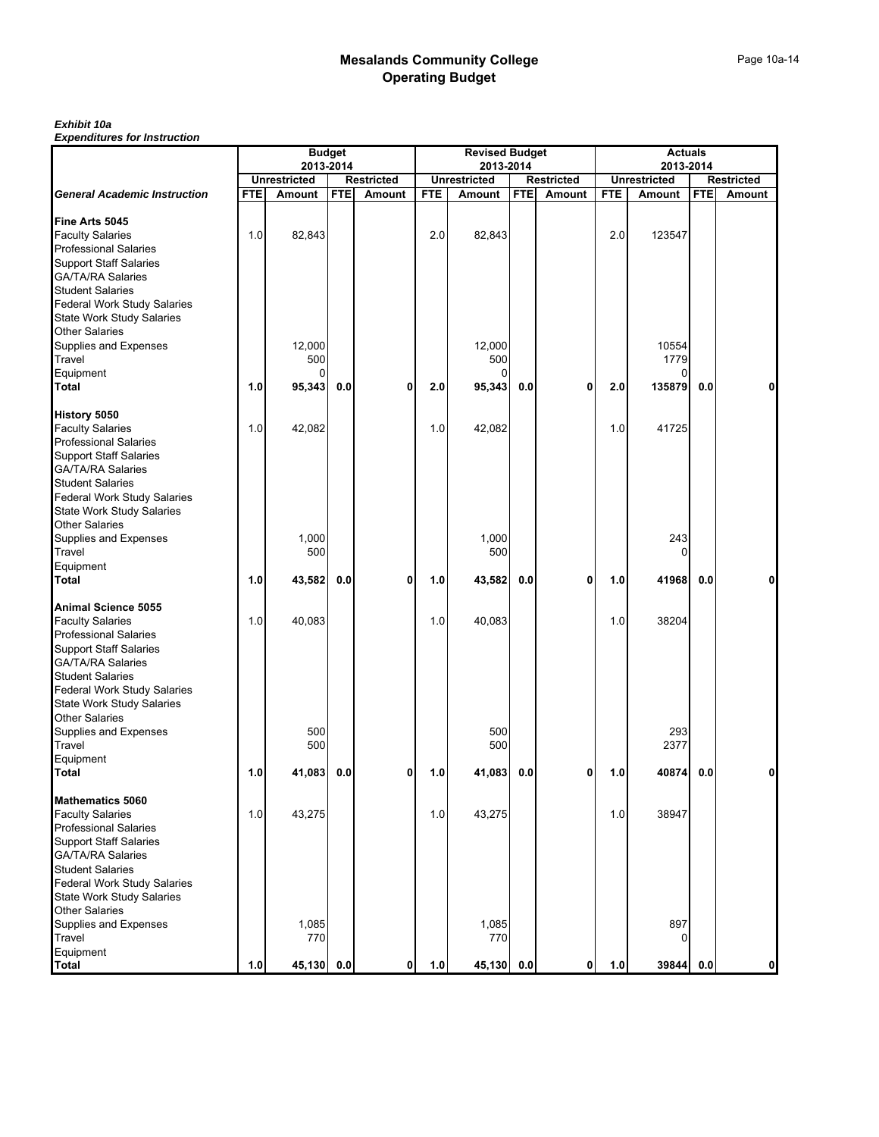#### *Exhibit 10a*

|     |                   |                                                                            |                                                        |                                               |                   |                                                                               |                         |                                                                              |                   |                                                     | <b>Restricted</b><br>Amount                               |
|-----|-------------------|----------------------------------------------------------------------------|--------------------------------------------------------|-----------------------------------------------|-------------------|-------------------------------------------------------------------------------|-------------------------|------------------------------------------------------------------------------|-------------------|-----------------------------------------------------|-----------------------------------------------------------|
|     |                   |                                                                            |                                                        |                                               |                   |                                                                               |                         |                                                                              |                   |                                                     |                                                           |
| 1.0 | 82,843            |                                                                            |                                                        | 2.0                                           | 82,843            |                                                                               |                         | 2.0                                                                          | 123547            |                                                     |                                                           |
|     |                   |                                                                            |                                                        |                                               |                   |                                                                               |                         |                                                                              |                   |                                                     |                                                           |
|     |                   |                                                                            |                                                        |                                               |                   |                                                                               |                         |                                                                              |                   |                                                     |                                                           |
|     |                   |                                                                            |                                                        |                                               |                   |                                                                               |                         |                                                                              |                   |                                                     |                                                           |
|     |                   |                                                                            |                                                        |                                               | 500               |                                                                               |                         |                                                                              | 1779              |                                                     |                                                           |
|     |                   |                                                                            |                                                        |                                               | 0                 |                                                                               |                         |                                                                              | 0                 |                                                     |                                                           |
| 1.0 |                   | 0.0                                                                        | 0                                                      | 2.0                                           |                   | 0.0                                                                           |                         | 2.0                                                                          | 135879            | 0.0                                                 | 0                                                         |
|     |                   |                                                                            |                                                        |                                               |                   |                                                                               |                         |                                                                              |                   |                                                     |                                                           |
|     | 42,082            |                                                                            |                                                        | 1.0                                           | 42,082            |                                                                               |                         | 1.0                                                                          | 41725             |                                                     |                                                           |
|     |                   |                                                                            |                                                        |                                               |                   |                                                                               |                         |                                                                              |                   |                                                     |                                                           |
|     |                   |                                                                            |                                                        |                                               |                   |                                                                               |                         |                                                                              |                   |                                                     |                                                           |
|     | 1,000             |                                                                            |                                                        |                                               | 1,000             |                                                                               |                         |                                                                              | 243               |                                                     |                                                           |
|     |                   |                                                                            |                                                        |                                               |                   |                                                                               |                         |                                                                              |                   |                                                     |                                                           |
| 1.0 | 43,582            | 0.0                                                                        | 0                                                      | 1.0                                           | 43,582            | 0.0                                                                           | 0                       | 1.0                                                                          | 41968             | 0.0                                                 | 0                                                         |
|     |                   |                                                                            |                                                        |                                               |                   |                                                                               |                         |                                                                              |                   |                                                     |                                                           |
| 1.0 | 40,083            |                                                                            |                                                        | 1.0                                           | 40,083            |                                                                               |                         | 1.0                                                                          | 38204             |                                                     |                                                           |
|     |                   |                                                                            |                                                        |                                               |                   |                                                                               |                         |                                                                              |                   |                                                     |                                                           |
|     |                   |                                                                            |                                                        |                                               |                   |                                                                               |                         |                                                                              |                   |                                                     |                                                           |
|     |                   |                                                                            |                                                        |                                               |                   |                                                                               |                         |                                                                              |                   |                                                     |                                                           |
|     | 500               |                                                                            |                                                        |                                               | 500               |                                                                               |                         |                                                                              | 293               |                                                     |                                                           |
|     |                   |                                                                            |                                                        |                                               |                   |                                                                               |                         |                                                                              |                   |                                                     |                                                           |
| 1.0 | 41,083            | 0.0                                                                        | 0                                                      | 1.0                                           | 41,083            | 0.0                                                                           | 0                       | 1.0                                                                          | 40874             | 0.0                                                 |                                                           |
|     |                   |                                                                            |                                                        |                                               |                   |                                                                               |                         |                                                                              |                   |                                                     |                                                           |
|     | 43,275            |                                                                            |                                                        |                                               | 43,275            |                                                                               |                         | 1.0                                                                          | 38947             |                                                     |                                                           |
|     |                   |                                                                            |                                                        |                                               |                   |                                                                               |                         |                                                                              |                   |                                                     |                                                           |
|     |                   |                                                                            |                                                        |                                               |                   |                                                                               |                         |                                                                              |                   |                                                     |                                                           |
|     |                   |                                                                            |                                                        |                                               |                   |                                                                               |                         |                                                                              |                   |                                                     |                                                           |
|     |                   |                                                                            |                                                        |                                               |                   |                                                                               |                         |                                                                              |                   |                                                     |                                                           |
|     | 1,085<br>770      |                                                                            |                                                        |                                               | 1,085             |                                                                               |                         |                                                                              | 897<br>0          |                                                     |                                                           |
|     |                   |                                                                            |                                                        |                                               |                   |                                                                               |                         |                                                                              |                   |                                                     | $\mathbf{0}$                                              |
|     | <b>FTE</b><br>1.0 | <b>Unrestricted</b><br>Amount<br>12,000<br>500<br>1.0<br>500<br>500<br>1.0 | <b>Budget</b><br><b>FTE</b><br>95,343<br>45,130<br>0.0 | 2013-2014<br><b>Restricted</b><br>Amount<br>0 | <b>FTE</b><br>1.0 | <b>Unrestricted</b><br>Amount<br>12,000<br>95,343<br>500<br>500<br>1.0<br>770 | 2013-2014<br>45,130 0.0 | <b>Revised Budget</b><br><b>Restricted</b><br><b>FTE</b><br>Amount<br>0<br>0 | <b>FTE</b><br>1.0 | <b>Unrestricted</b><br>Amount<br>10554<br>O<br>2377 | <b>Actuals</b><br>2013-2014<br><b>FTE</b><br>39844<br>0.0 |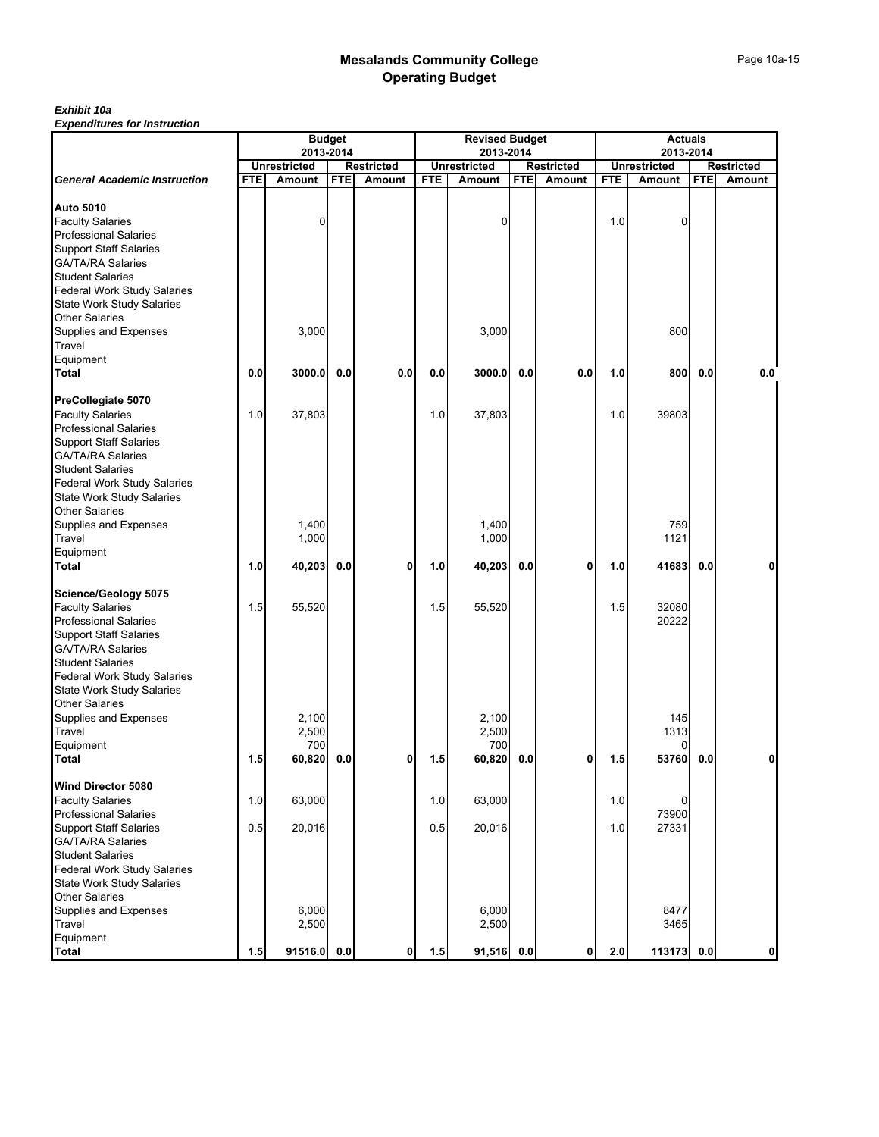## *Exhibit 10a*

|                                                         | <b>Budget</b><br>2013-2014 |                     |            |                   | <b>Revised Budget</b><br>2013-2014 |                     |            |                   | <b>Actuals</b><br>2013-2014 |                     |            |              |
|---------------------------------------------------------|----------------------------|---------------------|------------|-------------------|------------------------------------|---------------------|------------|-------------------|-----------------------------|---------------------|------------|--------------|
|                                                         |                            | <b>Unrestricted</b> |            | <b>Restricted</b> |                                    | <b>Unrestricted</b> |            | <b>Restricted</b> |                             | <b>Unrestricted</b> |            | Restricted   |
| <b>General Academic Instruction</b>                     | <b>FTE</b>                 | Amount              | <b>FTE</b> | Amount            | <b>FTE</b>                         | Amount              | <b>FTE</b> | Amount            | <b>FTE</b>                  | Amount              | <b>FTE</b> | Amount       |
|                                                         |                            |                     |            |                   |                                    |                     |            |                   |                             |                     |            |              |
| <b>Auto 5010</b>                                        |                            |                     |            |                   |                                    |                     |            |                   |                             |                     |            |              |
| <b>Faculty Salaries</b><br><b>Professional Salaries</b> |                            | 0                   |            |                   |                                    | 0                   |            |                   | 1.0                         | 0                   |            |              |
| <b>Support Staff Salaries</b>                           |                            |                     |            |                   |                                    |                     |            |                   |                             |                     |            |              |
| <b>GA/TA/RA Salaries</b>                                |                            |                     |            |                   |                                    |                     |            |                   |                             |                     |            |              |
| <b>Student Salaries</b>                                 |                            |                     |            |                   |                                    |                     |            |                   |                             |                     |            |              |
| <b>Federal Work Study Salaries</b>                      |                            |                     |            |                   |                                    |                     |            |                   |                             |                     |            |              |
| <b>State Work Study Salaries</b>                        |                            |                     |            |                   |                                    |                     |            |                   |                             |                     |            |              |
| <b>Other Salaries</b>                                   |                            |                     |            |                   |                                    |                     |            |                   |                             |                     |            |              |
| Supplies and Expenses                                   |                            | 3,000               |            |                   |                                    | 3,000               |            |                   |                             | 800                 |            |              |
| Travel                                                  |                            |                     |            |                   |                                    |                     |            |                   |                             |                     |            |              |
| Equipment                                               |                            |                     |            |                   |                                    |                     |            |                   |                             |                     |            |              |
| Total                                                   | 0.0                        | 3000.0              | 0.0        | 0.0               | 0.0                                | 3000.0              | 0.0        | 0.0               | 1.0                         | 800                 | 0.0        | 0.0          |
| PreCollegiate 5070                                      |                            |                     |            |                   |                                    |                     |            |                   |                             |                     |            |              |
| <b>Faculty Salaries</b>                                 | 1.0                        | 37,803              |            |                   | 1.0                                | 37,803              |            |                   | 1.0                         | 39803               |            |              |
| <b>Professional Salaries</b>                            |                            |                     |            |                   |                                    |                     |            |                   |                             |                     |            |              |
| <b>Support Staff Salaries</b>                           |                            |                     |            |                   |                                    |                     |            |                   |                             |                     |            |              |
| <b>GA/TA/RA Salaries</b>                                |                            |                     |            |                   |                                    |                     |            |                   |                             |                     |            |              |
| <b>Student Salaries</b>                                 |                            |                     |            |                   |                                    |                     |            |                   |                             |                     |            |              |
| <b>Federal Work Study Salaries</b>                      |                            |                     |            |                   |                                    |                     |            |                   |                             |                     |            |              |
| <b>State Work Study Salaries</b>                        |                            |                     |            |                   |                                    |                     |            |                   |                             |                     |            |              |
| <b>Other Salaries</b>                                   |                            |                     |            |                   |                                    |                     |            |                   |                             |                     |            |              |
| Supplies and Expenses                                   |                            | 1,400               |            |                   |                                    | 1,400               |            |                   |                             | 759                 |            |              |
| Travel                                                  |                            | 1,000               |            |                   |                                    | 1,000               |            |                   |                             | 1121                |            |              |
| Equipment<br>Total                                      | 1.0                        | 40,203              | 0.0        | 0                 | 1.0                                | 40,203              | 0.0        | 0                 | 1.0                         | 41683               | 0.0        | 0            |
| Science/Geology 5075                                    |                            |                     |            |                   |                                    |                     |            |                   |                             |                     |            |              |
| <b>Faculty Salaries</b>                                 | 1.5                        | 55,520              |            |                   | 1.5                                | 55,520              |            |                   | 1.5                         | 32080               |            |              |
| <b>Professional Salaries</b>                            |                            |                     |            |                   |                                    |                     |            |                   |                             | 20222               |            |              |
| <b>Support Staff Salaries</b>                           |                            |                     |            |                   |                                    |                     |            |                   |                             |                     |            |              |
| <b>GA/TA/RA Salaries</b>                                |                            |                     |            |                   |                                    |                     |            |                   |                             |                     |            |              |
| <b>Student Salaries</b>                                 |                            |                     |            |                   |                                    |                     |            |                   |                             |                     |            |              |
| <b>Federal Work Study Salaries</b>                      |                            |                     |            |                   |                                    |                     |            |                   |                             |                     |            |              |
| <b>State Work Study Salaries</b>                        |                            |                     |            |                   |                                    |                     |            |                   |                             |                     |            |              |
| <b>Other Salaries</b>                                   |                            |                     |            |                   |                                    |                     |            |                   |                             |                     |            |              |
| Supplies and Expenses                                   |                            | 2,100               |            |                   |                                    | 2,100               |            |                   |                             | 145                 |            |              |
| Travel                                                  |                            | 2,500               |            |                   |                                    | 2,500               |            |                   |                             | 1313                |            |              |
| Equipment                                               |                            | 700                 |            |                   |                                    | 700                 |            |                   |                             | 0                   |            |              |
| <b>Total</b>                                            | 1.5                        | 60,820              | 0.0        | 0                 | 1.5                                | 60,820              | 0.0        | 0                 | 1.5                         | 53760               | 0.0        | 0            |
| Wind Director 5080                                      |                            |                     |            |                   |                                    |                     |            |                   |                             |                     |            |              |
| <b>Faculty Salaries</b>                                 | 1.0                        | 63,000              |            |                   | 1.0                                | 63,000              |            |                   | 1.0                         | 0                   |            |              |
| <b>Professional Salaries</b>                            |                            |                     |            |                   |                                    |                     |            |                   |                             | 73900               |            |              |
| <b>Support Staff Salaries</b>                           | 0.5                        | 20,016              |            |                   | 0.5                                | 20,016              |            |                   | 1.0                         | 27331               |            |              |
| <b>GA/TA/RA Salaries</b><br><b>Student Salaries</b>     |                            |                     |            |                   |                                    |                     |            |                   |                             |                     |            |              |
| <b>Federal Work Study Salaries</b>                      |                            |                     |            |                   |                                    |                     |            |                   |                             |                     |            |              |
| <b>State Work Study Salaries</b>                        |                            |                     |            |                   |                                    |                     |            |                   |                             |                     |            |              |
| <b>Other Salaries</b>                                   |                            |                     |            |                   |                                    |                     |            |                   |                             |                     |            |              |
| Supplies and Expenses                                   |                            | 6,000               |            |                   |                                    | 6,000               |            |                   |                             | 8477                |            |              |
| Travel                                                  |                            | 2,500               |            |                   |                                    | 2,500               |            |                   |                             | 3465                |            |              |
| Equipment                                               |                            |                     |            |                   |                                    |                     |            |                   |                             |                     |            |              |
| <b>Total</b>                                            | $1.5$                      | 91516.0 0.0         |            | $\mathbf{0}$      | 1.5                                | 91,516 0.0          |            | $\mathbf{0}$      | 2.0                         | 113173 0.0          |            | $\mathbf{0}$ |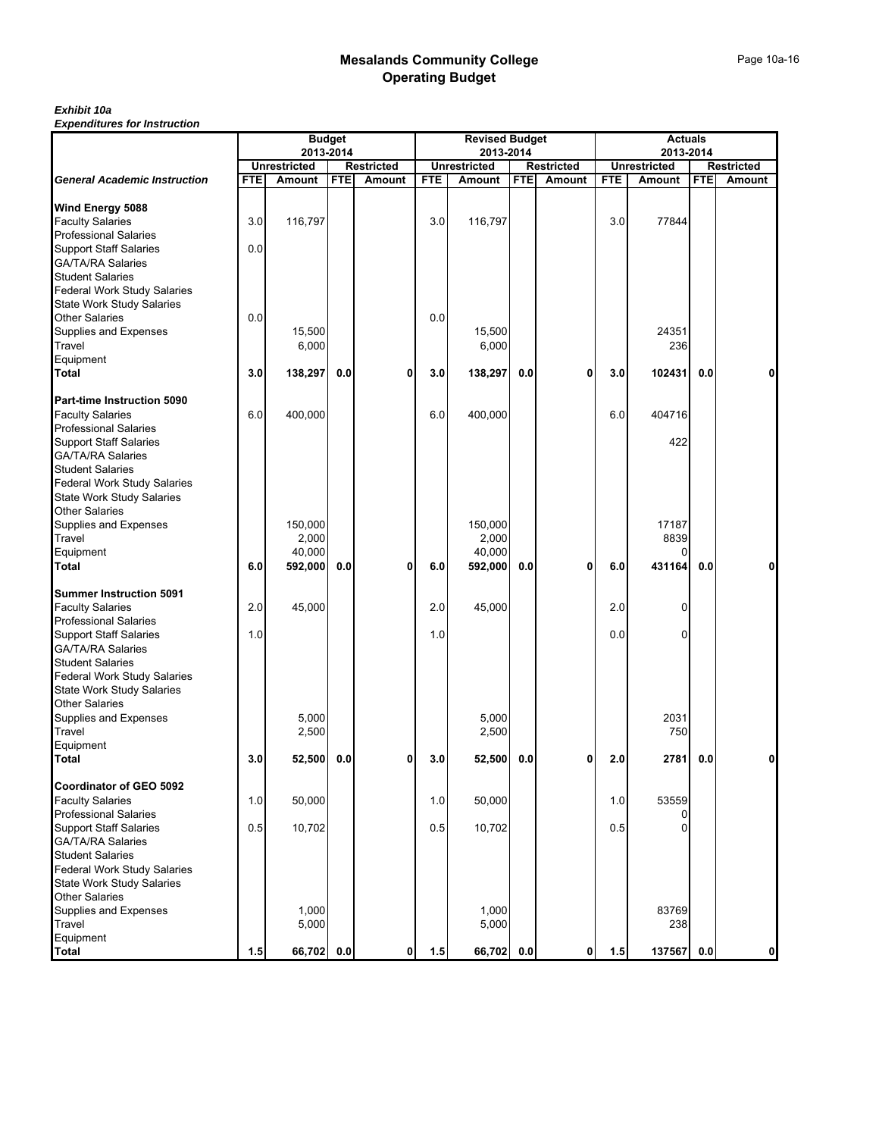## *Exhibit 10a*

|                                                               | <b>Budget</b><br>2013-2014 |                               |            |                             |            | <b>Revised Budget</b>         |            | <b>Actuals</b>              |            |                               |            |                             |
|---------------------------------------------------------------|----------------------------|-------------------------------|------------|-----------------------------|------------|-------------------------------|------------|-----------------------------|------------|-------------------------------|------------|-----------------------------|
|                                                               |                            |                               |            |                             |            | 2013-2014                     |            |                             |            | 2013-2014                     |            |                             |
| <b>General Academic Instruction</b>                           | <b>FTE</b>                 | <b>Unrestricted</b><br>Amount | <b>FTE</b> | <b>Restricted</b><br>Amount | <b>FTE</b> | <b>Unrestricted</b><br>Amount | <b>FTE</b> | <b>Restricted</b><br>Amount | <b>FTE</b> | <b>Unrestricted</b><br>Amount | <b>FTE</b> | Restricted<br><b>Amount</b> |
|                                                               |                            |                               |            |                             |            |                               |            |                             |            |                               |            |                             |
| Wind Energy 5088                                              |                            |                               |            |                             |            |                               |            |                             |            |                               |            |                             |
| <b>Faculty Salaries</b>                                       | 3.0                        | 116,797                       |            |                             | 3.0        | 116,797                       |            |                             | 3.0        | 77844                         |            |                             |
| <b>Professional Salaries</b>                                  |                            |                               |            |                             |            |                               |            |                             |            |                               |            |                             |
| <b>Support Staff Salaries</b>                                 | 0.0                        |                               |            |                             |            |                               |            |                             |            |                               |            |                             |
| <b>GA/TA/RA Salaries</b><br><b>Student Salaries</b>           |                            |                               |            |                             |            |                               |            |                             |            |                               |            |                             |
| <b>Federal Work Study Salaries</b>                            |                            |                               |            |                             |            |                               |            |                             |            |                               |            |                             |
| <b>State Work Study Salaries</b>                              |                            |                               |            |                             |            |                               |            |                             |            |                               |            |                             |
| <b>Other Salaries</b>                                         | 0.0                        |                               |            |                             | 0.0        |                               |            |                             |            |                               |            |                             |
| Supplies and Expenses                                         |                            | 15,500                        |            |                             |            | 15,500                        |            |                             |            | 24351                         |            |                             |
| Travel                                                        |                            | 6,000                         |            |                             |            | 6,000                         |            |                             |            | 236                           |            |                             |
| Equipment                                                     |                            |                               |            |                             |            |                               |            |                             |            |                               |            |                             |
| <b>Total</b>                                                  | 3.0                        | 138,297                       | 0.0        | $\mathbf{0}$                | 3.0        | 138,297                       | 0.0        | 0                           | 3.0        | 102431                        | 0.0        | 0                           |
| Part-time Instruction 5090                                    |                            |                               |            |                             |            |                               |            |                             |            |                               |            |                             |
| <b>Faculty Salaries</b>                                       | 6.0                        | 400,000                       |            |                             | 6.0        | 400,000                       |            |                             | 6.0        | 404716                        |            |                             |
| <b>Professional Salaries</b>                                  |                            |                               |            |                             |            |                               |            |                             |            |                               |            |                             |
| <b>Support Staff Salaries</b>                                 |                            |                               |            |                             |            |                               |            |                             |            | 422                           |            |                             |
| <b>GA/TA/RA Salaries</b>                                      |                            |                               |            |                             |            |                               |            |                             |            |                               |            |                             |
| <b>Student Salaries</b>                                       |                            |                               |            |                             |            |                               |            |                             |            |                               |            |                             |
| Federal Work Study Salaries                                   |                            |                               |            |                             |            |                               |            |                             |            |                               |            |                             |
| <b>State Work Study Salaries</b>                              |                            |                               |            |                             |            |                               |            |                             |            |                               |            |                             |
| <b>Other Salaries</b>                                         |                            |                               |            |                             |            |                               |            |                             |            |                               |            |                             |
| Supplies and Expenses                                         |                            | 150,000                       |            |                             |            | 150.000                       |            |                             |            | 17187                         |            |                             |
| Travel<br>Equipment                                           |                            | 2,000<br>40,000               |            |                             |            | 2,000<br>40,000               |            |                             |            | 8839                          |            |                             |
| <b>Total</b>                                                  | 6.0                        | 592,000                       | 0.0        | $\mathbf 0$                 | 6.0        | 592,000                       | 0.0        | 0                           | 6.0        | 431164                        | 0.0        | 0                           |
|                                                               |                            |                               |            |                             |            |                               |            |                             |            |                               |            |                             |
| <b>Summer Instruction 5091</b>                                |                            |                               |            |                             |            |                               |            |                             |            |                               |            |                             |
| <b>Faculty Salaries</b>                                       | 2.0                        | 45,000                        |            |                             | 2.0        | 45,000                        |            |                             | 2.0        | 0                             |            |                             |
| <b>Professional Salaries</b>                                  |                            |                               |            |                             |            |                               |            |                             |            |                               |            |                             |
| <b>Support Staff Salaries</b>                                 | 1.0                        |                               |            |                             | 1.0        |                               |            |                             | 0.0        | 0                             |            |                             |
| <b>GA/TA/RA Salaries</b>                                      |                            |                               |            |                             |            |                               |            |                             |            |                               |            |                             |
| <b>Student Salaries</b><br><b>Federal Work Study Salaries</b> |                            |                               |            |                             |            |                               |            |                             |            |                               |            |                             |
| <b>State Work Study Salaries</b>                              |                            |                               |            |                             |            |                               |            |                             |            |                               |            |                             |
| <b>Other Salaries</b>                                         |                            |                               |            |                             |            |                               |            |                             |            |                               |            |                             |
| Supplies and Expenses                                         |                            | 5,000                         |            |                             |            | 5,000                         |            |                             |            | 2031                          |            |                             |
| Travel                                                        |                            | 2,500                         |            |                             |            | 2,500                         |            |                             |            | 750                           |            |                             |
| Equipment                                                     |                            |                               |            |                             |            |                               |            |                             |            |                               |            |                             |
| Total                                                         | 3.0                        | 52,500                        | 0.0        | 0                           | 3.0        | 52,500                        | 0.0        | 0                           | 2.0        | 2781                          | 0.0        | $\mathbf{0}$                |
| Coordinator of GEO 5092                                       |                            |                               |            |                             |            |                               |            |                             |            |                               |            |                             |
| <b>Faculty Salaries</b>                                       | 1.0                        | 50,000                        |            |                             | 1.0        | 50,000                        |            |                             | 1.0        | 53559                         |            |                             |
| <b>Professional Salaries</b>                                  |                            |                               |            |                             |            |                               |            |                             |            |                               |            |                             |
| <b>Support Staff Salaries</b>                                 | 0.5                        | 10,702                        |            |                             | 0.5        | 10,702                        |            |                             | 0.5        |                               |            |                             |
| <b>GA/TA/RA Salaries</b>                                      |                            |                               |            |                             |            |                               |            |                             |            |                               |            |                             |
| <b>Student Salaries</b>                                       |                            |                               |            |                             |            |                               |            |                             |            |                               |            |                             |
| Federal Work Study Salaries                                   |                            |                               |            |                             |            |                               |            |                             |            |                               |            |                             |
| <b>State Work Study Salaries</b>                              |                            |                               |            |                             |            |                               |            |                             |            |                               |            |                             |
| <b>Other Salaries</b>                                         |                            |                               |            |                             |            |                               |            |                             |            |                               |            |                             |
| Supplies and Expenses                                         |                            | 1,000                         |            |                             |            | 1,000                         |            |                             |            | 83769                         |            |                             |
| Travel                                                        |                            | 5,000                         |            |                             |            | 5,000                         |            |                             |            | 238                           |            |                             |
| Equipment                                                     |                            |                               |            |                             |            |                               |            |                             |            |                               |            |                             |
| <b>Total</b>                                                  | 1.5                        | 66,702 0.0                    |            | $\mathbf{0}$                | 1.5        | 66,702 0.0                    |            | 0                           | 1.5        | 137567 0.0                    |            | 0                           |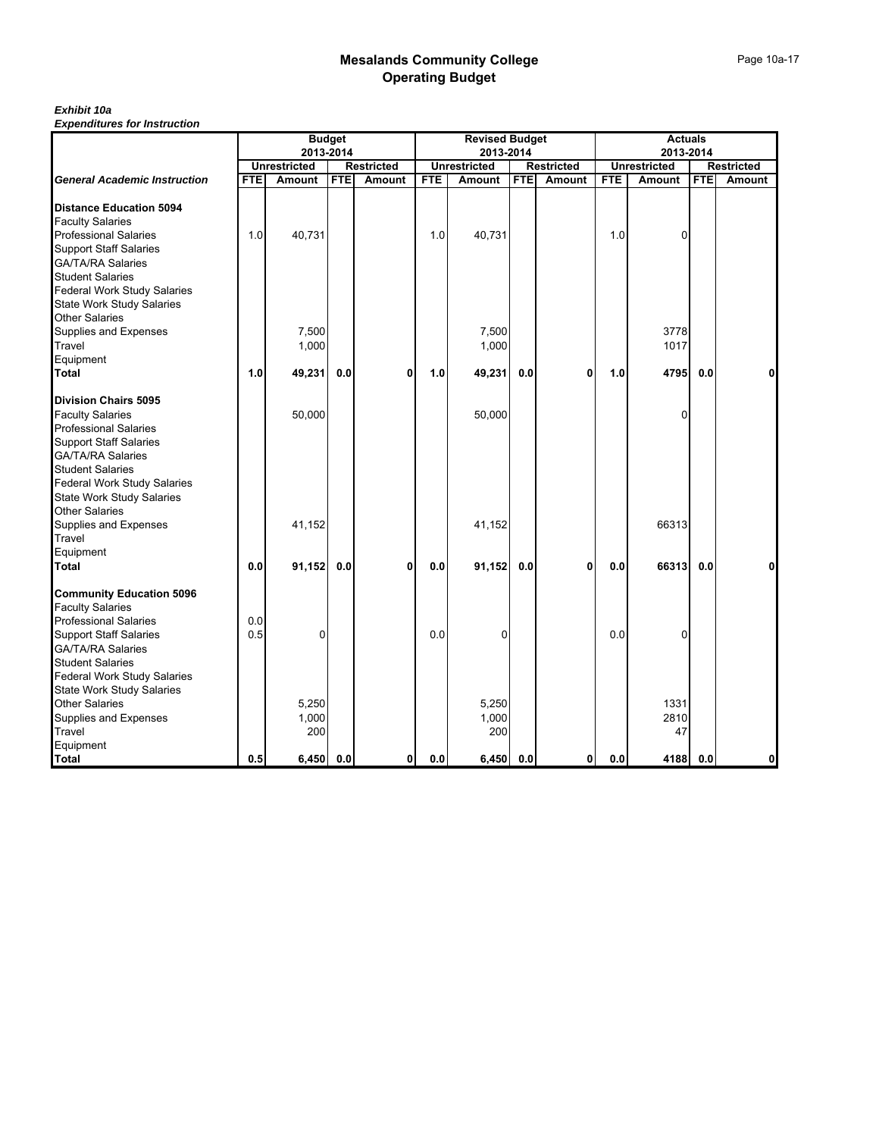## *Exhibit 10a*

|                                     |            |                     | <b>Budget</b> |                   |            | <b>Revised Budget</b> |            |                   |            | <b>Actuals</b>      |            |                   |
|-------------------------------------|------------|---------------------|---------------|-------------------|------------|-----------------------|------------|-------------------|------------|---------------------|------------|-------------------|
|                                     |            | 2013-2014           |               |                   |            | 2013-2014             |            |                   |            | 2013-2014           |            |                   |
|                                     |            | <b>Unrestricted</b> |               | <b>Restricted</b> |            | <b>Unrestricted</b>   |            | <b>Restricted</b> |            | <b>Unrestricted</b> |            | <b>Restricted</b> |
| <b>General Academic Instruction</b> | <b>FTE</b> | Amount              | <b>FTE</b>    | Amount            | <b>FTE</b> | Amount                | <b>FTE</b> | Amount            | <b>FTE</b> | Amount              | <b>FTE</b> | Amount            |
| <b>Distance Education 5094</b>      |            |                     |               |                   |            |                       |            |                   |            |                     |            |                   |
| <b>Faculty Salaries</b>             |            |                     |               |                   |            |                       |            |                   |            |                     |            |                   |
| <b>Professional Salaries</b>        | 1.0        | 40,731              |               |                   | 1.0        | 40,731                |            |                   | 1.0        | $\Omega$            |            |                   |
| <b>Support Staff Salaries</b>       |            |                     |               |                   |            |                       |            |                   |            |                     |            |                   |
| <b>GA/TA/RA Salaries</b>            |            |                     |               |                   |            |                       |            |                   |            |                     |            |                   |
| <b>Student Salaries</b>             |            |                     |               |                   |            |                       |            |                   |            |                     |            |                   |
| <b>Federal Work Study Salaries</b>  |            |                     |               |                   |            |                       |            |                   |            |                     |            |                   |
| <b>State Work Study Salaries</b>    |            |                     |               |                   |            |                       |            |                   |            |                     |            |                   |
| <b>Other Salaries</b>               |            |                     |               |                   |            |                       |            |                   |            |                     |            |                   |
| Supplies and Expenses               |            | 7,500               |               |                   |            | 7,500                 |            |                   |            | 3778                |            |                   |
| Travel                              |            | 1,000               |               |                   |            | 1,000                 |            |                   |            | 1017                |            |                   |
| Equipment                           |            |                     |               |                   |            |                       |            |                   |            |                     |            |                   |
| <b>Total</b>                        | 1.0        | 49,231              | 0.0           | $\mathbf{0}$      | 1.0        | 49,231                | 0.0        | 0                 | 1.0        | 4795                | 0.0        | 0                 |
|                                     |            |                     |               |                   |            |                       |            |                   |            |                     |            |                   |
| <b>Division Chairs 5095</b>         |            |                     |               |                   |            |                       |            |                   |            |                     |            |                   |
| <b>Faculty Salaries</b>             |            | 50,000              |               |                   |            | 50,000                |            |                   |            | U                   |            |                   |
| <b>Professional Salaries</b>        |            |                     |               |                   |            |                       |            |                   |            |                     |            |                   |
| <b>Support Staff Salaries</b>       |            |                     |               |                   |            |                       |            |                   |            |                     |            |                   |
| <b>GA/TA/RA Salaries</b>            |            |                     |               |                   |            |                       |            |                   |            |                     |            |                   |
| <b>Student Salaries</b>             |            |                     |               |                   |            |                       |            |                   |            |                     |            |                   |
| Federal Work Study Salaries         |            |                     |               |                   |            |                       |            |                   |            |                     |            |                   |
| <b>State Work Study Salaries</b>    |            |                     |               |                   |            |                       |            |                   |            |                     |            |                   |
| <b>Other Salaries</b>               |            |                     |               |                   |            |                       |            |                   |            |                     |            |                   |
| Supplies and Expenses               |            | 41,152              |               |                   |            | 41,152                |            |                   |            | 66313               |            |                   |
| Travel                              |            |                     |               |                   |            |                       |            |                   |            |                     |            |                   |
| Equipment<br>Total                  | 0.0        | 91,152              | 0.0           | $\mathbf{0}$      | 0.0        | 91,152                | $0.0\,$    | 0                 | 0.0        | 66313               | 0.0        | $\bf{0}$          |
|                                     |            |                     |               |                   |            |                       |            |                   |            |                     |            |                   |
| <b>Community Education 5096</b>     |            |                     |               |                   |            |                       |            |                   |            |                     |            |                   |
| <b>Faculty Salaries</b>             |            |                     |               |                   |            |                       |            |                   |            |                     |            |                   |
| <b>Professional Salaries</b>        | 0.0        |                     |               |                   |            |                       |            |                   |            |                     |            |                   |
| <b>Support Staff Salaries</b>       | 0.5        | $\Omega$            |               |                   | 0.0        | 0                     |            |                   | 0.0        | n                   |            |                   |
| <b>GA/TA/RA Salaries</b>            |            |                     |               |                   |            |                       |            |                   |            |                     |            |                   |
| <b>Student Salaries</b>             |            |                     |               |                   |            |                       |            |                   |            |                     |            |                   |
| <b>Federal Work Study Salaries</b>  |            |                     |               |                   |            |                       |            |                   |            |                     |            |                   |
| <b>State Work Study Salaries</b>    |            |                     |               |                   |            |                       |            |                   |            |                     |            |                   |
| <b>Other Salaries</b>               |            | 5,250               |               |                   |            | 5,250                 |            |                   |            | 1331                |            |                   |
| Supplies and Expenses               |            | 1,000               |               |                   |            | 1,000                 |            |                   |            | 2810                |            |                   |
| Travel                              |            | 200                 |               |                   |            | 200                   |            |                   |            | 47                  |            |                   |
| Equipment                           |            |                     |               |                   |            |                       |            |                   |            |                     |            |                   |
| Total                               | 0.5        | 6,450               | 0.0           | 0                 | 0.0        | $6,450$ 0.0           |            | $\mathbf{0}$      | 0.0        | 4188                | 0.0        | $\mathbf{0}$      |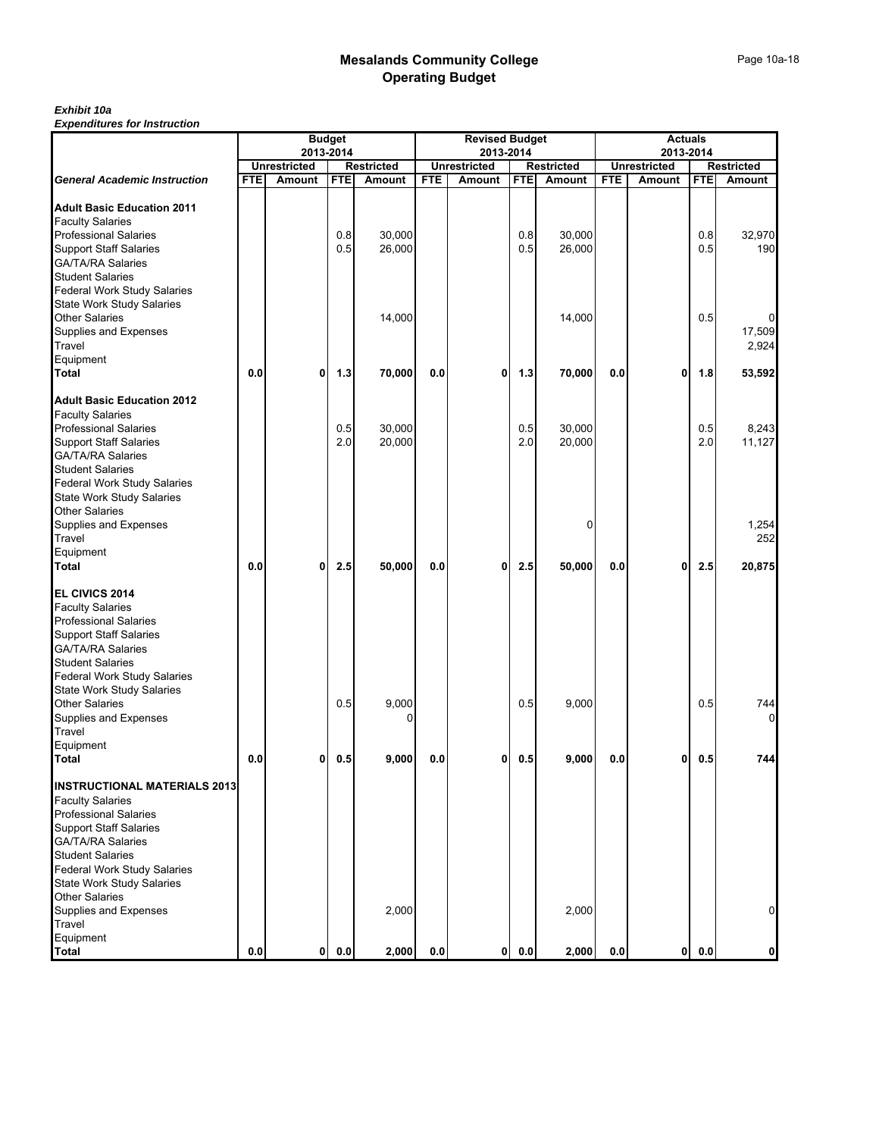# *Exhibit 10a*

|                                                                                                                                                                                                                                                                                                                      | <b>Budget</b><br>2013-2014 |                     |            |                   |            | <b>Revised Budget</b>            |            | <b>Actuals</b><br>2013-2014 |            |                     |            |                        |
|----------------------------------------------------------------------------------------------------------------------------------------------------------------------------------------------------------------------------------------------------------------------------------------------------------------------|----------------------------|---------------------|------------|-------------------|------------|----------------------------------|------------|-----------------------------|------------|---------------------|------------|------------------------|
|                                                                                                                                                                                                                                                                                                                      |                            | <b>Unrestricted</b> |            | <b>Restricted</b> |            | 2013-2014<br><b>Unrestricted</b> |            | <b>Restricted</b>           |            | <b>Unrestricted</b> |            | Restricted             |
| <b>General Academic Instruction</b>                                                                                                                                                                                                                                                                                  | <b>FTE</b>                 | <b>Amount</b>       | <b>FTE</b> | Amount            | <b>FTE</b> | Amount                           | <b>FTE</b> | Amount                      | <b>FTE</b> | Amount              | <b>FTE</b> | Amount                 |
| <b>Adult Basic Education 2011</b><br><b>Faculty Salaries</b><br><b>Professional Salaries</b><br><b>Support Staff Salaries</b><br><b>GA/TA/RA Salaries</b><br><b>Student Salaries</b><br>Federal Work Study Salaries                                                                                                  |                            |                     | 0.8<br>0.5 | 30,000<br>26,000  |            |                                  | 0.8<br>0.5 | 30,000<br>26,000            |            |                     | 0.8<br>0.5 | 32,970<br>190          |
| <b>State Work Study Salaries</b><br><b>Other Salaries</b><br>Supplies and Expenses<br>Travel<br>Equipment                                                                                                                                                                                                            |                            |                     |            | 14,000            |            |                                  |            | 14,000                      |            |                     | 0.5        | 0<br>17,509<br>2,924   |
| Total                                                                                                                                                                                                                                                                                                                | 0.0                        | $\mathbf{0}$        | 1.3        | 70,000            | 0.0        | 0                                | 1.3        | 70,000                      | 0.0        | $\mathbf{0}$        | 1.8        | 53,592                 |
| <b>Adult Basic Education 2012</b><br><b>Faculty Salaries</b><br><b>Professional Salaries</b><br><b>Support Staff Salaries</b><br><b>GA/TA/RA Salaries</b><br><b>Student Salaries</b><br><b>Federal Work Study Salaries</b><br><b>State Work Study Salaries</b>                                                       |                            |                     | 0.5<br>2.0 | 30,000<br>20,000  |            |                                  | 0.5<br>2.0 | 30,000<br>20,000            |            |                     | 0.5<br>2.0 | 8,243<br>11,127        |
| <b>Other Salaries</b><br>Supplies and Expenses<br>Travel<br>Equipment<br>Total                                                                                                                                                                                                                                       | 0.0                        | 0                   | 2.5        | 50,000            | 0.0        | 0                                | 2.5        | 0<br>50,000                 | 0.0        | 0                   | 2.5        | 1,254<br>252<br>20,875 |
| EL CIVICS 2014<br><b>Faculty Salaries</b><br><b>Professional Salaries</b><br><b>Support Staff Salaries</b><br><b>GA/TA/RA Salaries</b><br><b>Student Salaries</b><br><b>Federal Work Study Salaries</b><br><b>State Work Study Salaries</b><br><b>Other Salaries</b><br>Supplies and Expenses<br>Travel<br>Equipment |                            |                     | 0.5        | 9,000<br>0        |            |                                  | 0.5        | 9,000                       |            |                     | 0.5        | 744<br>$\overline{0}$  |
| <b>Total</b><br><b>INSTRUCTIONAL MATERIALS 2013</b><br><b>Faculty Salaries</b><br><b>Professional Salaries</b><br><b>Support Staff Salaries</b><br><b>GA/TA/RA Salaries</b><br><b>Student Salaries</b><br><b>Federal Work Study Salaries</b><br><b>State Work Study Salaries</b><br><b>Other Salaries</b>            | 0.0                        | $\mathbf{0}$        | 0.5        | 9,000             | 0.0        | 0                                | 0.5        | 9,000                       | 0.0        | 0                   | 0.5        | 744                    |
| Supplies and Expenses<br>Travel<br>Equipment                                                                                                                                                                                                                                                                         |                            |                     |            | 2,000             |            |                                  |            | 2,000                       |            |                     |            | $\mathbf 0$            |
| <b>Total</b>                                                                                                                                                                                                                                                                                                         | 0.0                        | $\mathbf{0}$        | 0.0        | 2,000             | 0.0        | 0                                | 0.0        | 2,000                       | 0.0        | $\mathbf{0}$        | 0.0        | 0                      |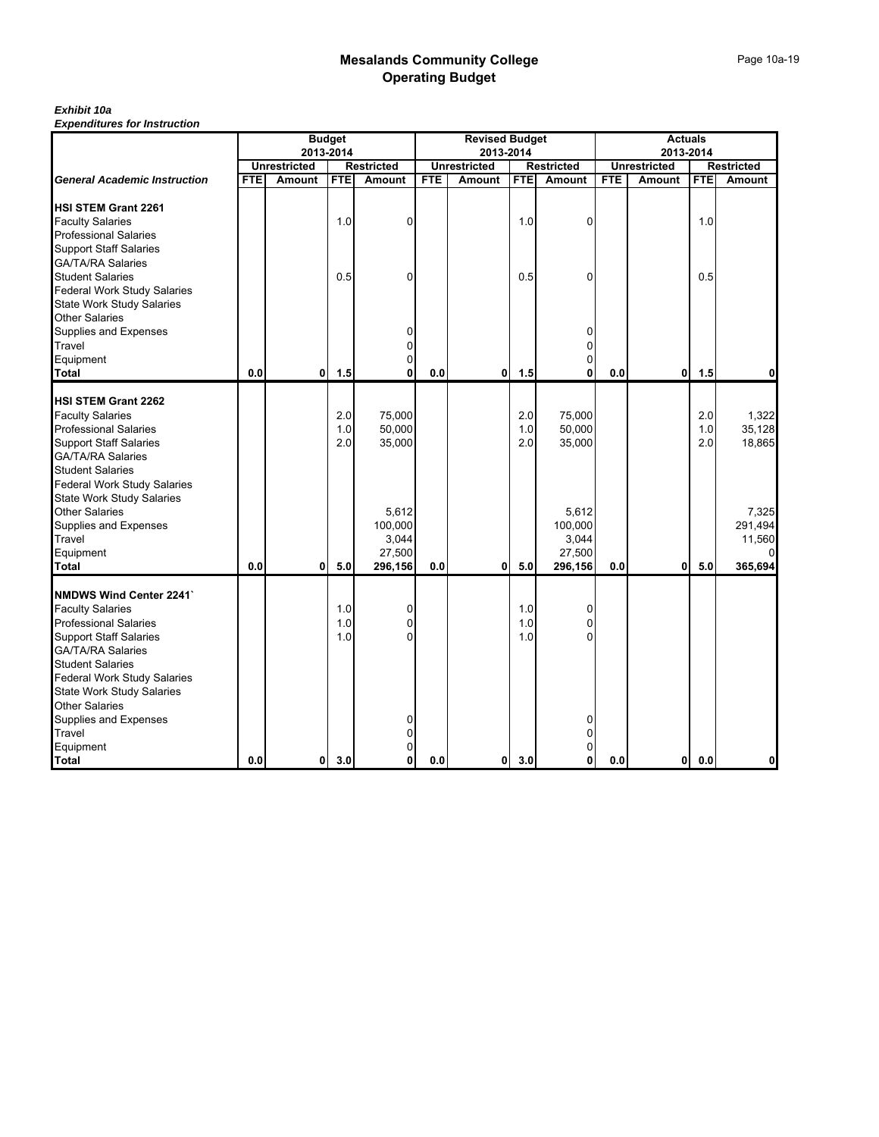## *Exhibit 10a*

|                                                                                                                                                                                                                         |            |                     | <b>Budget</b>     |                                                |            | <b>Revised Budget</b> |                   |                                                |            | <b>Actuals</b>      |                   |                                            |
|-------------------------------------------------------------------------------------------------------------------------------------------------------------------------------------------------------------------------|------------|---------------------|-------------------|------------------------------------------------|------------|-----------------------|-------------------|------------------------------------------------|------------|---------------------|-------------------|--------------------------------------------|
|                                                                                                                                                                                                                         |            | 2013-2014           |                   |                                                |            | 2013-2014             |                   |                                                |            | 2013-2014           |                   |                                            |
|                                                                                                                                                                                                                         |            | <b>Unrestricted</b> |                   | <b>Restricted</b>                              |            | <b>Unrestricted</b>   |                   | <b>Restricted</b>                              |            | <b>Unrestricted</b> |                   | <b>Restricted</b>                          |
| <b>General Academic Instruction</b>                                                                                                                                                                                     | <b>FTE</b> | <b>Amount</b>       | <b>FTE</b>        | Amount                                         | <b>FTE</b> | <b>Amount</b>         | <b>FTE</b>        | <b>Amount</b>                                  | <b>FTE</b> | Amount              | <b>FTE</b>        | Amount                                     |
| <b>HSI STEM Grant 2261</b><br><b>Faculty Salaries</b><br><b>Professional Salaries</b>                                                                                                                                   |            |                     | 1.0               | 0                                              |            |                       | 1.0               | 0                                              |            |                     | 1.0               |                                            |
| <b>Support Staff Salaries</b><br><b>GA/TA/RA Salaries</b><br><b>Student Salaries</b><br>Federal Work Study Salaries<br><b>State Work Study Salaries</b>                                                                 |            |                     | 0.5               | $\Omega$                                       |            |                       | 0.5               | 0                                              |            |                     | 0.5               |                                            |
| <b>Other Salaries</b><br>Supplies and Expenses<br>Travel<br>Equipment<br><b>Total</b>                                                                                                                                   | 0.0        | 0l                  | 1.5               | 0<br>0                                         | 0.0        | 0                     | 1.5               | 0<br>0<br>0                                    | 0.0        | $\mathbf{0}$        | 1.5               | 0                                          |
|                                                                                                                                                                                                                         |            |                     |                   |                                                |            |                       |                   |                                                |            |                     |                   |                                            |
| <b>HSI STEM Grant 2262</b><br><b>Faculty Salaries</b><br><b>Professional Salaries</b><br><b>Support Staff Salaries</b><br><b>GA/TA/RA Salaries</b><br><b>Student Salaries</b><br><b>Federal Work Study Salaries</b>     |            |                     | 2.0<br>1.0<br>2.0 | 75,000<br>50,000<br>35,000                     |            |                       | 2.0<br>1.0<br>2.0 | 75,000<br>50,000<br>35,000                     |            |                     | 2.0<br>1.0<br>2.0 | 1,322<br>35,128<br>18,865                  |
| <b>State Work Study Salaries</b><br><b>Other Salaries</b><br>Supplies and Expenses<br>Travel<br>Equipment<br>Total                                                                                                      | 0.0        | Οl                  | 5.0               | 5,612<br>100,000<br>3,044<br>27,500<br>296,156 | 0.0        | 0                     | 5.0               | 5,612<br>100,000<br>3,044<br>27,500<br>296,156 | 0.0        | 0                   | 5.0               | 7,325<br>291,494<br>11,560<br>0<br>365,694 |
|                                                                                                                                                                                                                         |            |                     |                   |                                                |            |                       |                   |                                                |            |                     |                   |                                            |
| <b>NMDWS Wind Center 2241`</b><br><b>Faculty Salaries</b><br><b>Professional Salaries</b><br><b>Support Staff Salaries</b><br><b>GA/TA/RA Salaries</b><br><b>Student Salaries</b><br><b>Federal Work Study Salaries</b> |            |                     | 1.0<br>1.0<br>1.0 | 0<br>0                                         |            |                       | 1.0<br>1.0<br>1.0 | 0<br>0                                         |            |                     |                   |                                            |
| <b>State Work Study Salaries</b><br><b>Other Salaries</b><br>Supplies and Expenses<br>Travel<br>Equipment<br><b>Total</b>                                                                                               | 0.0        | 0                   | 3.0               | 0                                              | 0.0        | $\mathbf{0}$          | 3.0               | 0                                              | 0.0        | 0                   | 0.0               | 0                                          |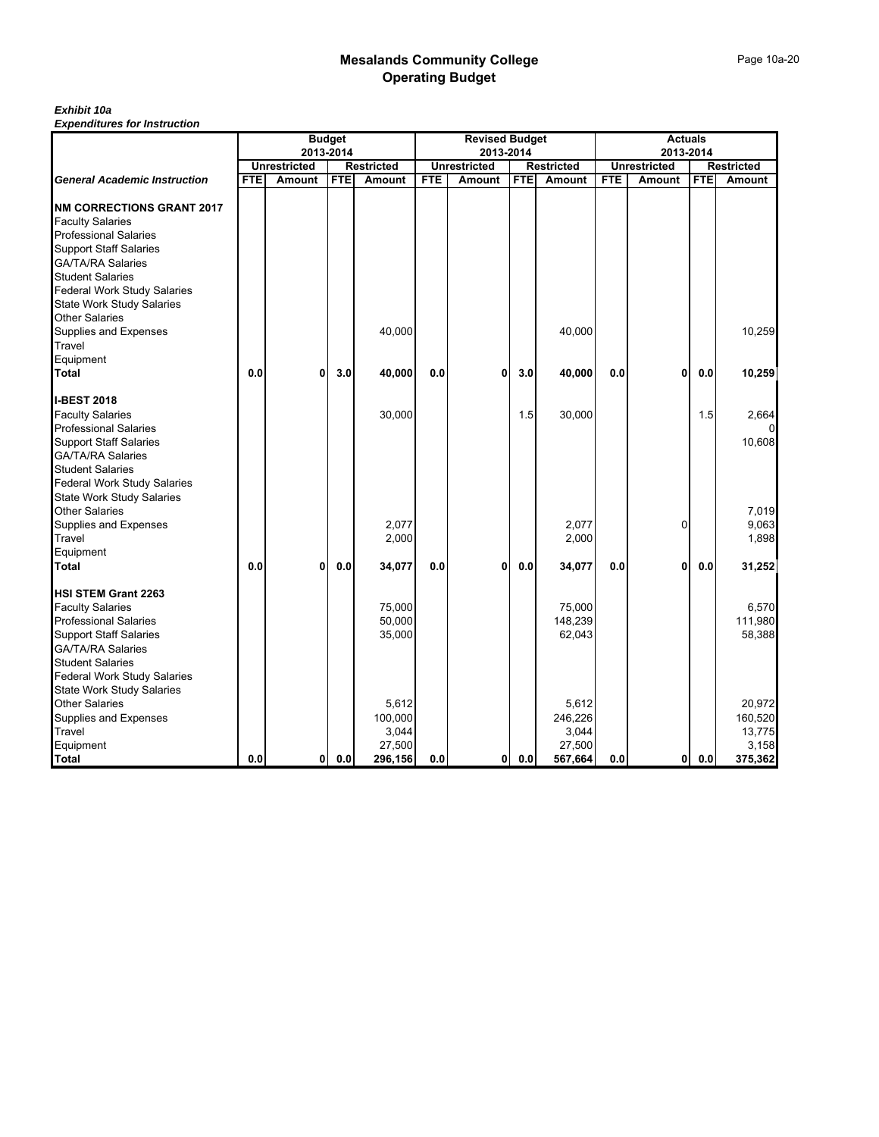## *Exhibit 10a*

| 2013-2014<br>2013-2014<br>2013-2014<br><b>Unrestricted</b><br><b>Unrestricted</b><br><b>Unrestricted</b><br><b>Restricted</b><br><b>Restricted</b><br><b>FTE</b><br><b>FTE</b><br><b>FTE</b><br><b>FTE</b><br><b>FTE</b><br>Amount<br><b>FTE</b><br><b>General Academic Instruction</b><br>Amount<br>Amount<br>Amount<br>Amount | <b>Restricted</b><br>Amount |
|---------------------------------------------------------------------------------------------------------------------------------------------------------------------------------------------------------------------------------------------------------------------------------------------------------------------------------|-----------------------------|
|                                                                                                                                                                                                                                                                                                                                 |                             |
| <b>NM CORRECTIONS GRANT 2017</b><br><b>Faculty Salaries</b>                                                                                                                                                                                                                                                                     |                             |
|                                                                                                                                                                                                                                                                                                                                 |                             |
|                                                                                                                                                                                                                                                                                                                                 |                             |
|                                                                                                                                                                                                                                                                                                                                 |                             |
| <b>Professional Salaries</b>                                                                                                                                                                                                                                                                                                    |                             |
| <b>Support Staff Salaries</b>                                                                                                                                                                                                                                                                                                   |                             |
| <b>GA/TA/RA Salaries</b>                                                                                                                                                                                                                                                                                                        |                             |
| <b>Student Salaries</b>                                                                                                                                                                                                                                                                                                         |                             |
| <b>Federal Work Study Salaries</b>                                                                                                                                                                                                                                                                                              |                             |
| <b>State Work Study Salaries</b>                                                                                                                                                                                                                                                                                                |                             |
| <b>Other Salaries</b>                                                                                                                                                                                                                                                                                                           |                             |
| 40,000<br>Supplies and Expenses<br>40,000                                                                                                                                                                                                                                                                                       | 10,259                      |
| Travel                                                                                                                                                                                                                                                                                                                          |                             |
| Equipment                                                                                                                                                                                                                                                                                                                       |                             |
| Total<br>0.0<br>3.0<br>40,000<br>0.0<br>3.0<br>40,000<br>$\mathbf{0}$<br>0.0<br>0<br>0<br>0.0                                                                                                                                                                                                                                   | 10,259                      |
| <b>I-BEST 2018</b>                                                                                                                                                                                                                                                                                                              |                             |
| 30,000<br>1.5<br>1.5<br><b>Faculty Salaries</b><br>30,000                                                                                                                                                                                                                                                                       | 2,664                       |
| <b>Professional Salaries</b>                                                                                                                                                                                                                                                                                                    |                             |
| <b>Support Staff Salaries</b>                                                                                                                                                                                                                                                                                                   | 10,608                      |
| <b>GA/TA/RA Salaries</b>                                                                                                                                                                                                                                                                                                        |                             |
| <b>Student Salaries</b>                                                                                                                                                                                                                                                                                                         |                             |
| Federal Work Study Salaries                                                                                                                                                                                                                                                                                                     |                             |
| <b>State Work Study Salaries</b>                                                                                                                                                                                                                                                                                                |                             |
| <b>Other Salaries</b>                                                                                                                                                                                                                                                                                                           | 7,019                       |
| 2,077<br>2,077<br>$\Omega$<br>Supplies and Expenses                                                                                                                                                                                                                                                                             | 9,063                       |
| 2,000<br>2,000<br>Travel                                                                                                                                                                                                                                                                                                        | 1,898                       |
| Equipment                                                                                                                                                                                                                                                                                                                       |                             |
| Total<br>0.0<br>0.0<br>0.0<br>0<br>0.0<br>0.0<br>$\mathbf{0}$<br>0.0<br>0<br>34,077<br>34,077                                                                                                                                                                                                                                   | 31,252                      |
| <b>HSI STEM Grant 2263</b>                                                                                                                                                                                                                                                                                                      |                             |
| 75,000<br>75,000<br><b>Faculty Salaries</b>                                                                                                                                                                                                                                                                                     | 6,570                       |
| 50,000<br>148,239<br><b>Professional Salaries</b>                                                                                                                                                                                                                                                                               | 111,980                     |
| <b>Support Staff Salaries</b><br>35,000<br>62,043                                                                                                                                                                                                                                                                               | 58,388                      |
| <b>GA/TA/RA Salaries</b>                                                                                                                                                                                                                                                                                                        |                             |
| <b>Student Salaries</b>                                                                                                                                                                                                                                                                                                         |                             |
| <b>Federal Work Study Salaries</b>                                                                                                                                                                                                                                                                                              |                             |
| <b>State Work Study Salaries</b><br><b>Other Salaries</b><br>5,612<br>5,612                                                                                                                                                                                                                                                     | 20,972                      |
| 100,000<br>246,226<br>Supplies and Expenses                                                                                                                                                                                                                                                                                     | 160,520                     |
| 3,044<br>Travel<br>3,044                                                                                                                                                                                                                                                                                                        | 13,775                      |
| Equipment<br>27,500<br>27,500                                                                                                                                                                                                                                                                                                   | 3,158                       |
| 0.0<br>0.0<br>296,156<br>0.0<br>0 <sub>0</sub><br>567,664<br>0.0<br>$\mathbf{0}$<br>0.0<br><b>Total</b><br>01                                                                                                                                                                                                                   | 375,362                     |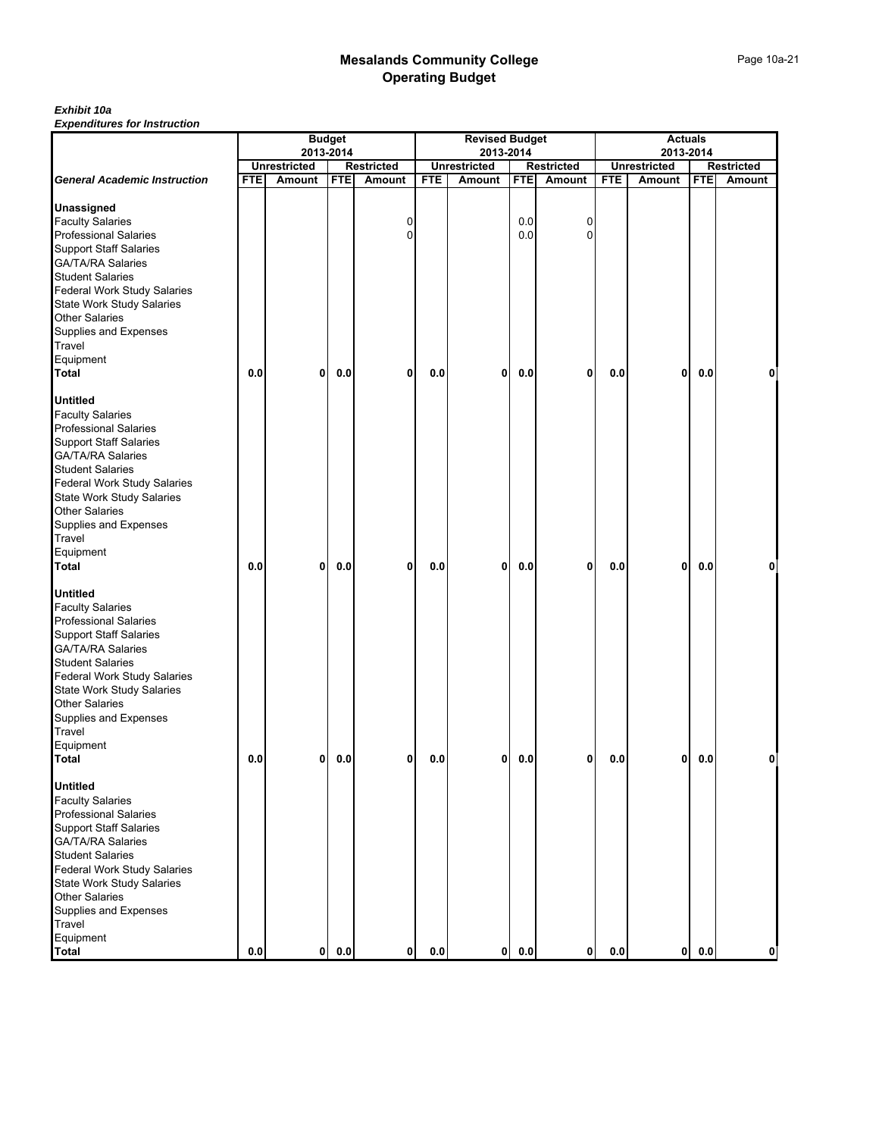## *Exhibit 10a*

|                                                                        | <b>Budget</b><br>2013-2014 |                     |            |                             |            | <b>Revised Budget</b>            |            | <b>Actuals</b><br>2013-2014 |            |                     |            |                      |
|------------------------------------------------------------------------|----------------------------|---------------------|------------|-----------------------------|------------|----------------------------------|------------|-----------------------------|------------|---------------------|------------|----------------------|
|                                                                        |                            | <b>Unrestricted</b> |            |                             |            | 2013-2014<br><b>Unrestricted</b> |            |                             |            | <b>Unrestricted</b> |            |                      |
| <b>General Academic Instruction</b>                                    | <b>FTE</b>                 | Amount              | <b>FTE</b> | <b>Restricted</b><br>Amount | <b>FTE</b> | Amount                           | <b>FTE</b> | <b>Restricted</b><br>Amount | <b>FTE</b> | Amount              | <b>FTE</b> | Restricted<br>Amount |
|                                                                        |                            |                     |            |                             |            |                                  |            |                             |            |                     |            |                      |
| <b>Unassigned</b>                                                      |                            |                     |            |                             |            |                                  |            |                             |            |                     |            |                      |
| <b>Faculty Salaries</b>                                                |                            |                     |            | 0                           |            |                                  | 0.0        | 0                           |            |                     |            |                      |
| <b>Professional Salaries</b>                                           |                            |                     |            | 0                           |            |                                  | 0.0        | $\Omega$                    |            |                     |            |                      |
| <b>Support Staff Salaries</b>                                          |                            |                     |            |                             |            |                                  |            |                             |            |                     |            |                      |
| <b>GA/TA/RA Salaries</b>                                               |                            |                     |            |                             |            |                                  |            |                             |            |                     |            |                      |
| <b>Student Salaries</b>                                                |                            |                     |            |                             |            |                                  |            |                             |            |                     |            |                      |
| <b>Federal Work Study Salaries</b><br><b>State Work Study Salaries</b> |                            |                     |            |                             |            |                                  |            |                             |            |                     |            |                      |
| <b>Other Salaries</b>                                                  |                            |                     |            |                             |            |                                  |            |                             |            |                     |            |                      |
| Supplies and Expenses                                                  |                            |                     |            |                             |            |                                  |            |                             |            |                     |            |                      |
| Travel                                                                 |                            |                     |            |                             |            |                                  |            |                             |            |                     |            |                      |
| Equipment                                                              |                            |                     |            |                             |            |                                  |            |                             |            |                     |            |                      |
| Total                                                                  | 0.0                        | $\mathbf{0}$        | 0.0        | 0                           | 0.0        | 0                                | 0.0        | 0                           | 0.0        | 0                   | 0.0        | 0                    |
|                                                                        |                            |                     |            |                             |            |                                  |            |                             |            |                     |            |                      |
| <b>Untitled</b>                                                        |                            |                     |            |                             |            |                                  |            |                             |            |                     |            |                      |
| <b>Faculty Salaries</b>                                                |                            |                     |            |                             |            |                                  |            |                             |            |                     |            |                      |
| <b>Professional Salaries</b>                                           |                            |                     |            |                             |            |                                  |            |                             |            |                     |            |                      |
| <b>Support Staff Salaries</b>                                          |                            |                     |            |                             |            |                                  |            |                             |            |                     |            |                      |
| <b>GA/TA/RA Salaries</b>                                               |                            |                     |            |                             |            |                                  |            |                             |            |                     |            |                      |
| <b>Student Salaries</b>                                                |                            |                     |            |                             |            |                                  |            |                             |            |                     |            |                      |
| <b>Federal Work Study Salaries</b>                                     |                            |                     |            |                             |            |                                  |            |                             |            |                     |            |                      |
| <b>State Work Study Salaries</b>                                       |                            |                     |            |                             |            |                                  |            |                             |            |                     |            |                      |
| <b>Other Salaries</b>                                                  |                            |                     |            |                             |            |                                  |            |                             |            |                     |            |                      |
| Supplies and Expenses                                                  |                            |                     |            |                             |            |                                  |            |                             |            |                     |            |                      |
| Travel                                                                 |                            |                     |            |                             |            |                                  |            |                             |            |                     |            |                      |
| Equipment                                                              |                            |                     |            |                             |            |                                  |            |                             |            |                     |            |                      |
| <b>Total</b>                                                           | 0.0                        | 0                   | 0.0        | 0                           | 0.0        | 0                                | 0.0        | 0                           | 0.0        | 0                   | 0.0        | 0                    |
| <b>Untitled</b>                                                        |                            |                     |            |                             |            |                                  |            |                             |            |                     |            |                      |
| <b>Faculty Salaries</b>                                                |                            |                     |            |                             |            |                                  |            |                             |            |                     |            |                      |
| <b>Professional Salaries</b>                                           |                            |                     |            |                             |            |                                  |            |                             |            |                     |            |                      |
| <b>Support Staff Salaries</b>                                          |                            |                     |            |                             |            |                                  |            |                             |            |                     |            |                      |
| <b>GA/TA/RA Salaries</b>                                               |                            |                     |            |                             |            |                                  |            |                             |            |                     |            |                      |
| <b>Student Salaries</b>                                                |                            |                     |            |                             |            |                                  |            |                             |            |                     |            |                      |
| Federal Work Study Salaries                                            |                            |                     |            |                             |            |                                  |            |                             |            |                     |            |                      |
| <b>State Work Study Salaries</b>                                       |                            |                     |            |                             |            |                                  |            |                             |            |                     |            |                      |
| <b>Other Salaries</b>                                                  |                            |                     |            |                             |            |                                  |            |                             |            |                     |            |                      |
| Supplies and Expenses                                                  |                            |                     |            |                             |            |                                  |            |                             |            |                     |            |                      |
| Travel                                                                 |                            |                     |            |                             |            |                                  |            |                             |            |                     |            |                      |
| Equipment                                                              |                            |                     |            |                             |            |                                  |            |                             |            |                     |            |                      |
| <b>Total</b>                                                           | 0.0                        | 0                   | 0.0        | 0                           | 0.0        | 0                                | 0.0        | 0                           | 0.0        | 0                   | 0.0        | 0                    |
| <b>Untitled</b>                                                        |                            |                     |            |                             |            |                                  |            |                             |            |                     |            |                      |
| <b>Faculty Salaries</b>                                                |                            |                     |            |                             |            |                                  |            |                             |            |                     |            |                      |
| <b>Professional Salaries</b>                                           |                            |                     |            |                             |            |                                  |            |                             |            |                     |            |                      |
| <b>Support Staff Salaries</b>                                          |                            |                     |            |                             |            |                                  |            |                             |            |                     |            |                      |
| <b>GA/TA/RA Salaries</b>                                               |                            |                     |            |                             |            |                                  |            |                             |            |                     |            |                      |
| <b>Student Salaries</b>                                                |                            |                     |            |                             |            |                                  |            |                             |            |                     |            |                      |
| <b>Federal Work Study Salaries</b>                                     |                            |                     |            |                             |            |                                  |            |                             |            |                     |            |                      |
| <b>State Work Study Salaries</b>                                       |                            |                     |            |                             |            |                                  |            |                             |            |                     |            |                      |
| <b>Other Salaries</b>                                                  |                            |                     |            |                             |            |                                  |            |                             |            |                     |            |                      |
| Supplies and Expenses                                                  |                            |                     |            |                             |            |                                  |            |                             |            |                     |            |                      |
| Travel                                                                 |                            |                     |            |                             |            |                                  |            |                             |            |                     |            |                      |
| Equipment                                                              |                            |                     |            |                             |            |                                  |            |                             |            |                     |            |                      |
| <b>Total</b>                                                           | 0.0                        | $\mathbf{0}$        | 0.0        | $\mathbf 0$                 | 0.0        | $\mathbf{0}$                     | 0.0        | $\mathbf{0}$                | 0.0        | 0                   | 0.0        | $\mathbf 0$          |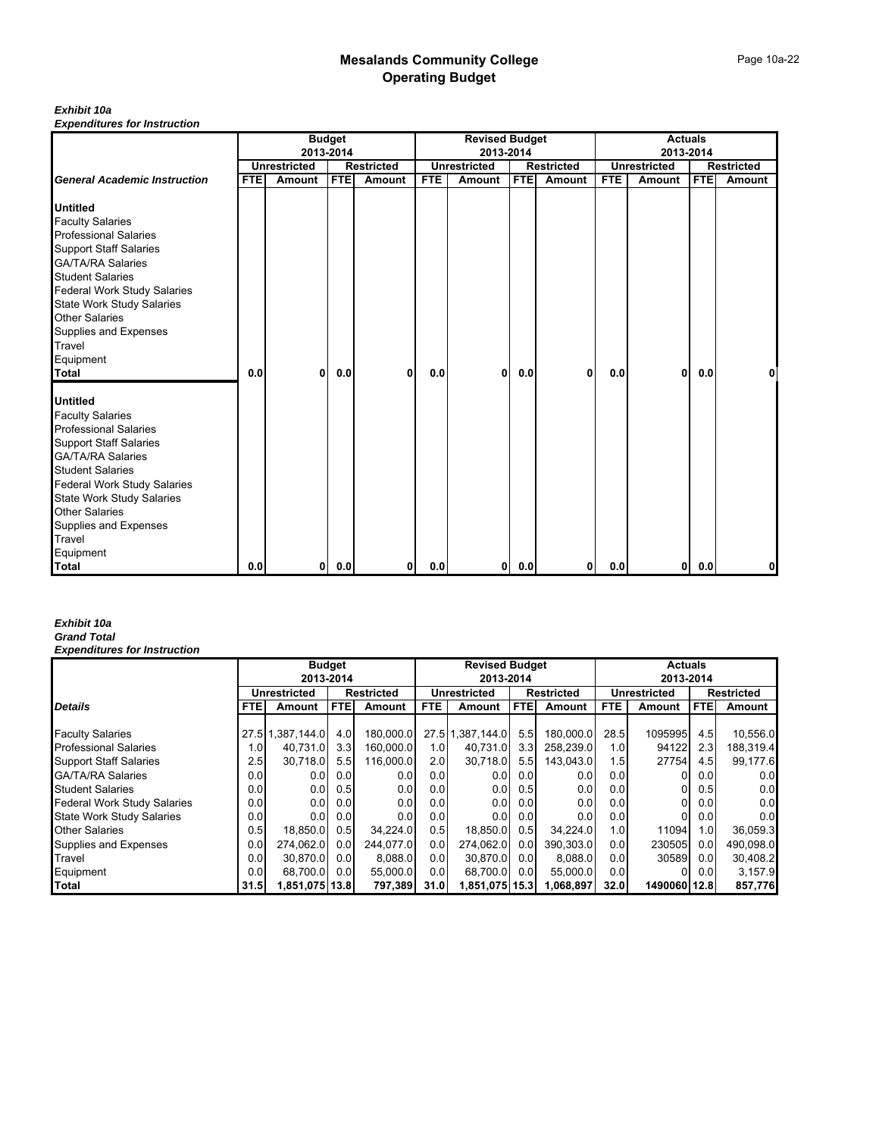## *Exhibit 10a*

*Expenditures for Instruction*

|                                     | <b>Budget</b> |                     |            |                   |            | <b>Revised Budget</b> |            |                   |            | <b>Actuals</b>      |            |                   |  |
|-------------------------------------|---------------|---------------------|------------|-------------------|------------|-----------------------|------------|-------------------|------------|---------------------|------------|-------------------|--|
|                                     |               | 2013-2014           |            |                   |            | 2013-2014             |            |                   |            | 2013-2014           |            |                   |  |
|                                     |               | <b>Unrestricted</b> |            | <b>Restricted</b> |            | <b>Unrestricted</b>   |            | <b>Restricted</b> |            | <b>Unrestricted</b> |            | <b>Restricted</b> |  |
| <b>General Academic Instruction</b> | <b>FTE</b>    | Amount              | <b>FTE</b> | Amount            | <b>FTE</b> | Amount                | <b>FTE</b> | <b>Amount</b>     | <b>FTE</b> | Amount              | <b>FTE</b> | Amount            |  |
| <b>Untitled</b>                     |               |                     |            |                   |            |                       |            |                   |            |                     |            |                   |  |
| <b>Faculty Salaries</b>             |               |                     |            |                   |            |                       |            |                   |            |                     |            |                   |  |
| <b>Professional Salaries</b>        |               |                     |            |                   |            |                       |            |                   |            |                     |            |                   |  |
| <b>Support Staff Salaries</b>       |               |                     |            |                   |            |                       |            |                   |            |                     |            |                   |  |
| <b>GA/TA/RA Salaries</b>            |               |                     |            |                   |            |                       |            |                   |            |                     |            |                   |  |
| <b>Student Salaries</b>             |               |                     |            |                   |            |                       |            |                   |            |                     |            |                   |  |
| <b>Federal Work Study Salaries</b>  |               |                     |            |                   |            |                       |            |                   |            |                     |            |                   |  |
| <b>State Work Study Salaries</b>    |               |                     |            |                   |            |                       |            |                   |            |                     |            |                   |  |
| <b>Other Salaries</b>               |               |                     |            |                   |            |                       |            |                   |            |                     |            |                   |  |
| Supplies and Expenses               |               |                     |            |                   |            |                       |            |                   |            |                     |            |                   |  |
| Travel                              |               |                     |            |                   |            |                       |            |                   |            |                     |            |                   |  |
| Equipment                           |               |                     |            |                   |            |                       |            |                   |            |                     |            |                   |  |
| <b>Total</b>                        | 0.0           | 0                   | 0.0        | 0                 | 0.0        | 0                     | 0.0        | $\mathbf{0}$      | 0.0        | 0                   | 0.0        |                   |  |
| <b>Untitled</b>                     |               |                     |            |                   |            |                       |            |                   |            |                     |            |                   |  |
| <b>Faculty Salaries</b>             |               |                     |            |                   |            |                       |            |                   |            |                     |            |                   |  |
| <b>Professional Salaries</b>        |               |                     |            |                   |            |                       |            |                   |            |                     |            |                   |  |
| <b>Support Staff Salaries</b>       |               |                     |            |                   |            |                       |            |                   |            |                     |            |                   |  |
| <b>GA/TA/RA Salaries</b>            |               |                     |            |                   |            |                       |            |                   |            |                     |            |                   |  |
| <b>Student Salaries</b>             |               |                     |            |                   |            |                       |            |                   |            |                     |            |                   |  |
| Federal Work Study Salaries         |               |                     |            |                   |            |                       |            |                   |            |                     |            |                   |  |
| <b>State Work Study Salaries</b>    |               |                     |            |                   |            |                       |            |                   |            |                     |            |                   |  |
| <b>Other Salaries</b>               |               |                     |            |                   |            |                       |            |                   |            |                     |            |                   |  |
| Supplies and Expenses               |               |                     |            |                   |            |                       |            |                   |            |                     |            |                   |  |
| Travel                              |               |                     |            |                   |            |                       |            |                   |            |                     |            |                   |  |
| Equipment                           |               |                     |            |                   |            |                       |            |                   |            |                     |            |                   |  |
| <b>Total</b>                        | 0.0           | 01                  | 0.0        | 0                 | 0.0        | 0                     | 0.0        | 01                | 0.0        | $\mathbf{0}$        | 0.0        | 0                 |  |

#### *Exhibit 10a Grand Total*

|                                    | <b>Budget</b> |                                          |            |           |            | <b>Revised Budget</b> |                  |                   |      | <b>Actuals</b> |                   |           |  |
|------------------------------------|---------------|------------------------------------------|------------|-----------|------------|-----------------------|------------------|-------------------|------|----------------|-------------------|-----------|--|
|                                    |               | 2013-2014                                |            |           |            | 2013-2014             |                  |                   |      | 2013-2014      |                   |           |  |
|                                    |               | <b>Unrestricted</b><br><b>Restricted</b> |            |           |            | <b>Unrestricted</b>   |                  | <b>Restricted</b> |      | Unrestricted   | <b>Restricted</b> |           |  |
| <b>Details</b>                     | <b>FTEI</b>   | Amount                                   | <b>FTE</b> | Amount    | <b>FTE</b> | Amount                | <b>FTE</b>       | Amount            | FTE  | Amount         | <b>FTE</b>        | Amount    |  |
|                                    |               |                                          |            |           |            |                       |                  |                   |      |                |                   |           |  |
| <b>Faculty Salaries</b>            |               | 27.5 1,387,144.0                         | 4.0        | 180.000.0 |            | 27.5 1,387,144.0      | 5.5              | 180.000.0         | 28.5 | 1095995        | 4.5               | 10,556.0  |  |
| <b>Professional Salaries</b>       | 1.OI          | 40.731.0                                 | 3.3        | 160.000.0 | 1.01       | 40,731.0              | 3.3 <sub>l</sub> | 258,239.0         | 1.0  | 94122          | 2.3               | 188,319.4 |  |
| <b>Support Staff Salaries</b>      | 2.5           | 30.718.0                                 | 5.5        | 116.000.0 | 2.0        | 30.718.0              | 5.5              | 143.043.0         | 1.5  | 27754          | 4.5               | 99,177.6  |  |
| <b>GA/TA/RA Salaries</b>           | 0.0           | 0.01                                     | 0.0        | 0.0       | 0.0        | 0.0                   | 0.0              | 0.0               | 0.0  |                | 0.0               | 0.0       |  |
| <b>Student Salaries</b>            | 0.01          | 0.0                                      | 0.5        | 0.0       | 0.01       | 0.0                   | 0.5              | 0.0               | 0.01 |                | 0.5               | 0.0       |  |
| <b>Federal Work Study Salaries</b> | 0.01          | 0.01                                     | 0.0        | 0.0       | 0.0        | 0.0                   | 0.0              | 0.0               | 0.0  | 0              | 0.0               | 0.0       |  |
| <b>State Work Study Salaries</b>   | 0.0           | 0.01                                     | 0.0        | 0.0       | 0.0        | 0.0                   | 0.0              | 0.0               | 0.0  |                | 0.0               | 0.0       |  |
| <b>Other Salaries</b>              | 0.5           | 18,850.0                                 | 0.5        | 34.224.0  | 0.5        | 18,850.0              | 0.5              | 34.224.0          | 1.0  | 11094          | 1.0               | 36,059.3  |  |
| Supplies and Expenses              | 0.0           | 274.062.0                                | 0.0        | 244.077.0 | 0.0        | 274.062.0             | 0.01             | 390.303.0         | 0.0  | 230505         | 0.0               | 490.098.0 |  |
| Travel                             | 0.01          | 30.870.0                                 | 0.01       | 8.088.0   | 0.01       | 30.870.0              | 0.0              | 8.088.0           | 0.0  | 30589          | 0.0               | 30,408.2  |  |
| Equipment                          | 0.0           | 68,700.0                                 | 0.0        | 55,000.0  | 0.01       | 68,700.0              | 0.0              | 55,000.0          | 0.0  |                | 0.0               | 3,157.9   |  |
| Total                              | 31.5          | 1,851,075 13.8                           |            | 797,389   | 31.0       | 1,851,075 15.3        |                  | 1,068,897         | 32.0 | 1490060 12.8   |                   | 857,776   |  |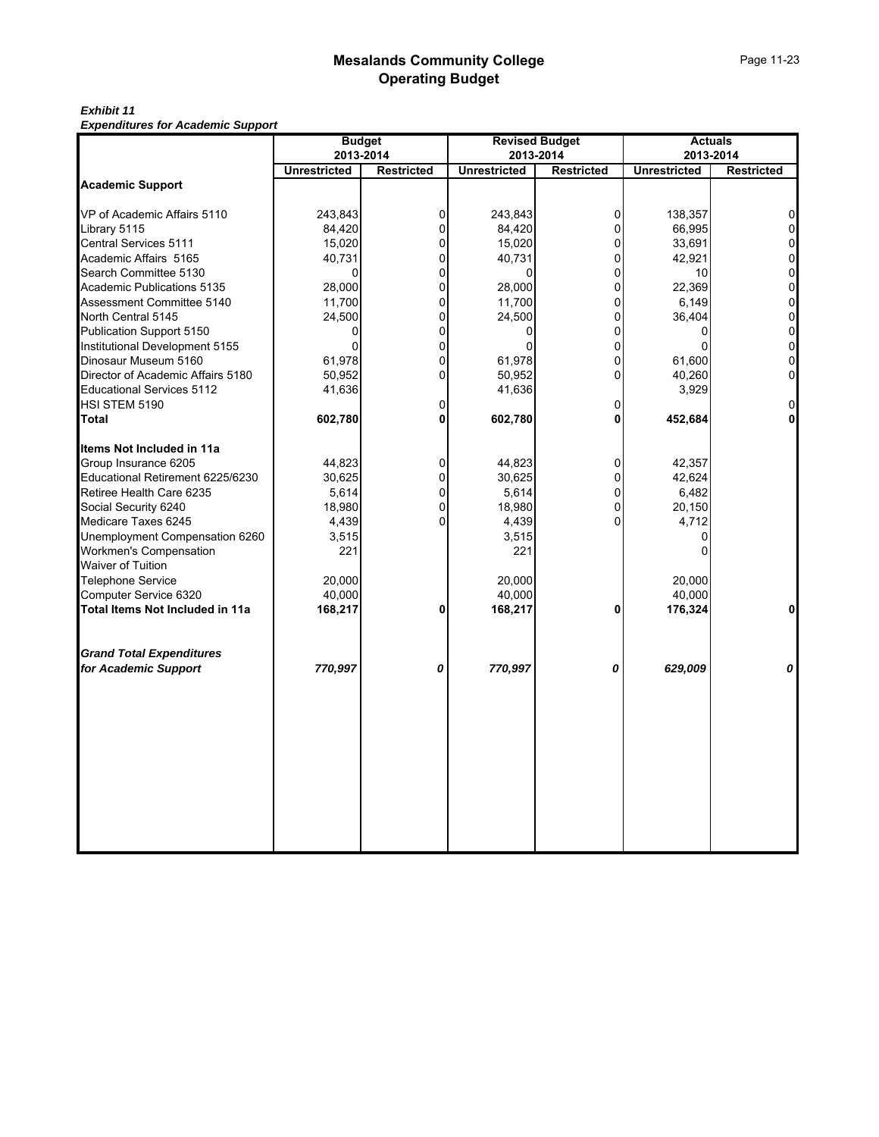*Exhibit 11 Expenditures for Academic Support*

|                                   | <b>Budget</b>       | 2013-2014         |                     | <b>Revised Budget</b><br>2013-2014 |                     | <b>Actuals</b><br>2013-2014 |
|-----------------------------------|---------------------|-------------------|---------------------|------------------------------------|---------------------|-----------------------------|
|                                   | <b>Unrestricted</b> | <b>Restricted</b> | <b>Unrestricted</b> | <b>Restricted</b>                  | <b>Unrestricted</b> | <b>Restricted</b>           |
| <b>Academic Support</b>           |                     |                   |                     |                                    |                     |                             |
| VP of Academic Affairs 5110       | 243,843             | 0                 | 243,843             | $\overline{0}$                     | 138,357             | $\Omega$                    |
| Library 5115                      | 84,420              | 0                 | 84,420              | $\Omega$                           | 66,995              | $\overline{0}$              |
| Central Services 5111             | 15,020              | 0                 | 15,020              | $\overline{0}$                     | 33,691              | 0                           |
| Academic Affairs 5165             | 40,731              | 0                 | 40,731              | $\Omega$                           | 42,921              | $\mathbf 0$                 |
| Search Committee 5130             | $\Omega$            | 0                 | 0                   | $\Omega$                           | 10                  | $\mathbf 0$                 |
| Academic Publications 5135        | 28.000              | $\Omega$          | 28.000              | $\Omega$                           | 22.369              | $\mathbf 0$                 |
| Assessment Committee 5140         | 11,700              | 0                 | 11,700              | $\overline{0}$                     | 6,149               | $\mathbf 0$                 |
| North Central 5145                | 24,500              | 0                 | 24,500              | $\Omega$                           | 36,404              | $\mathbf 0$                 |
| Publication Support 5150          | 0                   | 0                 | 0                   | $\overline{0}$                     | 0                   | $\mathbf 0$                 |
| Institutional Development 5155    | $\Omega$            | $\Omega$          | $\Omega$            | $\Omega$                           | $\Omega$            | $\overline{0}$              |
| Dinosaur Museum 5160              | 61,978              | $\Omega$          | 61,978              | $\Omega$                           | 61,600              | $\mathbf 0$                 |
| Director of Academic Affairs 5180 | 50,952              | $\Omega$          | 50,952              | $\Omega$                           | 40,260              | $\overline{0}$              |
| <b>Educational Services 5112</b>  | 41,636              |                   | 41,636              |                                    | 3,929               |                             |
| HSI STEM 5190                     |                     | 0                 |                     | $\Omega$                           |                     | $\Omega$                    |
| Total                             | 602,780             | 0                 | 602,780             | $\Omega$                           | 452,684             |                             |
| Items Not Included in 11a         |                     |                   |                     |                                    |                     |                             |
| Group Insurance 6205              | 44,823              | 0                 | 44,823              | $\overline{0}$                     | 42,357              |                             |
| Educational Retirement 6225/6230  | 30,625              | 0                 | 30,625              | $\Omega$                           | 42,624              |                             |
| Retiree Health Care 6235          | 5,614               | 0                 | 5,614               | $\Omega$                           | 6,482               |                             |
| Social Security 6240              | 18,980              | 0                 | 18,980              | $\Omega$                           | 20,150              |                             |
| Medicare Taxes 6245               | 4,439               | 0                 | 4,439               | $\Omega$                           | 4,712               |                             |
| Unemployment Compensation 6260    | 3,515               |                   | 3,515               |                                    | $\Omega$            |                             |
| Workmen's Compensation            | 221                 |                   | 221                 |                                    | $\Omega$            |                             |
| <b>Waiver of Tuition</b>          |                     |                   |                     |                                    |                     |                             |
| <b>Telephone Service</b>          | 20,000              |                   | 20,000              |                                    | 20.000              |                             |
| Computer Service 6320             | 40,000              |                   | 40,000              |                                    | 40,000              |                             |
| Total Items Not Included in 11a   | 168,217             | 0                 | 168,217             | 0                                  | 176,324             | $\mathbf{0}$                |
|                                   |                     |                   |                     |                                    |                     |                             |
| <b>Grand Total Expenditures</b>   |                     |                   |                     |                                    |                     |                             |
| for Academic Support              | 770,997             | 0                 | 770,997             | 0                                  | 629,009             | 0                           |
|                                   |                     |                   |                     |                                    |                     |                             |
|                                   |                     |                   |                     |                                    |                     |                             |
|                                   |                     |                   |                     |                                    |                     |                             |
|                                   |                     |                   |                     |                                    |                     |                             |
|                                   |                     |                   |                     |                                    |                     |                             |
|                                   |                     |                   |                     |                                    |                     |                             |
|                                   |                     |                   |                     |                                    |                     |                             |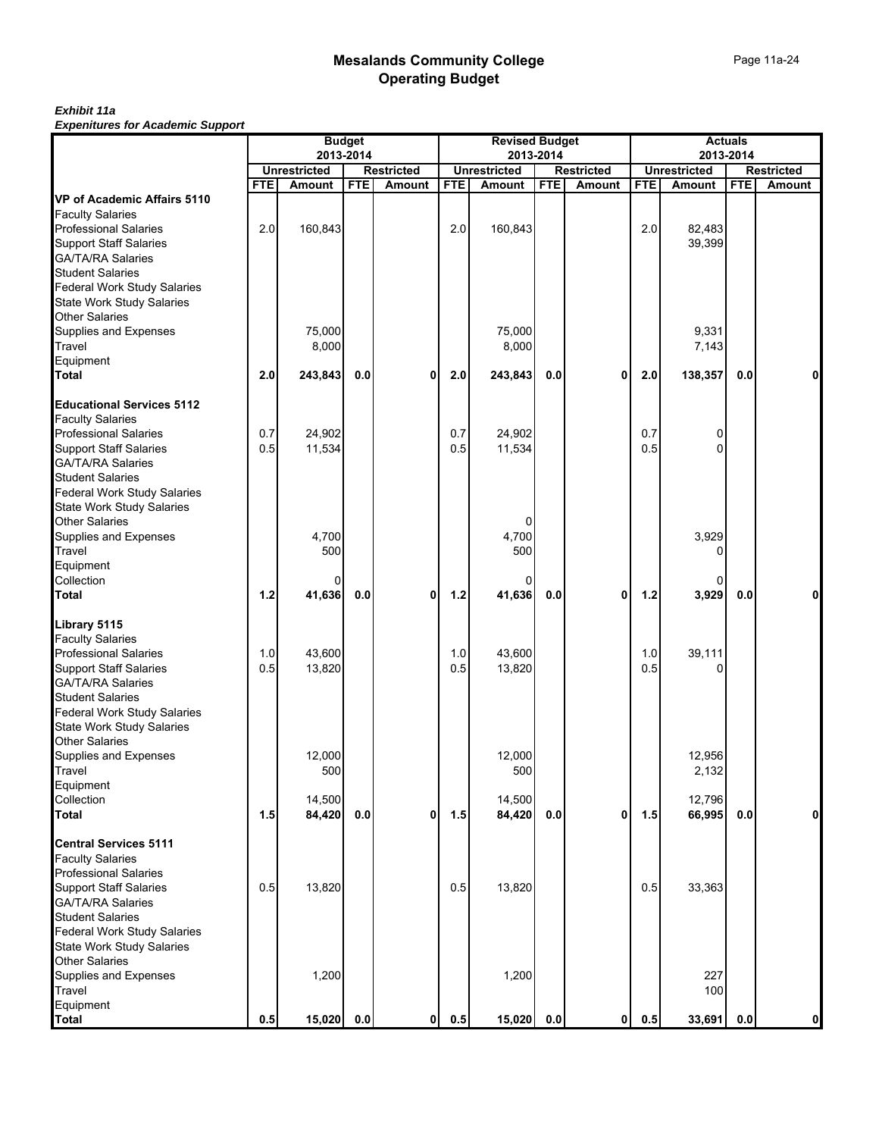#### *Exhibit 11a Expenitures for Academic Support*

|                                                          |            |                               | <b>Budget</b> |                                    |            | <b>Revised Budget</b>                |            |                             |            | <b>Actuals</b>                |            |                                    |
|----------------------------------------------------------|------------|-------------------------------|---------------|------------------------------------|------------|--------------------------------------|------------|-----------------------------|------------|-------------------------------|------------|------------------------------------|
|                                                          |            |                               | 2013-2014     |                                    |            | 2013-2014                            |            |                             |            | 2013-2014                     |            |                                    |
|                                                          | <b>FTE</b> | <b>Unrestricted</b><br>Amount | <b>FTE</b>    | <b>Restricted</b><br><b>Amount</b> | <b>FTE</b> | <b>Unrestricted</b><br><b>Amount</b> | <b>FTE</b> | <b>Restricted</b><br>Amount | <b>FTE</b> | <b>Unrestricted</b><br>Amount | <b>FTE</b> | <b>Restricted</b><br><b>Amount</b> |
| VP of Academic Affairs 5110                              |            |                               |               |                                    |            |                                      |            |                             |            |                               |            |                                    |
| <b>Faculty Salaries</b>                                  |            |                               |               |                                    |            |                                      |            |                             |            |                               |            |                                    |
| <b>Professional Salaries</b>                             | 2.0        | 160,843                       |               |                                    | 2.0        | 160,843                              |            |                             | 2.0        | 82,483                        |            |                                    |
|                                                          |            |                               |               |                                    |            |                                      |            |                             |            | 39,399                        |            |                                    |
| Support Staff Salaries<br>GA/TA/RA Salaries              |            |                               |               |                                    |            |                                      |            |                             |            |                               |            |                                    |
| <b>Student Salaries</b>                                  |            |                               |               |                                    |            |                                      |            |                             |            |                               |            |                                    |
|                                                          |            |                               |               |                                    |            |                                      |            |                             |            |                               |            |                                    |
| Federal Work Study Salaries<br>State Work Study Salaries |            |                               |               |                                    |            |                                      |            |                             |            |                               |            |                                    |
| <b>Other Salaries</b>                                    |            |                               |               |                                    |            |                                      |            |                             |            |                               |            |                                    |
| Supplies and Expenses<br>Travel                          |            | 75,000                        |               |                                    |            | 75,000                               |            |                             |            | 9,331                         |            |                                    |
|                                                          |            | 8,000                         |               |                                    |            | 8,000                                |            |                             |            | 7,143                         |            |                                    |
| Equipment                                                |            |                               |               |                                    |            |                                      |            |                             |            |                               |            |                                    |
| <b>Total</b>                                             | 2.0        | 243,843                       | 0.0           | 0                                  | 2.0        | 243,843                              | 0.0        | 0                           | 2.0        | 138,357                       | 0.0        |                                    |
| <b>Educational Services 5112</b>                         |            |                               |               |                                    |            |                                      |            |                             |            |                               |            |                                    |
| <b>Faculty Salaries</b>                                  |            |                               |               |                                    |            |                                      |            |                             |            |                               |            |                                    |
| <b>Professional Salaries</b>                             | 0.7        | 24,902                        |               |                                    | 0.7        | 24,902                               |            |                             | 0.7        | 0                             |            |                                    |
| <b>Support Staff Salaries</b>                            | 0.5        | 11,534                        |               |                                    | 0.5        | 11,534                               |            |                             | 0.5        | 0                             |            |                                    |
| GA/TA/RA Salaries                                        |            |                               |               |                                    |            |                                      |            |                             |            |                               |            |                                    |
| <b>Student Salaries</b>                                  |            |                               |               |                                    |            |                                      |            |                             |            |                               |            |                                    |
| <b>Federal Work Study Salaries</b>                       |            |                               |               |                                    |            |                                      |            |                             |            |                               |            |                                    |
| <b>State Work Study Salaries</b>                         |            |                               |               |                                    |            |                                      |            |                             |            |                               |            |                                    |
| <b>Other Salaries</b>                                    |            |                               |               |                                    |            | 0                                    |            |                             |            |                               |            |                                    |
|                                                          |            | 4,700                         |               |                                    |            | 4,700                                |            |                             |            | 3,929                         |            |                                    |
| Supplies and Expenses<br>Travel                          |            | 500                           |               |                                    |            | 500                                  |            |                             |            |                               |            |                                    |
| Equipment                                                |            |                               |               |                                    |            |                                      |            |                             |            |                               |            |                                    |
|                                                          |            | 0                             |               |                                    |            | 0                                    |            |                             |            | 0                             |            |                                    |
| Collection<br>Total                                      | $1.2$      | 41,636                        | 0.0           | 0                                  | 1.2        | 41,636                               | 0.0        | 0                           | 1.2        | 3,929                         | 0.0        |                                    |
| Library 5115                                             |            |                               |               |                                    |            |                                      |            |                             |            |                               |            |                                    |
| <b>Faculty Salaries</b>                                  |            |                               |               |                                    |            |                                      |            |                             |            |                               |            |                                    |
| <b>Professional Salaries</b>                             | 1.0        | 43,600                        |               |                                    | 1.0        | 43,600                               |            |                             | 1.0        | 39,111                        |            |                                    |
| <b>Support Staff Salaries</b>                            | 0.5        | 13,820                        |               |                                    | 0.5        | 13,820                               |            |                             | 0.5        |                               |            |                                    |
|                                                          |            |                               |               |                                    |            |                                      |            |                             |            |                               |            |                                    |
| GA/TA/RA Salaries<br>Student Salaries                    |            |                               |               |                                    |            |                                      |            |                             |            |                               |            |                                    |
| <b>Federal Work Study Salaries</b>                       |            |                               |               |                                    |            |                                      |            |                             |            |                               |            |                                    |
|                                                          |            |                               |               |                                    |            |                                      |            |                             |            |                               |            |                                    |
| State Work Study Salaries<br>Other Salaries              |            |                               |               |                                    |            |                                      |            |                             |            |                               |            |                                    |
| Supplies and Expenses                                    |            | 12,000                        |               |                                    |            | 12,000                               |            |                             |            | 12,956                        |            |                                    |
| Travel                                                   |            | 500                           |               |                                    |            | 500                                  |            |                             |            | 2,132                         |            |                                    |
|                                                          |            |                               |               |                                    |            |                                      |            |                             |            |                               |            |                                    |
| Equipment<br>Collection                                  |            | 14,500                        |               |                                    |            | 14,500                               |            |                             |            | 12,796                        |            |                                    |
| <b>Total</b>                                             | 1.5        | 84,420                        | 0.0           | 0                                  | 1.5        | 84,420                               | 0.0        | 0                           | 1.5        | 66,995                        | 0.0        | $\Omega$                           |
| <b>Central Services 5111</b>                             |            |                               |               |                                    |            |                                      |            |                             |            |                               |            |                                    |
| <b>Faculty Salaries</b>                                  |            |                               |               |                                    |            |                                      |            |                             |            |                               |            |                                    |
| <b>Professional Salaries</b>                             |            |                               |               |                                    |            |                                      |            |                             |            |                               |            |                                    |
| <b>Support Staff Salaries</b>                            | 0.5        | 13,820                        |               |                                    | 0.5        | 13,820                               |            |                             | 0.5        | 33,363                        |            |                                    |
| <b>GA/TA/RA Salaries</b>                                 |            |                               |               |                                    |            |                                      |            |                             |            |                               |            |                                    |
| <b>Student Salaries</b>                                  |            |                               |               |                                    |            |                                      |            |                             |            |                               |            |                                    |
| <b>Federal Work Study Salaries</b>                       |            |                               |               |                                    |            |                                      |            |                             |            |                               |            |                                    |
| State Work Study Salaries                                |            |                               |               |                                    |            |                                      |            |                             |            |                               |            |                                    |
| <b>Other Salaries</b>                                    |            |                               |               |                                    |            |                                      |            |                             |            |                               |            |                                    |
|                                                          |            | 1,200                         |               |                                    |            | 1,200                                |            |                             |            | 227                           |            |                                    |
| Supplies and Expenses<br>Travel                          |            |                               |               |                                    |            |                                      |            |                             |            | 100                           |            |                                    |
| Equipment                                                |            |                               |               |                                    |            |                                      |            |                             |            |                               |            |                                    |
| <b>Total</b>                                             | 0.5        | 15,020                        | 0.0           | 0                                  | 0.5        | 15,020                               | 0.0        | $\mathbf{0}$                | 0.5        | 33,691                        | 0.0        | $\mathbf 0$                        |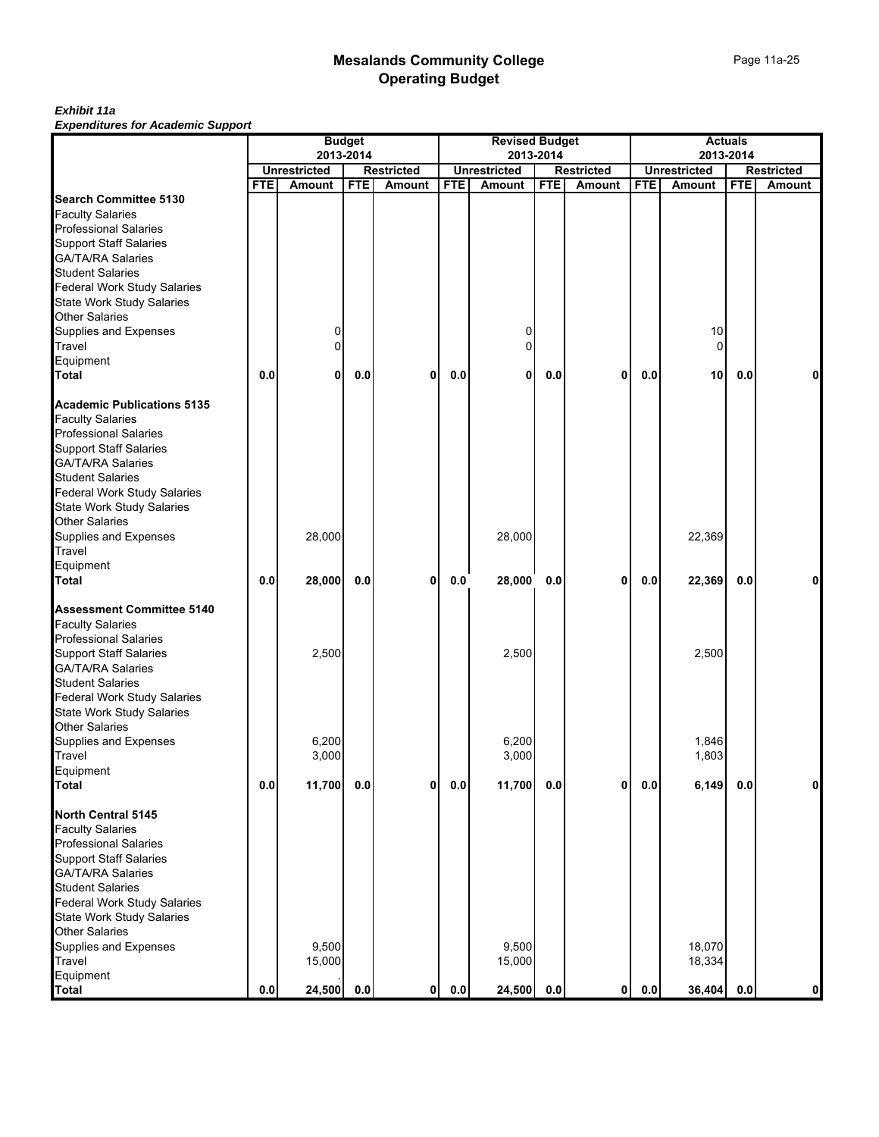#### *Exhibit 11a Expenditures for Academic Support*

|                                    | <b>Budget</b> |                     |            |                   |            | <b>Revised Budget</b> |            |                   | <b>Actuals</b> |                     |            |                   |
|------------------------------------|---------------|---------------------|------------|-------------------|------------|-----------------------|------------|-------------------|----------------|---------------------|------------|-------------------|
|                                    |               |                     | 2013-2014  |                   |            |                       | 2013-2014  |                   |                | 2013-2014           |            |                   |
|                                    |               | <b>Unrestricted</b> |            | <b>Restricted</b> |            | <b>Unrestricted</b>   |            | <b>Restricted</b> |                | <b>Unrestricted</b> |            | <b>Restricted</b> |
|                                    | <b>FTE</b>    | <b>Amount</b>       | <b>FTE</b> | <b>Amount</b>     | <b>FTE</b> | Amount                | <b>FTE</b> | Amount            | <b>FTE</b>     | Amount              | <b>FTE</b> | Amount            |
| <b>Search Committee 5130</b>       |               |                     |            |                   |            |                       |            |                   |                |                     |            |                   |
| <b>Faculty Salaries</b>            |               |                     |            |                   |            |                       |            |                   |                |                     |            |                   |
| <b>Professional Salaries</b>       |               |                     |            |                   |            |                       |            |                   |                |                     |            |                   |
| <b>Support Staff Salaries</b>      |               |                     |            |                   |            |                       |            |                   |                |                     |            |                   |
| GA/TA/RA Salaries                  |               |                     |            |                   |            |                       |            |                   |                |                     |            |                   |
| <b>Student Salaries</b>            |               |                     |            |                   |            |                       |            |                   |                |                     |            |                   |
| <b>Federal Work Study Salaries</b> |               |                     |            |                   |            |                       |            |                   |                |                     |            |                   |
| State Work Study Salaries          |               |                     |            |                   |            |                       |            |                   |                |                     |            |                   |
| <b>Other Salaries</b>              |               |                     |            |                   |            |                       |            |                   |                |                     |            |                   |
| Supplies and Expenses              |               | 0                   |            |                   |            | 0                     |            |                   |                | 10                  |            |                   |
| Travel                             |               | $\Omega$            |            |                   |            | $\Omega$              |            |                   |                | $\Omega$            |            |                   |
| Equipment                          |               |                     |            |                   |            |                       |            |                   |                |                     |            |                   |
| <b>Total</b>                       | 0.0           | 0                   | 0.0        | 0                 | 0.0        | 0                     | 0.0        | 0                 | 0.0            | 10                  | 0.0        | 0                 |
| <b>Academic Publications 5135</b>  |               |                     |            |                   |            |                       |            |                   |                |                     |            |                   |
| <b>Faculty Salaries</b>            |               |                     |            |                   |            |                       |            |                   |                |                     |            |                   |
| <b>Professional Salaries</b>       |               |                     |            |                   |            |                       |            |                   |                |                     |            |                   |
| <b>Support Staff Salaries</b>      |               |                     |            |                   |            |                       |            |                   |                |                     |            |                   |
| GA/TA/RA Salaries                  |               |                     |            |                   |            |                       |            |                   |                |                     |            |                   |
| <b>Student Salaries</b>            |               |                     |            |                   |            |                       |            |                   |                |                     |            |                   |
| Federal Work Study Salaries        |               |                     |            |                   |            |                       |            |                   |                |                     |            |                   |
|                                    |               |                     |            |                   |            |                       |            |                   |                |                     |            |                   |
| <b>State Work Study Salaries</b>   |               |                     |            |                   |            |                       |            |                   |                |                     |            |                   |
| <b>Other Salaries</b>              |               |                     |            |                   |            |                       |            |                   |                |                     |            |                   |
| Supplies and Expenses              |               | 28,000              |            |                   |            | 28,000                |            |                   |                | 22,369              |            |                   |
| Travel                             |               |                     |            |                   |            |                       |            |                   |                |                     |            |                   |
| Equipment                          |               |                     |            |                   |            |                       |            |                   |                |                     |            |                   |
| <b>Total</b>                       | 0.0           | 28,000              | 0.0        | 0                 | 0.0        | 28,000                | 0.0        | 0                 | 0.0            | 22,369              | 0.0        | 0                 |
| <b>Assessment Committee 5140</b>   |               |                     |            |                   |            |                       |            |                   |                |                     |            |                   |
| <b>Faculty Salaries</b>            |               |                     |            |                   |            |                       |            |                   |                |                     |            |                   |
| <b>Professional Salaries</b>       |               |                     |            |                   |            |                       |            |                   |                |                     |            |                   |
| <b>Support Staff Salaries</b>      |               | 2,500               |            |                   |            | 2,500                 |            |                   |                | 2,500               |            |                   |
| <b>GA/TA/RA Salaries</b>           |               |                     |            |                   |            |                       |            |                   |                |                     |            |                   |
| <b>Student Salaries</b>            |               |                     |            |                   |            |                       |            |                   |                |                     |            |                   |
| Federal Work Study Salaries        |               |                     |            |                   |            |                       |            |                   |                |                     |            |                   |
| State Work Study Salaries          |               |                     |            |                   |            |                       |            |                   |                |                     |            |                   |
| <b>Other Salaries</b>              |               |                     |            |                   |            |                       |            |                   |                |                     |            |                   |
| Supplies and Expenses              |               | 6,200               |            |                   |            | 6,200                 |            |                   |                | 1,846               |            |                   |
| Travel                             |               | 3,000               |            |                   |            | 3,000                 |            |                   |                | 1,803               |            |                   |
| Equipment                          |               |                     |            |                   |            |                       |            |                   |                |                     |            |                   |
| <b>Total</b>                       | 0.0           | 11,700              | $0.0\,$    | 0                 | 0.0        | 11,700                | 0.0        | 0                 | 0.0            | 6,149               | 0.0        | $\mathbf 0$       |
| <b>North Central 5145</b>          |               |                     |            |                   |            |                       |            |                   |                |                     |            |                   |
| <b>Faculty Salaries</b>            |               |                     |            |                   |            |                       |            |                   |                |                     |            |                   |
| <b>Professional Salaries</b>       |               |                     |            |                   |            |                       |            |                   |                |                     |            |                   |
|                                    |               |                     |            |                   |            |                       |            |                   |                |                     |            |                   |
| <b>Support Staff Salaries</b>      |               |                     |            |                   |            |                       |            |                   |                |                     |            |                   |
| <b>GA/TA/RA Salaries</b>           |               |                     |            |                   |            |                       |            |                   |                |                     |            |                   |
| <b>Student Salaries</b>            |               |                     |            |                   |            |                       |            |                   |                |                     |            |                   |
| Federal Work Study Salaries        |               |                     |            |                   |            |                       |            |                   |                |                     |            |                   |
| State Work Study Salaries          |               |                     |            |                   |            |                       |            |                   |                |                     |            |                   |
| <b>Other Salaries</b>              |               |                     |            |                   |            |                       |            |                   |                |                     |            |                   |
| Supplies and Expenses              |               | 9,500               |            |                   |            | 9,500                 |            |                   |                | 18,070              |            |                   |
| Travel                             |               | 15,000              |            |                   |            | 15,000                |            |                   |                | 18,334              |            |                   |
| Equipment                          |               |                     |            | 0                 |            |                       |            | 0                 |                |                     | 0.0        |                   |
| <b>Total</b>                       | $0.0\,$       | 24,500              | 0.0        |                   | $0.0\,$    | 24,500                | 0.0        |                   | 0.0            | 36,404              |            | $\mathbf 0$       |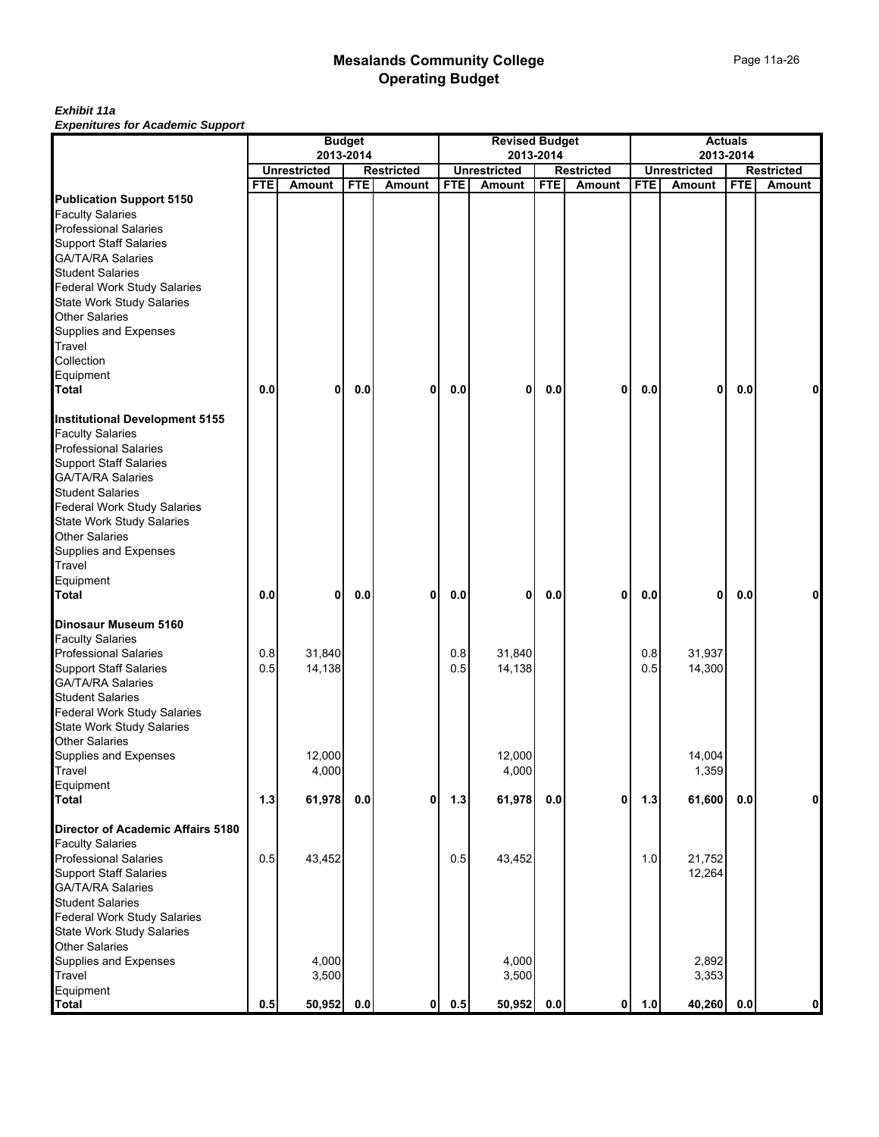#### *Exhibit 11a Expenitures for Academic Support*

|                                          | <b>Budget</b><br>2013-2014 |                     |            |                   | <b>Revised Budget</b> |                     |            |                   | <b>Actuals</b> |                     |            |                   |
|------------------------------------------|----------------------------|---------------------|------------|-------------------|-----------------------|---------------------|------------|-------------------|----------------|---------------------|------------|-------------------|
|                                          |                            |                     |            |                   |                       |                     | 2013-2014  |                   |                |                     | 2013-2014  |                   |
|                                          |                            | <b>Unrestricted</b> |            | <b>Restricted</b> |                       | <b>Unrestricted</b> |            | <b>Restricted</b> |                | <b>Unrestricted</b> |            | <b>Restricted</b> |
| <b>Publication Support 5150</b>          | <b>FTE</b>                 | <b>Amount</b>       | <b>FTE</b> | <b>Amount</b>     | <b>FTE</b>            | Amount              | <b>FTE</b> | Amount            | <b>FTE</b>     | Amount              | <b>FTE</b> | Amount            |
| <b>Faculty Salaries</b>                  |                            |                     |            |                   |                       |                     |            |                   |                |                     |            |                   |
| <b>Professional Salaries</b>             |                            |                     |            |                   |                       |                     |            |                   |                |                     |            |                   |
| <b>Support Staff Salaries</b>            |                            |                     |            |                   |                       |                     |            |                   |                |                     |            |                   |
| GA/TA/RA Salaries                        |                            |                     |            |                   |                       |                     |            |                   |                |                     |            |                   |
| <b>Student Salaries</b>                  |                            |                     |            |                   |                       |                     |            |                   |                |                     |            |                   |
| <b>Federal Work Study Salaries</b>       |                            |                     |            |                   |                       |                     |            |                   |                |                     |            |                   |
| State Work Study Salaries                |                            |                     |            |                   |                       |                     |            |                   |                |                     |            |                   |
| <b>Other Salaries</b>                    |                            |                     |            |                   |                       |                     |            |                   |                |                     |            |                   |
| Supplies and Expenses                    |                            |                     |            |                   |                       |                     |            |                   |                |                     |            |                   |
| Travel                                   |                            |                     |            |                   |                       |                     |            |                   |                |                     |            |                   |
| Collection                               |                            |                     |            |                   |                       |                     |            |                   |                |                     |            |                   |
| Equipment                                |                            |                     |            |                   |                       |                     |            |                   |                |                     |            |                   |
| <b>Total</b>                             | 0.0                        | 0                   | 0.0        | 0                 | 0.0                   | 0                   | 0.0        | 0                 | 0.0            | 0                   | 0.0        | 0                 |
|                                          |                            |                     |            |                   |                       |                     |            |                   |                |                     |            |                   |
| <b>Institutional Development 5155</b>    |                            |                     |            |                   |                       |                     |            |                   |                |                     |            |                   |
| <b>Faculty Salaries</b>                  |                            |                     |            |                   |                       |                     |            |                   |                |                     |            |                   |
| <b>Professional Salaries</b>             |                            |                     |            |                   |                       |                     |            |                   |                |                     |            |                   |
| <b>Support Staff Salaries</b>            |                            |                     |            |                   |                       |                     |            |                   |                |                     |            |                   |
| <b>GA/TA/RA Salaries</b>                 |                            |                     |            |                   |                       |                     |            |                   |                |                     |            |                   |
| <b>Student Salaries</b>                  |                            |                     |            |                   |                       |                     |            |                   |                |                     |            |                   |
| Federal Work Study Salaries              |                            |                     |            |                   |                       |                     |            |                   |                |                     |            |                   |
| State Work Study Salaries                |                            |                     |            |                   |                       |                     |            |                   |                |                     |            |                   |
| Other Salaries                           |                            |                     |            |                   |                       |                     |            |                   |                |                     |            |                   |
| Supplies and Expenses                    |                            |                     |            |                   |                       |                     |            |                   |                |                     |            |                   |
| Travel                                   |                            |                     |            |                   |                       |                     |            |                   |                |                     |            |                   |
| Equipment<br><b>Total</b>                | 0.0                        | 0                   | 0.0        | 0                 | 0.0                   | 0                   | 0.0        | 0                 | 0.0            | 0                   | 0.0        | 0                 |
|                                          |                            |                     |            |                   |                       |                     |            |                   |                |                     |            |                   |
| Dinosaur Museum 5160                     |                            |                     |            |                   |                       |                     |            |                   |                |                     |            |                   |
| <b>Faculty Salaries</b>                  |                            |                     |            |                   |                       |                     |            |                   |                |                     |            |                   |
| <b>Professional Salaries</b>             | 0.8                        | 31,840              |            |                   | 0.8                   | 31,840              |            |                   | 0.8            | 31,937              |            |                   |
| <b>Support Staff Salaries</b>            | 0.5                        | 14,138              |            |                   | 0.5                   | 14,138              |            |                   | 0.5            | 14,300              |            |                   |
| GA/TA/RA Salaries                        |                            |                     |            |                   |                       |                     |            |                   |                |                     |            |                   |
| <b>Student Salaries</b>                  |                            |                     |            |                   |                       |                     |            |                   |                |                     |            |                   |
| Federal Work Study Salaries              |                            |                     |            |                   |                       |                     |            |                   |                |                     |            |                   |
| <b>State Work Study Salaries</b>         |                            |                     |            |                   |                       |                     |            |                   |                |                     |            |                   |
| <b>Other Salaries</b>                    |                            |                     |            |                   |                       |                     |            |                   |                |                     |            |                   |
| Supplies and Expenses                    |                            | 12,000              |            |                   |                       | 12,000              |            |                   |                | 14,004              |            |                   |
| Travel                                   |                            | 4,000               |            |                   |                       | 4,000               |            |                   |                | 1,359               |            |                   |
| Equipment                                |                            |                     |            |                   |                       |                     |            |                   |                |                     |            |                   |
| <b>Total</b>                             | 1.3                        | 61,978              | 0.0        | $\mathbf{0}$      | 1.3                   | 61,978              | 0.0        | $\mathbf{0}$      | $1.3$          | 61,600              | 0.0        | 0                 |
| <b>Director of Academic Affairs 5180</b> |                            |                     |            |                   |                       |                     |            |                   |                |                     |            |                   |
| <b>Faculty Salaries</b>                  |                            |                     |            |                   |                       |                     |            |                   |                |                     |            |                   |
| <b>Professional Salaries</b>             | 0.5                        | 43,452              |            |                   | 0.5                   | 43,452              |            |                   | 1.0            | 21,752              |            |                   |
| <b>Support Staff Salaries</b>            |                            |                     |            |                   |                       |                     |            |                   |                | 12,264              |            |                   |
| <b>GA/TA/RA Salaries</b>                 |                            |                     |            |                   |                       |                     |            |                   |                |                     |            |                   |
| <b>Student Salaries</b>                  |                            |                     |            |                   |                       |                     |            |                   |                |                     |            |                   |
| <b>Federal Work Study Salaries</b>       |                            |                     |            |                   |                       |                     |            |                   |                |                     |            |                   |
| <b>State Work Study Salaries</b>         |                            |                     |            |                   |                       |                     |            |                   |                |                     |            |                   |
| <b>Other Salaries</b>                    |                            |                     |            |                   |                       |                     |            |                   |                |                     |            |                   |
| Supplies and Expenses                    |                            | 4,000               |            |                   |                       | 4,000               |            |                   |                | 2,892               |            |                   |
| Travel                                   |                            | 3,500               |            |                   |                       | 3,500               |            |                   |                | 3,353               |            |                   |
| Equipment                                |                            |                     |            |                   |                       |                     |            |                   |                |                     |            |                   |
| <b>Total</b>                             | 0.5                        | 50,952              | 0.0        | 0                 | 0.5                   | 50,952              | 0.0        | 0                 | 1.0            | 40,260              | 0.0        | $\mathbf{0}$      |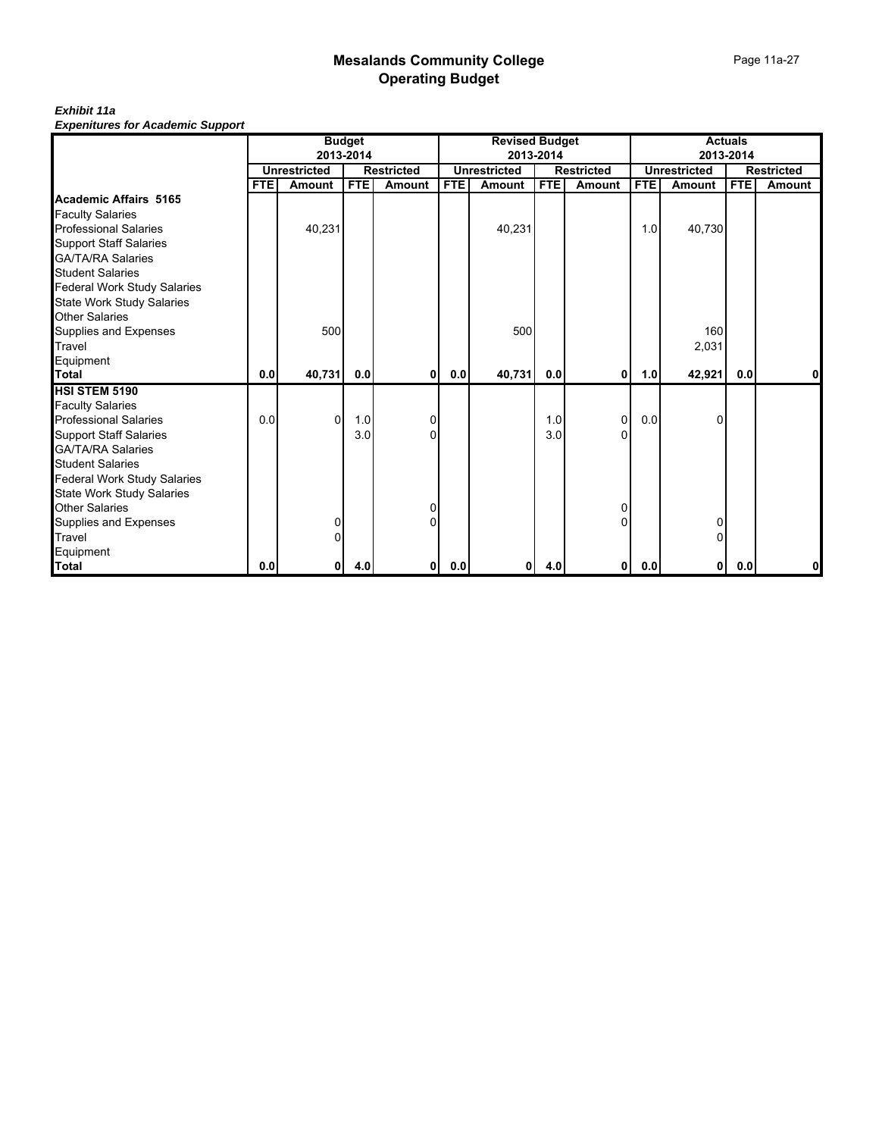*Exhibit 11a Expenitures for Academic Support*

|                                    |      |                     | <b>Budget</b> |                   |            | <b>Revised Budget</b> |            |                   | <b>Actuals</b><br>2013-2014 |                     |            |                   |
|------------------------------------|------|---------------------|---------------|-------------------|------------|-----------------------|------------|-------------------|-----------------------------|---------------------|------------|-------------------|
|                                    |      | 2013-2014           |               |                   |            |                       | 2013-2014  |                   |                             |                     |            |                   |
|                                    |      | <b>Unrestricted</b> |               | <b>Restricted</b> |            | <b>Unrestricted</b>   |            | <b>Restricted</b> |                             | <b>Unrestricted</b> |            | <b>Restricted</b> |
|                                    | FTE. | <b>Amount</b>       | <b>FTE</b>    | <b>Amount</b>     | <b>FTE</b> | Amount                | <b>FTE</b> | Amount            | <b>FTE</b>                  | Amount              | <b>FTE</b> | Amount            |
| Academic Affairs 5165              |      |                     |               |                   |            |                       |            |                   |                             |                     |            |                   |
| <b>Faculty Salaries</b>            |      |                     |               |                   |            |                       |            |                   |                             |                     |            |                   |
| <b>Professional Salaries</b>       |      | 40,231              |               |                   |            | 40,231                |            |                   | 1.0                         | 40,730              |            |                   |
| <b>Support Staff Salaries</b>      |      |                     |               |                   |            |                       |            |                   |                             |                     |            |                   |
| <b>GA/TA/RA Salaries</b>           |      |                     |               |                   |            |                       |            |                   |                             |                     |            |                   |
| <b>Student Salaries</b>            |      |                     |               |                   |            |                       |            |                   |                             |                     |            |                   |
| <b>Federal Work Study Salaries</b> |      |                     |               |                   |            |                       |            |                   |                             |                     |            |                   |
| <b>State Work Study Salaries</b>   |      |                     |               |                   |            |                       |            |                   |                             |                     |            |                   |
| Other Salaries                     |      |                     |               |                   |            |                       |            |                   |                             |                     |            |                   |
| Supplies and Expenses              |      | 500                 |               |                   |            | 500                   |            |                   |                             | 160                 |            |                   |
| Travel                             |      |                     |               |                   |            |                       |            |                   |                             | 2,031               |            |                   |
| Equipment                          |      |                     |               |                   |            |                       |            |                   |                             |                     |            |                   |
| <b>Total</b>                       | 0.0  | 40,731              | 0.0           | 0                 | 0.0        | 40,731                | 0.0        | 0                 | 1.0                         | 42,921              | 0.0        | 0                 |
| <b>HSI STEM 5190</b>               |      |                     |               |                   |            |                       |            |                   |                             |                     |            |                   |
| <b>Faculty Salaries</b>            |      |                     |               |                   |            |                       |            |                   |                             |                     |            |                   |
| <b>Professional Salaries</b>       | 0.0  | $\Omega$            | 1.0           | 0                 |            |                       | 1.0        | $\Omega$          | 0.0                         |                     |            |                   |
| <b>Support Staff Salaries</b>      |      |                     | 3.0           | $\Omega$          |            |                       | 3.0        |                   |                             |                     |            |                   |
| <b>GA/TA/RA Salaries</b>           |      |                     |               |                   |            |                       |            |                   |                             |                     |            |                   |
| <b>Student Salaries</b>            |      |                     |               |                   |            |                       |            |                   |                             |                     |            |                   |
| <b>Federal Work Study Salaries</b> |      |                     |               |                   |            |                       |            |                   |                             |                     |            |                   |
| <b>State Work Study Salaries</b>   |      |                     |               |                   |            |                       |            |                   |                             |                     |            |                   |
| <b>Other Salaries</b>              |      |                     |               | 0                 |            |                       |            |                   |                             |                     |            |                   |
| Supplies and Expenses              |      | ŋ                   |               |                   |            |                       |            |                   |                             |                     |            |                   |
| Travel                             |      | ŋ                   |               |                   |            |                       |            |                   |                             |                     |            |                   |
| Equipment                          |      |                     |               |                   |            |                       |            |                   |                             |                     |            |                   |
| <b>Total</b>                       | 0.0  | $\mathbf{0}$        | 4.0           | 01                | 0.0        | 0                     | 4.0        | 0                 | 0.0                         | $\mathbf{0}$        | 0.0        | 0                 |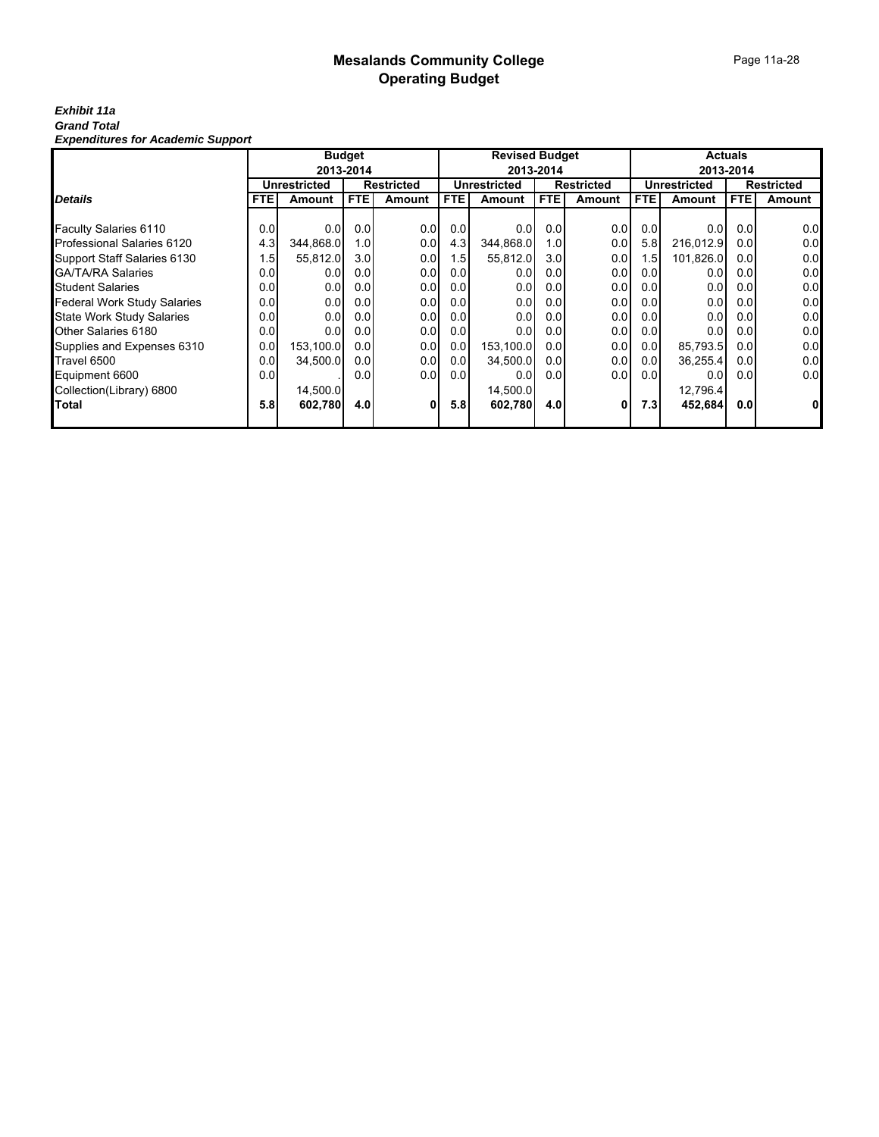#### Page 11a-28

#### *Exhibit 11a Grand Total Expenditures for Academic Support*

|                                    | <b>Budget</b>    |                     |            |                   |            | <b>Revised Budget</b> |                  |                   |                  | <b>Actuals</b>      |                  |                   |  |
|------------------------------------|------------------|---------------------|------------|-------------------|------------|-----------------------|------------------|-------------------|------------------|---------------------|------------------|-------------------|--|
|                                    |                  |                     | 2013-2014  |                   |            |                       | 2013-2014        |                   |                  |                     | 2013-2014        |                   |  |
|                                    |                  | <b>Unrestricted</b> |            | <b>Restricted</b> |            | <b>Unrestricted</b>   |                  | <b>Restricted</b> |                  | <b>Unrestricted</b> |                  | <b>Restricted</b> |  |
| <b>Details</b>                     | <b>FTE</b>       | Amount              | <b>FTE</b> | <b>Amount</b>     | <b>FTE</b> | Amount                | FTE.             | Amount            | FTE.             | Amount              | <b>FTE</b>       | Amount            |  |
|                                    |                  |                     |            |                   |            |                       |                  |                   |                  |                     |                  |                   |  |
| Faculty Salaries 6110              | 0.0              | 0.0 <sub>l</sub>    | 0.0        | 0.0               | 0.0        | 0.0                   | 0.0              | 0.0               | 0.0              | 0.0                 | 0.0              | 0.0               |  |
| <b>Professional Salaries 6120</b>  | 4.3              | 344,868.0           | 1.0        | 0.0               | 4.3        | 344,868.0             | 1.0 <sub>l</sub> | 0.0               | 5.8 <sub>1</sub> | 216,012.9           | 0.0              | 0.0               |  |
| Support Staff Salaries 6130        | .5               | 55,812.0            | 3.0        | 0.0               | 1.5        | 55,812.0              | 3.0              | 0.0               | 1.5              | 101,826.0           | 0.0              | 0.0               |  |
| <b>GA/TA/RA Salaries</b>           | 0.0              | 0.0                 | 0.0        | 0.0               | 0.0        | 0.0                   | 0.0              | 0.0               | 0.01             | 0.0                 | 0.0              | 0.0               |  |
| <b>Student Salaries</b>            | 0.0              | 0.0                 | 0.0        | 0.0               | 0.0        | 0.0                   | 0.0              | 0.0               | 0.0              | 0.0                 | 0.0              | 0.0               |  |
| <b>Federal Work Study Salaries</b> | 0.0              | 0.0                 | 0.0        | 0.0               | 0.0        | 0.0                   | 0.0              | 0.0               | 0.01             | 0.0                 | 0.0              | 0.0               |  |
| <b>State Work Study Salaries</b>   | 0.0 <sub>l</sub> | 0.0 <sub>l</sub>    | 0.0        | 0.0               | 0.0        | 0.0                   | 0.0              | 0.0               | 0.01             | 0.0                 | 0.0              | 0.0               |  |
| Other Salaries 6180                | 0.0              | 0.0                 | 0.0        | 0.0               | 0.0        | 0.0                   | 0.0              | 0.0               | 0.01             | 0.0                 | 0.0              | 0.0               |  |
| Supplies and Expenses 6310         | 0.0 <sub>l</sub> | 153,100.0           | 0.0        | 0.0               | 0.0        | 153,100.0             | 0.0              | 0.0               | 0.01             | 85,793.5            | 0.0 <sub>l</sub> | 0.0               |  |
| Travel 6500                        | 0.0 <sub>l</sub> | 34,500.0            | 0.0        | 0.0               | 0.0        | 34,500.0              | 0.0              | 0.0               | 0.01             | 36,255.4            | 0.01             | 0.0               |  |
| Equipment 6600                     | 0.0              |                     | 0.0        | 0.0               | 0.0        | 0.0 <sub>l</sub>      | 0.0              | 0.0               | 0.01             | 0.0 <sub>l</sub>    | 0.01             | 0.0               |  |
| Collection(Library) 6800           |                  | 14.500.0            |            |                   |            | 14,500.0              |                  |                   |                  | 12,796.4            |                  |                   |  |
| Total                              | 5.8              | 602,780             | 4.0        | 01                | 5.8        | 602,780               | 4.0              | 0                 | 7.3              | 452,684             | 0.01             | $\mathbf{0}$      |  |
|                                    |                  |                     |            |                   |            |                       |                  |                   |                  |                     |                  |                   |  |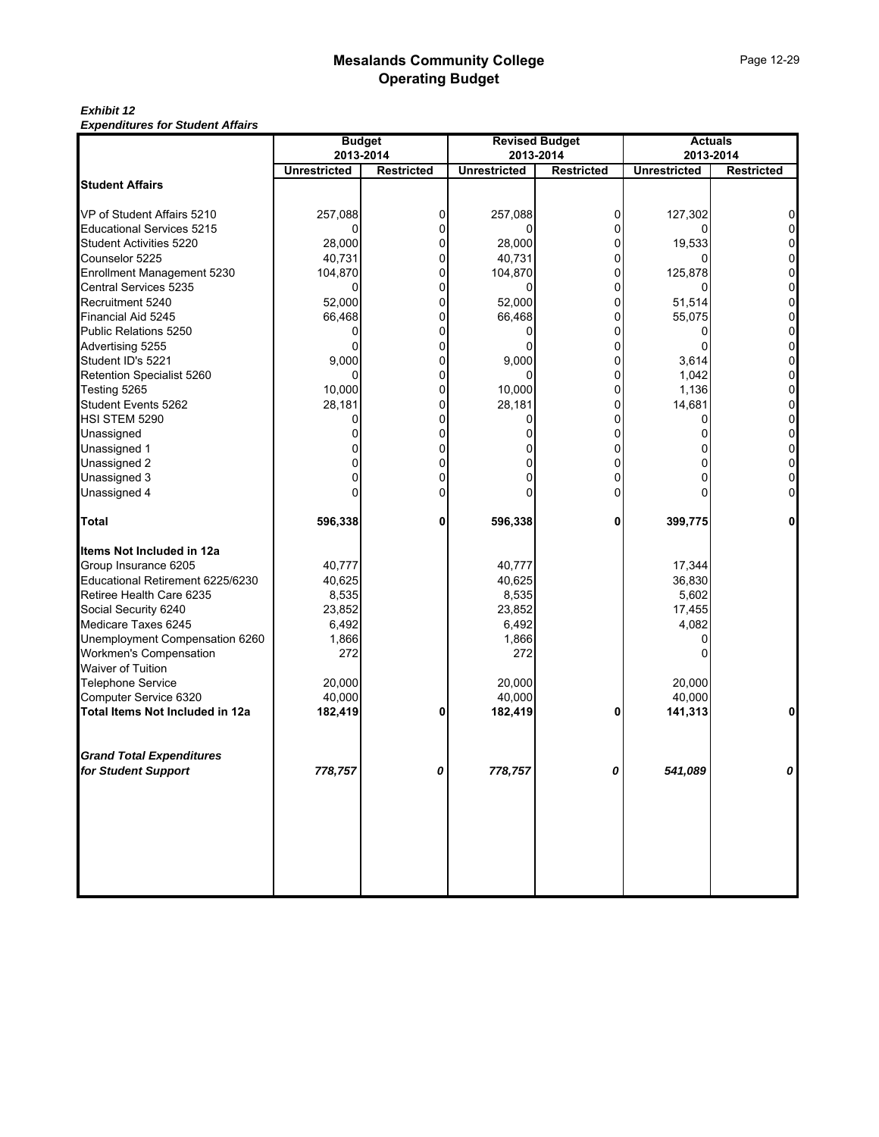#### *Exhibit 12 Expenditures for Student Affairs*

| Lypenulules for Student Andre                          | <b>Budget</b><br><b>Revised Budget</b><br><b>Actuals</b> |                   |                     |                   |                     |                   |
|--------------------------------------------------------|----------------------------------------------------------|-------------------|---------------------|-------------------|---------------------|-------------------|
|                                                        | 2013-2014                                                |                   |                     | 2013-2014         |                     | 2013-2014         |
|                                                        | <b>Unrestricted</b>                                      | <b>Restricted</b> | <b>Unrestricted</b> | <b>Restricted</b> | <b>Unrestricted</b> | <b>Restricted</b> |
| <b>Student Affairs</b>                                 |                                                          |                   |                     |                   |                     |                   |
| VP of Student Affairs 5210                             | 257,088                                                  | 0                 | 257,088             | 0                 | 127,302             |                   |
| <b>Educational Services 5215</b>                       | 0                                                        |                   | ŋ                   | 0                 |                     |                   |
| Student Activities 5220                                | 28,000                                                   |                   | 28,000              | 0                 | 19,533              |                   |
| Counselor 5225                                         | 40,731                                                   | 0                 | 40,731              | 0                 |                     |                   |
| Enrollment Management 5230                             | 104,870                                                  | 0                 | 104,870             | 0                 | 125,878             |                   |
| Central Services 5235                                  | 0                                                        |                   | 0                   | ŋ                 |                     |                   |
| Recruitment 5240                                       | 52,000                                                   | O                 | 52.000              | O                 | 51,514              |                   |
| Financial Aid 5245                                     | 66,468                                                   | 0                 | 66,468              | 0                 | 55,075              | 0                 |
| Public Relations 5250                                  | 0                                                        |                   | 0                   | 0                 |                     |                   |
| Advertising 5255                                       |                                                          |                   | 0                   |                   |                     |                   |
| Student ID's 5221                                      | 9,000                                                    | 0                 | 9,000               | $\Omega$          | 3,614               | 0                 |
| Retention Specialist 5260                              |                                                          |                   |                     | 0                 | 1,042               |                   |
| Testing 5265                                           | 10,000                                                   | 0                 | 10,000              | 0                 | 1,136               |                   |
| Student Events 5262                                    | 28,181                                                   | 0                 | 28,181              | $\Omega$          | 14,681              | 0                 |
| HSI STEM 5290                                          | 0                                                        | 0                 | 0                   | 0                 | 0                   |                   |
| Unassigned                                             |                                                          |                   |                     | 0                 |                     |                   |
| Unassigned 1                                           |                                                          |                   |                     | 0                 |                     |                   |
|                                                        |                                                          | 0                 | o                   | 0                 |                     | 0                 |
| Unassigned 2<br>Unassigned 3                           |                                                          |                   |                     | 0                 |                     |                   |
| Unassigned 4                                           |                                                          |                   |                     | 0                 |                     |                   |
| <b>Total</b>                                           | 596,338                                                  | 0                 | 596,338             | 0                 | 399,775             | 0                 |
| Items Not Included in 12a                              |                                                          |                   |                     |                   |                     |                   |
| Group Insurance 6205                                   | 40,777                                                   |                   | 40,777              |                   | 17,344              |                   |
| Educational Retirement 6225/6230                       | 40,625                                                   |                   | 40,625              |                   | 36,830              |                   |
| Retiree Health Care 6235                               | 8,535                                                    |                   | 8,535               |                   | 5,602               |                   |
| Social Security 6240                                   | 23,852                                                   |                   | 23,852              |                   | 17,455              |                   |
| Medicare Taxes 6245                                    | 6,492                                                    |                   | 6,492               |                   | 4,082               |                   |
| Unemployment Compensation 6260                         | 1,866                                                    |                   | 1,866               |                   |                     |                   |
| Workmen's Compensation                                 | 272                                                      |                   | 272                 |                   |                     |                   |
| Waiver of Tuition                                      |                                                          |                   |                     |                   |                     |                   |
| Telephone Service                                      | 20,000                                                   |                   | 20,000              |                   | 20,000              |                   |
| Computer Service 6320                                  | 40,000                                                   |                   | 40,000              |                   | 40,000              |                   |
| Total Items Not Included in 12a                        | 182,419                                                  | 0                 | 182,419             | 0                 | 141,313             | $\mathbf{0}$      |
|                                                        |                                                          |                   |                     |                   |                     |                   |
| <b>Grand Total Expenditures</b><br>for Student Support |                                                          |                   |                     |                   |                     |                   |
|                                                        | 778,757                                                  |                   | 778,757             | n                 | 541,089             |                   |
|                                                        |                                                          |                   |                     |                   |                     |                   |
|                                                        |                                                          |                   |                     |                   |                     |                   |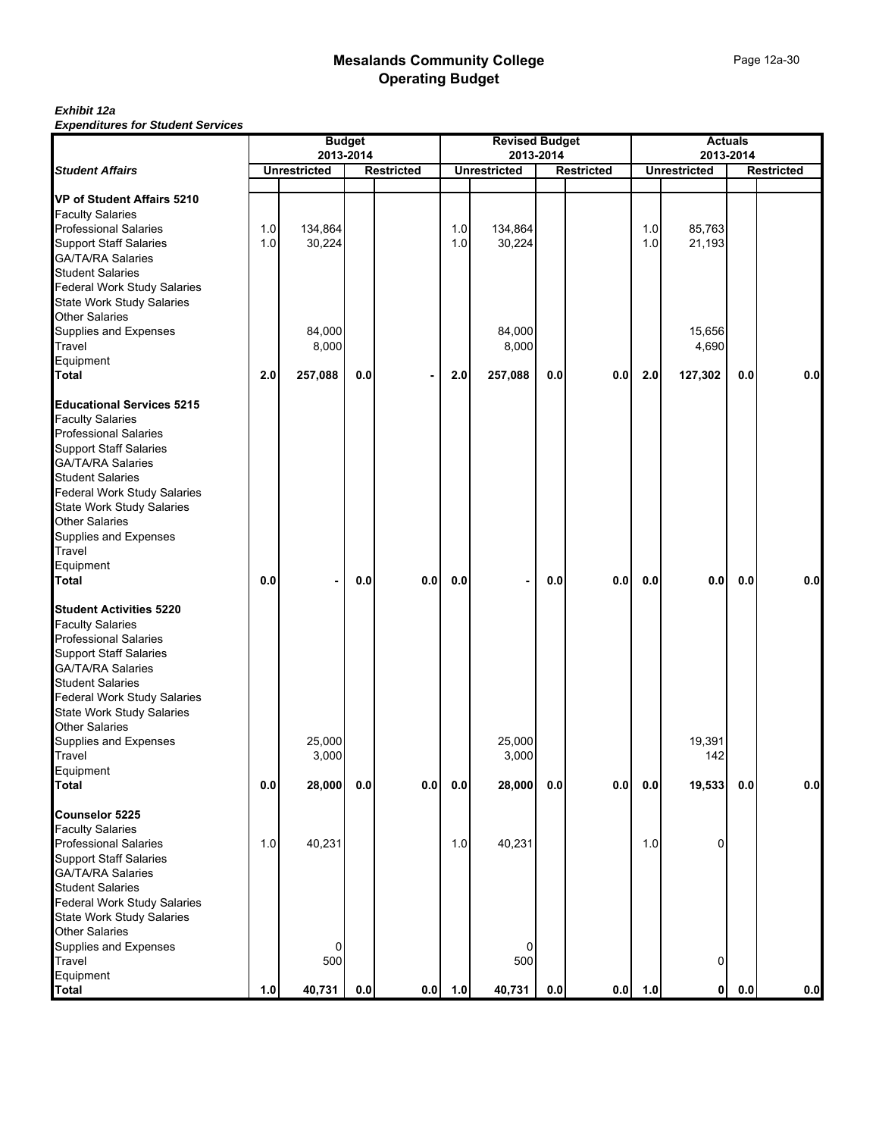|                                    | <b>Budget</b><br>2013-2014 |                     |         |                   | <b>Revised Budget</b><br>2013-2014 |                     |     |                   |         | <b>Actuals</b><br>2013-2014 |         |                   |  |
|------------------------------------|----------------------------|---------------------|---------|-------------------|------------------------------------|---------------------|-----|-------------------|---------|-----------------------------|---------|-------------------|--|
| <b>Student Affairs</b>             |                            | <b>Unrestricted</b> |         | <b>Restricted</b> |                                    | <b>Unrestricted</b> |     | <b>Restricted</b> |         | <b>Unrestricted</b>         |         | <b>Restricted</b> |  |
|                                    |                            |                     |         |                   |                                    |                     |     |                   |         |                             |         |                   |  |
| <b>VP of Student Affairs 5210</b>  |                            |                     |         |                   |                                    |                     |     |                   |         |                             |         |                   |  |
| <b>Faculty Salaries</b>            |                            |                     |         |                   |                                    |                     |     |                   |         |                             |         |                   |  |
| <b>Professional Salaries</b>       | 1.0                        | 134,864             |         |                   | 1.0                                | 134,864             |     |                   | 1.0     | 85,763                      |         |                   |  |
| <b>Support Staff Salaries</b>      | 1.0                        | 30,224              |         |                   | 1.0                                | 30,224              |     |                   | 1.0     | 21,193                      |         |                   |  |
| <b>GA/TA/RA Salaries</b>           |                            |                     |         |                   |                                    |                     |     |                   |         |                             |         |                   |  |
| <b>Student Salaries</b>            |                            |                     |         |                   |                                    |                     |     |                   |         |                             |         |                   |  |
| <b>Federal Work Study Salaries</b> |                            |                     |         |                   |                                    |                     |     |                   |         |                             |         |                   |  |
| <b>State Work Study Salaries</b>   |                            |                     |         |                   |                                    |                     |     |                   |         |                             |         |                   |  |
| <b>Other Salaries</b>              |                            |                     |         |                   |                                    |                     |     |                   |         |                             |         |                   |  |
|                                    |                            | 84,000              |         |                   |                                    | 84,000              |     |                   |         | 15,656                      |         |                   |  |
| Supplies and Expenses              |                            |                     |         |                   |                                    |                     |     |                   |         |                             |         |                   |  |
| Travel                             |                            | 8,000               |         |                   |                                    | 8,000               |     |                   |         | 4,690                       |         |                   |  |
| Equipment                          |                            |                     |         |                   |                                    |                     |     |                   |         |                             |         |                   |  |
| <b>Total</b>                       | 2.0                        | 257,088             | 0.0     |                   | 2.0                                | 257,088             | 0.0 | 0.0               | 2.0     | 127,302                     | 0.0     | 0.0               |  |
| <b>Educational Services 5215</b>   |                            |                     |         |                   |                                    |                     |     |                   |         |                             |         |                   |  |
| <b>Faculty Salaries</b>            |                            |                     |         |                   |                                    |                     |     |                   |         |                             |         |                   |  |
| <b>Professional Salaries</b>       |                            |                     |         |                   |                                    |                     |     |                   |         |                             |         |                   |  |
| <b>Support Staff Salaries</b>      |                            |                     |         |                   |                                    |                     |     |                   |         |                             |         |                   |  |
| <b>GA/TA/RA Salaries</b>           |                            |                     |         |                   |                                    |                     |     |                   |         |                             |         |                   |  |
| <b>Student Salaries</b>            |                            |                     |         |                   |                                    |                     |     |                   |         |                             |         |                   |  |
| <b>Federal Work Study Salaries</b> |                            |                     |         |                   |                                    |                     |     |                   |         |                             |         |                   |  |
| State Work Study Salaries          |                            |                     |         |                   |                                    |                     |     |                   |         |                             |         |                   |  |
| <b>Other Salaries</b>              |                            |                     |         |                   |                                    |                     |     |                   |         |                             |         |                   |  |
| Supplies and Expenses              |                            |                     |         |                   |                                    |                     |     |                   |         |                             |         |                   |  |
| Travel                             |                            |                     |         |                   |                                    |                     |     |                   |         |                             |         |                   |  |
| Equipment                          |                            |                     |         |                   |                                    |                     |     |                   |         |                             |         |                   |  |
| <b>Total</b>                       | 0.0                        | ٠                   | 0.0     | 0.0               | 0.0                                |                     | 0.0 | 0.0               | 0.0     | 0.0                         | 0.0     | 0.0               |  |
|                                    |                            |                     |         |                   |                                    |                     |     |                   |         |                             |         |                   |  |
| <b>Student Activities 5220</b>     |                            |                     |         |                   |                                    |                     |     |                   |         |                             |         |                   |  |
| <b>Faculty Salaries</b>            |                            |                     |         |                   |                                    |                     |     |                   |         |                             |         |                   |  |
| <b>Professional Salaries</b>       |                            |                     |         |                   |                                    |                     |     |                   |         |                             |         |                   |  |
| <b>Support Staff Salaries</b>      |                            |                     |         |                   |                                    |                     |     |                   |         |                             |         |                   |  |
| <b>GA/TA/RA Salaries</b>           |                            |                     |         |                   |                                    |                     |     |                   |         |                             |         |                   |  |
| <b>Student Salaries</b>            |                            |                     |         |                   |                                    |                     |     |                   |         |                             |         |                   |  |
| Federal Work Study Salaries        |                            |                     |         |                   |                                    |                     |     |                   |         |                             |         |                   |  |
| <b>State Work Study Salaries</b>   |                            |                     |         |                   |                                    |                     |     |                   |         |                             |         |                   |  |
| <b>Other Salaries</b>              |                            |                     |         |                   |                                    |                     |     |                   |         |                             |         |                   |  |
| Supplies and Expenses              |                            | 25,000              |         |                   |                                    | 25,000              |     |                   |         | 19,391                      |         |                   |  |
| Travel                             |                            | 3,000               |         |                   |                                    | 3,000               |     |                   |         | 142                         |         |                   |  |
| Equipment                          |                            |                     |         |                   |                                    |                     |     |                   |         |                             |         |                   |  |
| <b>Total</b>                       | 0.0                        | 28,000              | 0.0     | 0.0               | 0.0                                | 28,000              | 0.0 | 0.0               | $0.0\,$ | 19,533                      | $0.0\,$ | 0.0               |  |
|                                    |                            |                     |         |                   |                                    |                     |     |                   |         |                             |         |                   |  |
| Counselor 5225                     |                            |                     |         |                   |                                    |                     |     |                   |         |                             |         |                   |  |
| <b>Faculty Salaries</b>            |                            |                     |         |                   |                                    |                     |     |                   |         |                             |         |                   |  |
| <b>Professional Salaries</b>       | 1.0                        | 40,231              |         |                   | 1.0                                | 40,231              |     |                   | 1.0     | 0                           |         |                   |  |
| <b>Support Staff Salaries</b>      |                            |                     |         |                   |                                    |                     |     |                   |         |                             |         |                   |  |
| <b>GA/TA/RA Salaries</b>           |                            |                     |         |                   |                                    |                     |     |                   |         |                             |         |                   |  |
| <b>Student Salaries</b>            |                            |                     |         |                   |                                    |                     |     |                   |         |                             |         |                   |  |
| <b>Federal Work Study Salaries</b> |                            |                     |         |                   |                                    |                     |     |                   |         |                             |         |                   |  |
| <b>State Work Study Salaries</b>   |                            |                     |         |                   |                                    |                     |     |                   |         |                             |         |                   |  |
| <b>Other Salaries</b>              |                            |                     |         |                   |                                    |                     |     |                   |         |                             |         |                   |  |
| Supplies and Expenses              |                            | 0                   |         |                   |                                    | $\Omega$            |     |                   |         |                             |         |                   |  |
| Travel                             |                            | 500                 |         |                   |                                    | 500                 |     |                   |         | 0                           |         |                   |  |
| Equipment                          |                            |                     |         |                   |                                    |                     |     |                   |         |                             |         |                   |  |
| <b>Total</b>                       | 1.0                        | 40,731              | $0.0\,$ | 0.0               | 1.0                                | 40,731              | 0.0 | 0.0               | 1.0     | $\mathbf{0}$                | 0.0     | 0.0               |  |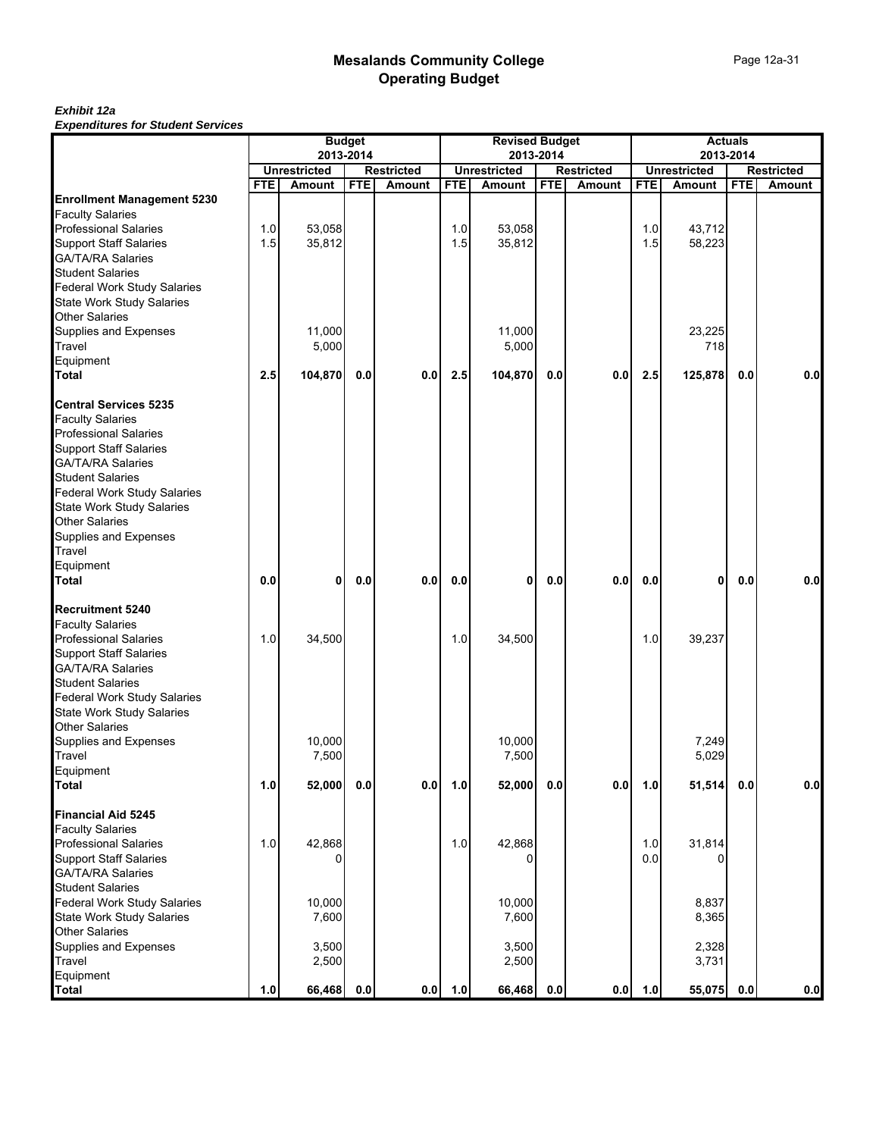| Experience for oceaent ocrysoco    |            |                     | <b>Budget</b> |                   |            | <b>Revised Budget</b>            |            |                   |            | <b>Actuals</b>      | 2013-2014<br><b>Restricted</b><br><b>FTE</b><br><b>Amount</b> |     |  |  |
|------------------------------------|------------|---------------------|---------------|-------------------|------------|----------------------------------|------------|-------------------|------------|---------------------|---------------------------------------------------------------|-----|--|--|
|                                    |            | <b>Unrestricted</b> | 2013-2014     | <b>Restricted</b> |            | 2013-2014<br><b>Unrestricted</b> |            | <b>Restricted</b> |            | <b>Unrestricted</b> |                                                               |     |  |  |
|                                    | <b>FTE</b> | <b>Amount</b>       | <b>FTE</b>    | <b>Amount</b>     | <b>FTE</b> | Amount                           | <b>FTE</b> | Amount            | <b>FTE</b> | Amount              |                                                               |     |  |  |
| <b>Enrollment Management 5230</b>  |            |                     |               |                   |            |                                  |            |                   |            |                     |                                                               |     |  |  |
| <b>Faculty Salaries</b>            |            |                     |               |                   |            |                                  |            |                   |            |                     |                                                               |     |  |  |
| <b>Professional Salaries</b>       | 1.0        | 53,058              |               |                   | 1.0        | 53,058                           |            |                   | 1.0        | 43,712              |                                                               |     |  |  |
| <b>Support Staff Salaries</b>      | 1.5        | 35,812              |               |                   | 1.5        | 35,812                           |            |                   | 1.5        | 58,223              |                                                               |     |  |  |
| GA/TA/RA Salaries                  |            |                     |               |                   |            |                                  |            |                   |            |                     |                                                               |     |  |  |
| <b>Student Salaries</b>            |            |                     |               |                   |            |                                  |            |                   |            |                     |                                                               |     |  |  |
| <b>Federal Work Study Salaries</b> |            |                     |               |                   |            |                                  |            |                   |            |                     |                                                               |     |  |  |
| <b>State Work Study Salaries</b>   |            |                     |               |                   |            |                                  |            |                   |            |                     |                                                               |     |  |  |
| <b>Other Salaries</b>              |            |                     |               |                   |            |                                  |            |                   |            |                     |                                                               |     |  |  |
| Supplies and Expenses              |            | 11,000              |               |                   |            | 11,000                           |            |                   |            | 23,225              |                                                               |     |  |  |
| Travel                             |            | 5,000               |               |                   |            | 5,000                            |            |                   |            | 718                 |                                                               |     |  |  |
| Equipment                          |            |                     |               |                   |            |                                  |            |                   |            |                     |                                                               |     |  |  |
| <b>Total</b>                       | 2.5        | 104,870             | 0.0           | 0.0               | 2.5        | 104,870                          | 0.0        | 0.0               | 2.5        | 125,878             | 0.0                                                           | 0.0 |  |  |
| <b>Central Services 5235</b>       |            |                     |               |                   |            |                                  |            |                   |            |                     |                                                               |     |  |  |
| <b>Faculty Salaries</b>            |            |                     |               |                   |            |                                  |            |                   |            |                     |                                                               |     |  |  |
| <b>Professional Salaries</b>       |            |                     |               |                   |            |                                  |            |                   |            |                     |                                                               |     |  |  |
| <b>Support Staff Salaries</b>      |            |                     |               |                   |            |                                  |            |                   |            |                     |                                                               |     |  |  |
| <b>GA/TA/RA Salaries</b>           |            |                     |               |                   |            |                                  |            |                   |            |                     |                                                               |     |  |  |
| <b>Student Salaries</b>            |            |                     |               |                   |            |                                  |            |                   |            |                     |                                                               |     |  |  |
| <b>Federal Work Study Salaries</b> |            |                     |               |                   |            |                                  |            |                   |            |                     |                                                               |     |  |  |
| <b>State Work Study Salaries</b>   |            |                     |               |                   |            |                                  |            |                   |            |                     |                                                               |     |  |  |
| Other Salaries                     |            |                     |               |                   |            |                                  |            |                   |            |                     |                                                               |     |  |  |
| Supplies and Expenses              |            |                     |               |                   |            |                                  |            |                   |            |                     |                                                               |     |  |  |
| Travel                             |            |                     |               |                   |            |                                  |            |                   |            |                     |                                                               |     |  |  |
| Equipment                          |            |                     |               |                   |            |                                  |            |                   |            |                     |                                                               |     |  |  |
| <b>Total</b>                       | 0.0        | 0                   | 0.0           | 0.0               | 0.0        | 0                                | 0.0        | 0.0               | $0.0\,$    | 0                   | 0.0                                                           | 0.0 |  |  |
| <b>Recruitment 5240</b>            |            |                     |               |                   |            |                                  |            |                   |            |                     |                                                               |     |  |  |
| <b>Faculty Salaries</b>            |            |                     |               |                   |            |                                  |            |                   |            |                     |                                                               |     |  |  |
| <b>Professional Salaries</b>       | 1.0        | 34,500              |               |                   | 1.0        | 34,500                           |            |                   | 1.0        | 39,237              |                                                               |     |  |  |
| <b>Support Staff Salaries</b>      |            |                     |               |                   |            |                                  |            |                   |            |                     |                                                               |     |  |  |
| <b>GA/TA/RA Salaries</b>           |            |                     |               |                   |            |                                  |            |                   |            |                     |                                                               |     |  |  |
| <b>Student Salaries</b>            |            |                     |               |                   |            |                                  |            |                   |            |                     |                                                               |     |  |  |
| <b>Federal Work Study Salaries</b> |            |                     |               |                   |            |                                  |            |                   |            |                     |                                                               |     |  |  |
| <b>State Work Study Salaries</b>   |            |                     |               |                   |            |                                  |            |                   |            |                     |                                                               |     |  |  |
| Other Salaries                     |            |                     |               |                   |            |                                  |            |                   |            |                     |                                                               |     |  |  |
| Supplies and Expenses              |            | 10,000              |               |                   |            | 10,000                           |            |                   |            | 7,249               |                                                               |     |  |  |
| Travel                             |            | 7,500               |               |                   |            | 7,500                            |            |                   |            | 5,029               |                                                               |     |  |  |
| Equipment                          |            |                     |               |                   |            |                                  |            |                   |            |                     |                                                               |     |  |  |
| <b>Total</b>                       | 1.0        | 52,000              | 0.0           | $0.0\,$           | 1.0        | 52,000                           | 0.0        | 0.0               | 1.0        | 51,514              | 0.0                                                           | 0.0 |  |  |
| <b>Financial Aid 5245</b>          |            |                     |               |                   |            |                                  |            |                   |            |                     |                                                               |     |  |  |
| <b>Faculty Salaries</b>            |            |                     |               |                   |            |                                  |            |                   |            |                     |                                                               |     |  |  |
| <b>Professional Salaries</b>       | 1.0        | 42,868              |               |                   | 1.0        | 42,868                           |            |                   | 1.0        | 31,814              |                                                               |     |  |  |
| <b>Support Staff Salaries</b>      |            |                     |               |                   |            | 0                                |            |                   | 0.0        |                     |                                                               |     |  |  |
| GA/TA/RA Salaries                  |            |                     |               |                   |            |                                  |            |                   |            |                     |                                                               |     |  |  |
| <b>Student Salaries</b>            |            |                     |               |                   |            |                                  |            |                   |            |                     |                                                               |     |  |  |
| Federal Work Study Salaries        |            | 10,000              |               |                   |            | 10,000                           |            |                   |            | 8,837               |                                                               |     |  |  |
| <b>State Work Study Salaries</b>   |            | 7,600               |               |                   |            | 7,600                            |            |                   |            | 8,365               |                                                               |     |  |  |
| <b>Other Salaries</b>              |            |                     |               |                   |            |                                  |            |                   |            |                     |                                                               |     |  |  |
| Supplies and Expenses              |            | 3,500               |               |                   |            | 3,500                            |            |                   |            | 2,328               |                                                               |     |  |  |
| Travel                             |            | 2,500               |               |                   |            | 2,500                            |            |                   |            | 3,731               |                                                               |     |  |  |
| Equipment                          |            |                     |               |                   |            |                                  |            |                   |            |                     |                                                               |     |  |  |
| <b>Total</b>                       | 1.0        | 66,468              | 0.0           | 0.0               | 1.0        | 66,468                           | 0.0        | 0.0               | 1.0        | 55,075              | 0.0                                                           | 0.0 |  |  |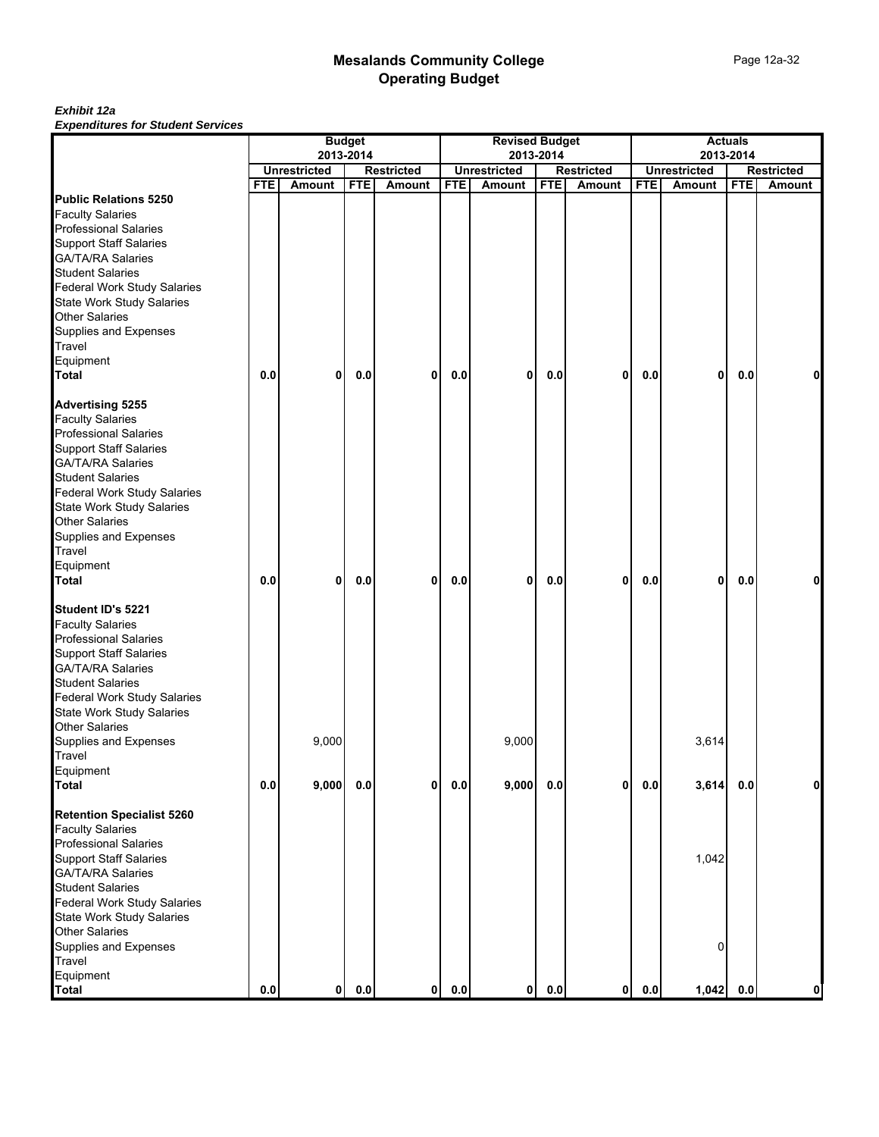|                                                         |            |                     | <b>Budget</b><br>2013-2014 |                   |            | <b>Revised Budget</b><br>2013-2014 |            |                   |            |                     | <b>Actuals</b><br>2013-2014 |                   |
|---------------------------------------------------------|------------|---------------------|----------------------------|-------------------|------------|------------------------------------|------------|-------------------|------------|---------------------|-----------------------------|-------------------|
|                                                         |            | <b>Unrestricted</b> |                            | <b>Restricted</b> |            | <b>Unrestricted</b>                |            | <b>Restricted</b> |            | <b>Unrestricted</b> |                             | <b>Restricted</b> |
|                                                         | <b>FTE</b> | Amount              | <b>FTE</b>                 | Amount            | <b>FTE</b> | Amount                             | <b>FTE</b> | Amount            | <b>FTE</b> | Amount              | <b>FTE</b>                  | <b>Amount</b>     |
| <b>Public Relations 5250</b>                            |            |                     |                            |                   |            |                                    |            |                   |            |                     |                             |                   |
| <b>Faculty Salaries</b>                                 |            |                     |                            |                   |            |                                    |            |                   |            |                     |                             |                   |
| <b>Professional Salaries</b>                            |            |                     |                            |                   |            |                                    |            |                   |            |                     |                             |                   |
| <b>Support Staff Salaries</b>                           |            |                     |                            |                   |            |                                    |            |                   |            |                     |                             |                   |
| GA/TA/RA Salaries                                       |            |                     |                            |                   |            |                                    |            |                   |            |                     |                             |                   |
| <b>Student Salaries</b>                                 |            |                     |                            |                   |            |                                    |            |                   |            |                     |                             |                   |
| <b>Federal Work Study Salaries</b>                      |            |                     |                            |                   |            |                                    |            |                   |            |                     |                             |                   |
| State Work Study Salaries                               |            |                     |                            |                   |            |                                    |            |                   |            |                     |                             |                   |
| <b>Other Salaries</b>                                   |            |                     |                            |                   |            |                                    |            |                   |            |                     |                             |                   |
| Supplies and Expenses                                   |            |                     |                            |                   |            |                                    |            |                   |            |                     |                             |                   |
| Travel                                                  |            |                     |                            |                   |            |                                    |            |                   |            |                     |                             |                   |
| Equipment                                               |            |                     |                            |                   |            |                                    |            |                   |            |                     |                             |                   |
| <b>Total</b>                                            | 0.0        | $\mathbf{0}$        | 0.0                        | 0                 | 0.0        | 0                                  | 0.0        | $\mathbf 0$       | 0.0        | 0                   | 0.0                         | n                 |
| <b>Advertising 5255</b>                                 |            |                     |                            |                   |            |                                    |            |                   |            |                     |                             |                   |
| <b>Faculty Salaries</b>                                 |            |                     |                            |                   |            |                                    |            |                   |            |                     |                             |                   |
| <b>Professional Salaries</b>                            |            |                     |                            |                   |            |                                    |            |                   |            |                     |                             |                   |
| <b>Support Staff Salaries</b>                           |            |                     |                            |                   |            |                                    |            |                   |            |                     |                             |                   |
| <b>GA/TA/RA Salaries</b>                                |            |                     |                            |                   |            |                                    |            |                   |            |                     |                             |                   |
| <b>Student Salaries</b>                                 |            |                     |                            |                   |            |                                    |            |                   |            |                     |                             |                   |
| <b>Federal Work Study Salaries</b>                      |            |                     |                            |                   |            |                                    |            |                   |            |                     |                             |                   |
| <b>State Work Study Salaries</b>                        |            |                     |                            |                   |            |                                    |            |                   |            |                     |                             |                   |
| Other Salaries                                          |            |                     |                            |                   |            |                                    |            |                   |            |                     |                             |                   |
| Supplies and Expenses                                   |            |                     |                            |                   |            |                                    |            |                   |            |                     |                             |                   |
| Travel                                                  |            |                     |                            |                   |            |                                    |            |                   |            |                     |                             |                   |
| Equipment                                               |            |                     |                            |                   |            |                                    |            |                   |            |                     |                             |                   |
| <b>Total</b>                                            | 0.0        | 0                   | 0.0                        | 0                 | 0.0        | 0                                  | 0.0        | 0                 | 0.0        | 0                   | 0.0                         | 0                 |
| Student ID's 5221                                       |            |                     |                            |                   |            |                                    |            |                   |            |                     |                             |                   |
| <b>Faculty Salaries</b>                                 |            |                     |                            |                   |            |                                    |            |                   |            |                     |                             |                   |
| <b>Professional Salaries</b>                            |            |                     |                            |                   |            |                                    |            |                   |            |                     |                             |                   |
| <b>Support Staff Salaries</b>                           |            |                     |                            |                   |            |                                    |            |                   |            |                     |                             |                   |
| <b>GA/TA/RA Salaries</b>                                |            |                     |                            |                   |            |                                    |            |                   |            |                     |                             |                   |
| <b>Student Salaries</b>                                 |            |                     |                            |                   |            |                                    |            |                   |            |                     |                             |                   |
| <b>Federal Work Study Salaries</b>                      |            |                     |                            |                   |            |                                    |            |                   |            |                     |                             |                   |
| <b>State Work Study Salaries</b>                        |            |                     |                            |                   |            |                                    |            |                   |            |                     |                             |                   |
| Other Salaries                                          |            |                     |                            |                   |            |                                    |            |                   |            |                     |                             |                   |
| Supplies and Expenses                                   |            | 9,000               |                            |                   |            | 9,000                              |            |                   |            | 3,614               |                             |                   |
| Travel                                                  |            |                     |                            |                   |            |                                    |            |                   |            |                     |                             |                   |
|                                                         |            |                     |                            |                   |            |                                    |            |                   |            |                     |                             |                   |
| Equipment<br><b>Total</b>                               | 0.0        | 9,000               | 0.0                        | 0                 | 0.0        | 9,000                              | $0.0\,$    | 0                 | 0.0        | 3,614               | 0.0                         | 0                 |
|                                                         |            |                     |                            |                   |            |                                    |            |                   |            |                     |                             |                   |
| <b>Retention Specialist 5260</b>                        |            |                     |                            |                   |            |                                    |            |                   |            |                     |                             |                   |
| <b>Faculty Salaries</b><br><b>Professional Salaries</b> |            |                     |                            |                   |            |                                    |            |                   |            |                     |                             |                   |
|                                                         |            |                     |                            |                   |            |                                    |            |                   |            |                     |                             |                   |
| <b>Support Staff Salaries</b>                           |            |                     |                            |                   |            |                                    |            |                   |            | 1,042               |                             |                   |
| <b>GA/TA/RA Salaries</b>                                |            |                     |                            |                   |            |                                    |            |                   |            |                     |                             |                   |
| <b>Student Salaries</b>                                 |            |                     |                            |                   |            |                                    |            |                   |            |                     |                             |                   |
| Federal Work Study Salaries                             |            |                     |                            |                   |            |                                    |            |                   |            |                     |                             |                   |
| <b>State Work Study Salaries</b>                        |            |                     |                            |                   |            |                                    |            |                   |            |                     |                             |                   |
| <b>Other Salaries</b>                                   |            |                     |                            |                   |            |                                    |            |                   |            |                     |                             |                   |
| Supplies and Expenses                                   |            |                     |                            |                   |            |                                    |            |                   |            | 0                   |                             |                   |
| Travel                                                  |            |                     |                            |                   |            |                                    |            |                   |            |                     |                             |                   |
| Equipment                                               |            |                     |                            |                   |            |                                    |            |                   |            |                     |                             |                   |
| <b>Total</b>                                            | $0.0\,$    | 0                   | 0.0                        | $\mathbf{0}$      | 0.0        | 0                                  | 0.0        | $\mathbf{0}$      | 0.0        | 1,042               | 0.0                         | 0                 |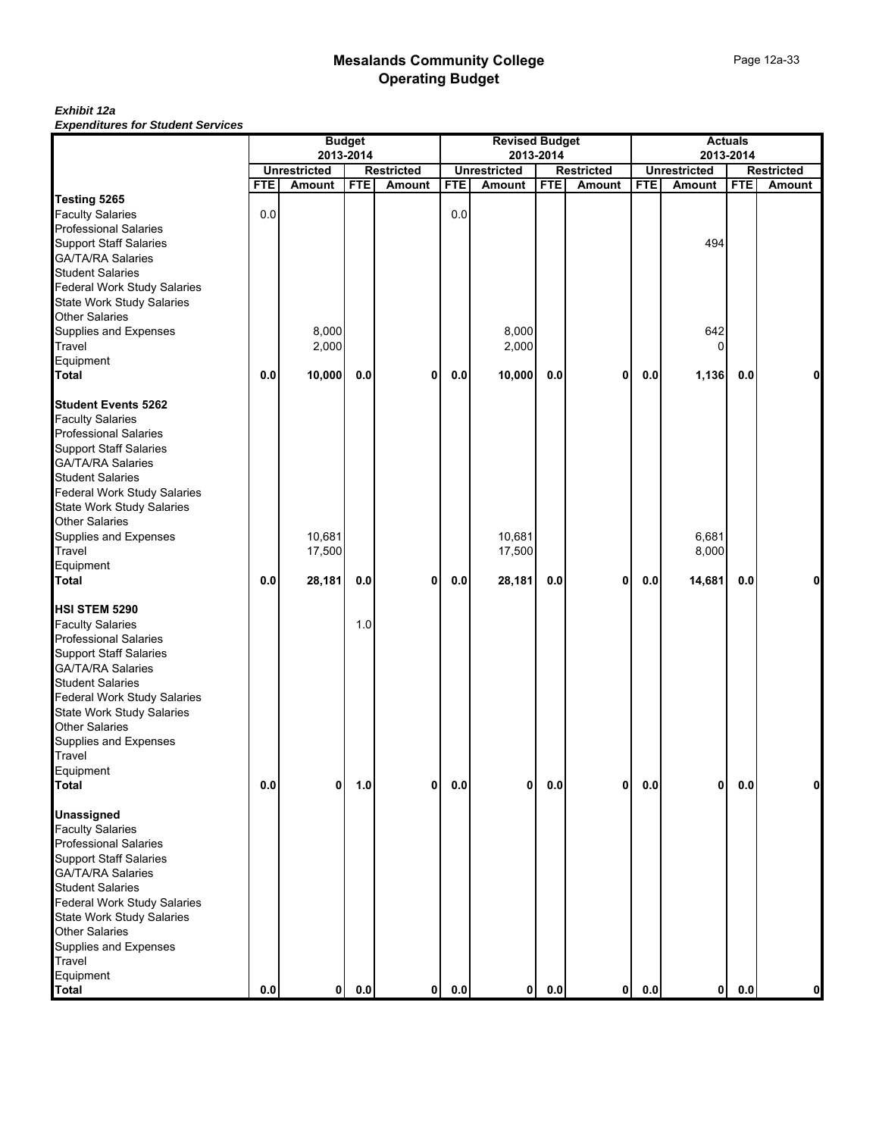| Experience for Stadent Services    | <b>Budget</b><br>2013-2014 |                     |            |                   |            | <b>Revised Budget</b>            |            |                   | <b>Actuals</b><br>2013-2014 |                     |            |                   |  |
|------------------------------------|----------------------------|---------------------|------------|-------------------|------------|----------------------------------|------------|-------------------|-----------------------------|---------------------|------------|-------------------|--|
|                                    |                            | <b>Unrestricted</b> |            | <b>Restricted</b> |            | 2013-2014<br><b>Unrestricted</b> |            | <b>Restricted</b> |                             | <b>Unrestricted</b> |            | <b>Restricted</b> |  |
|                                    | <b>FTE</b>                 | Amount              | <b>FTE</b> | Amount            | <b>FTE</b> | Amount                           | <b>FTE</b> | Amount            | <b>FTE</b>                  | Amount              | <b>FTE</b> | Amount            |  |
| Testing 5265                       |                            |                     |            |                   |            |                                  |            |                   |                             |                     |            |                   |  |
| <b>Faculty Salaries</b>            | 0.0                        |                     |            |                   | 0.0        |                                  |            |                   |                             |                     |            |                   |  |
| <b>Professional Salaries</b>       |                            |                     |            |                   |            |                                  |            |                   |                             |                     |            |                   |  |
| <b>Support Staff Salaries</b>      |                            |                     |            |                   |            |                                  |            |                   |                             | 494                 |            |                   |  |
| <b>GA/TA/RA Salaries</b>           |                            |                     |            |                   |            |                                  |            |                   |                             |                     |            |                   |  |
| <b>Student Salaries</b>            |                            |                     |            |                   |            |                                  |            |                   |                             |                     |            |                   |  |
| <b>Federal Work Study Salaries</b> |                            |                     |            |                   |            |                                  |            |                   |                             |                     |            |                   |  |
| State Work Study Salaries          |                            |                     |            |                   |            |                                  |            |                   |                             |                     |            |                   |  |
| <b>Other Salaries</b>              |                            |                     |            |                   |            |                                  |            |                   |                             |                     |            |                   |  |
| Supplies and Expenses              |                            | 8,000               |            |                   |            | 8,000                            |            |                   |                             | 642                 |            |                   |  |
| Travel                             |                            | 2,000               |            |                   |            | 2,000                            |            |                   |                             |                     |            |                   |  |
| Equipment                          |                            |                     |            |                   |            |                                  |            |                   |                             |                     |            |                   |  |
| <b>Total</b>                       | 0.0                        |                     | 0.0        |                   | 0.0        |                                  |            |                   |                             |                     | 0.0        |                   |  |
|                                    |                            | 10,000              |            | 0                 |            | 10,000                           | 0.0        | $\mathbf 0$       | 0.0                         | 1,136               |            | 0                 |  |
| <b>Student Events 5262</b>         |                            |                     |            |                   |            |                                  |            |                   |                             |                     |            |                   |  |
| <b>Faculty Salaries</b>            |                            |                     |            |                   |            |                                  |            |                   |                             |                     |            |                   |  |
| <b>Professional Salaries</b>       |                            |                     |            |                   |            |                                  |            |                   |                             |                     |            |                   |  |
| <b>Support Staff Salaries</b>      |                            |                     |            |                   |            |                                  |            |                   |                             |                     |            |                   |  |
| <b>GA/TA/RA Salaries</b>           |                            |                     |            |                   |            |                                  |            |                   |                             |                     |            |                   |  |
| <b>Student Salaries</b>            |                            |                     |            |                   |            |                                  |            |                   |                             |                     |            |                   |  |
| <b>Federal Work Study Salaries</b> |                            |                     |            |                   |            |                                  |            |                   |                             |                     |            |                   |  |
| <b>State Work Study Salaries</b>   |                            |                     |            |                   |            |                                  |            |                   |                             |                     |            |                   |  |
| <b>Other Salaries</b>              |                            |                     |            |                   |            |                                  |            |                   |                             |                     |            |                   |  |
| Supplies and Expenses              |                            | 10,681              |            |                   |            | 10,681                           |            |                   |                             | 6,681               |            |                   |  |
| Travel                             |                            | 17,500              |            |                   |            | 17,500                           |            |                   |                             | 8,000               |            |                   |  |
| Equipment                          |                            |                     |            |                   |            |                                  |            |                   |                             |                     |            |                   |  |
| <b>Total</b>                       | 0.0                        | 28,181              | $0.0\,$    | 0                 | 0.0        | 28,181                           | 0.0        | 0                 | 0.0                         | 14,681              | 0.0        | 0                 |  |
|                                    |                            |                     |            |                   |            |                                  |            |                   |                             |                     |            |                   |  |
| HSI STEM 5290                      |                            |                     |            |                   |            |                                  |            |                   |                             |                     |            |                   |  |
| <b>Faculty Salaries</b>            |                            |                     | 1.0        |                   |            |                                  |            |                   |                             |                     |            |                   |  |
| <b>Professional Salaries</b>       |                            |                     |            |                   |            |                                  |            |                   |                             |                     |            |                   |  |
| <b>Support Staff Salaries</b>      |                            |                     |            |                   |            |                                  |            |                   |                             |                     |            |                   |  |
| <b>GA/TA/RA Salaries</b>           |                            |                     |            |                   |            |                                  |            |                   |                             |                     |            |                   |  |
| <b>Student Salaries</b>            |                            |                     |            |                   |            |                                  |            |                   |                             |                     |            |                   |  |
| Federal Work Study Salaries        |                            |                     |            |                   |            |                                  |            |                   |                             |                     |            |                   |  |
| <b>State Work Study Salaries</b>   |                            |                     |            |                   |            |                                  |            |                   |                             |                     |            |                   |  |
| <b>Other Salaries</b>              |                            |                     |            |                   |            |                                  |            |                   |                             |                     |            |                   |  |
| Supplies and Expenses              |                            |                     |            |                   |            |                                  |            |                   |                             |                     |            |                   |  |
| Travel                             |                            |                     |            |                   |            |                                  |            |                   |                             |                     |            |                   |  |
| Equipment                          |                            |                     |            |                   |            |                                  |            |                   |                             |                     |            |                   |  |
| <b>Total</b>                       | 0.0                        | 0                   | 1.0        | 0                 | 0.0        | 0                                | $0.0\,$    | $\mathbf 0$       | $0.0\,$                     | 0                   | $0.0\,$    | 0                 |  |
|                                    |                            |                     |            |                   |            |                                  |            |                   |                             |                     |            |                   |  |
| <b>Unassigned</b>                  |                            |                     |            |                   |            |                                  |            |                   |                             |                     |            |                   |  |
| <b>Faculty Salaries</b>            |                            |                     |            |                   |            |                                  |            |                   |                             |                     |            |                   |  |
| <b>Professional Salaries</b>       |                            |                     |            |                   |            |                                  |            |                   |                             |                     |            |                   |  |
| <b>Support Staff Salaries</b>      |                            |                     |            |                   |            |                                  |            |                   |                             |                     |            |                   |  |
| <b>GA/TA/RA Salaries</b>           |                            |                     |            |                   |            |                                  |            |                   |                             |                     |            |                   |  |
| <b>Student Salaries</b>            |                            |                     |            |                   |            |                                  |            |                   |                             |                     |            |                   |  |
| <b>Federal Work Study Salaries</b> |                            |                     |            |                   |            |                                  |            |                   |                             |                     |            |                   |  |
| <b>State Work Study Salaries</b>   |                            |                     |            |                   |            |                                  |            |                   |                             |                     |            |                   |  |
| <b>Other Salaries</b>              |                            |                     |            |                   |            |                                  |            |                   |                             |                     |            |                   |  |
| Supplies and Expenses              |                            |                     |            |                   |            |                                  |            |                   |                             |                     |            |                   |  |
| Travel                             |                            |                     |            |                   |            |                                  |            |                   |                             |                     |            |                   |  |
| Equipment                          |                            |                     |            |                   |            |                                  |            |                   |                             |                     |            |                   |  |
| <b>Total</b>                       | $0.0\,$                    | $\mathbf{0}$        | $0.0\,$    | 0                 | 0.0        | $\mathbf{0}$                     | 0.0        | $\mathbf{0}$      | 0.0                         | 0                   | 0.0        | 0                 |  |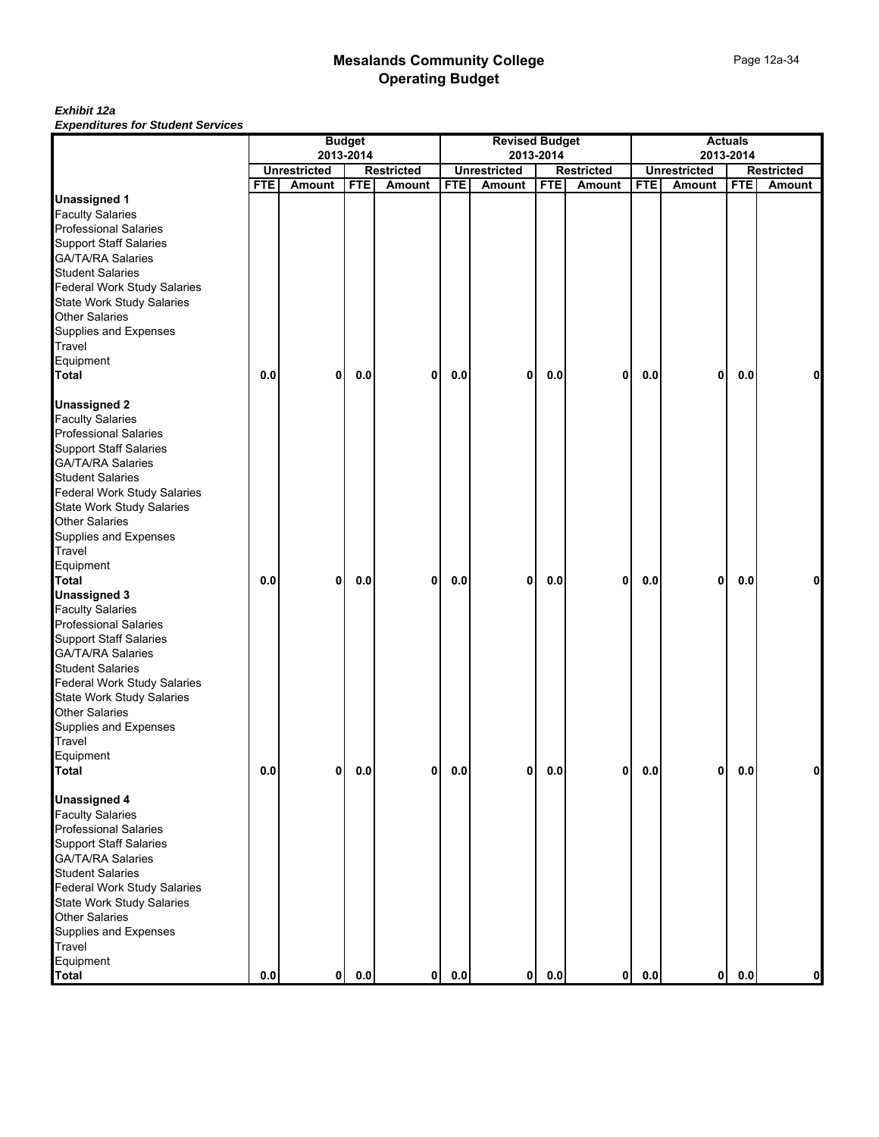| Experience for Gaudin Services     |            |                     | <b>Budget</b> |                   |            | <b>Revised Budget</b> |            |                   |            |                     | <b>Actuals</b> |                   |
|------------------------------------|------------|---------------------|---------------|-------------------|------------|-----------------------|------------|-------------------|------------|---------------------|----------------|-------------------|
|                                    |            |                     | 2013-2014     |                   |            |                       | 2013-2014  |                   |            |                     | 2013-2014      |                   |
|                                    |            | <b>Unrestricted</b> |               | <b>Restricted</b> |            | <b>Unrestricted</b>   |            | <b>Restricted</b> |            | <b>Unrestricted</b> |                | <b>Restricted</b> |
|                                    | <b>FTE</b> | Amount              | <b>FTE</b>    | Amount            | <b>FTE</b> | Amount                | <b>FTE</b> | Amount            | <b>FTE</b> | Amount              | <b>FTE</b>     | Amount            |
| <b>Unassigned 1</b>                |            |                     |               |                   |            |                       |            |                   |            |                     |                |                   |
| <b>Faculty Salaries</b>            |            |                     |               |                   |            |                       |            |                   |            |                     |                |                   |
| <b>Professional Salaries</b>       |            |                     |               |                   |            |                       |            |                   |            |                     |                |                   |
| <b>Support Staff Salaries</b>      |            |                     |               |                   |            |                       |            |                   |            |                     |                |                   |
| <b>GA/TA/RA Salaries</b>           |            |                     |               |                   |            |                       |            |                   |            |                     |                |                   |
| <b>Student Salaries</b>            |            |                     |               |                   |            |                       |            |                   |            |                     |                |                   |
| <b>Federal Work Study Salaries</b> |            |                     |               |                   |            |                       |            |                   |            |                     |                |                   |
| State Work Study Salaries          |            |                     |               |                   |            |                       |            |                   |            |                     |                |                   |
| <b>Other Salaries</b>              |            |                     |               |                   |            |                       |            |                   |            |                     |                |                   |
| Supplies and Expenses              |            |                     |               |                   |            |                       |            |                   |            |                     |                |                   |
| Travel                             |            |                     |               |                   |            |                       |            |                   |            |                     |                |                   |
| Equipment                          |            |                     |               |                   |            |                       |            |                   |            |                     |                |                   |
| <b>Total</b>                       | 0.0        | 0                   | 0.0           | 0                 | 0.0        | 0                     | 0.0        | 0                 | 0.0        | $\mathbf 0$         | 0.0            | 0                 |
|                                    |            |                     |               |                   |            |                       |            |                   |            |                     |                |                   |
| <b>Unassigned 2</b>                |            |                     |               |                   |            |                       |            |                   |            |                     |                |                   |
| <b>Faculty Salaries</b>            |            |                     |               |                   |            |                       |            |                   |            |                     |                |                   |
| <b>Professional Salaries</b>       |            |                     |               |                   |            |                       |            |                   |            |                     |                |                   |
| <b>Support Staff Salaries</b>      |            |                     |               |                   |            |                       |            |                   |            |                     |                |                   |
| <b>GA/TA/RA Salaries</b>           |            |                     |               |                   |            |                       |            |                   |            |                     |                |                   |
| <b>Student Salaries</b>            |            |                     |               |                   |            |                       |            |                   |            |                     |                |                   |
| <b>Federal Work Study Salaries</b> |            |                     |               |                   |            |                       |            |                   |            |                     |                |                   |
| State Work Study Salaries          |            |                     |               |                   |            |                       |            |                   |            |                     |                |                   |
| <b>Other Salaries</b>              |            |                     |               |                   |            |                       |            |                   |            |                     |                |                   |
| Supplies and Expenses              |            |                     |               |                   |            |                       |            |                   |            |                     |                |                   |
| Travel                             |            |                     |               |                   |            |                       |            |                   |            |                     |                |                   |
|                                    |            |                     |               |                   |            |                       |            |                   |            |                     |                |                   |
| Equipment<br><b>Total</b>          | 0.0        |                     | 0.0           |                   |            |                       |            |                   |            | 0                   | 0.0            |                   |
|                                    |            | 0                   |               | 0                 | 0.0        | 0                     | 0.0        | 0                 | 0.0        |                     |                | 0                 |
| <b>Unassigned 3</b>                |            |                     |               |                   |            |                       |            |                   |            |                     |                |                   |
| <b>Faculty Salaries</b>            |            |                     |               |                   |            |                       |            |                   |            |                     |                |                   |
| <b>Professional Salaries</b>       |            |                     |               |                   |            |                       |            |                   |            |                     |                |                   |
| <b>Support Staff Salaries</b>      |            |                     |               |                   |            |                       |            |                   |            |                     |                |                   |
| <b>GA/TA/RA Salaries</b>           |            |                     |               |                   |            |                       |            |                   |            |                     |                |                   |
| <b>Student Salaries</b>            |            |                     |               |                   |            |                       |            |                   |            |                     |                |                   |
| <b>Federal Work Study Salaries</b> |            |                     |               |                   |            |                       |            |                   |            |                     |                |                   |
| <b>State Work Study Salaries</b>   |            |                     |               |                   |            |                       |            |                   |            |                     |                |                   |
| <b>Other Salaries</b>              |            |                     |               |                   |            |                       |            |                   |            |                     |                |                   |
| Supplies and Expenses              |            |                     |               |                   |            |                       |            |                   |            |                     |                |                   |
| Travel                             |            |                     |               |                   |            |                       |            |                   |            |                     |                |                   |
| Equipment                          |            |                     |               |                   |            |                       |            |                   |            |                     |                |                   |
| Total                              | 0.0        | ΩI                  | 0.0           | 0                 | 0.0        | ΟI                    | 0.0        | ΩI                | 0.0        | 0                   | 0.0            |                   |
|                                    |            |                     |               |                   |            |                       |            |                   |            |                     |                |                   |
| <b>Unassigned 4</b>                |            |                     |               |                   |            |                       |            |                   |            |                     |                |                   |
| <b>Faculty Salaries</b>            |            |                     |               |                   |            |                       |            |                   |            |                     |                |                   |
| <b>Professional Salaries</b>       |            |                     |               |                   |            |                       |            |                   |            |                     |                |                   |
| <b>Support Staff Salaries</b>      |            |                     |               |                   |            |                       |            |                   |            |                     |                |                   |
| <b>GA/TA/RA Salaries</b>           |            |                     |               |                   |            |                       |            |                   |            |                     |                |                   |
| <b>Student Salaries</b>            |            |                     |               |                   |            |                       |            |                   |            |                     |                |                   |
| <b>Federal Work Study Salaries</b> |            |                     |               |                   |            |                       |            |                   |            |                     |                |                   |
| <b>State Work Study Salaries</b>   |            |                     |               |                   |            |                       |            |                   |            |                     |                |                   |
| <b>Other Salaries</b>              |            |                     |               |                   |            |                       |            |                   |            |                     |                |                   |
| Supplies and Expenses              |            |                     |               |                   |            |                       |            |                   |            |                     |                |                   |
| Travel                             |            |                     |               |                   |            |                       |            |                   |            |                     |                |                   |
| Equipment                          |            |                     |               |                   |            |                       |            |                   |            |                     |                |                   |
| <b>Total</b>                       | $0.0\,$    | $\mathbf{0}$        | 0.0           | 0                 | $0.0\,$    | $\mathbf{0}$          | 0.0        | 0                 | 0.0        | 0                   | 0.0            | 0                 |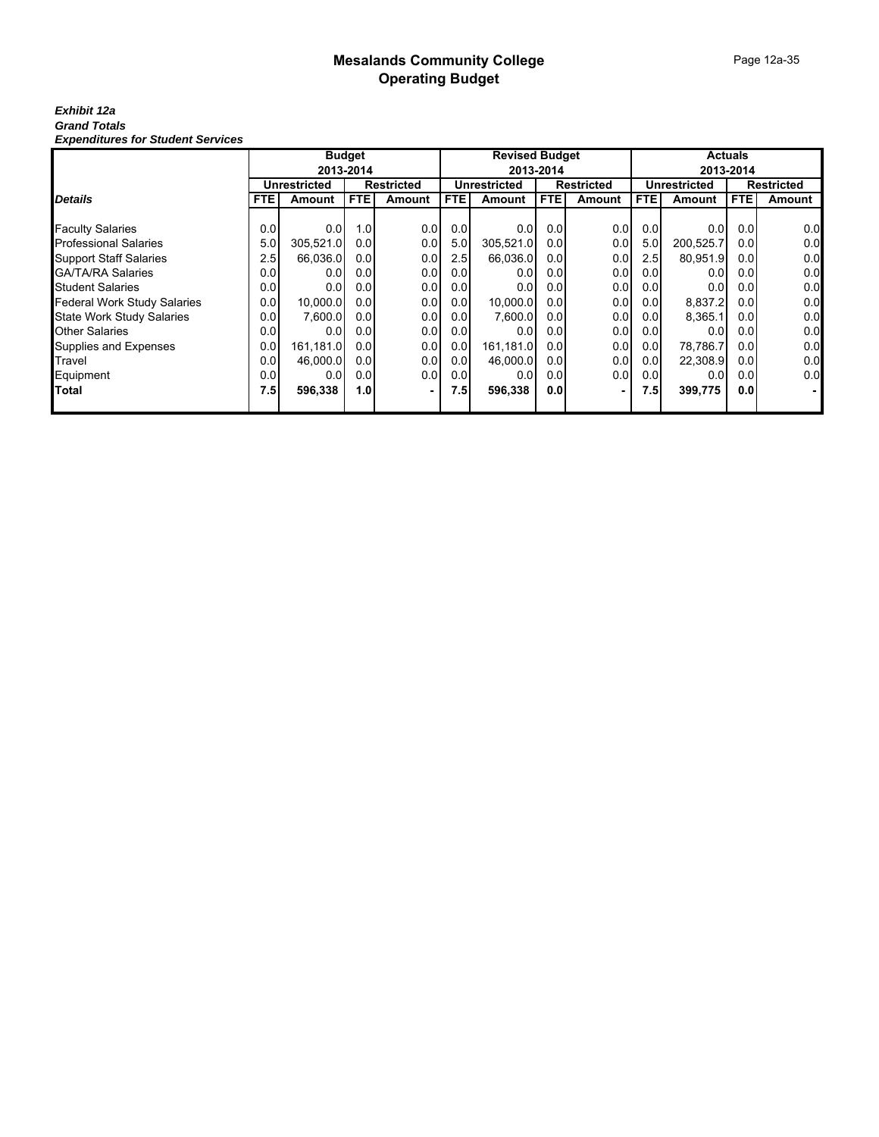## Page 12a-35

#### *Exhibit 12a Grand Totals Expenditures for Student Services*

|                                    |            |                                          | <b>Budget</b>    |        |      | <b>Revised Budget</b> |           |                   | <b>Actuals</b>   |              |                   |               |
|------------------------------------|------------|------------------------------------------|------------------|--------|------|-----------------------|-----------|-------------------|------------------|--------------|-------------------|---------------|
|                                    | 2013-2014  |                                          |                  |        |      |                       | 2013-2014 |                   |                  |              | 2013-2014         |               |
|                                    |            | <b>Unrestricted</b><br><b>Restricted</b> |                  |        |      | <b>Unrestricted</b>   |           | <b>Restricted</b> |                  | Unrestricted | <b>Restricted</b> |               |
| <b>Details</b>                     | <b>FTE</b> | Amount                                   | FTE              | Amount | FTE. | Amount                | FTE       | <b>Amount</b>     | FTE.             | Amount       | <b>FTE</b>        | <b>Amount</b> |
|                                    |            |                                          |                  |        |      |                       |           |                   |                  |              |                   |               |
| <b>Faculty Salaries</b>            | 0.0        | 0.0                                      | 1.0              | 0.0    | 0.0  | 0.0                   | 0.01      | 0.0               | 0.0              | 0.0          | 0.01              | 0.0           |
| <b>Professional Salaries</b>       | 5.0        | 305,521.0                                | 0.01             | 0.0    | 5.0  | 305,521.0             | 0.01      | 0.01              | 5.0              | 200.525.7    | 0.01              | 0.0           |
| <b>Support Staff Salaries</b>      | 2.5        | 66,036.0                                 | 0.0 <sub>l</sub> | 0.0    | 2.5  | 66.036.0              | 0.01      | 0.01              | 2.5              | 80.951.9     | 0.01              | 0.0           |
| <b>GA/TA/RA Salaries</b>           | 0.0        | 0.0                                      | 0.0 <sub>l</sub> | 0.0    | 0.0  | 0.0                   | 0.01      | 0.0               | 0.0 <sub>l</sub> | 0.0          | 0.01              | 0.0           |
| <b>Student Salaries</b>            | 0.0        | 0.01                                     | 0.0              | 0.0    | 0.0  | 0.0                   | 0.01      | 0.0               | 0.0              | 0.0          | 0.01              | 0.0           |
| <b>Federal Work Study Salaries</b> | 0.0        | 10,000.0                                 | 0.0              | 0.0    | 0.0  | 10,000.0              | 0.01      | 0.0               | 0.0              | 8,837.2      | 0.01              | 0.0           |
| <b>State Work Study Salaries</b>   | 0.0        | 7,600.0                                  | 0.0              | 0.0    | 0.0  | 7,600.0               | 0.01      | 0.0               | 0.0              | 8,365.1      | 0.01              | 0.0           |
| <b>Other Salaries</b>              | 0.0        | 0.0                                      | 0.0 <sub>l</sub> | 0.0    | 0.0  | 0.0                   | 0.01      | 0.0               | 0.0              | 0.0          | 0.01              | 0.0           |
| Supplies and Expenses              | 0.0        | 161,181.0                                | 0.0 <sub>l</sub> | 0.0    | 0.0  | 161,181.0             | 0.01      | 0.0               | 0.0              | 78,786.7     | 0.01              | 0.0           |
| Travel                             | 0.0        | 46.000.0                                 | 0.0 <sub>l</sub> | 0.0    | 0.0  | 46.000.0              | 0.01      | 0.0               | 0.0              | 22,308.9     | 0.01              | 0.0           |
| Equipment                          | 0.0        | 0.0                                      | 0.0 <sub>l</sub> | 0.0    | 0.0  | 0.0                   | 0.01      | 0.0               | 0.0              | 0.0          | 0.01              | 0.0           |
| <b>Total</b>                       | 7.5        | 596,338                                  | 1.0              |        | 7.5  | 596,338               | 0.0       |                   | 7.5              | 399,775      | 0.01              |               |
|                                    |            |                                          |                  |        |      |                       |           |                   |                  |              |                   |               |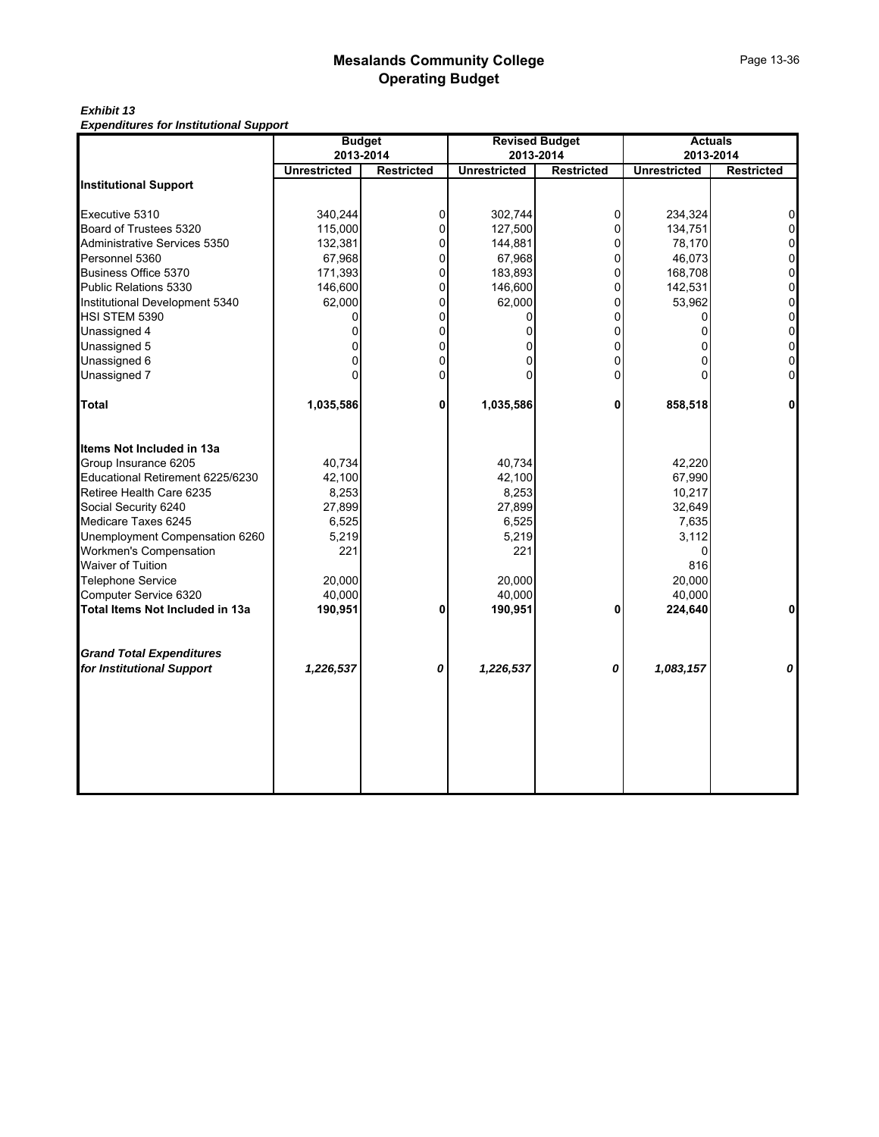#### *Exhibit 13 Expenditures for Institutional Support*

|                                  | <b>Budget</b><br>2013-2014 |                   |                                  | <b>Revised Budget</b> | <b>Actuals</b>      |                                |
|----------------------------------|----------------------------|-------------------|----------------------------------|-----------------------|---------------------|--------------------------------|
|                                  | <b>Unrestricted</b>        | <b>Restricted</b> | 2013-2014<br><b>Unrestricted</b> | <b>Restricted</b>     | <b>Unrestricted</b> | 2013-2014<br><b>Restricted</b> |
| <b>Institutional Support</b>     |                            |                   |                                  |                       |                     |                                |
|                                  |                            |                   |                                  |                       |                     |                                |
| Executive 5310                   | 340,244                    | 0                 | 302,744                          | $\Omega$              | 234,324             |                                |
| Board of Trustees 5320           | 115,000                    |                   | 127,500                          | $\Omega$              | 134,751             |                                |
| Administrative Services 5350     | 132,381                    | 0                 | 144,881                          | $\overline{0}$        | 78,170              | $\overline{0}$                 |
| Personnel 5360                   | 67,968                     | 0                 | 67,968                           | $\Omega$              | 46,073              | 0                              |
| Business Office 5370             | 171,393                    | 0                 | 183,893                          | $\Omega$              | 168,708             | 0                              |
| Public Relations 5330            | 146,600                    | 0                 | 146,600                          | $\overline{0}$        | 142,531             | 0                              |
| Institutional Development 5340   | 62,000                     | 0                 | 62,000                           | $\overline{0}$        | 53,962              | 0                              |
| HSI STEM 5390                    |                            | 0                 |                                  | $\Omega$              |                     | $\mathbf 0$                    |
| Unassigned 4                     | 0                          | 0                 | 0                                | $\overline{0}$        |                     | 0                              |
| Unassigned 5                     | O                          | 0                 |                                  | $\Omega$              |                     | 0                              |
| Unassigned 6                     | 0                          | 0                 | U                                | $\Omega$              | U                   | 0                              |
| Unassigned 7                     | $\Omega$                   | 0                 |                                  | 0                     |                     | 0                              |
| <b>Total</b>                     | 1,035,586                  | 0                 | 1,035,586                        | 0                     | 858,518             | 0                              |
| Items Not Included in 13a        |                            |                   |                                  |                       |                     |                                |
| Group Insurance 6205             | 40,734                     |                   | 40,734                           |                       | 42,220              |                                |
| Educational Retirement 6225/6230 | 42,100                     |                   | 42,100                           |                       | 67,990              |                                |
| Retiree Health Care 6235         | 8,253                      |                   | 8,253                            |                       | 10,217              |                                |
| Social Security 6240             | 27,899                     |                   | 27,899                           |                       | 32,649              |                                |
| Medicare Taxes 6245              | 6,525                      |                   | 6,525                            |                       | 7,635               |                                |
| Unemployment Compensation 6260   | 5,219                      |                   | 5,219                            |                       | 3,112               |                                |
| Workmen's Compensation           | 221                        |                   | 221                              |                       | 0                   |                                |
| Waiver of Tuition                |                            |                   |                                  |                       | 816                 |                                |
| Telephone Service                | 20,000                     |                   | 20,000                           |                       | 20,000              |                                |
| Computer Service 6320            | 40,000                     |                   | 40,000                           |                       | 40,000              |                                |
| Total Items Not Included in 13a  | 190,951                    | 0                 | 190,951                          | 0                     | 224,640             | 0                              |
| <b>Grand Total Expenditures</b>  |                            |                   |                                  |                       |                     |                                |
| for Institutional Support        | 1,226,537                  | 0                 | 1,226,537                        | 0                     | 1,083,157           | 0                              |
|                                  |                            |                   |                                  |                       |                     |                                |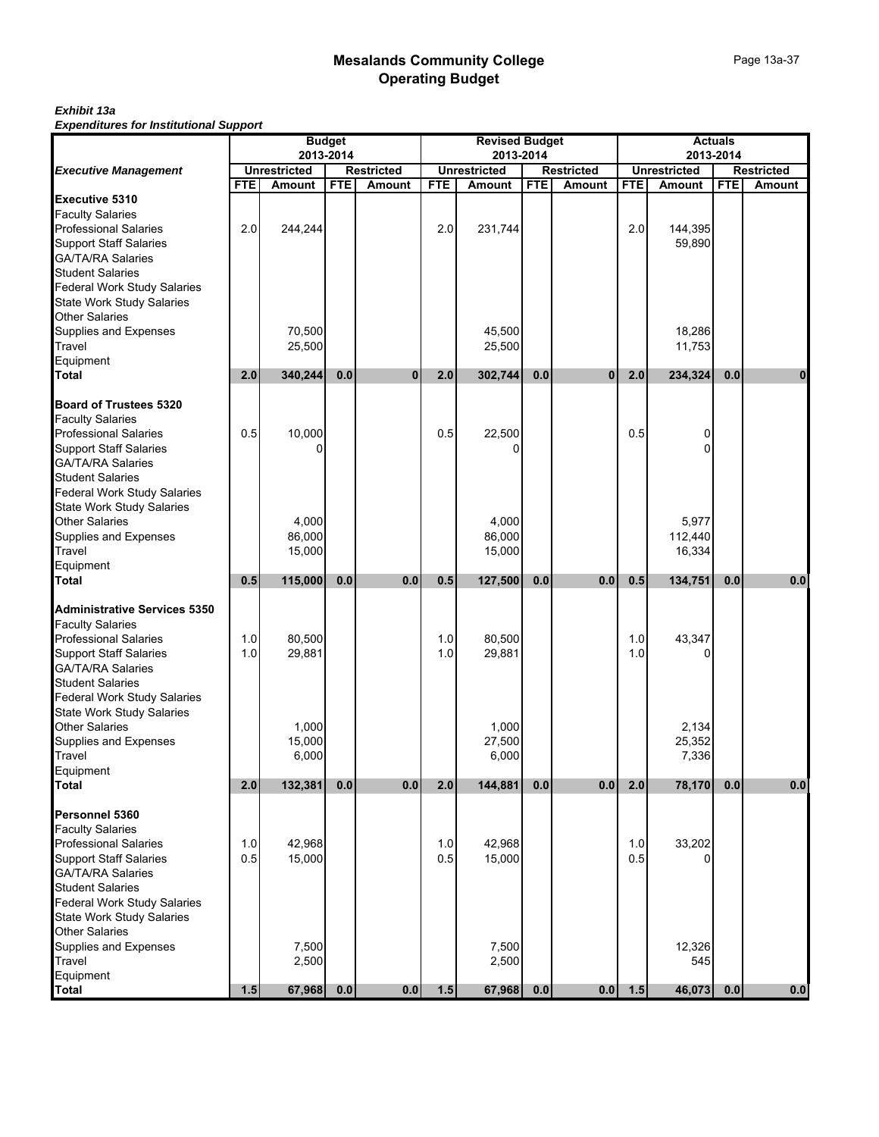#### *Exhibit 13a Expenditures for Institutional Support*

|                                                                                                                                                                                                                                             | <b>Budget</b><br>2013-2014 |                             |                   |              | <b>Revised Budget</b><br>2013-2014 |                             |                   |               | <b>Actuals</b><br>2013-2014 |                             |            |                   |  |
|---------------------------------------------------------------------------------------------------------------------------------------------------------------------------------------------------------------------------------------------|----------------------------|-----------------------------|-------------------|--------------|------------------------------------|-----------------------------|-------------------|---------------|-----------------------------|-----------------------------|------------|-------------------|--|
| <b>Executive Management</b>                                                                                                                                                                                                                 | <b>Unrestricted</b>        |                             | <b>Restricted</b> |              | <b>Unrestricted</b>                |                             | <b>Restricted</b> |               | <b>Unrestricted</b>         |                             |            | <b>Restricted</b> |  |
|                                                                                                                                                                                                                                             | <b>FTE</b>                 | Amount                      | <b>FTE</b>        | Amount       | <b>FTE</b>                         | Amount                      | <b>FTE</b>        | <b>Amount</b> | <b>FTE</b>                  | Amount                      | <b>FTE</b> | Amount            |  |
| <b>Executive 5310</b><br><b>Faculty Salaries</b><br><b>Professional Salaries<br/>Support Staff Salaries</b><br>GA/TA/RA Salaries<br><b>Student Salaries</b>                                                                                 | 2.0                        | 244,244                     |                   |              | 2.0                                | 231,744                     |                   |               | 2.0                         | 144,395<br>59,890           |            |                   |  |
| Federal Work Study Salaries<br>State Work Study Salaries<br><b>Other Salaries</b><br>Supplies and Expenses<br>Travel<br>Equipment<br><b>Total</b>                                                                                           | 2.0                        | 70,500<br>25,500<br>340,244 | 0.0               | $\mathbf{0}$ | 2.0                                | 45,500<br>25,500<br>302,744 | 0.0               | $\mathbf{0}$  | 2.0                         | 18,286<br>11,753<br>234,324 | 0.0        | $\mathbf{0}$      |  |
| <b>Board of Trustees 5320</b>                                                                                                                                                                                                               |                            |                             |                   |              |                                    |                             |                   |               |                             |                             |            |                   |  |
| <b>Faculty Salaries</b><br><b>Professional Salaries</b><br><b>Support Staff Salaries</b><br>GA/TA/RA Salaries<br><b>Student Salaries</b><br>Federal Work Study Salaries                                                                     | 0.5                        | 10,000                      |                   |              | 0.5                                | 22,500                      |                   |               | 0.5                         | 0<br>0                      |            |                   |  |
| <b>State Work Study Salaries</b><br><b>Other Salaries</b><br>Supplies and Expenses<br>Travel<br>Equipment                                                                                                                                   |                            | 4,000<br>86,000<br>15,000   |                   |              |                                    | 4,000<br>86,000<br>15,000   |                   |               |                             | 5,977<br>112.440<br>16,334  |            |                   |  |
| <b>Total</b>                                                                                                                                                                                                                                | 0.5                        | 115,000                     | 0.0               | 0.0          | 0.5                                | 127,500                     | 0.0               | 0.0           | 0.5                         | 134,751                     | 0.0        | 0.0               |  |
| <b>Administrative Services 5350</b><br><b>Faculty Salaries</b><br>Professional Salaries<br><b>Support Staff Salaries</b><br>GA/TA/RA Salaries<br><b>Student Salaries</b><br><b>Federal Work Study Salaries</b>                              | 1.0<br>1.0                 | 80,500<br>29,881            |                   |              | 1.0<br>1.0                         | 80,500<br>29,881            |                   |               | 1.0<br>1.0                  | 43,347                      |            |                   |  |
| <b>State Work Study Salaries</b><br><b>Other Salaries</b><br>Supplies and Expenses<br><b>Travel</b><br>Equipment                                                                                                                            |                            | 1,000<br>15,000<br>6,000    |                   |              |                                    | 1,000<br>27,500<br>6,000    |                   |               |                             | 2,134<br>25,352<br>7,336    |            |                   |  |
| <b>Total</b>                                                                                                                                                                                                                                | 2.0                        | 132,381                     | 0.0               | 0.0          | 2.0                                | 144,881                     | 0.0               | 0.0           | 2.0                         | 78,170                      | 0.0        | $0.0\,$           |  |
| Personnel 5360<br><b>Faculty Salaries</b><br><b>Professional Salaries</b><br><b>Support Staff Salaries</b><br><b>GA/TA/RA Salaries</b><br><b>Student Salaries</b><br><b>Federal Work Study Salaries</b><br><b>State Work Study Salaries</b> | 1.0<br>0.5                 | 42,968<br>15,000            |                   |              | 1.0<br>0.5                         | 42,968<br>15,000            |                   |               | 1.0<br>0.5                  | 33,202                      |            |                   |  |
| Other Salaries<br>Supplies and Expenses<br><b>Travel</b><br>Equipment<br><b>Total</b>                                                                                                                                                       | 1.5                        | 7,500<br>2,500<br>67,968    | 0.0               | 0.0          | 1.5                                | 7,500<br>2,500<br>67,968    | 0.0               | 0.0           | 1.5                         | 12,326<br>545<br>46,073     | 0.0        | 0.0               |  |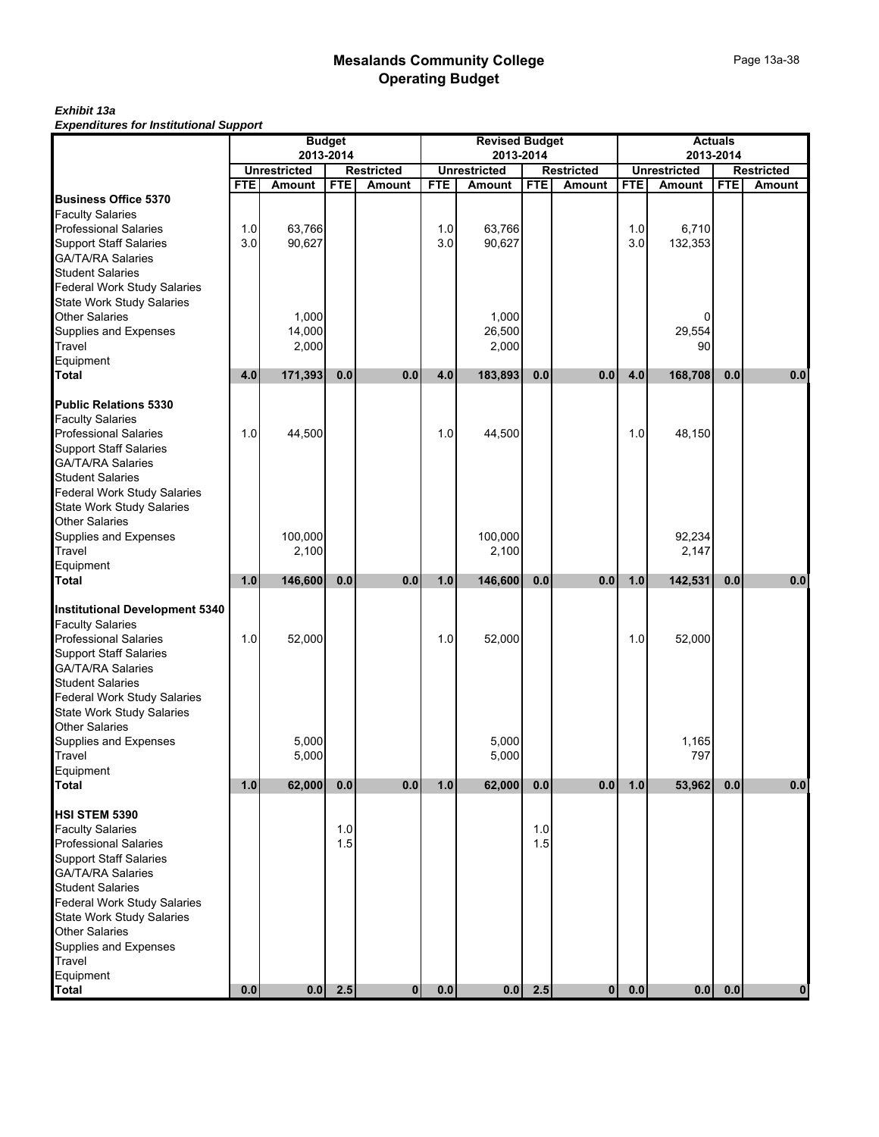# Page 13a-38

#### *Exhibit 13a Expenditures for Institutional Support*

|                                                                                                                                                                           |            |                                     | <b>Budget</b> |                   |            | <b>Revised Budget</b>            |            |                   |            |                                  | <b>Actuals</b> |                   |
|---------------------------------------------------------------------------------------------------------------------------------------------------------------------------|------------|-------------------------------------|---------------|-------------------|------------|----------------------------------|------------|-------------------|------------|----------------------------------|----------------|-------------------|
|                                                                                                                                                                           |            | <b>Unrestricted</b>                 | 2013-2014     | <b>Restricted</b> |            | 2013-2014<br><b>Unrestricted</b> |            | <b>Restricted</b> |            | 2013-2014<br><b>Unrestricted</b> |                | <b>Restricted</b> |
|                                                                                                                                                                           | <b>FTE</b> | Amount                              | <b>FTE</b>    | <b>Amount</b>     | <b>FTE</b> | <b>Amount</b>                    | <b>FTE</b> | Amount            | <b>FTE</b> | Amount                           | <b>FTE</b>     | Amount            |
| <b>Business Office 5370</b><br><b>Faculty Salaries</b><br><b>Professional Salaries</b><br><b>Support Staff Salaries</b>                                                   | 1.0<br>3.0 | 63,766<br>90,627                    |               |                   | 1.0<br>3.0 | 63,766<br>90,627                 |            |                   | 1.0<br>3.0 | 6,710<br>132,353                 |                |                   |
| GA/TA/RA Salaries<br><b>Student Salaries</b><br>Federal Work Study Salaries<br><b>State Work Study Salaries</b>                                                           |            |                                     |               |                   |            |                                  |            |                   |            |                                  |                |                   |
| <b>Other Salaries</b><br>Supplies and Expenses<br>Travel<br>Equipment<br><b>Total</b>                                                                                     | 4.0        | 1,000<br>14,000<br>2,000<br>171,393 | 0.0           | 0.0               | 4.0        | 1,000<br>26,500<br>2,000         | 0.0        | 0.0               | 4.0        | 0<br>29,554<br>90<br>168,708     | 0.0            | 0.0               |
|                                                                                                                                                                           |            |                                     |               |                   |            | 183,893                          |            |                   |            |                                  |                |                   |
| <b>Public Relations 5330</b><br><b>Faculty Salaries</b><br><b>Professional Salaries</b><br><b>Support Staff Salaries</b><br><b>GA/TA/RA Salaries</b>                      | 1.0        | 44,500                              |               |                   | 1.0        | 44,500                           |            |                   | 1.0        | 48,150                           |                |                   |
| <b>Student Salaries</b><br><b>Federal Work Study Salaries</b><br>State Work Study Salaries<br><b>Other Salaries</b>                                                       |            |                                     |               |                   |            |                                  |            |                   |            |                                  |                |                   |
| Supplies and Expenses<br>Travel                                                                                                                                           |            | 100.000<br>2,100                    |               |                   |            | 100,000<br>2,100                 |            |                   |            | 92,234<br>2,147                  |                |                   |
| Equipment                                                                                                                                                                 |            |                                     |               |                   |            |                                  |            |                   |            |                                  |                |                   |
| <b>Total</b>                                                                                                                                                              | 1.0        | 146,600                             | 0.0           | 0.0               | 1.0        | 146,600                          | 0.0        | 0.0               | 1.0        | 142,531                          | 0.0            | 0.0               |
| <b>Institutional Development 5340</b><br><b>Faculty Salaries</b><br><b>Professional Salaries</b><br><b>Support Staff Salaries</b><br><b>GA/TA/RA Salaries</b>             | 1.0        | 52,000                              |               |                   | 1.0        | 52,000                           |            |                   | 1.0        | 52,000                           |                |                   |
| <b>Student Salaries</b><br><b>Federal Work Study Salaries</b><br>State Work Study Salaries<br><b>Other Salaries</b>                                                       |            |                                     |               |                   |            |                                  |            |                   |            |                                  |                |                   |
| Supplies and Expenses<br>Travel<br>Equipment                                                                                                                              |            | 5,000<br>5,000                      |               |                   |            | 5,000<br>5,000                   |            |                   |            | 1,165<br>797                     |                |                   |
| <b>Total</b>                                                                                                                                                              | 1.0        | 62,000                              | 0.0           | 0.0               | 1.0        | 62,000                           | 0.0        | 0.0               | 1.0        | 53,962                           | 0.0            | 0.0               |
| <b>HSI STEM 5390</b><br><b>Faculty Salaries</b><br><b>Professional Salaries</b>                                                                                           |            |                                     | 1.0<br>1.5    |                   |            |                                  | 1.0<br>1.5 |                   |            |                                  |                |                   |
| <b>Support Staff Salaries</b><br><b>GA/TA/RA Salaries</b><br><b>Student Salaries</b><br>Federal Work Study Salaries<br>State Work Study Salaries<br><b>Other Salaries</b> |            |                                     |               |                   |            |                                  |            |                   |            |                                  |                |                   |
| Supplies and Expenses<br>Travel<br>Equipment<br>Total                                                                                                                     | 0.0        | 0.0                                 | 2.5           | $\mathbf{0}$      | 0.0        | 0.0                              | 2.5        | $\mathbf{0}$      | 0.0        | 0.0                              | 0.0            | $\mathbf{0}$      |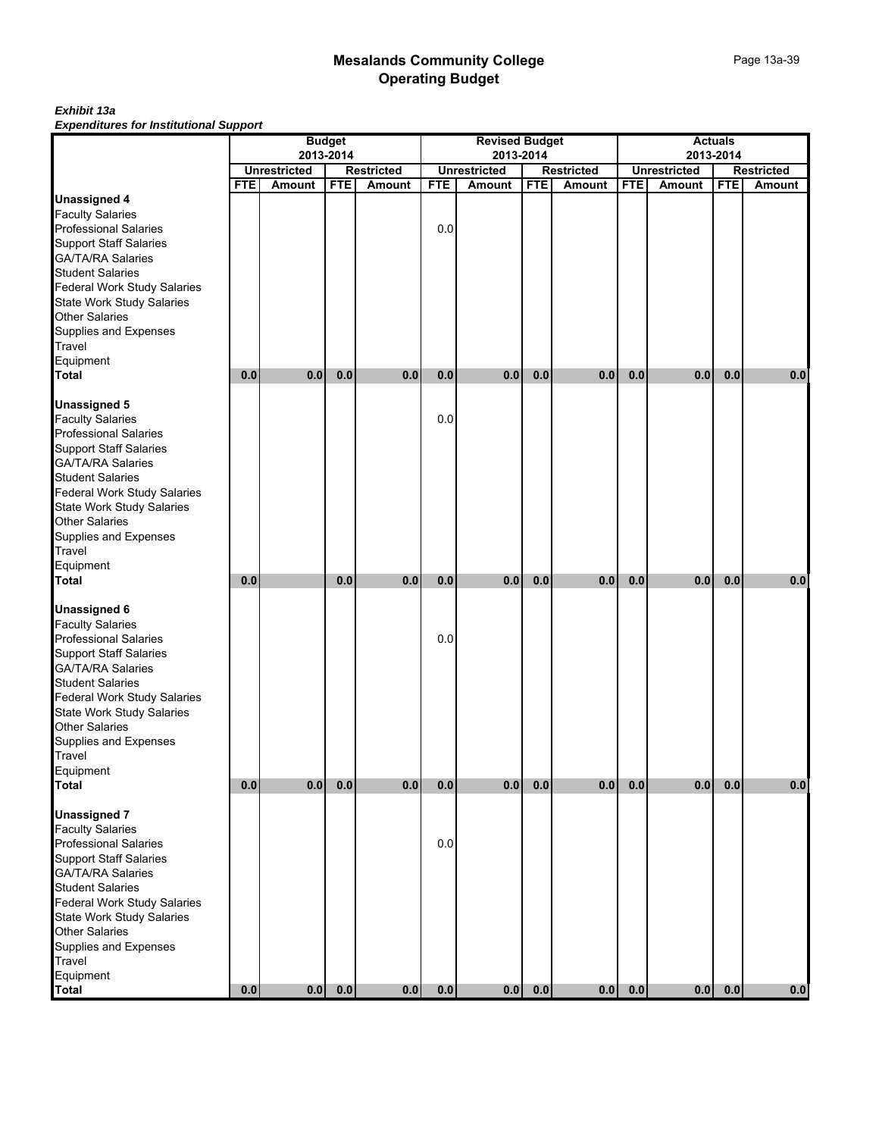#### *Exhibit 13a Expenditures for Institutional Support*

|                                                                              |                                                       |        | <b>Budget</b> |        |            | <b>Revised Budget</b> |            |                   |            |                     |            |                   |
|------------------------------------------------------------------------------|-------------------------------------------------------|--------|---------------|--------|------------|-----------------------|------------|-------------------|------------|---------------------|------------|-------------------|
|                                                                              | 2013-2014<br><b>Unrestricted</b><br><b>Restricted</b> |        |               |        |            | 2013-2014             |            |                   |            |                     | 2013-2014  |                   |
|                                                                              |                                                       |        |               |        |            | <b>Unrestricted</b>   |            | <b>Restricted</b> |            | <b>Unrestricted</b> |            | <b>Restricted</b> |
| <b>Unassigned 4</b>                                                          | <b>FTE</b>                                            | Amount | <b>FTE</b>    | Amount | <b>FTE</b> | Amount                | <b>FTE</b> | <b>Amount</b>     | <b>FTE</b> | Amount              | <b>FTE</b> | Amount            |
| <b>Faculty Salaries</b>                                                      |                                                       |        |               |        |            |                       |            |                   |            |                     |            |                   |
| <b>Professional Salaries</b>                                                 |                                                       |        |               |        | 0.0        |                       |            |                   |            |                     |            |                   |
|                                                                              |                                                       |        |               |        |            |                       |            |                   |            |                     |            |                   |
| Support Staff Salaries<br>GA/TA/RA Salaries                                  |                                                       |        |               |        |            |                       |            |                   |            |                     |            |                   |
| <b>Student Salaries</b>                                                      |                                                       |        |               |        |            |                       |            |                   |            |                     |            |                   |
|                                                                              |                                                       |        |               |        |            |                       |            |                   |            |                     |            |                   |
| Federal Work Study Salaries<br>State Work Study Salaries                     |                                                       |        |               |        |            |                       |            |                   |            |                     |            |                   |
| <b>Other Salaries</b>                                                        |                                                       |        |               |        |            |                       |            |                   |            |                     |            |                   |
|                                                                              |                                                       |        |               |        |            |                       |            |                   |            |                     |            |                   |
| Supplies and Expenses<br>Travel                                              |                                                       |        |               |        |            |                       |            |                   |            |                     |            |                   |
| Equipment                                                                    |                                                       |        |               |        |            |                       |            |                   |            |                     |            |                   |
| <b>Total</b>                                                                 | 0.0                                                   | 0.0    | 0.0           | 0.0    | 0.0        | 0.0                   | 0.0        | 0.0               | 0.0        | 0.0                 | 0.0        | 0.0               |
|                                                                              |                                                       |        |               |        |            |                       |            |                   |            |                     |            |                   |
| <b>Unassigned 5</b>                                                          |                                                       |        |               |        |            |                       |            |                   |            |                     |            |                   |
| <b>Faculty Salaries</b>                                                      |                                                       |        |               |        | 0.0        |                       |            |                   |            |                     |            |                   |
|                                                                              |                                                       |        |               |        |            |                       |            |                   |            |                     |            |                   |
| <b>Professional Salaries<br/>Support Staff Salaries</b>                      |                                                       |        |               |        |            |                       |            |                   |            |                     |            |                   |
| GA/TA/RA Salaries                                                            |                                                       |        |               |        |            |                       |            |                   |            |                     |            |                   |
|                                                                              |                                                       |        |               |        |            |                       |            |                   |            |                     |            |                   |
| Student Salaries<br>Federal Work Study Salaries<br>State Work Study Salaries |                                                       |        |               |        |            |                       |            |                   |            |                     |            |                   |
|                                                                              |                                                       |        |               |        |            |                       |            |                   |            |                     |            |                   |
| <b>Other Salaries</b>                                                        |                                                       |        |               |        |            |                       |            |                   |            |                     |            |                   |
| Supplies and Expenses<br>Travel                                              |                                                       |        |               |        |            |                       |            |                   |            |                     |            |                   |
|                                                                              |                                                       |        |               |        |            |                       |            |                   |            |                     |            |                   |
| Equipment                                                                    |                                                       |        |               |        |            |                       |            |                   |            |                     |            |                   |
| <b>Total</b>                                                                 | 0.0                                                   |        | 0.0           | 0.0    | 0.0        | 0.0                   | 0.0        | 0.0               | 0.0        | 0.0                 | 0.0        | 0.0               |
|                                                                              |                                                       |        |               |        |            |                       |            |                   |            |                     |            |                   |
| <b>Unassigned 6</b>                                                          |                                                       |        |               |        |            |                       |            |                   |            |                     |            |                   |
| <b>Faculty Salaries<br/>Professional Salaries</b>                            |                                                       |        |               |        |            |                       |            |                   |            |                     |            |                   |
|                                                                              |                                                       |        |               |        | 0.0        |                       |            |                   |            |                     |            |                   |
| <b>Support Staff Salaries</b>                                                |                                                       |        |               |        |            |                       |            |                   |            |                     |            |                   |
| GA/TA/RA Salaries                                                            |                                                       |        |               |        |            |                       |            |                   |            |                     |            |                   |
| Student Salaries<br>Federal Work Study Salaries                              |                                                       |        |               |        |            |                       |            |                   |            |                     |            |                   |
|                                                                              |                                                       |        |               |        |            |                       |            |                   |            |                     |            |                   |
| <b>State Work Study Salaries</b>                                             |                                                       |        |               |        |            |                       |            |                   |            |                     |            |                   |
| <b>Other Salaries</b>                                                        |                                                       |        |               |        |            |                       |            |                   |            |                     |            |                   |
| Supplies and Expenses<br>Travel                                              |                                                       |        |               |        |            |                       |            |                   |            |                     |            |                   |
| Equipment                                                                    |                                                       |        |               |        |            |                       |            |                   |            |                     |            |                   |
| Total                                                                        | $0.0\,$                                               | 0.0    | 0.0           | 0.0    | 0.0        | 0.0                   | $0.0\,$    | 0.0               | 0.0        | 0.0                 | $0.0\,$    | $0.0\,$           |
|                                                                              |                                                       |        |               |        |            |                       |            |                   |            |                     |            |                   |
| <b>Unassigned 7</b>                                                          |                                                       |        |               |        |            |                       |            |                   |            |                     |            |                   |
| <b>Faculty Salaries</b>                                                      |                                                       |        |               |        |            |                       |            |                   |            |                     |            |                   |
| Professional Salaries                                                        |                                                       |        |               |        | 0.0        |                       |            |                   |            |                     |            |                   |
| <b>Support Staff Salaries</b>                                                |                                                       |        |               |        |            |                       |            |                   |            |                     |            |                   |
| GA/TA/RA Salaries                                                            |                                                       |        |               |        |            |                       |            |                   |            |                     |            |                   |
| <b>Student Salaries</b>                                                      |                                                       |        |               |        |            |                       |            |                   |            |                     |            |                   |
| <b>Federal Work Study Salaries</b>                                           |                                                       |        |               |        |            |                       |            |                   |            |                     |            |                   |
|                                                                              |                                                       |        |               |        |            |                       |            |                   |            |                     |            |                   |
| State Work Study Salaries<br>Other Salaries                                  |                                                       |        |               |        |            |                       |            |                   |            |                     |            |                   |
| Supplies and Expenses                                                        |                                                       |        |               |        |            |                       |            |                   |            |                     |            |                   |
| Travel                                                                       |                                                       |        |               |        |            |                       |            |                   |            |                     |            |                   |
| Equipment<br>Total                                                           |                                                       |        |               |        |            |                       |            |                   |            |                     |            |                   |
|                                                                              | $0.0\,$                                               | 0.0    | 0.0           | 0.0    | $0.0\,$    | 0.0                   | $0.0\,$    | 0.0               | 0.0        | 0.0                 | 0.0        | $0.0$             |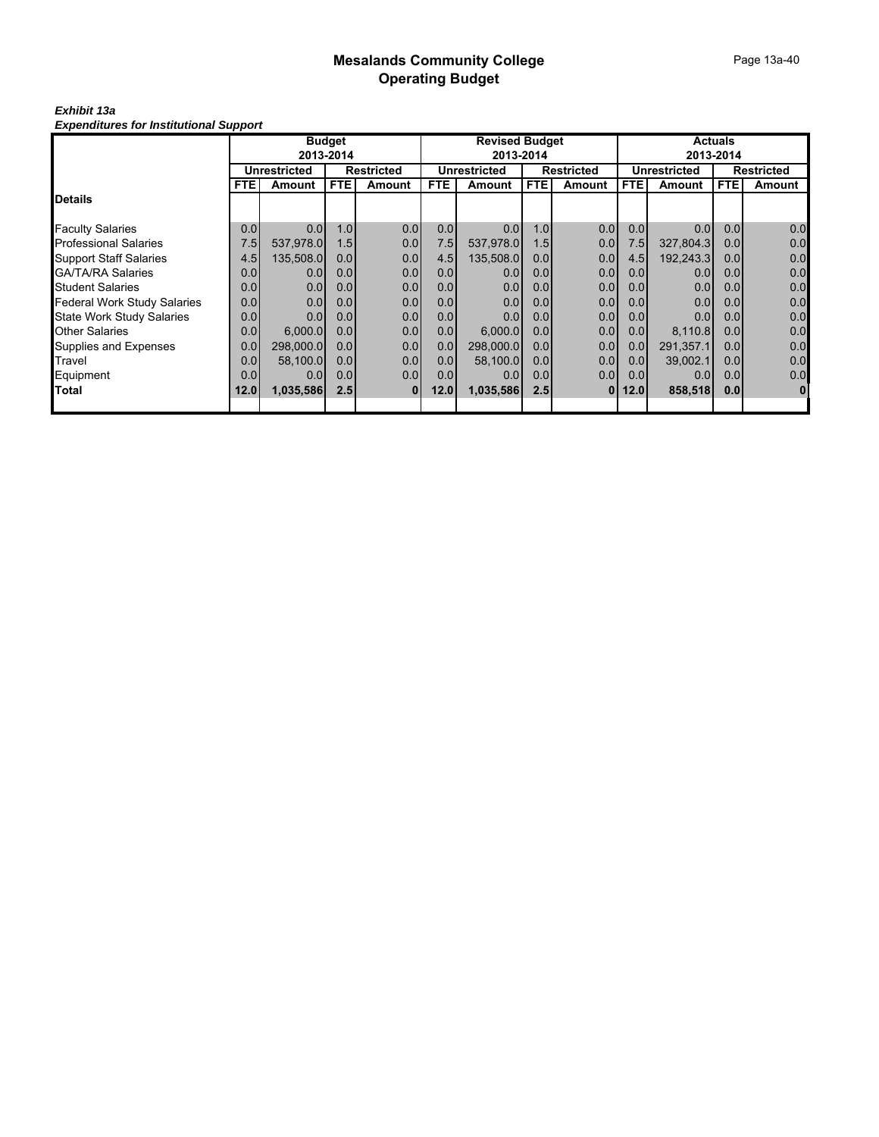#### *Exhibit 13a Expenditures for Institutional Support*

|                                  |                  |                  | <b>Budget</b> |                   | <b>Revised Budget</b> |                     |                  |                   | <b>Actuals</b>   |                  |                  |                   |
|----------------------------------|------------------|------------------|---------------|-------------------|-----------------------|---------------------|------------------|-------------------|------------------|------------------|------------------|-------------------|
|                                  |                  |                  | 2013-2014     |                   |                       | 2013-2014           |                  |                   |                  |                  | 2013-2014        |                   |
|                                  |                  | Unrestricted     |               | <b>Restricted</b> |                       | <b>Unrestricted</b> |                  | <b>Restricted</b> |                  | Unrestricted     |                  | <b>Restricted</b> |
|                                  | <b>FTE</b>       | Amount           | <b>FTE</b>    | Amount            | FTE.                  | Amount              | <b>FTE</b>       | Amount            | <b>FTE</b>       | <b>Amount</b>    | <b>FTE</b>       | Amount            |
| Details                          |                  |                  |               |                   |                       |                     |                  |                   |                  |                  |                  |                   |
| <b>Faculty Salaries</b>          | 0.0              | 0.0              | 1.0           | 0.0               | 0.0                   | 0.0                 | 1.0              | 0.0               | 0.0              | 0.0 <sub>l</sub> | 0.0              | 0.0               |
| Professional Salaries            | 7.5              | 537.978.0        | 1.5           | 0.0               | 7.5                   | 537.978.0           | 1.5              | 0.0               | 7.5              | 327.804.3        | 0.0 <sub>l</sub> | 0.0               |
| <b>Support Staff Salaries</b>    | 4.5              | 135,508.0        | 0.0           | 0.0               | 4.5                   | 135,508.0           | 0.0              | 0.0               | 4.5              | 192,243.3        | 0.0              | 0.0               |
| GA/TA/RA Salaries                | 0.0              | 0.0              | 0.0           | 0.0               | 0.0                   | 0.0                 | 0.0              | 0.0               | 0.0 <sub>l</sub> | 0.0              | 0.0 <sub>l</sub> | 0.0               |
| Student Salaries                 | 0.0              | 0.0 <sub>l</sub> | 0.0           | 0.0               | 0.0                   | 0.0                 | 0.0 <sub>l</sub> | 0.0               | 0.0 <sub>l</sub> | 0.0              | 0.0              | 0.0               |
| Federal Work Study Salaries      | 0.0              | 0.0              | 0.0           | 0.0               | 0.0                   | 0.0                 | 0.0 <sub>l</sub> | 0.0               | 0.0 <sub>l</sub> | 0.0              | 0.0 <sub>l</sub> | 0.0               |
| <b>State Work Study Salaries</b> | 0.0              | 0.0 <sub>l</sub> | 0.0           | 0.0               | 0.0 <sub>l</sub>      | 0.0                 | 0.0              | 0.0               | 0.0 <sub>l</sub> | 0.0              | 0.0 <sub>l</sub> | 0.0               |
| Other Salaries                   | 0.0 <sub>l</sub> | 6.000.0          | 0.0           | 0.0               | 0.0 <sub>l</sub>      | 6.000.0             | 0.0 <sub>l</sub> | 0.0               | 0.01             | 8,110.8          | 0.0 <sub>l</sub> | 0.0               |
| Supplies and Expenses            | 0.0              | 298,000.0        | 0.0           | 0.0               | 0.0                   | 298,000.0           | 0.0              | 0.0               | 0.0              | 291,357.1        | 0.0 <sub>l</sub> | 0.0               |
| Travel                           | 0.0              | 58,100.0         | 0.0           | 0.0               | 0.0                   | 58,100.0            | 0.0              | 0.0               | 0.0 <sub>l</sub> | 39,002.1         | 0.0 <sub>l</sub> | 0.0               |
| Equipment                        | 0.0              | 0.0 <sub>l</sub> | 0.0           | 0.0               | 0.0                   | 0.0                 | 0.0 <sub>l</sub> | 0.0               | 0.0 <sub>l</sub> | 0.0              | 0.0              | 0.0               |
| Total                            | 12.0             | 1,035,586        | 2.5           | <b>0</b>          | 12.0                  | 1,035,586           | 2.5              | $\mathbf{0}$      | 12.0             | 858,518          | 0.0              | $\mathbf{0}$      |
|                                  |                  |                  |               |                   |                       |                     |                  |                   |                  |                  |                  |                   |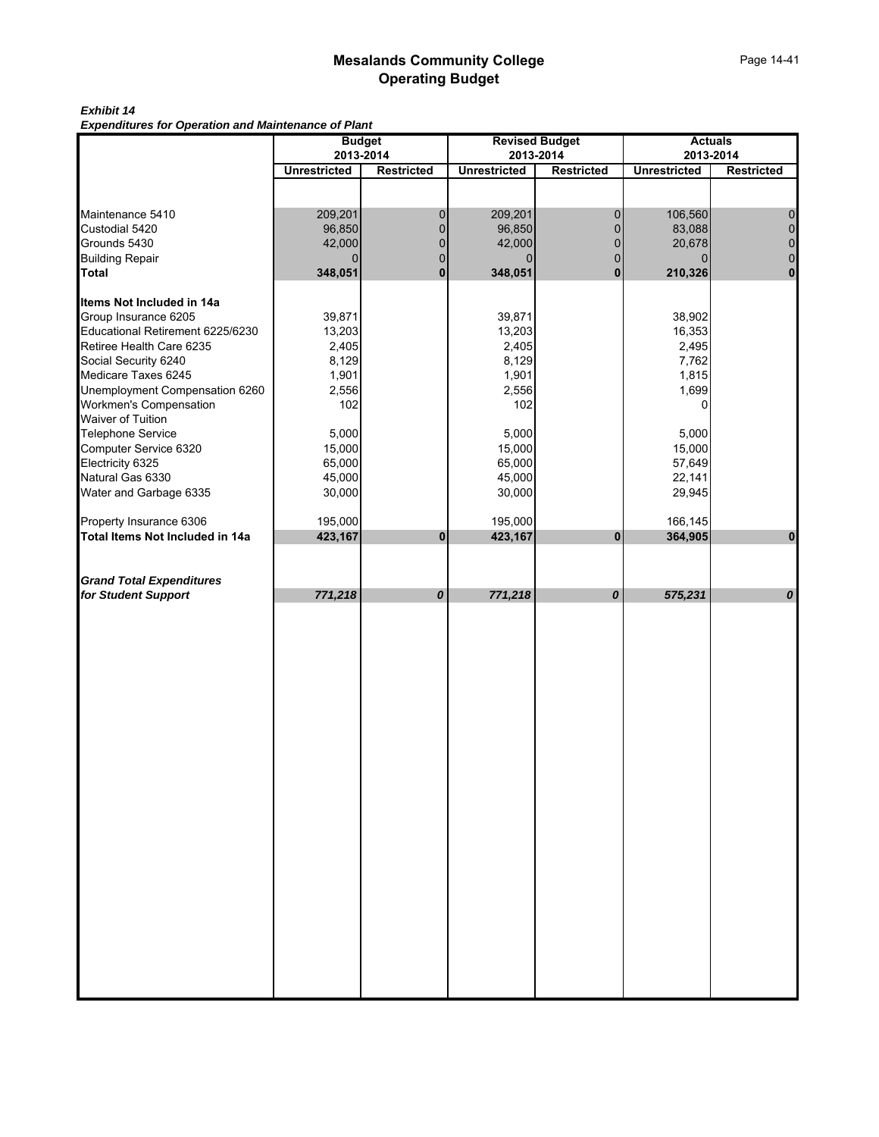### *Exhibit 14*

*Expenditures for Operation and Maintenance of Plant*

|                                                          |                     | <b>Budget</b>     |                     | <b>Revised Budget</b> |                     | <b>Actuals</b>     |
|----------------------------------------------------------|---------------------|-------------------|---------------------|-----------------------|---------------------|--------------------|
|                                                          |                     | 2013-2014         |                     | 2013-2014             |                     | 2013-2014          |
|                                                          | <b>Unrestricted</b> | <b>Restricted</b> | <b>Unrestricted</b> | <b>Restricted</b>     | <b>Unrestricted</b> | <b>Restricted</b>  |
|                                                          |                     |                   |                     |                       |                     |                    |
| Maintenance 5410                                         | 209,201             | 0                 | 209,201             | 0                     | 106,560             | $\mathbf 0$        |
| Custodial 5420                                           | 96,850              | $\pmb{0}$         | 96,850              | $\mathbf 0$           | 83,088              | $\pmb{0}$          |
| Grounds 5430                                             | 42,000              | $\pmb{0}$         | 42,000              | $\overline{0}$        | 20,678              | $\pmb{0}$          |
| <b>Building Repair</b>                                   |                     | $\pmb{0}$         |                     | 0                     | $\Omega$            | $\pmb{0}$          |
| <b>Total</b>                                             | 348,051             | $\mathbf 0$       | 348,051             | $\mathbf 0$           | 210,326             | $\mathbf 0$        |
|                                                          |                     |                   |                     |                       |                     |                    |
| Items Not Included in 14a                                |                     |                   |                     |                       |                     |                    |
| Group Insurance 6205<br>Educational Retirement 6225/6230 | 39,871              |                   | 39,871              |                       | 38,902              |                    |
|                                                          | 13,203              |                   | 13,203              |                       | 16,353              |                    |
| Retiree Health Care 6235                                 | 2,405               |                   | 2,405               |                       | 2,495               |                    |
| Social Security 6240                                     | 8,129               |                   | 8,129               |                       | 7,762               |                    |
| Medicare Taxes 6245                                      | 1,901               |                   | 1,901               |                       | 1,815               |                    |
| Unemployment Compensation 6260                           | 2,556               |                   | 2,556               |                       | 1,699               |                    |
| Workmen's Compensation                                   | 102                 |                   | 102                 |                       | 0                   |                    |
| Waiver of Tuition<br>Telephone Service                   |                     |                   |                     |                       |                     |                    |
|                                                          | 5,000               |                   | 5,000               |                       | 5,000               |                    |
| Computer Service 6320                                    | 15,000              |                   | 15,000              |                       | 15,000              |                    |
| Electricity 6325                                         | 65,000              |                   | 65,000              |                       | 57,649              |                    |
| Natural Gas 6330                                         | 45,000              |                   | 45,000              |                       | 22,141              |                    |
| Water and Garbage 6335                                   | 30,000              |                   | 30,000              |                       | 29,945              |                    |
| Property Insurance 6306                                  | 195,000             |                   | 195,000             |                       | 166,145             |                    |
| Total Items Not Included in 14a                          | 423,167             | $\pmb{0}$         | 423,167             | $\pmb{0}$             | 364,905             | $\pmb{0}$          |
|                                                          |                     |                   |                     |                       |                     |                    |
|                                                          |                     |                   |                     |                       |                     |                    |
| <b>Grand Total Expenditures</b>                          |                     |                   |                     |                       |                     |                    |
| for Student Support                                      | 771,218             | 0                 | 771,218             | 0                     | 575,231             | $\pmb{\mathit{o}}$ |
|                                                          |                     |                   |                     |                       |                     |                    |
|                                                          |                     |                   |                     |                       |                     |                    |
|                                                          |                     |                   |                     |                       |                     |                    |
|                                                          |                     |                   |                     |                       |                     |                    |
|                                                          |                     |                   |                     |                       |                     |                    |
|                                                          |                     |                   |                     |                       |                     |                    |
|                                                          |                     |                   |                     |                       |                     |                    |
|                                                          |                     |                   |                     |                       |                     |                    |
|                                                          |                     |                   |                     |                       |                     |                    |
|                                                          |                     |                   |                     |                       |                     |                    |
|                                                          |                     |                   |                     |                       |                     |                    |
|                                                          |                     |                   |                     |                       |                     |                    |
|                                                          |                     |                   |                     |                       |                     |                    |
|                                                          |                     |                   |                     |                       |                     |                    |
|                                                          |                     |                   |                     |                       |                     |                    |
|                                                          |                     |                   |                     |                       |                     |                    |
|                                                          |                     |                   |                     |                       |                     |                    |
|                                                          |                     |                   |                     |                       |                     |                    |
|                                                          |                     |                   |                     |                       |                     |                    |
|                                                          |                     |                   |                     |                       |                     |                    |
|                                                          |                     |                   |                     |                       |                     |                    |
|                                                          |                     |                   |                     |                       |                     |                    |
|                                                          |                     |                   |                     |                       |                     |                    |
|                                                          |                     |                   |                     |                       |                     |                    |
|                                                          |                     |                   |                     |                       |                     |                    |
|                                                          |                     |                   |                     |                       |                     |                    |
|                                                          |                     |                   |                     |                       |                     |                    |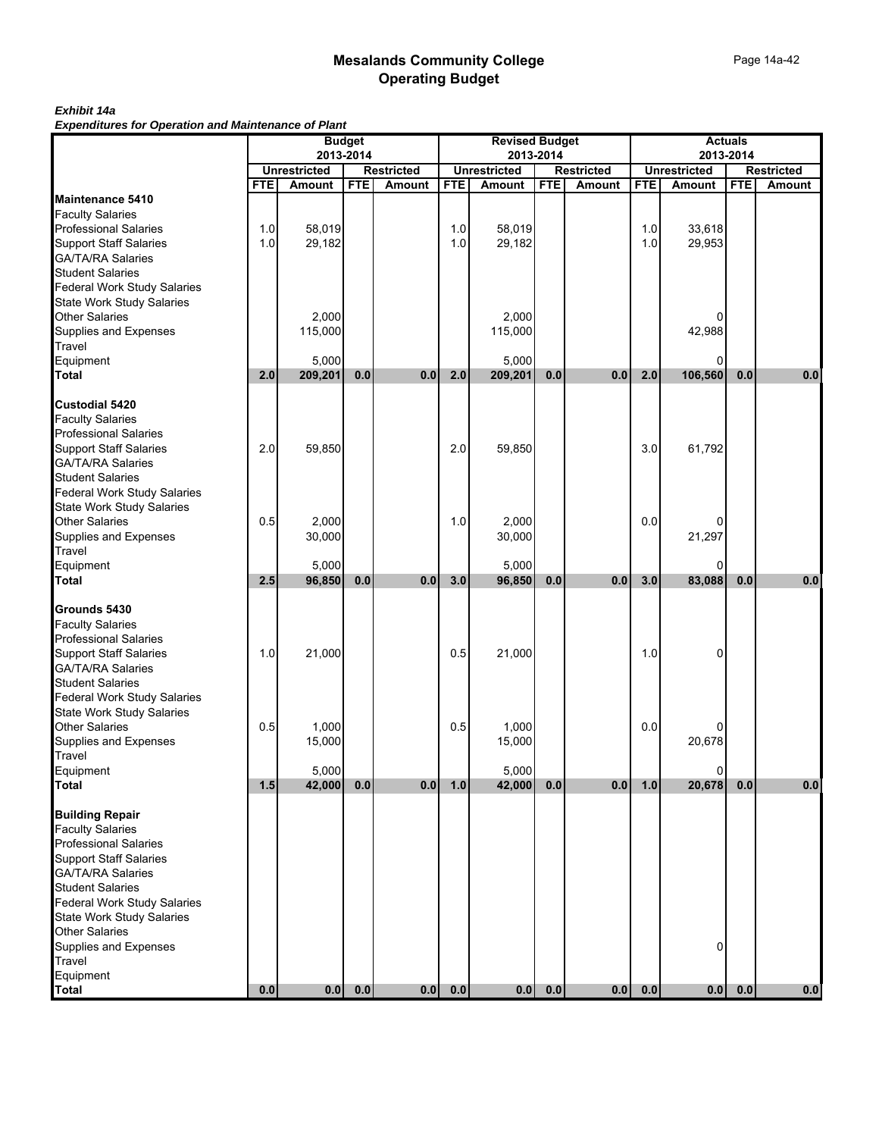### *Exhibit 14a*

*Expenditures for Operation and Maintenance of Plant*

|                                                          | <b>Budget</b> |                     |            |                   | <b>Revised Budget</b> |                     |            |                   | <b>Actuals</b> |                     |            |                   |
|----------------------------------------------------------|---------------|---------------------|------------|-------------------|-----------------------|---------------------|------------|-------------------|----------------|---------------------|------------|-------------------|
|                                                          |               |                     | 2013-2014  |                   |                       |                     | 2013-2014  |                   |                |                     | 2013-2014  |                   |
|                                                          |               | <b>Unrestricted</b> |            | <b>Restricted</b> |                       | <b>Unrestricted</b> |            | <b>Restricted</b> |                | <b>Unrestricted</b> |            | <b>Restricted</b> |
|                                                          | <b>FTE</b>    | <b>Amount</b>       | <b>FTE</b> | <b>Amount</b>     | <b>FTE</b>            | <b>Amount</b>       | <b>FTE</b> | <b>Amount</b>     | <b>FTE</b>     | <b>Amount</b>       | <b>FTE</b> | <b>Amount</b>     |
| Maintenance 5410                                         |               |                     |            |                   |                       |                     |            |                   |                |                     |            |                   |
| <b>Faculty Salaries</b><br><b>Professional Salaries</b>  | 1.0           | 58,019              |            |                   | 1.0                   | 58,019              |            |                   | 1.0            | 33,618              |            |                   |
|                                                          | 1.0           | 29,182              |            |                   | 1.0                   | 29,182              |            |                   | 1.0            | 29,953              |            |                   |
| <b>Support Staff Salaries</b><br>GA/TA/RA Salaries       |               |                     |            |                   |                       |                     |            |                   |                |                     |            |                   |
| <b>Student Salaries</b>                                  |               |                     |            |                   |                       |                     |            |                   |                |                     |            |                   |
| <b>Federal Work Study Salaries</b>                       |               |                     |            |                   |                       |                     |            |                   |                |                     |            |                   |
|                                                          |               |                     |            |                   |                       |                     |            |                   |                |                     |            |                   |
| State Work Study Salaries<br>Other Salaries              |               | 2,000               |            |                   |                       | 2,000               |            |                   |                |                     |            |                   |
| Supplies and Expenses                                    |               | 115,000             |            |                   |                       | 115,000             |            |                   |                | 42,988              |            |                   |
| Travel                                                   |               |                     |            |                   |                       |                     |            |                   |                |                     |            |                   |
| Equipment                                                |               | 5,000               |            |                   |                       | 5,000               |            |                   |                | 0                   |            |                   |
| Total                                                    | 2.0           | 209,201             | 0.0        | 0.0               | 2.0                   | 209,201             | 0.0        | 0.0               | 2.0            | 106,560             | 0.0        | 0.0               |
|                                                          |               |                     |            |                   |                       |                     |            |                   |                |                     |            |                   |
| <b>Custodial 5420</b><br><b>Faculty Salaries</b>         |               |                     |            |                   |                       |                     |            |                   |                |                     |            |                   |
| <b>Professional Salaries</b>                             |               |                     |            |                   |                       |                     |            |                   |                |                     |            |                   |
|                                                          | 2.0           | 59,850              |            |                   | 2.0                   | 59,850              |            |                   | 3.0            | 61,792              |            |                   |
| Support Staff Salaries<br>GA/TA/RA Salaries              |               |                     |            |                   |                       |                     |            |                   |                |                     |            |                   |
| <b>Student Salaries</b>                                  |               |                     |            |                   |                       |                     |            |                   |                |                     |            |                   |
|                                                          |               |                     |            |                   |                       |                     |            |                   |                |                     |            |                   |
| Federal Work Study Salaries<br>State Work Study Salaries |               |                     |            |                   |                       |                     |            |                   |                |                     |            |                   |
| <b>Other Salaries</b>                                    | 0.5           | 2,000               |            |                   | 1.0                   | 2.000               |            |                   | 0.0            |                     |            |                   |
| Supplies and Expenses<br>Travel                          |               | 30,000              |            |                   |                       | 30,000              |            |                   |                | 21,297              |            |                   |
|                                                          |               |                     |            |                   |                       |                     |            |                   |                |                     |            |                   |
| Equipment                                                |               | 5,000               |            |                   |                       | 5,000               |            |                   |                | $\Omega$            |            |                   |
| <b>Total</b>                                             | 2.5           | 96,850              | 0.0        | 0.0               | 3.0                   | 96,850              | 0.0        | 0.0               | 3.0            | 83,088              | 0.0        | 0.0               |
| Grounds 5430                                             |               |                     |            |                   |                       |                     |            |                   |                |                     |            |                   |
| <b>Faculty Salaries</b>                                  |               |                     |            |                   |                       |                     |            |                   |                |                     |            |                   |
|                                                          |               |                     |            |                   |                       |                     |            |                   |                |                     |            |                   |
| Professional Salaries<br>Support Staff Salaries          | 1.0           | 21,000              |            |                   | 0.5                   | 21,000              |            |                   | 1.0            | 0                   |            |                   |
| GA/TA/RA Salaries                                        |               |                     |            |                   |                       |                     |            |                   |                |                     |            |                   |
| <b>Student Salaries</b>                                  |               |                     |            |                   |                       |                     |            |                   |                |                     |            |                   |
| <b>Federal Work Study Salaries</b>                       |               |                     |            |                   |                       |                     |            |                   |                |                     |            |                   |
| <b>State Work Study Salaries</b>                         |               |                     |            |                   |                       |                     |            |                   |                |                     |            |                   |
| <b>Other Salaries</b>                                    | 0.5           | 1,000               |            |                   | 0.5                   | 1,000               |            |                   | 0.0            |                     |            |                   |
| Supplies and Expenses<br>Travel                          |               | 15,000              |            |                   |                       | 15,000              |            |                   |                | 20,678              |            |                   |
|                                                          |               |                     |            |                   |                       |                     |            |                   |                | 0                   |            |                   |
| Equipment<br>Total                                       | 1.5           | 5,000<br>42,000     | 0.0        | 0.0               | 1.0                   | 5,000<br>42,000     | 0.0        | 0.0               | $1.0$          | 20,678              | 0.0        | $0.0\,$           |
|                                                          |               |                     |            |                   |                       |                     |            |                   |                |                     |            |                   |
| <b>Building Repair</b>                                   |               |                     |            |                   |                       |                     |            |                   |                |                     |            |                   |
| <b>Faculty Salaries</b>                                  |               |                     |            |                   |                       |                     |            |                   |                |                     |            |                   |
| <b>Professional Salaries</b>                             |               |                     |            |                   |                       |                     |            |                   |                |                     |            |                   |
| <b>Support Staff Salaries</b>                            |               |                     |            |                   |                       |                     |            |                   |                |                     |            |                   |
| <b>GA/TA/RA Salaries</b>                                 |               |                     |            |                   |                       |                     |            |                   |                |                     |            |                   |
| <b>Student Salaries</b>                                  |               |                     |            |                   |                       |                     |            |                   |                |                     |            |                   |
| Federal Work Study Salaries                              |               |                     |            |                   |                       |                     |            |                   |                |                     |            |                   |
| <b>State Work Study Salaries</b>                         |               |                     |            |                   |                       |                     |            |                   |                |                     |            |                   |
| <b>Other Salaries</b><br>Supplies and Expenses           |               |                     |            |                   |                       |                     |            |                   |                | 0                   |            |                   |
| Travel                                                   |               |                     |            |                   |                       |                     |            |                   |                |                     |            |                   |
| Equipment                                                |               |                     |            |                   |                       |                     |            |                   |                |                     |            |                   |
| <b>Total</b>                                             | 0.0           | 0.0                 | 0.0        | 0.0               | 0.0                   | 0.0                 | 0.0        | 0.0               | 0.0            | $0.0$               | 0.0        | 0.0               |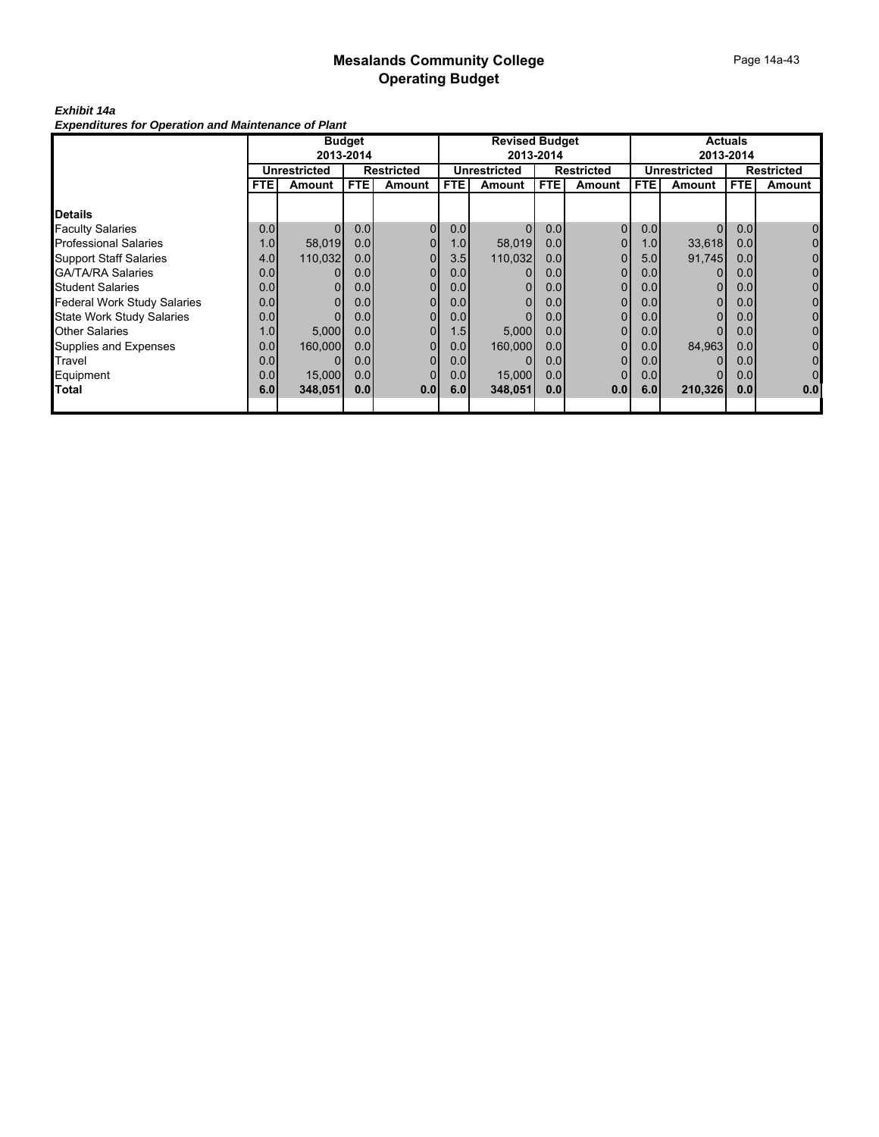### *Exhibit 14a*

*Expenditures for Operation and Maintenance of Plant*

|                                    | <b>Budget</b>       |         |           |                   | <b>Revised Budget</b> |                     |                  |                   | <b>Actuals</b> |                |                  |                |
|------------------------------------|---------------------|---------|-----------|-------------------|-----------------------|---------------------|------------------|-------------------|----------------|----------------|------------------|----------------|
|                                    |                     |         | 2013-2014 |                   |                       |                     | 2013-2014        |                   |                |                | 2013-2014        |                |
|                                    | <b>Unrestricted</b> |         |           | <b>Restricted</b> |                       | <b>Unrestricted</b> |                  | <b>Restricted</b> |                | Unrestricted   |                  | Restricted     |
|                                    | <b>FTE</b>          | Amount  | FTE.      | Amount            | FTE.                  | Amount              | <b>FTE</b>       | Amount            | <b>FTE</b>     | Amount         | FTE.             | Amount         |
|                                    |                     |         |           |                   |                       |                     |                  |                   |                |                |                  |                |
| <b>Details</b>                     |                     |         |           |                   |                       |                     |                  |                   |                |                |                  |                |
| <b>Faculty Salaries</b>            | 0.0                 |         | 0.0       | $\overline{0}$    | 0.0                   |                     | 0.0              | $\Omega$          | 0.0            | $\Omega$       | 0.0              | $\overline{0}$ |
| <b>Professional Salaries</b>       | 1.0 <sub>l</sub>    | 58,019  | 0.0       | 0                 | 1.0                   | 58,019              | 0.0 <sub>l</sub> |                   | 1.0            | 33,618         | 0.0              | 0              |
| <b>Support Staff Salaries</b>      | 4.0                 | 110,032 | 0.0       |                   | 3.5                   | 110,032             | 0.0 <sub>l</sub> |                   | 5.0            | 91,745         | 0.0              | 0              |
| <b>GA/TA/RA Salaries</b>           | 0.0                 |         | 0.0       | $\Omega$          | 0.0 <sub>1</sub>      |                     | 0.0 <sub>l</sub> | 0                 | 0.0            | 01             | 0.0 <sub>l</sub> | 0              |
| <b>Student Salaries</b>            | 0.0                 |         | 0.0       | 0                 | 0.0 <sub>1</sub>      |                     | 0.01             | $\Omega$          | 0.0            | $\overline{0}$ | 0.0              | 0              |
| <b>Federal Work Study Salaries</b> | 0.0                 |         | 0.0       | $\Omega$          | 0.0                   | 0                   | 0.0              | $\mathbf{0}$      | 0.0            | 01             | 0.0              | 0              |
| <b>State Work Study Salaries</b>   | 0.0                 |         | 0.0       | $\Omega$          | 0.0                   |                     | 0.0              | 0                 | 0.0            | 01             | 0.0              | 0              |
| <b>Other Salaries</b>              | 1.0                 | 5,000   | 0.0       | 0                 | 1.5                   | 5,000               | 0.01             | 0                 | 0.0            | 01             | 0.0              | 0              |
| Supplies and Expenses              | 0.0                 | 160,000 | 0.0       | $\Omega$          | 0.0                   | 160,000             | 0.01             | 0                 | 0.0            | 84,963         | 0.0              | 0              |
| Travel                             | 0.0                 |         | 0.0       | $\overline{0}$    | 0.0                   |                     | 0.0              | $\Omega$          | 0.0            | 01             | 0.0              | 0              |
| Equipment                          | 0.0                 | 15,000  | 0.0       |                   | 0.0                   | 15,000              | 0.01             |                   | 0.0            | 01             | 0.0              | $\mathbf 0$    |
| Total                              | 6.0                 | 348,051 | 0.0       | 0.0               | 6.0                   | 348,051             | 0.01             | 0.0               | 6.0            | 210,326        | 0.0              | 0.0            |
|                                    |                     |         |           |                   |                       |                     |                  |                   |                |                |                  |                |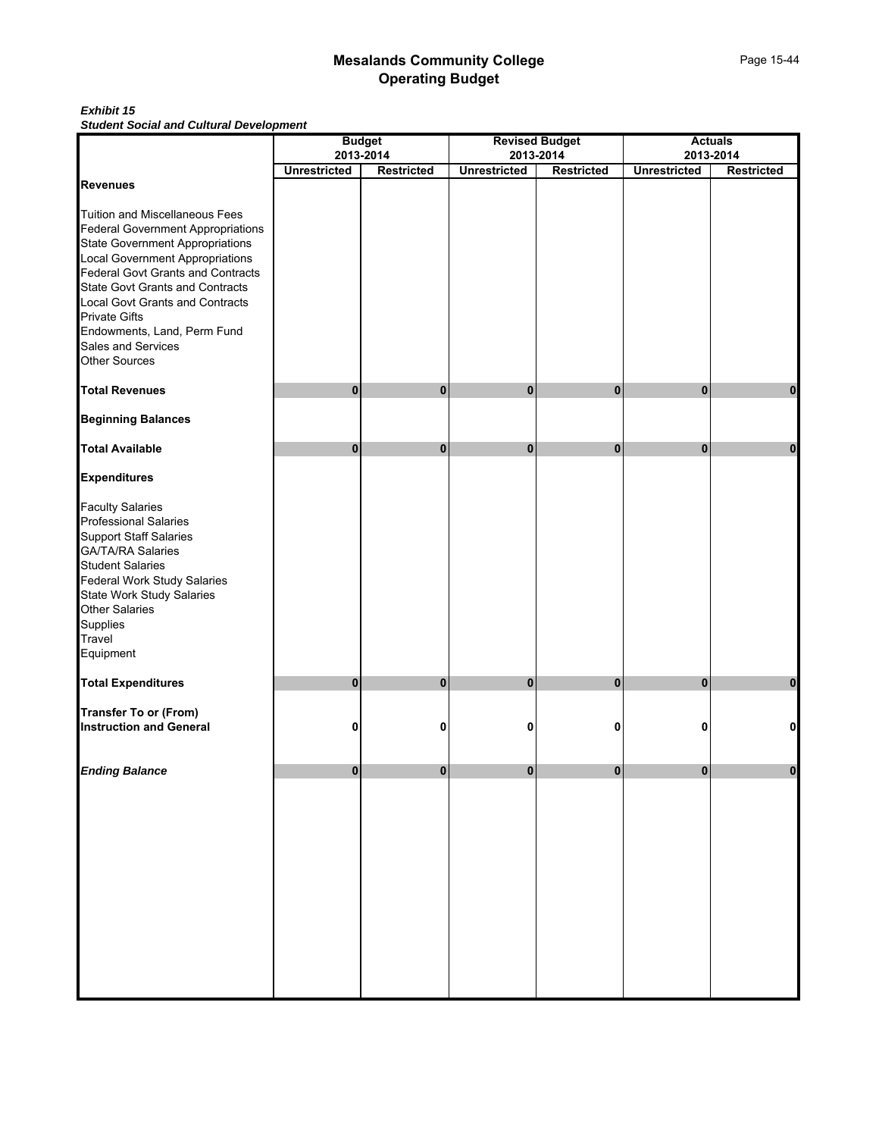#### *Exhibit 15 Student Social and Cultural Development*

|                                                                                                                                                                                                                                                                                                                                                           |                     | <b>Budget</b>                  |                     | <b>Revised Budget</b>          |                     | <b>Actuals</b>                 |
|-----------------------------------------------------------------------------------------------------------------------------------------------------------------------------------------------------------------------------------------------------------------------------------------------------------------------------------------------------------|---------------------|--------------------------------|---------------------|--------------------------------|---------------------|--------------------------------|
|                                                                                                                                                                                                                                                                                                                                                           | <b>Unrestricted</b> | 2013-2014<br><b>Restricted</b> | <b>Unrestricted</b> | 2013-2014<br><b>Restricted</b> | <b>Unrestricted</b> | 2013-2014<br><b>Restricted</b> |
| <b>Revenues</b>                                                                                                                                                                                                                                                                                                                                           |                     |                                |                     |                                |                     |                                |
| Tuition and Miscellaneous Fees<br>Federal Government Appropriations<br>State Government Appropriations<br>Local Government Appropriations<br><b>Federal Govt Grants and Contracts</b><br>State Govt Grants and Contracts<br>Local Govt Grants and Contracts<br><b>Private Gifts</b><br>Endowments, Land, Perm Fund<br>Sales and Services<br>Other Sources |                     |                                |                     |                                |                     |                                |
| <b>Total Revenues</b>                                                                                                                                                                                                                                                                                                                                     | $\bf{0}$            | $\mathbf{0}$                   | $\bf{0}$            | $\bf{0}$                       | $\bf{0}$            | $\bf{0}$                       |
| <b>Beginning Balances</b>                                                                                                                                                                                                                                                                                                                                 |                     |                                |                     |                                |                     |                                |
| <b>Total Available</b>                                                                                                                                                                                                                                                                                                                                    | $\mathbf{0}$        | $\bf{0}$                       | $\bf{0}$            | 0                              | $\mathbf 0$         | $\bf{0}$                       |
| <b>Expenditures</b>                                                                                                                                                                                                                                                                                                                                       |                     |                                |                     |                                |                     |                                |
| <b>Faculty Salaries</b><br><b>Professional Salaries</b><br>Support Staff Salaries<br>GA/TA/RA Salaries<br><b>Student Salaries</b><br>Federal Work Study Salaries<br>State Work Study Salaries<br>Other Salaries<br>Supplies<br>Travel<br>Equipment                                                                                                        |                     |                                |                     |                                |                     |                                |
| <b>Total Expenditures</b>                                                                                                                                                                                                                                                                                                                                 | $\bf{0}$            | $\mathbf{0}$                   | $\bf{0}$            | 0                              | 0                   | 0                              |
| <b>Transfer To or (From)</b><br><b>Instruction and General</b>                                                                                                                                                                                                                                                                                            | 0                   | 0                              | 0                   | 0                              | 0                   | $\mathbf 0$                    |
| <b>Ending Balance</b>                                                                                                                                                                                                                                                                                                                                     | $\overline{0}$      | $\overline{0}$                 | $\mathbf{0}$        | $\mathbf{0}$                   | $\mathbf{0}$        | $\pmb{0}$                      |
|                                                                                                                                                                                                                                                                                                                                                           |                     |                                |                     |                                |                     |                                |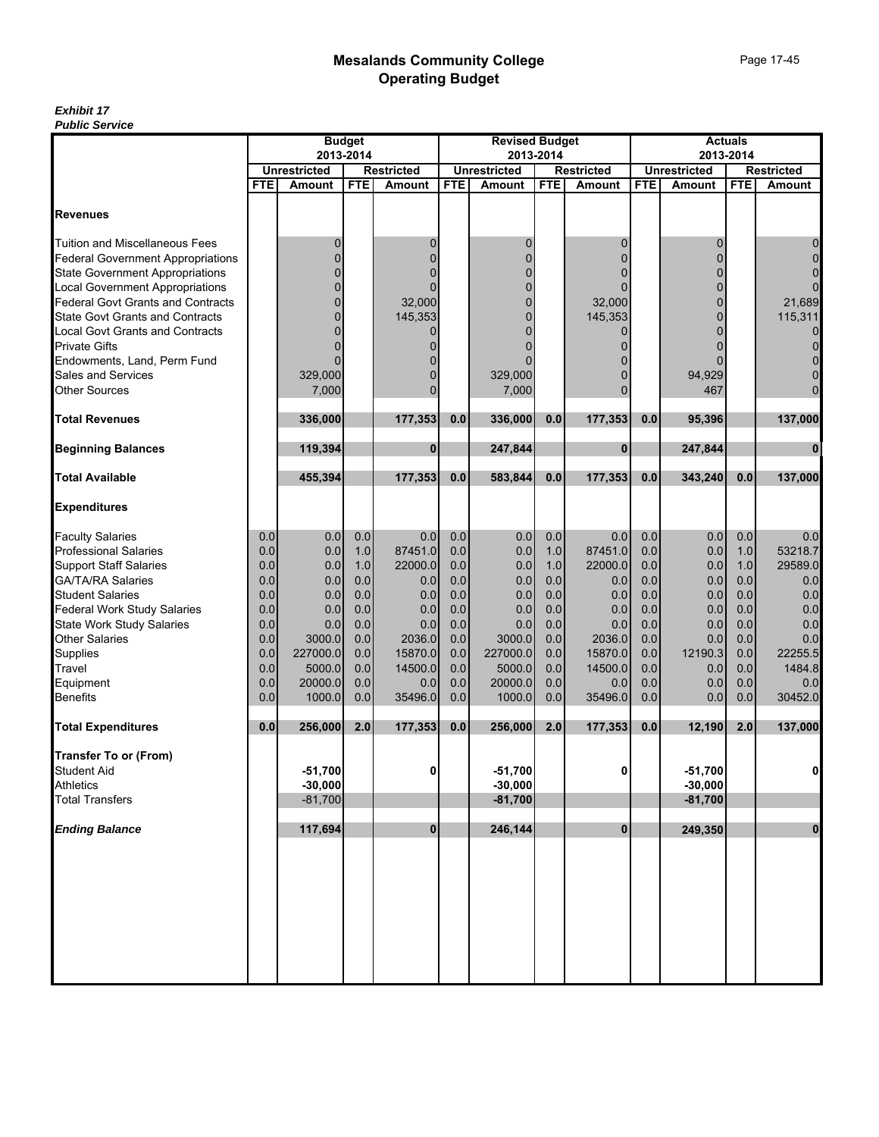|                                          | <b>Budget</b><br>2013-2014 |                               |            |                                    | <b>Revised Budget</b> |                                      |            |                                    | <b>Actuals</b> |                               |            |                             |
|------------------------------------------|----------------------------|-------------------------------|------------|------------------------------------|-----------------------|--------------------------------------|------------|------------------------------------|----------------|-------------------------------|------------|-----------------------------|
|                                          |                            |                               |            |                                    |                       |                                      | 2013-2014  |                                    |                | 2013-2014                     |            |                             |
|                                          | <b>FTE</b>                 | <b>Unrestricted</b><br>Amount | <b>FTE</b> | <b>Restricted</b><br><b>Amount</b> | <b>FTE</b>            | <b>Unrestricted</b><br><b>Amount</b> | <b>FTE</b> | <b>Restricted</b><br><b>Amount</b> | <b>FTE</b>     | <b>Unrestricted</b><br>Amount | <b>FTE</b> | <b>Restricted</b><br>Amount |
|                                          |                            |                               |            |                                    |                       |                                      |            |                                    |                |                               |            |                             |
| <b>Revenues</b>                          |                            |                               |            |                                    |                       |                                      |            |                                    |                |                               |            |                             |
| <b>Tuition and Miscellaneous Fees</b>    |                            | 0                             |            | 0                                  |                       | 0                                    |            | 0                                  |                | 0                             |            | 0                           |
| <b>Federal Government Appropriations</b> |                            | 0                             |            | $\overline{0}$                     |                       | $\Omega$                             |            |                                    |                | $\Omega$                      |            | $\overline{0}$              |
| <b>State Government Appropriations</b>   |                            | 0                             |            | $\Omega$                           |                       | $\Omega$                             |            |                                    |                | 0                             |            | $\mathbf 0$                 |
| <b>Local Government Appropriations</b>   |                            | 0                             |            | 0                                  |                       | $\mathbf{0}$                         |            |                                    |                | $\Omega$                      |            | $\overline{0}$              |
| Federal Govt Grants and Contracts        |                            | $\Omega$                      |            | 32,000                             |                       | 0                                    |            | 32,000                             |                | $\Omega$                      |            | 21,689                      |
| <b>State Govt Grants and Contracts</b>   |                            | $\mathbf{0}$                  |            | 145,353                            |                       | $\overline{0}$                       |            | 145,353                            |                | 0                             |            | 115,311                     |
| Local Govt Grants and Contracts          |                            | $\Omega$                      |            | 0                                  |                       | $\Omega$                             |            |                                    |                | $\Omega$                      |            | $\mathbf 0$                 |
| <b>Private Gifts</b>                     |                            | 0                             |            | 0                                  |                       |                                      |            |                                    |                |                               |            | $\mathbf 0$                 |
| Endowments, Land, Perm Fund              |                            | 0                             |            | 0                                  |                       |                                      |            |                                    |                |                               |            | $\overline{0}$              |
| Sales and Services                       |                            | 329,000                       |            | 0                                  |                       | 329,000                              |            |                                    |                | 94,929                        |            | $\mathbf 0$                 |
| <b>Other Sources</b>                     |                            | 7,000                         |            | $\overline{0}$                     |                       | 7,000                                |            | $\Omega$                           |                | 467                           |            | $\overline{0}$              |
| <b>Total Revenues</b>                    |                            | 336,000                       |            | 177,353                            | 0.0                   | 336,000                              | 0.0        | 177,353                            | 0.0            | 95,396                        |            | 137,000                     |
| <b>Beginning Balances</b>                |                            | 119,394                       |            | $\bf{0}$                           |                       | 247,844                              |            | $\bf{0}$                           |                | 247,844                       |            | $\bf{0}$                    |
| <b>Total Available</b>                   |                            | 455,394                       |            | 177,353                            | 0.0                   | 583,844                              | 0.0        | 177,353                            | 0.0            | 343,240                       | 0.0        | 137,000                     |
| <b>Expenditures</b>                      |                            |                               |            |                                    |                       |                                      |            |                                    |                |                               |            |                             |
| <b>Faculty Salaries</b>                  | 0.0                        | 0.0                           | 0.0        | 0.0                                | 0.0                   | 0.0                                  | 0.0        | 0.0                                | 0.0            | 0.0                           | 0.0        | 0.0                         |
| Professional Salaries                    | 0.0                        | 0.0                           | 1.0        | 87451.0                            | 0.0                   | 0.0                                  | 1.0        | 87451.0                            | 0.0            | 0.0                           | 1.0        | 53218.7                     |
| <b>Support Staff Salaries</b>            | 0.0                        | 0.0                           | 1.0        | 22000.0                            | 0.0                   | 0.0                                  | 1.0        | 22000.0                            | 0.0            | 0.0                           | 1.0        | 29589.0                     |
| <b>GA/TA/RA Salaries</b>                 | 0.0                        | 0.0                           | 0.0        | 0.0                                | 0.0                   | 0.0                                  | 0.0        | 0.0                                | 0.0            | 0.0                           | 0.0        | 0.0                         |
| <b>Student Salaries</b>                  | 0.0                        | 0.0                           | 0.0        | 0.0                                | 0.0                   | 0.0                                  | 0.0        | 0.0                                | 0.0            | 0.0                           | 0.0        | 0.0                         |
| <b>Federal Work Study Salaries</b>       | 0.0                        | 0.0                           | 0.0        | 0.0                                | 0.0                   | 0.0                                  | 0.0        | 0.0                                | 0.0            | 0.0                           | 0.0        | 0.0                         |
| <b>State Work Study Salaries</b>         | 0.0                        | 0.0                           | 0.0        | 0.0                                | 0.0                   | 0.0                                  | 0.0        | 0.0                                | 0.0            | 0.0                           | 0.0        | 0.0                         |
| <b>Other Salaries</b>                    | 0.0                        | 3000.0                        | 0.0        | 2036.0                             | 0.0                   | 3000.0                               | 0.0        | 2036.0                             | 0.0            | 0.0                           | 0.0        | 0.0                         |
| Supplies                                 | 0.0                        | 227000.0                      | 0.0        | 15870.0                            | 0.0                   | 227000.0                             | 0.0        | 15870.0                            | 0.0            | 12190.3                       | 0.0        | 22255.5                     |
| Travel                                   | 0.0<br>0.0                 | 5000.0                        | 0.0        | 14500.0                            | 0.0<br>0.0            | 5000.0<br>20000.0                    | 0.0<br>0.0 | 14500.0                            | 0.0<br>0.0     | 0.0                           | 0.0        | 1484.8                      |
| Equipment<br><b>Benefits</b>             | 0.0                        | 20000.0<br>1000.0             | 0.0<br>0.0 | 0.0<br>35496.0                     | 0.0                   | 1000.0                               | 0.0        | 0.0<br>35496.0                     | 0.0            | 0.0<br>0.0                    | 0.0<br>0.0 | 0.0<br>30452.0              |
|                                          |                            |                               |            |                                    |                       |                                      |            |                                    |                |                               |            |                             |
| <b>Total Expenditures</b>                | 0.0                        | 256,000                       | 2.0        | 177,353                            | 0.0                   | 256,000                              | 2.0        | 177,353                            | 0.0            | 12.190                        | 2.0        | 137,000                     |
| <b>Transfer To or (From)</b>             |                            |                               |            |                                    |                       |                                      |            |                                    |                |                               |            |                             |
| <b>Student Aid</b>                       |                            | $-51,700$                     |            | 0                                  |                       | $-51,700$                            |            | $\mathbf{0}$                       |                | $-51,700$                     |            | $\mathbf 0$                 |
| <b>Athletics</b>                         |                            | $-30,000$                     |            |                                    |                       | $-30,000$                            |            |                                    |                | $-30,000$                     |            |                             |
| <b>Total Transfers</b>                   |                            | $-81,700$                     |            |                                    |                       | $-81,700$                            |            |                                    |                | $-81,700$                     |            |                             |
|                                          |                            |                               |            |                                    |                       |                                      |            |                                    |                |                               |            |                             |
| <b>Ending Balance</b>                    |                            | 117,694                       |            | $\mathbf{0}$                       |                       | 246,144                              |            | $\mathbf{0}$                       |                | 249,350                       |            | $\mathbf{0}$                |
|                                          |                            |                               |            |                                    |                       |                                      |            |                                    |                |                               |            |                             |
|                                          |                            |                               |            |                                    |                       |                                      |            |                                    |                |                               |            |                             |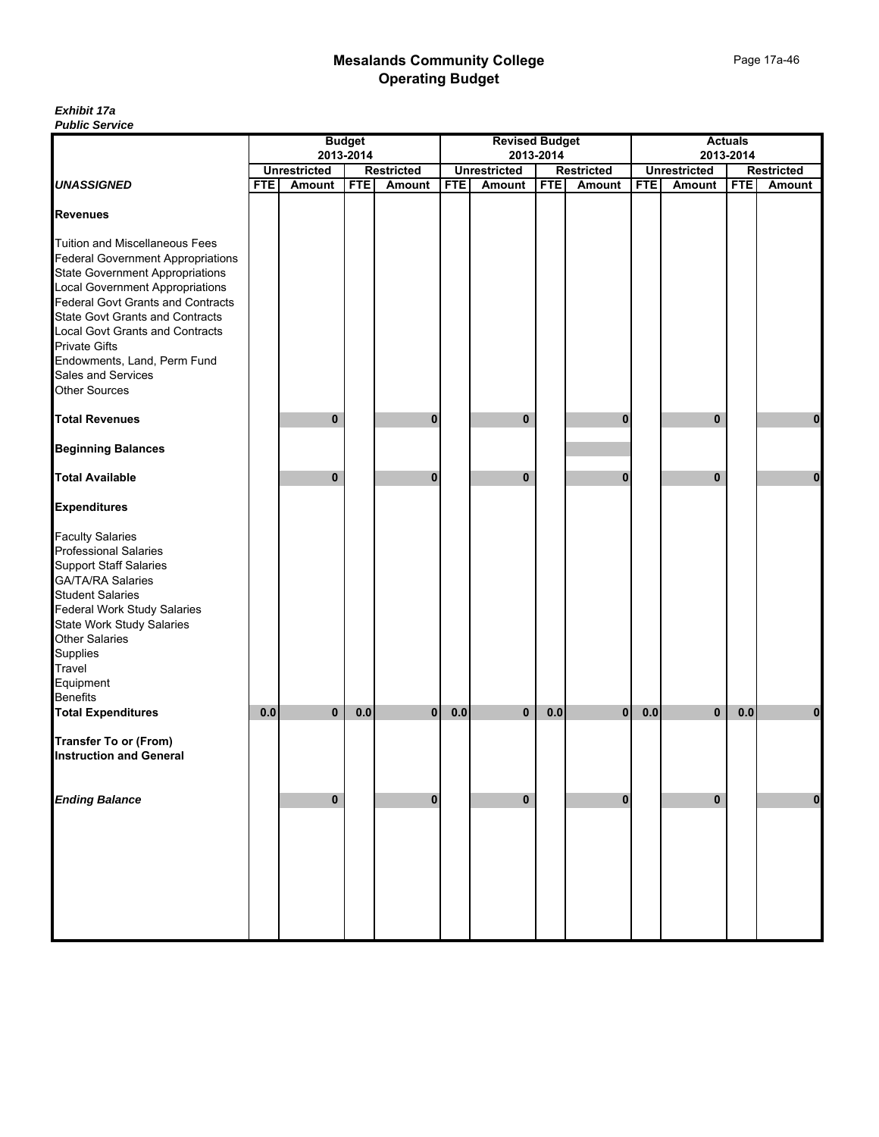|                                                                                                                                                                                                                                                                                                                                                                                           | <b>Budget</b> |                     |            |                   |            | <b>Revised Budget</b> |            |                   |            | <b>Actuals</b>      |            |                   |  |
|-------------------------------------------------------------------------------------------------------------------------------------------------------------------------------------------------------------------------------------------------------------------------------------------------------------------------------------------------------------------------------------------|---------------|---------------------|------------|-------------------|------------|-----------------------|------------|-------------------|------------|---------------------|------------|-------------------|--|
|                                                                                                                                                                                                                                                                                                                                                                                           |               |                     | 2013-2014  |                   |            |                       | 2013-2014  |                   |            |                     | 2013-2014  |                   |  |
|                                                                                                                                                                                                                                                                                                                                                                                           |               | <b>Unrestricted</b> |            | <b>Restricted</b> |            | <b>Unrestricted</b>   |            | <b>Restricted</b> |            | <b>Unrestricted</b> |            | <b>Restricted</b> |  |
| <b>UNASSIGNED</b>                                                                                                                                                                                                                                                                                                                                                                         | <b>FTE</b>    | Amount              | <b>FTE</b> | Amount            | <b>FTE</b> | <b>Amount</b>         | <b>FTE</b> | <b>Amount</b>     | <b>FTE</b> | <b>Amount</b>       | <b>FTE</b> | <b>Amount</b>     |  |
| <b>Revenues</b>                                                                                                                                                                                                                                                                                                                                                                           |               |                     |            |                   |            |                       |            |                   |            |                     |            |                   |  |
| Tuition and Miscellaneous Fees<br>Federal Government Appropriations<br><b>State Government Appropriations</b><br>Local Government Appropriations<br>Federal Govt Grants and Contracts<br><b>State Govt Grants and Contracts</b><br>Local Govt Grants and Contracts<br>Private Gifts<br>Endowments, Land, Perm Fund<br>Sales and Services<br><b>Other Sources</b><br><b>Total Revenues</b> |               | 0                   |            | $\bf{0}$          |            | 0                     |            | 0                 |            | $\bf{0}$            |            | 0                 |  |
| <b>Beginning Balances</b>                                                                                                                                                                                                                                                                                                                                                                 |               |                     |            |                   |            |                       |            |                   |            |                     |            |                   |  |
| <b>Total Available</b>                                                                                                                                                                                                                                                                                                                                                                    |               | $\bf{0}$            |            | $\bf{0}$          |            | $\mathbf{0}$          |            | 0                 |            | $\bf{0}$            |            | 0                 |  |
| <b>Expenditures</b>                                                                                                                                                                                                                                                                                                                                                                       |               |                     |            |                   |            |                       |            |                   |            |                     |            |                   |  |
| <b>Faculty Salaries</b><br><b>Professional Salaries</b><br><b>Support Staff Salaries</b><br>GA/TA/RA Salaries<br>Student Salaries<br>Federal Work Study Salaries<br>State Work Study Salaries<br>Other Salaries<br>Supplies<br>Travel<br>Equipment<br>Benefits<br><b>Total Expenditures</b>                                                                                               | 0.0           | $\mathbf{0}$        |            |                   |            |                       | 0.0        |                   | 0.0        |                     | 0.0        |                   |  |
|                                                                                                                                                                                                                                                                                                                                                                                           |               |                     | 0.0        | $\overline{0}$    | 0.0        | 0                     |            | $\bf{0}$          |            | $\bf{0}$            |            | 0                 |  |
| <b>Transfer To or (From)</b><br><b>Instruction and General</b>                                                                                                                                                                                                                                                                                                                            |               |                     |            |                   |            |                       |            |                   |            |                     |            |                   |  |
| <b>Ending Balance</b>                                                                                                                                                                                                                                                                                                                                                                     |               | $\bf{0}$            |            | $\mathbf 0$       |            | $\pmb{0}$             |            | $\bf{0}$          |            | $\bf{0}$            |            | $\pmb{0}$         |  |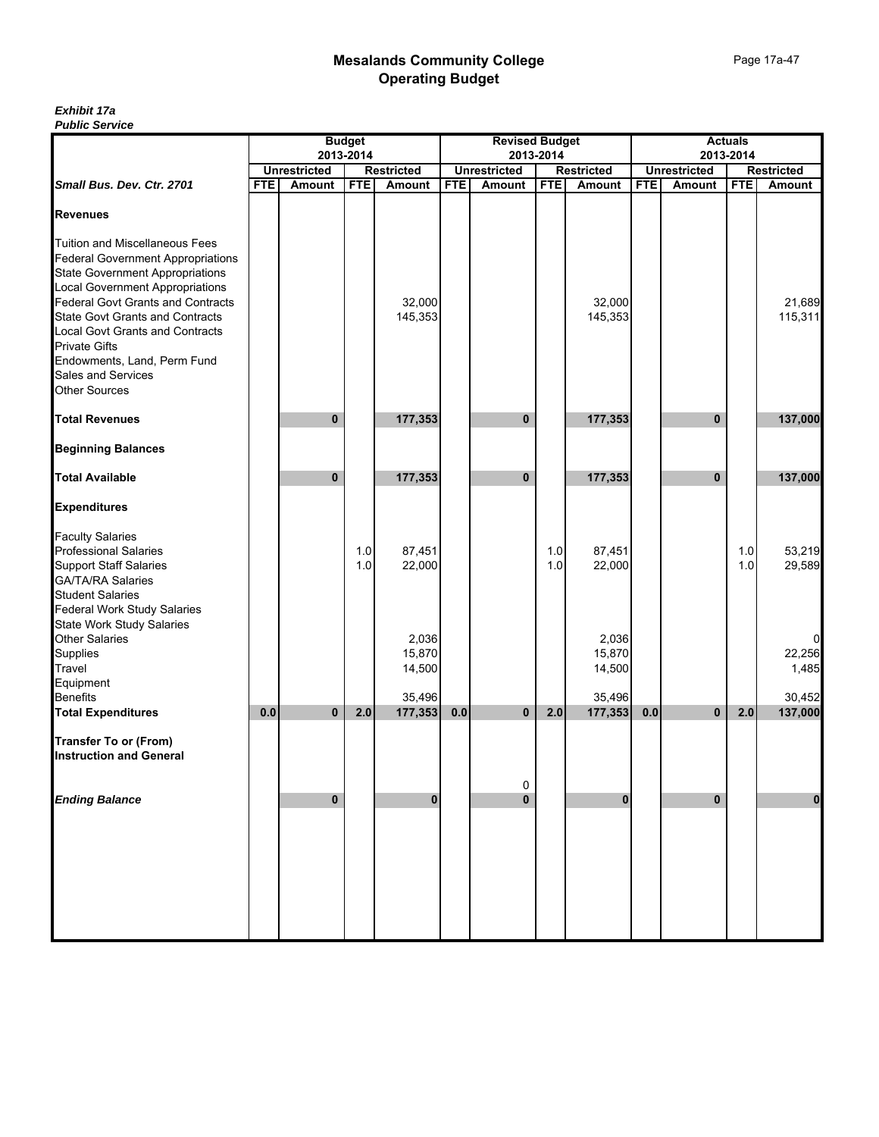| <b>Budget</b><br>2013-2014 |              |                               |                           |                                       | <b>Revised Budget</b><br>2013-2014 |                                           |                           |                                                         | <b>Actuals</b><br>2013-2014 |                               |                   |  |
|----------------------------|--------------|-------------------------------|---------------------------|---------------------------------------|------------------------------------|-------------------------------------------|---------------------------|---------------------------------------------------------|-----------------------------|-------------------------------|-------------------|--|
|                            |              |                               |                           |                                       |                                    |                                           |                           |                                                         |                             |                               | <b>Restricted</b> |  |
|                            |              |                               |                           |                                       |                                    |                                           |                           |                                                         |                             |                               | Amount            |  |
|                            |              |                               |                           |                                       |                                    |                                           |                           |                                                         |                             |                               |                   |  |
|                            |              |                               |                           |                                       |                                    |                                           |                           |                                                         |                             |                               |                   |  |
|                            |              |                               | 32,000<br>145,353         |                                       |                                    |                                           | 32,000<br>145,353         |                                                         |                             |                               | 21.689<br>115,311 |  |
|                            |              |                               |                           |                                       |                                    |                                           |                           |                                                         |                             |                               |                   |  |
|                            | $\mathbf{0}$ |                               | 177,353                   |                                       | 0                                  |                                           |                           |                                                         | 0                           |                               | 137,000           |  |
|                            |              |                               |                           |                                       |                                    |                                           |                           |                                                         |                             |                               |                   |  |
|                            | $\bf{0}$     |                               | 177,353                   |                                       | $\bf{0}$                           |                                           | 177,353                   |                                                         | 0                           |                               | 137,000           |  |
|                            |              |                               |                           |                                       |                                    |                                           |                           |                                                         |                             |                               |                   |  |
|                            |              | 1.0<br>$1.0$                  | 87,451<br>22,000          |                                       |                                    | 1.0<br>1.0                                | 87,451<br>22,000          |                                                         |                             | 1.0<br>1.0                    | 53,219<br>29,589  |  |
|                            |              |                               | 2,036<br>15,870<br>14,500 |                                       |                                    |                                           | 2,036<br>15,870<br>14,500 |                                                         |                             |                               | 22,256<br>1,485   |  |
|                            |              |                               |                           |                                       |                                    |                                           |                           |                                                         |                             |                               | 30,452            |  |
| 0.0                        | $\mathbf{0}$ | 2.0                           | 177,353                   |                                       | $\mathbf 0$                        | 2.0                                       |                           | 0.0                                                     | $\mathbf{0}$                | 2.0                           | 137,000           |  |
|                            |              |                               |                           |                                       |                                    |                                           |                           |                                                         |                             |                               |                   |  |
|                            | $\mathbf 0$  |                               | $\bf{0}$                  |                                       | $\bf{0}$                           |                                           | $\bf{0}$                  |                                                         | 0                           |                               | $\mathbf{0}$      |  |
|                            |              |                               |                           |                                       |                                    |                                           |                           |                                                         |                             |                               |                   |  |
|                            | <b>FTE</b>   | <b>Unrestricted</b><br>Amount | <b>FTE</b>                | <b>Restricted</b><br>Amount<br>35,496 | <b>FTE</b>                         | <b>Unrestricted</b><br>Amount<br>0.0<br>0 | <b>FTE</b>                | <b>Restricted</b><br><b>Amount</b><br>177,353<br>35,496 | <b>FTE</b><br>177,353       | <b>Unrestricted</b><br>Amount | <b>FTE</b>        |  |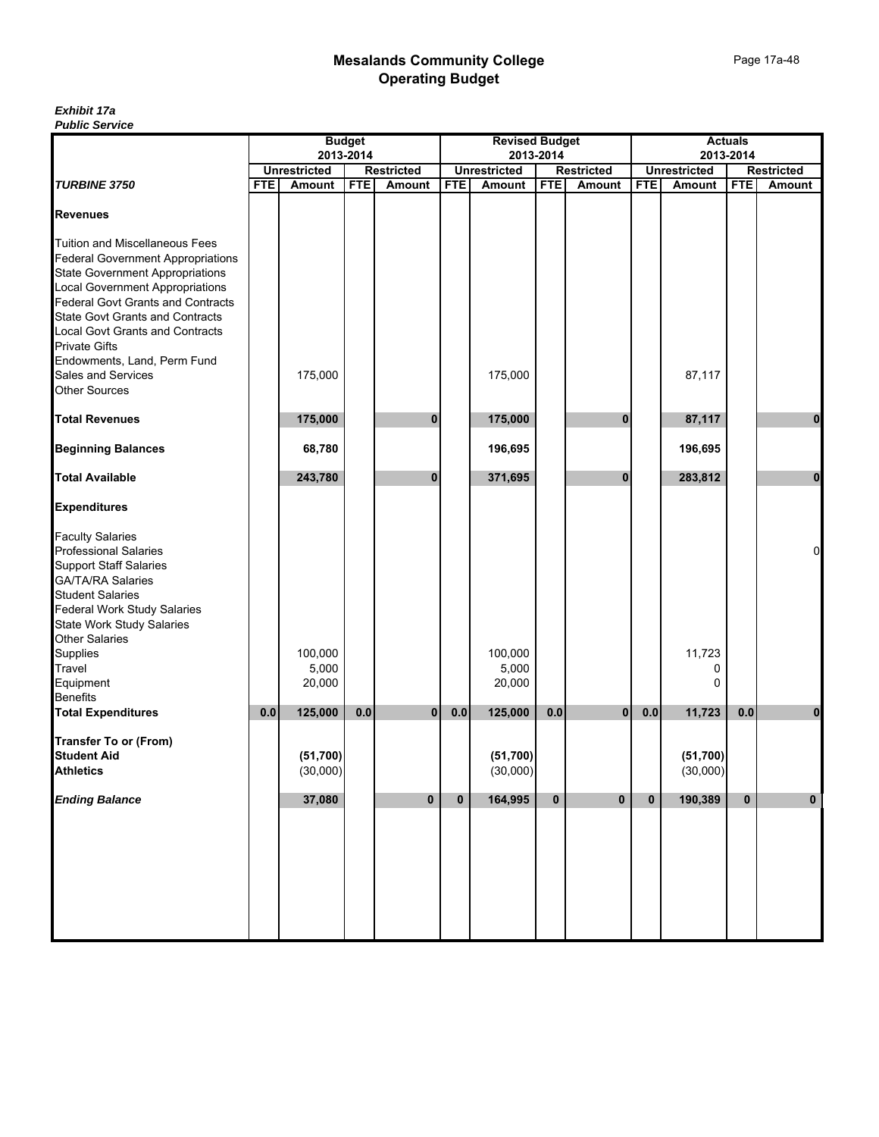|                                                                                                                                                                                                                                                                                                                                                                                       | <b>Budget</b> |                       |            |                   |            | <b>Revised Budget</b> |             |                   |            | <b>Actuals</b>        |            |                   |  |
|---------------------------------------------------------------------------------------------------------------------------------------------------------------------------------------------------------------------------------------------------------------------------------------------------------------------------------------------------------------------------------------|---------------|-----------------------|------------|-------------------|------------|-----------------------|-------------|-------------------|------------|-----------------------|------------|-------------------|--|
|                                                                                                                                                                                                                                                                                                                                                                                       |               |                       | 2013-2014  |                   |            |                       | 2013-2014   |                   |            | 2013-2014             |            |                   |  |
|                                                                                                                                                                                                                                                                                                                                                                                       |               | <b>Unrestricted</b>   |            | <b>Restricted</b> |            | <b>Unrestricted</b>   |             | <b>Restricted</b> |            | <b>Unrestricted</b>   |            | <b>Restricted</b> |  |
| <b>TURBINE 3750</b>                                                                                                                                                                                                                                                                                                                                                                   | <b>FTE</b>    | Amount                | <b>FTE</b> | Amount            | <b>FTE</b> | Amount                | <b>FTE</b>  | <b>Amount</b>     | <b>FTE</b> | Amount                | <b>FTE</b> | Amount            |  |
| <b>Revenues</b>                                                                                                                                                                                                                                                                                                                                                                       |               |                       |            |                   |            |                       |             |                   |            |                       |            |                   |  |
| <b>Tuition and Miscellaneous Fees</b><br><b>Federal Government Appropriations</b><br><b>State Government Appropriations</b><br>Local Government Appropriations<br>Federal Govt Grants and Contracts<br><b>State Govt Grants and Contracts</b><br>Local Govt Grants and Contracts<br><b>Private Gifts</b><br>Endowments, Land, Perm Fund<br>Sales and Services<br><b>Other Sources</b> |               | 175,000               |            |                   |            | 175,000               |             |                   |            | 87,117                |            |                   |  |
|                                                                                                                                                                                                                                                                                                                                                                                       |               |                       |            |                   |            |                       |             |                   |            |                       |            |                   |  |
| <b>Total Revenues</b>                                                                                                                                                                                                                                                                                                                                                                 |               | 175,000               |            | $\bf{0}$          |            | 175,000               |             | $\bf{0}$          |            | 87,117                |            | $\mathbf 0$       |  |
| <b>Beginning Balances</b>                                                                                                                                                                                                                                                                                                                                                             |               | 68,780                |            |                   |            | 196,695               |             |                   |            | 196,695               |            |                   |  |
| <b>Total Available</b>                                                                                                                                                                                                                                                                                                                                                                |               | 243,780               |            | 0                 |            | 371,695               |             | $\bf{0}$          |            | 283,812               |            | $\mathbf{0}$      |  |
| <b>Expenditures</b>                                                                                                                                                                                                                                                                                                                                                                   |               |                       |            |                   |            |                       |             |                   |            |                       |            |                   |  |
| <b>Faculty Salaries</b><br>Professional Salaries<br><b>Support Staff Salaries</b><br>GA/TA/RA Salaries<br>Student Salaries<br><b>Federal Work Study Salaries</b><br>State Work Study Salaries<br>Other Salaries                                                                                                                                                                       |               |                       |            |                   |            |                       |             |                   |            |                       |            | 0                 |  |
| Supplies                                                                                                                                                                                                                                                                                                                                                                              |               | 100,000               |            |                   |            | 100,000               |             |                   |            | 11,723                |            |                   |  |
| Travel                                                                                                                                                                                                                                                                                                                                                                                |               | 5,000                 |            |                   |            | 5,000                 |             |                   |            | 0                     |            |                   |  |
| Equipment                                                                                                                                                                                                                                                                                                                                                                             |               | 20,000                |            |                   |            | 20,000                |             |                   |            | 0                     |            |                   |  |
| <b>Benefits</b>                                                                                                                                                                                                                                                                                                                                                                       |               |                       |            |                   |            |                       |             |                   |            |                       |            |                   |  |
| <b>Total Expenditures</b>                                                                                                                                                                                                                                                                                                                                                             | 0.0           | 125,000               | 0.0        | $\mathbf{0}$      | 0.0        | 125,000               | 0.0         | $\mathbf{0}$      | 0.0        | 11,723                | 0.0        | $\bf{0}$          |  |
| <b>Transfer To or (From)</b><br><b>Student Aid</b><br><b>Athletics</b>                                                                                                                                                                                                                                                                                                                |               | (51, 700)<br>(30,000) |            |                   |            | (51, 700)<br>(30,000) |             |                   |            | (51, 700)<br>(30,000) |            |                   |  |
| <b>Ending Balance</b>                                                                                                                                                                                                                                                                                                                                                                 |               | 37,080                |            | $\mathbf{0}$      | 0          | 164,995               | $\mathbf 0$ | $\bf{0}$          | $\bf{0}$   | 190,389               | $\bf{0}$   | $\bf{0}$          |  |
|                                                                                                                                                                                                                                                                                                                                                                                       |               |                       |            |                   |            |                       |             |                   |            |                       |            |                   |  |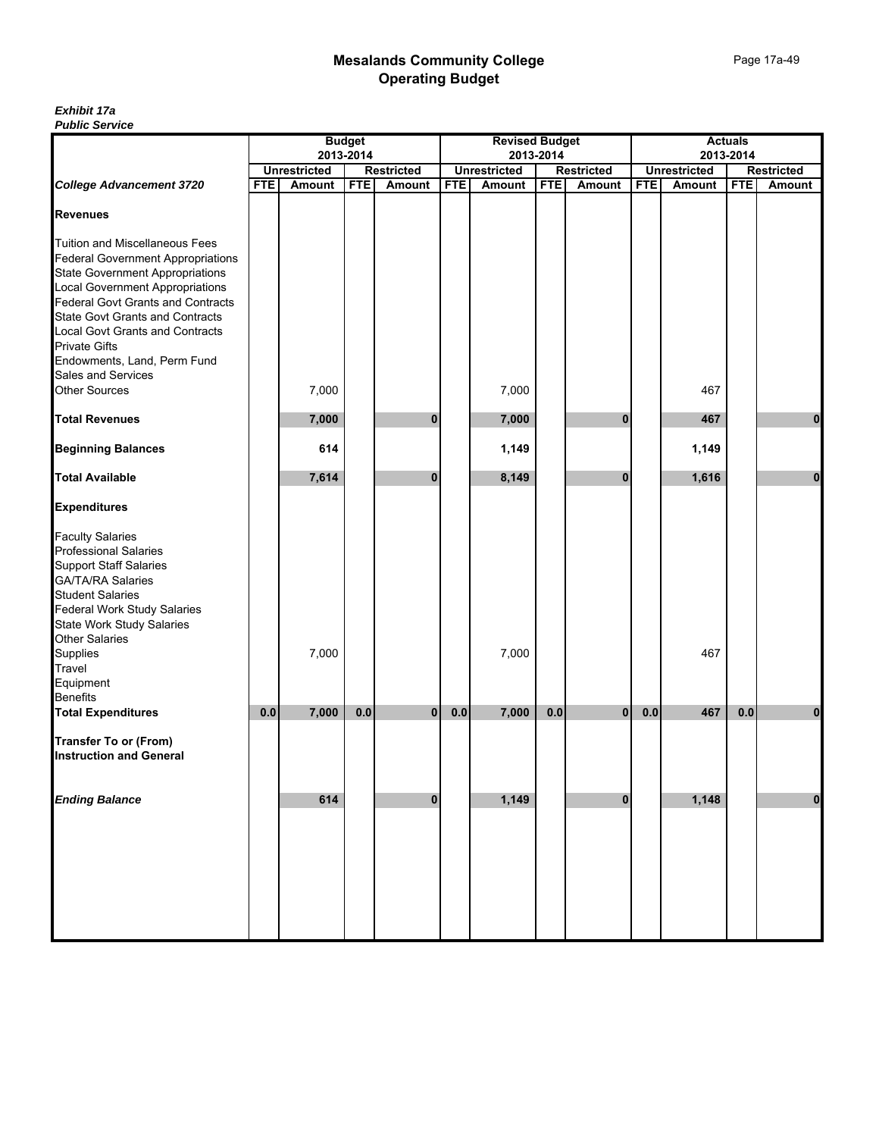| <b>Public Service</b>                    |            |                     |               |                   |            |                       |            |                   |            |                     |                |                   |
|------------------------------------------|------------|---------------------|---------------|-------------------|------------|-----------------------|------------|-------------------|------------|---------------------|----------------|-------------------|
|                                          |            |                     | <b>Budget</b> |                   |            | <b>Revised Budget</b> |            |                   |            |                     | <b>Actuals</b> |                   |
|                                          |            | <b>Unrestricted</b> | 2013-2014     | <b>Restricted</b> |            | <b>Unrestricted</b>   | 2013-2014  | <b>Restricted</b> |            | <b>Unrestricted</b> | 2013-2014      | <b>Restricted</b> |
| <b>College Advancement 3720</b>          | <b>FTE</b> | Amount              | <b>FTE</b>    | Amount            | <b>FTE</b> | Amount                | <b>FTE</b> | <b>Amount</b>     | <b>FTE</b> | Amount              | <b>FTE</b>     | Amount            |
|                                          |            |                     |               |                   |            |                       |            |                   |            |                     |                |                   |
| <b>Revenues</b>                          |            |                     |               |                   |            |                       |            |                   |            |                     |                |                   |
| <b>Tuition and Miscellaneous Fees</b>    |            |                     |               |                   |            |                       |            |                   |            |                     |                |                   |
| <b>Federal Government Appropriations</b> |            |                     |               |                   |            |                       |            |                   |            |                     |                |                   |
| <b>State Government Appropriations</b>   |            |                     |               |                   |            |                       |            |                   |            |                     |                |                   |
| <b>Local Government Appropriations</b>   |            |                     |               |                   |            |                       |            |                   |            |                     |                |                   |
| <b>Federal Govt Grants and Contracts</b> |            |                     |               |                   |            |                       |            |                   |            |                     |                |                   |
| <b>State Govt Grants and Contracts</b>   |            |                     |               |                   |            |                       |            |                   |            |                     |                |                   |
| Local Govt Grants and Contracts          |            |                     |               |                   |            |                       |            |                   |            |                     |                |                   |
| <b>Private Gifts</b>                     |            |                     |               |                   |            |                       |            |                   |            |                     |                |                   |
| Endowments, Land, Perm Fund              |            |                     |               |                   |            |                       |            |                   |            |                     |                |                   |
| Sales and Services                       |            |                     |               |                   |            |                       |            |                   |            |                     |                |                   |
| <b>Other Sources</b>                     |            | 7,000               |               |                   |            | 7,000                 |            |                   |            | 467                 |                |                   |
| <b>Total Revenues</b>                    |            | 7,000               |               | $\bf{0}$          |            | 7,000                 |            | $\bf{0}$          |            | 467                 |                | $\bf{0}$          |
| <b>Beginning Balances</b>                |            | 614                 |               |                   |            | 1,149                 |            |                   |            | 1,149               |                |                   |
| <b>Total Available</b>                   |            | 7,614               |               | 0                 |            | 8,149                 |            | $\bf{0}$          |            | 1,616               |                | $\bf{0}$          |
| <b>Expenditures</b>                      |            |                     |               |                   |            |                       |            |                   |            |                     |                |                   |
| <b>Faculty Salaries</b>                  |            |                     |               |                   |            |                       |            |                   |            |                     |                |                   |
| Professional Salaries                    |            |                     |               |                   |            |                       |            |                   |            |                     |                |                   |
| <b>Support Staff Salaries</b>            |            |                     |               |                   |            |                       |            |                   |            |                     |                |                   |
| <b>GA/TA/RA Salaries</b>                 |            |                     |               |                   |            |                       |            |                   |            |                     |                |                   |
| <b>Student Salaries</b>                  |            |                     |               |                   |            |                       |            |                   |            |                     |                |                   |
| Federal Work Study Salaries              |            |                     |               |                   |            |                       |            |                   |            |                     |                |                   |
| <b>State Work Study Salaries</b>         |            |                     |               |                   |            |                       |            |                   |            |                     |                |                   |
| Other Salaries                           |            |                     |               |                   |            |                       |            |                   |            |                     |                |                   |
| Supplies                                 |            | 7,000               |               |                   |            | 7,000                 |            |                   |            | 467                 |                |                   |
| Travel                                   |            |                     |               |                   |            |                       |            |                   |            |                     |                |                   |
| Equipment                                |            |                     |               |                   |            |                       |            |                   |            |                     |                |                   |
| <b>Benefits</b>                          |            |                     |               |                   |            |                       |            |                   |            |                     |                |                   |
| <b>Total Expenditures</b>                | 0.0        | 7,000               | $0.0$         | $\mathbf{0}$      | 0.0        | 7,000                 | 0.0        | $\bf{0}$          | $0.0\,$    | 467                 | 0.0            | $\bf{0}$          |
| <b>Transfer To or (From)</b>             |            |                     |               |                   |            |                       |            |                   |            |                     |                |                   |
| <b>Instruction and General</b>           |            |                     |               |                   |            |                       |            |                   |            |                     |                |                   |
|                                          |            |                     |               |                   |            |                       |            |                   |            |                     |                |                   |
| <b>Ending Balance</b>                    |            | 614                 |               | $\pmb{0}$         |            | 1,149                 |            | $\mathbf{0}$      |            | 1,148               |                | $\bf{0}$          |
|                                          |            |                     |               |                   |            |                       |            |                   |            |                     |                |                   |
|                                          |            |                     |               |                   |            |                       |            |                   |            |                     |                |                   |
|                                          |            |                     |               |                   |            |                       |            |                   |            |                     |                |                   |
|                                          |            |                     |               |                   |            |                       |            |                   |            |                     |                |                   |
|                                          |            |                     |               |                   |            |                       |            |                   |            |                     |                |                   |
|                                          |            |                     |               |                   |            |                       |            |                   |            |                     |                |                   |
|                                          |            |                     |               |                   |            |                       |            |                   |            |                     |                |                   |
|                                          |            |                     |               |                   |            |                       |            |                   |            |                     |                |                   |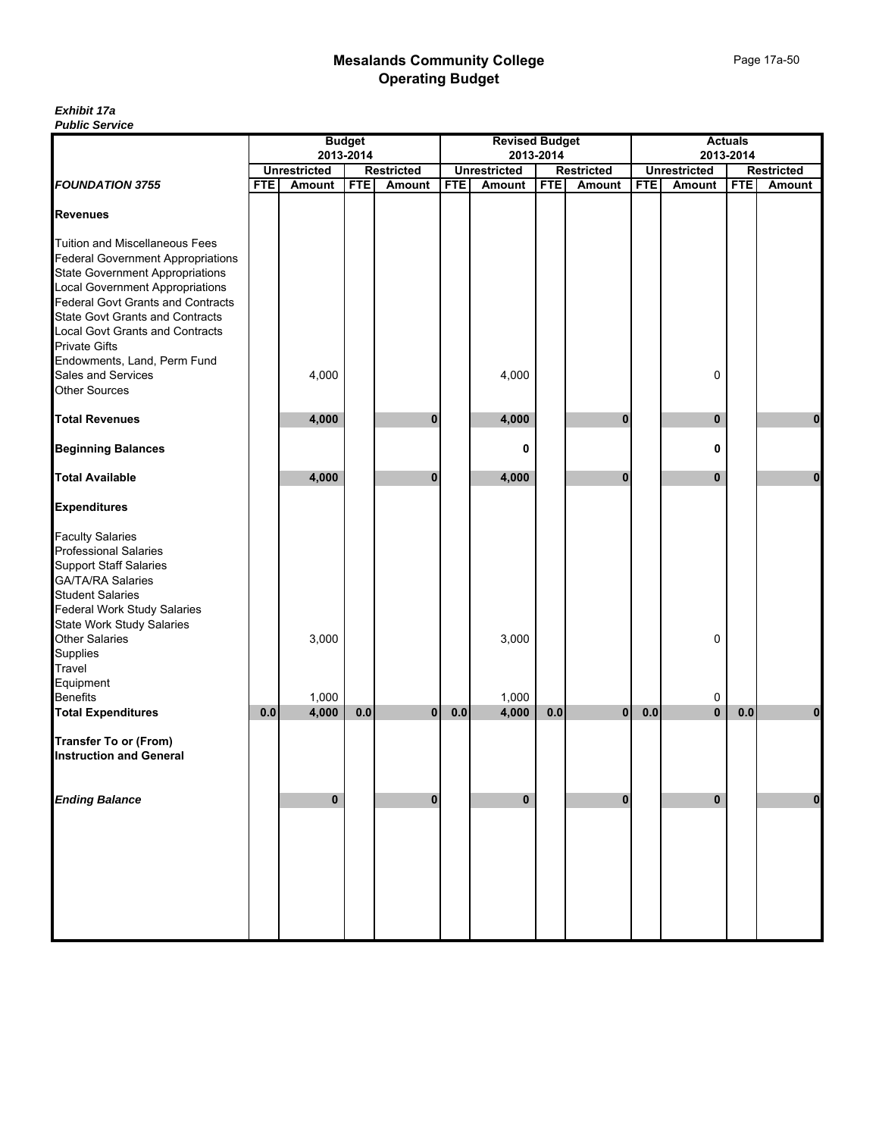|                                                                                                                                                                                                                                                                                                                           |            |                     | <b>Budget</b> |                   |            | <b>Revised Budget</b> |            |                   |            |                     | <b>Actuals</b> |                   |
|---------------------------------------------------------------------------------------------------------------------------------------------------------------------------------------------------------------------------------------------------------------------------------------------------------------------------|------------|---------------------|---------------|-------------------|------------|-----------------------|------------|-------------------|------------|---------------------|----------------|-------------------|
|                                                                                                                                                                                                                                                                                                                           |            |                     | 2013-2014     |                   |            |                       | 2013-2014  |                   |            |                     | 2013-2014      |                   |
|                                                                                                                                                                                                                                                                                                                           |            | <b>Unrestricted</b> |               | <b>Restricted</b> |            | <b>Unrestricted</b>   |            | <b>Restricted</b> |            | <b>Unrestricted</b> |                | <b>Restricted</b> |
| <b>FOUNDATION 3755</b>                                                                                                                                                                                                                                                                                                    | <b>FTE</b> | Amount              | <b>FTE</b>    | Amount            | <b>FTE</b> | Amount                | <b>FTE</b> | <b>Amount</b>     | <b>FTE</b> | Amount              | <b>FTE</b>     | <b>Amount</b>     |
| <b>Revenues</b>                                                                                                                                                                                                                                                                                                           |            |                     |               |                   |            |                       |            |                   |            |                     |                |                   |
| Tuition and Miscellaneous Fees<br><b>Federal Government Appropriations</b><br><b>State Government Appropriations</b><br>Local Government Appropriations<br>Federal Govt Grants and Contracts<br><b>State Govt Grants and Contracts</b><br>Local Govt Grants and Contracts<br>Private Gifts<br>Endowments, Land, Perm Fund |            |                     |               |                   |            |                       |            |                   |            |                     |                |                   |
| Sales and Services<br><b>Other Sources</b>                                                                                                                                                                                                                                                                                |            | 4,000               |               |                   |            | 4,000                 |            |                   |            | 0                   |                |                   |
| <b>Total Revenues</b>                                                                                                                                                                                                                                                                                                     |            | 4,000               |               | 0                 |            | 4,000                 |            | 0                 |            | $\mathbf{0}$        |                | $\bf{0}$          |
| <b>Beginning Balances</b>                                                                                                                                                                                                                                                                                                 |            |                     |               |                   |            | 0                     |            |                   |            | 0                   |                |                   |
| <b>Total Available</b>                                                                                                                                                                                                                                                                                                    |            | 4,000               |               | 0                 |            | 4,000                 |            | $\bf{0}$          |            | $\mathbf{0}$        |                | $\mathbf{0}$      |
| <b>Expenditures</b>                                                                                                                                                                                                                                                                                                       |            |                     |               |                   |            |                       |            |                   |            |                     |                |                   |
| <b>Faculty Salaries<br/>Professional Salaries</b><br><b>Support Staff Salaries</b><br>GA/TA/RA Salaries<br>Student Salaries<br>Federal Work Study Salaries                                                                                                                                                                |            |                     |               |                   |            |                       |            |                   |            |                     |                |                   |
| State Work Study Salaries<br>Other Salaries<br>Supplies<br>Travel<br>Equipment                                                                                                                                                                                                                                            |            | 3,000               |               |                   |            | 3,000                 |            |                   |            | 0                   |                |                   |
| Benefits                                                                                                                                                                                                                                                                                                                  |            | 1,000               |               |                   |            | 1,000                 |            |                   |            | 0                   |                |                   |
| <b>Total Expenditures</b>                                                                                                                                                                                                                                                                                                 | 0.0        | 4,000               | 0.0           | $\overline{0}$    | 0.0        | 4,000                 | 0.0        | $\overline{0}$    | 0.0        | $\mathbf{0}$        | 0.0            | $\mathbf 0$       |
| <b>Transfer To or (From)</b><br><b>Instruction and General</b>                                                                                                                                                                                                                                                            |            |                     |               |                   |            |                       |            |                   |            |                     |                |                   |
| <b>Ending Balance</b>                                                                                                                                                                                                                                                                                                     |            | $\mathbf 0$         |               | $\pmb{0}$         |            | 0                     |            | $\bf{0}$          |            | $\mathbf 0$         |                | $\pmb{0}$         |
|                                                                                                                                                                                                                                                                                                                           |            |                     |               |                   |            |                       |            |                   |            |                     |                |                   |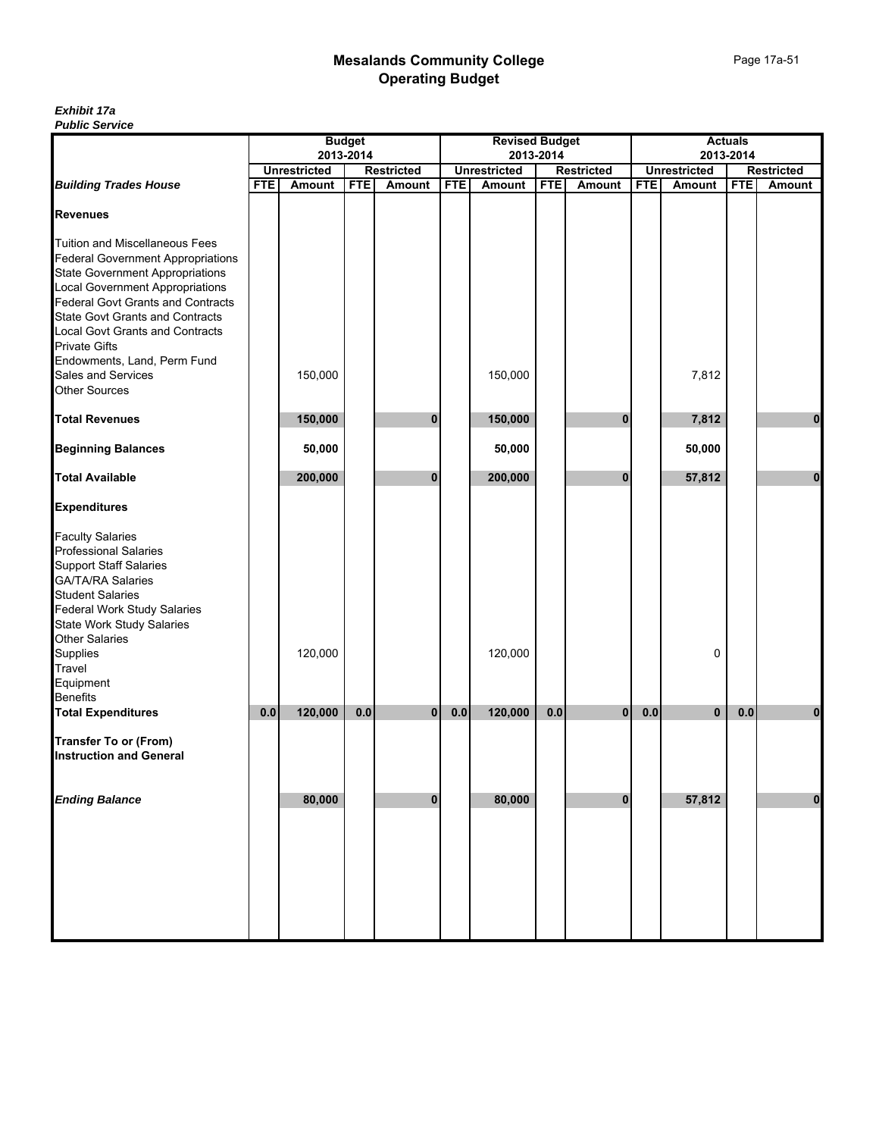|                                                                                                                                                                                                                                                                                                                                                                                |            |                     | <b>Budget</b> |                   |            | <b>Revised Budget</b> |            |                   |            |                     | <b>Actuals</b> |                   |
|--------------------------------------------------------------------------------------------------------------------------------------------------------------------------------------------------------------------------------------------------------------------------------------------------------------------------------------------------------------------------------|------------|---------------------|---------------|-------------------|------------|-----------------------|------------|-------------------|------------|---------------------|----------------|-------------------|
|                                                                                                                                                                                                                                                                                                                                                                                |            | 2013-2014           |               |                   |            | 2013-2014             |            |                   | 2013-2014  |                     |                |                   |
|                                                                                                                                                                                                                                                                                                                                                                                |            | <b>Unrestricted</b> |               | <b>Restricted</b> |            | <b>Unrestricted</b>   |            | <b>Restricted</b> |            | <b>Unrestricted</b> |                | <b>Restricted</b> |
| <b>Building Trades House</b>                                                                                                                                                                                                                                                                                                                                                   | <b>FTE</b> | Amount              | <b>FTE</b>    | Amount            | <b>FTE</b> | <b>Amount</b>         | <b>FTE</b> | Amount            | <b>FTE</b> | Amount              | <b>FTE</b>     | <b>Amount</b>     |
| <b>Revenues</b>                                                                                                                                                                                                                                                                                                                                                                |            |                     |               |                   |            |                       |            |                   |            |                     |                |                   |
| <b>Tuition and Miscellaneous Fees</b><br><b>Federal Government Appropriations</b><br><b>State Government Appropriations</b><br>Local Government Appropriations<br>Federal Govt Grants and Contracts<br><b>State Govt Grants and Contracts</b><br>Local Govt Grants and Contracts<br>Private Gifts<br>Endowments, Land, Perm Fund<br>Sales and Services<br><b>Other Sources</b> |            | 150,000             |               |                   |            | 150,000               |            |                   |            | 7,812               |                |                   |
|                                                                                                                                                                                                                                                                                                                                                                                |            |                     |               |                   |            |                       |            |                   |            |                     |                |                   |
| <b>Total Revenues</b>                                                                                                                                                                                                                                                                                                                                                          |            | 150,000             |               | 0                 |            | 150,000               |            | 0                 |            | 7,812               |                | 0                 |
| <b>Beginning Balances</b>                                                                                                                                                                                                                                                                                                                                                      |            | 50,000              |               |                   |            | 50,000                |            |                   |            | 50,000              |                |                   |
| <b>Total Available</b>                                                                                                                                                                                                                                                                                                                                                         |            | 200,000             |               | $\mathbf{0}$      |            | 200,000               |            | $\bf{0}$          |            | 57,812              |                | $\mathbf{0}$      |
| <b>Expenditures</b>                                                                                                                                                                                                                                                                                                                                                            |            |                     |               |                   |            |                       |            |                   |            |                     |                |                   |
| <b>Faculty Salaries</b><br>Professional Salaries<br><b>Support Staff Salaries</b><br>GA/TA/RA Salaries<br>Student Salaries<br><b>Federal Work Study Salaries</b><br>State Work Study Salaries<br>Other Salaries<br>Supplies<br>Travel<br>Equipment<br><b>Benefits</b>                                                                                                          |            | 120,000             |               |                   |            | 120,000               |            |                   |            | 0                   |                |                   |
| <b>Total Expenditures</b>                                                                                                                                                                                                                                                                                                                                                      | 0.0        | 120,000             | 0.0           | $\mathbf{0}$      | 0.0        | 120,000               | 0.0        | $\bf{0}$          | 0.0        | $\bf{0}$            | 0.0            | 0                 |
| <b>Transfer To or (From)</b><br><b>Instruction and General</b>                                                                                                                                                                                                                                                                                                                 |            |                     |               |                   |            |                       |            |                   |            |                     |                |                   |
| <b>Ending Balance</b>                                                                                                                                                                                                                                                                                                                                                          |            | 80,000              |               | $\mathbf 0$       |            | 80,000                |            | $\bf{0}$          |            | 57,812              |                | $\bf{0}$          |
|                                                                                                                                                                                                                                                                                                                                                                                |            |                     |               |                   |            |                       |            |                   |            |                     |                |                   |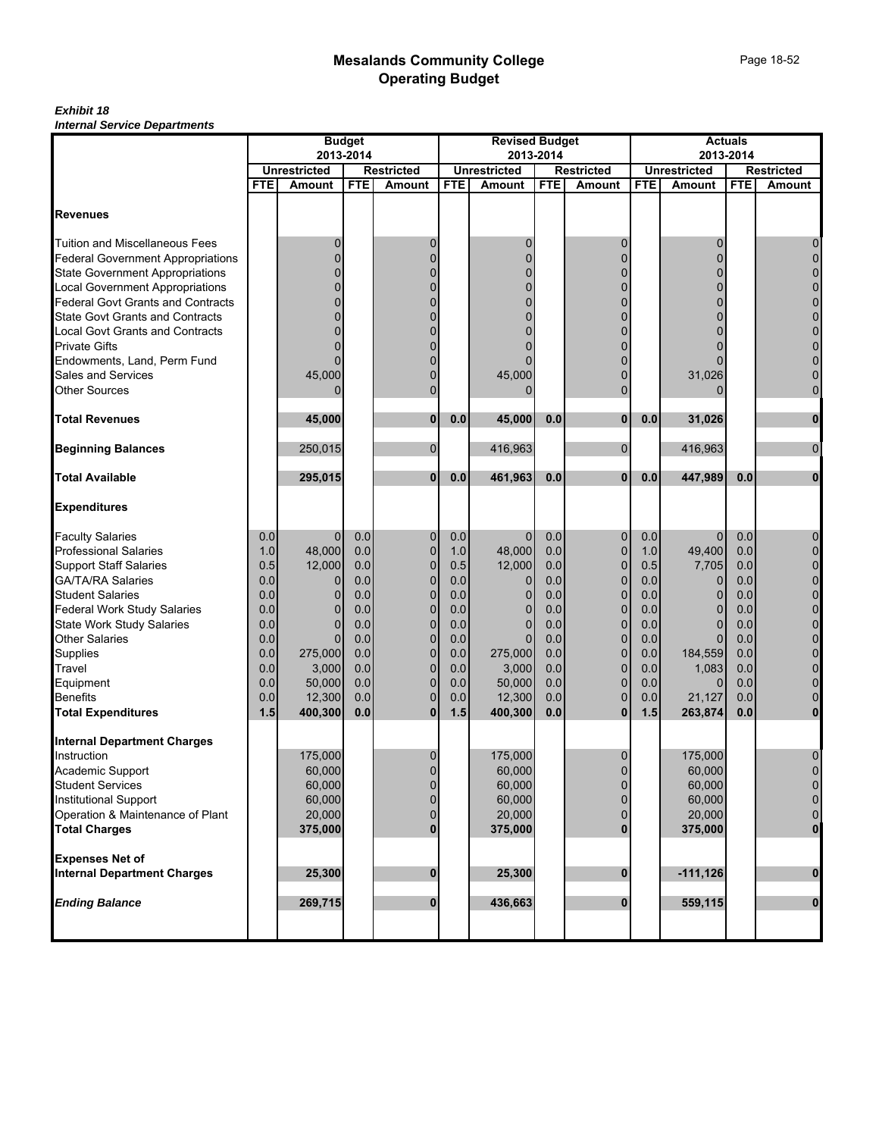|                                          |            | <b>Budget</b>       |            |                   | <b>Revised Budget</b> |                     |            |                   | <b>Actuals</b> |                     |            |                   |
|------------------------------------------|------------|---------------------|------------|-------------------|-----------------------|---------------------|------------|-------------------|----------------|---------------------|------------|-------------------|
|                                          |            | 2013-2014           |            |                   |                       |                     | 2013-2014  |                   |                | 2013-2014           |            |                   |
|                                          |            | <b>Unrestricted</b> |            | <b>Restricted</b> |                       | <b>Unrestricted</b> |            | <b>Restricted</b> |                | <b>Unrestricted</b> |            | <b>Restricted</b> |
|                                          | <b>FTE</b> | <b>Amount</b>       | <b>FTE</b> | <b>Amount</b>     | <b>FTE</b>            | <b>Amount</b>       | <b>FTE</b> | Amount            | <b>FTE</b>     | Amount              | <b>FTE</b> | Amount            |
| <b>Revenues</b>                          |            |                     |            |                   |                       |                     |            |                   |                |                     |            |                   |
| <b>Tuition and Miscellaneous Fees</b>    |            | 0                   |            | 0                 |                       | 0                   |            |                   |                | 0                   |            | 0                 |
| <b>Federal Government Appropriations</b> |            | 0                   |            | $\overline{0}$    |                       | $\Omega$            |            |                   |                | 0                   |            | $\pmb{0}$         |
| <b>State Government Appropriations</b>   |            | 0                   |            | $\Omega$          |                       | $\Omega$            |            |                   |                | n                   |            | $\mathbf 0$       |
| <b>Local Government Appropriations</b>   |            | 0                   |            | 0                 |                       | 0                   |            |                   |                | 0                   |            | $\pmb{0}$         |
| Federal Govt Grants and Contracts        |            | $\Omega$            |            | $\Omega$          |                       |                     |            |                   |                |                     |            | $\pmb{0}$         |
| <b>State Govt Grants and Contracts</b>   |            |                     |            | $\Omega$          |                       |                     |            |                   |                |                     |            | $\pmb{0}$         |
| Local Govt Grants and Contracts          |            | 0                   |            | 0                 |                       |                     |            |                   |                |                     |            | $\pmb{0}$         |
| <b>Private Gifts</b>                     |            |                     |            | O                 |                       |                     |            |                   |                |                     |            | $\pmb{0}$         |
| Endowments, Land, Perm Fund              |            |                     |            | $\Omega$          |                       |                     |            |                   |                |                     |            | $\pmb{0}$         |
| Sales and Services                       |            | 45,000              |            | 0                 |                       | 45,000              |            | 0                 |                | 31,026              |            | $\mathbf 0$       |
| <b>Other Sources</b>                     |            |                     |            | $\Omega$          |                       |                     |            | $\Omega$          |                |                     |            | $\mathbf 0$       |
| <b>Total Revenues</b>                    |            | 45.000              |            | 0                 | 0.0                   | 45,000              | 0.0        | 0                 | 0.0            | 31,026              |            | $\bf{0}$          |
|                                          |            |                     |            |                   |                       |                     |            |                   |                |                     |            |                   |
| <b>Beginning Balances</b>                |            | 250,015             |            | $\mathbf 0$       |                       | 416,963             |            | $\overline{0}$    |                | 416,963             |            | $\pmb{0}$         |
| <b>Total Available</b>                   |            | 295,015             |            | $\mathbf{0}$      | 0.0                   | 461,963             | 0.0        | $\mathbf{0}$      | 0.0            | 447,989             | 0.0        | $\mathbf 0$       |
| <b>Expenditures</b>                      |            |                     |            |                   |                       |                     |            |                   |                |                     |            |                   |
| <b>Faculty Salaries</b>                  | 0.0        | $\mathbf{0}$        | 0.0        | 0                 | 0.0                   | $\mathbf{0}$        | 0.0        | 0                 | 0.0            | $\mathbf 0$         | 0.0        | 0                 |
| <b>Professional Salaries</b>             | 1.0        | 48,000              | 0.0        | $\overline{0}$    | 1.0                   | 48,000              | 0.0        | $\mathbf 0$       | 1.0            | 49,400              | 0.0        | $\pmb{0}$         |
| <b>Support Staff Salaries</b>            | 0.5        | 12,000              | 0.0        | $\overline{0}$    | 0.5                   | 12,000              | 0.0        | $\mathbf 0$       | 0.5            | 7,705               | 0.0        | $\mathbf 0$       |
| GA/TA/RA Salaries                        | 0.0        | 0                   | 0.0        | $\mathbf 0$       | 0.0                   | 0                   | 0.0        | 0                 | 0.0            | $\mathbf{0}$        | 0.0        | $\pmb{0}$         |
| <b>Student Salaries</b>                  | 0.0        | $\Omega$            | 0.0        | $\overline{0}$    | 0.0                   | $\Omega$            | 0.0        | $\mathbf 0$       | 0.0            | $\mathbf 0$         | 0.0        | $\mathbf 0$       |
| <b>Federal Work Study Salaries</b>       | 0.0        | $\Omega$            | 0.0        | $\overline{0}$    | 0.0                   |                     | 0.0        | $\Omega$          | 0.0            | $\Omega$            | 0.0        | $\mathbf 0$       |
| <b>State Work Study Salaries</b>         | 0.0        | $\mathbf{0}$        | 0.0        | $\overline{0}$    | 0.0                   | 0                   | 0.0        | 0                 | 0.0            | $\Omega$            | 0.0        | $\mathbf 0$       |
| <b>Other Salaries</b>                    | 0.0        | $\Omega$            | 0.0        | $\mathbf{0}$      | 0.0                   | $\Omega$            | 0.0        | 0                 | 0.0            | $\Omega$            | 0.0        | $\mathbf 0$       |
| Supplies                                 | 0.0        | 275,000             | 0.0        | $\overline{0}$    | 0.0                   | 275,000             | 0.0        | $\mathbf 0$       | 0.0            | 184,559             | 0.0        | $\pmb{0}$         |
| <b>Travel</b>                            | 0.0        | 3,000               | 0.0        | $\mathbf 0$       | 0.0                   | 3,000               | 0.0        | $\mathbf 0$       | 0.0            | 1,083               | 0.0        | $\mathbf 0$       |
| Equipment                                | 0.0        | 50,000              | 0.0        | 0                 | 0.0                   | 50,000              | 0.0        | $\mathbf 0$       | 0.0            | $\Omega$            | 0.0        | $\mathbf 0$       |
| <b>Benefits</b>                          | 0.0        | 12,300              | 0.0        | $\overline{0}$    | 0.0                   | 12,300              | 0.0        | 0                 | 0.0            | 21,127              | 0.0        | $\mathbf 0$       |
| <b>Total Expenditures</b>                | 1.5        | 400,300             | 0.0        | $\mathbf{0}$      | 1.5                   | 400,300             | 0.0        | $\bf{0}$          | 1.5            | 263,874             | 0.0        | $\bf{0}$          |
| <b>Internal Department Charges</b>       |            |                     |            |                   |                       |                     |            |                   |                |                     |            |                   |
| Instruction                              |            | 175,000             |            | 0                 |                       | 175,000             |            | 0                 |                | 175,000             |            | 0                 |
| Academic Support                         |            | 60,000              |            | $\overline{0}$    |                       | 60,000              |            | $\mathbf{0}$      |                | 60,000              |            | $\mathbf 0$       |
| <b>Student Services</b>                  |            | 60,000              |            | 0                 |                       | 60,000              |            | 0                 |                | 60,000              |            | $\mathbf 0$       |
| <b>Institutional Support</b>             |            | 60,000              |            | 0                 |                       | 60,000              |            |                   |                | 60,000              |            | $\mathbf 0$       |
| Operation & Maintenance of Plant         |            | 20,000              |            | 0                 |                       | 20,000              |            |                   |                | 20,000              |            | $\mathbf 0$       |
| <b>Total Charges</b>                     |            | 375,000             |            | $\bf{0}$          |                       | 375,000             |            |                   |                | 375,000             |            | $\mathbf{0}$      |
| <b>Expenses Net of</b>                   |            |                     |            |                   |                       |                     |            |                   |                |                     |            |                   |
| <b>Internal Department Charges</b>       |            | 25,300              |            | 0                 |                       | 25,300              |            | $\bf{0}$          |                | $-111,126$          |            | $\mathbf{0}$      |
| <b>Ending Balance</b>                    |            | 269,715             |            | 0                 |                       | 436,663             |            | $\bf{0}$          |                | 559,115             |            | $\mathbf 0$       |
|                                          |            |                     |            |                   |                       |                     |            |                   |                |                     |            |                   |
|                                          |            |                     |            |                   |                       |                     |            |                   |                |                     |            |                   |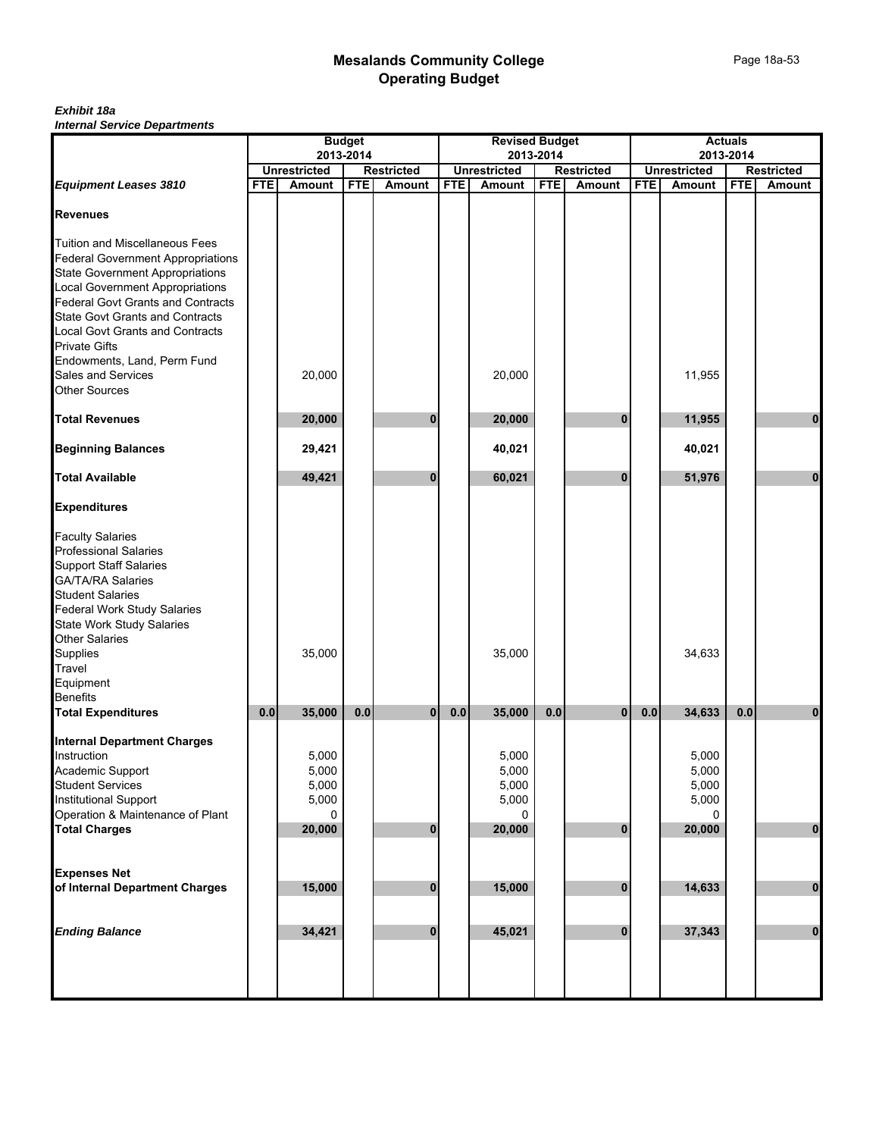|                                                                      |            |                                  | <b>Budget</b>     |          |                     | <b>Revised Budget</b> |                   |               |                     |           | <b>Actuals</b> |                                    |
|----------------------------------------------------------------------|------------|----------------------------------|-------------------|----------|---------------------|-----------------------|-------------------|---------------|---------------------|-----------|----------------|------------------------------------|
|                                                                      |            | 2013-2014<br><b>Unrestricted</b> | <b>Restricted</b> |          | <b>Unrestricted</b> | 2013-2014             | <b>Restricted</b> |               | <b>Unrestricted</b> | 2013-2014 |                |                                    |
| <b>Equipment Leases 3810</b>                                         | <b>FTE</b> | <b>Amount</b>                    | <b>FTE</b>        | Amount   | <b>FTE</b>          | Amount                | <b>FTE</b>        | <b>Amount</b> | <b>FTE</b>          | Amount    | <b>FTE</b>     | <b>Restricted</b><br><b>Amount</b> |
|                                                                      |            |                                  |                   |          |                     |                       |                   |               |                     |           |                |                                    |
| <b>Revenues</b>                                                      |            |                                  |                   |          |                     |                       |                   |               |                     |           |                |                                    |
|                                                                      |            |                                  |                   |          |                     |                       |                   |               |                     |           |                |                                    |
| <b>Tuition and Miscellaneous Fees</b>                                |            |                                  |                   |          |                     |                       |                   |               |                     |           |                |                                    |
| <b>Federal Government Appropriations</b>                             |            |                                  |                   |          |                     |                       |                   |               |                     |           |                |                                    |
| <b>State Government Appropriations</b>                               |            |                                  |                   |          |                     |                       |                   |               |                     |           |                |                                    |
| Local Government Appropriations<br>Federal Govt Grants and Contracts |            |                                  |                   |          |                     |                       |                   |               |                     |           |                |                                    |
|                                                                      |            |                                  |                   |          |                     |                       |                   |               |                     |           |                |                                    |
| <b>State Govt Grants and Contracts</b>                               |            |                                  |                   |          |                     |                       |                   |               |                     |           |                |                                    |
| <b>Local Govt Grants and Contracts</b><br><b>Private Gifts</b>       |            |                                  |                   |          |                     |                       |                   |               |                     |           |                |                                    |
|                                                                      |            |                                  |                   |          |                     |                       |                   |               |                     |           |                |                                    |
| Endowments, Land, Perm Fund                                          |            |                                  |                   |          |                     |                       |                   |               |                     |           |                |                                    |
| Sales and Services<br><b>Other Sources</b>                           |            | 20,000                           |                   |          |                     | 20,000                |                   |               |                     | 11,955    |                |                                    |
|                                                                      |            |                                  |                   |          |                     |                       |                   |               |                     |           |                |                                    |
| <b>Total Revenues</b>                                                |            | 20,000                           |                   | 0        |                     | 20,000                |                   | 0             |                     | 11,955    |                | 0                                  |
|                                                                      |            |                                  |                   |          |                     |                       |                   |               |                     |           |                |                                    |
| <b>Beginning Balances</b>                                            |            | 29,421                           |                   |          |                     | 40,021                |                   |               |                     | 40,021    |                |                                    |
| <b>Total Available</b>                                               |            | 49,421                           |                   | $\bf{0}$ |                     | 60,021                |                   | $\bf{0}$      |                     | 51,976    |                | $\mathbf{0}$                       |
| <b>Expenditures</b>                                                  |            |                                  |                   |          |                     |                       |                   |               |                     |           |                |                                    |
| <b>Faculty Salaries</b>                                              |            |                                  |                   |          |                     |                       |                   |               |                     |           |                |                                    |
| <b>Professional Salaries</b>                                         |            |                                  |                   |          |                     |                       |                   |               |                     |           |                |                                    |
| <b>Support Staff Salaries</b>                                        |            |                                  |                   |          |                     |                       |                   |               |                     |           |                |                                    |
|                                                                      |            |                                  |                   |          |                     |                       |                   |               |                     |           |                |                                    |
| GA/TA/RA Salaries<br>Student Salaries                                |            |                                  |                   |          |                     |                       |                   |               |                     |           |                |                                    |
| <b>Federal Work Study Salaries</b>                                   |            |                                  |                   |          |                     |                       |                   |               |                     |           |                |                                    |
|                                                                      |            |                                  |                   |          |                     |                       |                   |               |                     |           |                |                                    |
| State Work Study Salaries<br>Other Salaries                          |            |                                  |                   |          |                     |                       |                   |               |                     |           |                |                                    |
| Supplies                                                             |            | 35,000                           |                   |          |                     | 35,000                |                   |               |                     | 34,633    |                |                                    |
| Travel                                                               |            |                                  |                   |          |                     |                       |                   |               |                     |           |                |                                    |
| Equipment                                                            |            |                                  |                   |          |                     |                       |                   |               |                     |           |                |                                    |
| <b>Benefits</b>                                                      |            |                                  |                   |          |                     |                       |                   |               |                     |           |                |                                    |
| <b>Total Expenditures</b>                                            | 0.0        | 35,000                           | 0.0               | 0        | 0.0                 | 35,000                | 0.0               | $\bf{0}$      | 0.0                 | 34,633    | 0.0            | 0                                  |
| <b>Internal Department Charges</b>                                   |            |                                  |                   |          |                     |                       |                   |               |                     |           |                |                                    |
| Instruction                                                          |            | 5,000                            |                   |          |                     | 5,000                 |                   |               |                     | 5,000     |                |                                    |
| Academic Support                                                     |            | 5,000                            |                   |          |                     | 5,000                 |                   |               |                     | 5,000     |                |                                    |
| <b>Student Services</b>                                              |            | 5,000                            |                   |          |                     | 5,000                 |                   |               |                     | 5,000     |                |                                    |
| Institutional Support                                                |            | 5,000                            |                   |          |                     | 5,000                 |                   |               |                     | 5,000     |                |                                    |
|                                                                      |            | $\mathbf 0$                      |                   |          |                     | 0                     |                   |               |                     | $\Omega$  |                |                                    |
| Operation & Maintenance of Plant<br>Total Charges                    |            | 20,000                           |                   | $\bf{0}$ |                     | 20,000                |                   | $\bf{0}$      |                     | 20,000    |                | $\pmb{0}$                          |
|                                                                      |            |                                  |                   |          |                     |                       |                   |               |                     |           |                |                                    |
| <b>Expenses Net</b>                                                  |            |                                  |                   |          |                     |                       |                   |               |                     |           |                |                                    |
| of Internal Department Charges                                       |            | 15,000                           |                   | $\bf{0}$ |                     | 15,000                |                   | $\bf{0}$      |                     | 14,633    |                | $\pmb{0}$                          |
|                                                                      |            |                                  |                   |          |                     |                       |                   |               |                     |           |                |                                    |
| <b>Ending Balance</b>                                                |            | 34,421                           |                   | $\bf{0}$ |                     | 45,021                |                   | $\bf{0}$      |                     | 37,343    |                | $\mathbf 0$                        |
|                                                                      |            |                                  |                   |          |                     |                       |                   |               |                     |           |                |                                    |
|                                                                      |            |                                  |                   |          |                     |                       |                   |               |                     |           |                |                                    |
|                                                                      |            |                                  |                   |          |                     |                       |                   |               |                     |           |                |                                    |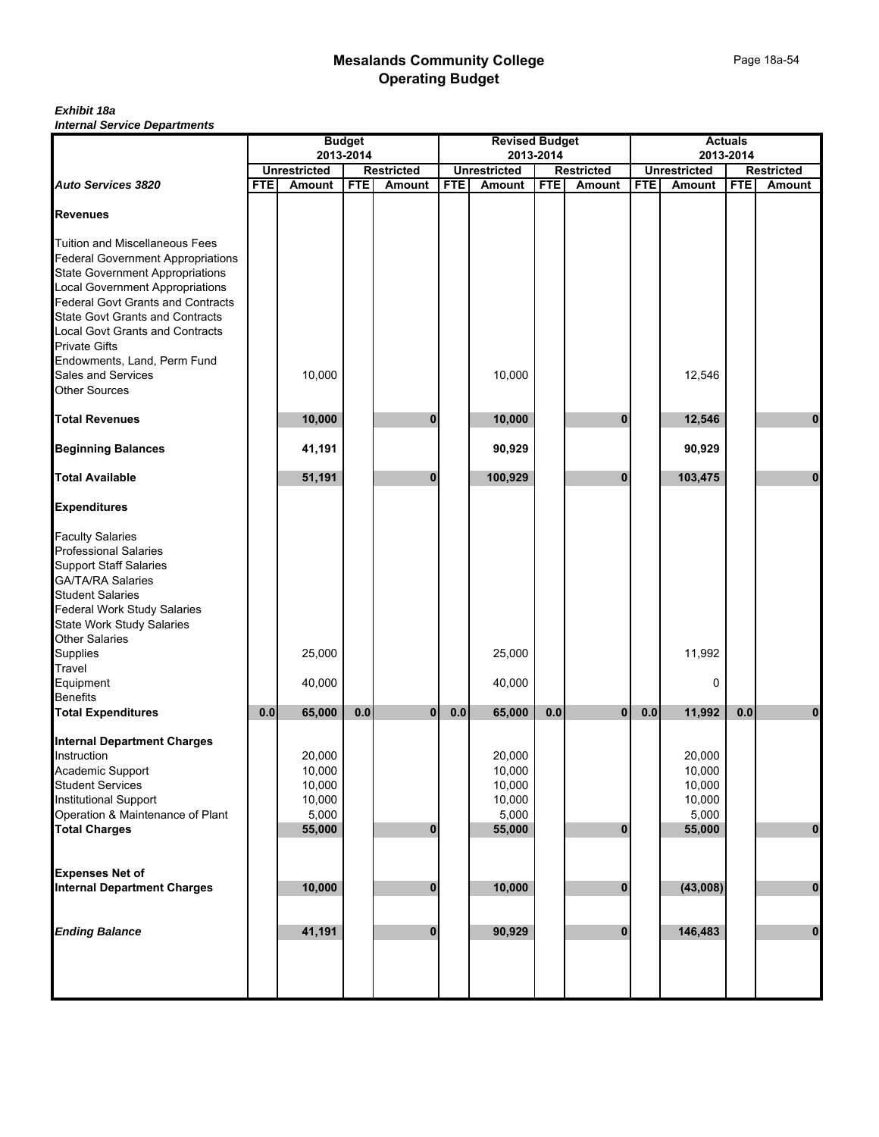|                                                                      |            |                     | <b>Budget</b> |                   |            | <b>Revised Budget</b> |            |                   |            |                     | <b>Actuals</b> |                   |
|----------------------------------------------------------------------|------------|---------------------|---------------|-------------------|------------|-----------------------|------------|-------------------|------------|---------------------|----------------|-------------------|
|                                                                      |            | <b>Unrestricted</b> | 2013-2014     | <b>Restricted</b> |            | <b>Unrestricted</b>   | 2013-2014  | <b>Restricted</b> |            | <b>Unrestricted</b> | 2013-2014      | <b>Restricted</b> |
| <b>Auto Services 3820</b>                                            | <b>FTE</b> | <b>Amount</b>       | <b>FTE</b>    | <b>Amount</b>     | <b>FTE</b> | Amount                | <b>FTE</b> | <b>Amount</b>     | <b>FTE</b> | Amount              | <b>FTE</b>     | Amount            |
|                                                                      |            |                     |               |                   |            |                       |            |                   |            |                     |                |                   |
| <b>Revenues</b>                                                      |            |                     |               |                   |            |                       |            |                   |            |                     |                |                   |
| Tuition and Miscellaneous Fees                                       |            |                     |               |                   |            |                       |            |                   |            |                     |                |                   |
| <b>Federal Government Appropriations</b>                             |            |                     |               |                   |            |                       |            |                   |            |                     |                |                   |
| <b>State Government Appropriations</b>                               |            |                     |               |                   |            |                       |            |                   |            |                     |                |                   |
|                                                                      |            |                     |               |                   |            |                       |            |                   |            |                     |                |                   |
| Local Government Appropriations<br>Federal Govt Grants and Contracts |            |                     |               |                   |            |                       |            |                   |            |                     |                |                   |
| <b>State Govt Grants and Contracts</b>                               |            |                     |               |                   |            |                       |            |                   |            |                     |                |                   |
|                                                                      |            |                     |               |                   |            |                       |            |                   |            |                     |                |                   |
| <b>Local Govt Grants and Contracts</b>                               |            |                     |               |                   |            |                       |            |                   |            |                     |                |                   |
| <b>Private Gifts</b>                                                 |            |                     |               |                   |            |                       |            |                   |            |                     |                |                   |
| Endowments, Land, Perm Fund                                          |            |                     |               |                   |            |                       |            |                   |            |                     |                |                   |
| Sales and Services                                                   |            | 10,000              |               |                   |            | 10,000                |            |                   |            | 12,546              |                |                   |
| Other Sources                                                        |            |                     |               |                   |            |                       |            |                   |            |                     |                |                   |
| <b>Total Revenues</b>                                                |            |                     |               | 0                 |            |                       |            | $\bf{0}$          |            |                     |                |                   |
|                                                                      |            | 10,000              |               |                   |            | 10,000                |            |                   |            | 12,546              |                | 0                 |
| <b>Beginning Balances</b>                                            |            | 41,191              |               |                   |            | 90,929                |            |                   |            | 90,929              |                |                   |
| <b>Total Available</b>                                               |            | 51,191              |               | $\bf{0}$          |            | 100,929               |            | $\mathbf{0}$      |            | 103,475             |                | $\bf{0}$          |
| <b>Expenditures</b>                                                  |            |                     |               |                   |            |                       |            |                   |            |                     |                |                   |
| <b>Faculty Salaries</b>                                              |            |                     |               |                   |            |                       |            |                   |            |                     |                |                   |
| <b>Professional Salaries</b>                                         |            |                     |               |                   |            |                       |            |                   |            |                     |                |                   |
| <b>Support Staff Salaries</b>                                        |            |                     |               |                   |            |                       |            |                   |            |                     |                |                   |
|                                                                      |            |                     |               |                   |            |                       |            |                   |            |                     |                |                   |
| GA/TA/RA Salaries<br>Student Salaries                                |            |                     |               |                   |            |                       |            |                   |            |                     |                |                   |
| <b>Federal Work Study Salaries</b>                                   |            |                     |               |                   |            |                       |            |                   |            |                     |                |                   |
| <b>State Work Study Salaries</b>                                     |            |                     |               |                   |            |                       |            |                   |            |                     |                |                   |
| Other Salaries                                                       |            |                     |               |                   |            |                       |            |                   |            |                     |                |                   |
| Supplies                                                             |            | 25,000              |               |                   |            | 25,000                |            |                   |            | 11,992              |                |                   |
|                                                                      |            |                     |               |                   |            |                       |            |                   |            |                     |                |                   |
| Travel<br>Equipment                                                  |            | 40,000              |               |                   |            | 40,000                |            |                   |            | 0                   |                |                   |
| <b>Benefits</b>                                                      |            |                     |               |                   |            |                       |            |                   |            |                     |                |                   |
| <b>Total Expenditures</b>                                            | 0.0        | 65,000              | 0.0           | 0                 | 0.0        | 65,000                | 0.0        | $\bf{0}$          | $0.0\,$    | 11,992              | $0.0\,$        | $\bf{0}$          |
|                                                                      |            |                     |               |                   |            |                       |            |                   |            |                     |                |                   |
| <b>Internal Department Charges</b>                                   |            |                     |               |                   |            |                       |            |                   |            |                     |                |                   |
| Instruction                                                          |            | 20,000              |               |                   |            | 20,000                |            |                   |            | 20,000              |                |                   |
| Academic Support                                                     |            | 10,000              |               |                   |            | 10,000                |            |                   |            | 10,000              |                |                   |
| Student Services                                                     |            | 10,000              |               |                   |            | 10,000                |            |                   |            | 10,000              |                |                   |
| Institutional Support                                                |            | 10,000              |               |                   |            | 10,000                |            |                   |            | 10,000              |                |                   |
| Operation & Maintenance of Plant                                     |            | 5,000               |               |                   |            | 5,000                 |            |                   |            | 5,000               |                |                   |
| Total Charges                                                        |            | 55,000              |               | $\bf{0}$          |            | 55,000                |            | $\bf{0}$          |            | 55,000              |                | $\mathbf 0$       |
|                                                                      |            |                     |               |                   |            |                       |            |                   |            |                     |                |                   |
| <b>Expenses Net of</b>                                               |            |                     |               |                   |            |                       |            |                   |            |                     |                |                   |
| <b>Internal Department Charges</b>                                   |            | 10,000              |               | $\bf{0}$          |            | 10,000                |            | $\bf{0}$          |            | (43,008)            |                | $\pmb{0}$         |
|                                                                      |            |                     |               |                   |            |                       |            |                   |            |                     |                |                   |
|                                                                      |            |                     |               |                   |            |                       |            |                   |            |                     |                |                   |
| <b>Ending Balance</b>                                                |            | 41,191              |               | $\bf{0}$          |            | 90,929                |            | $\bf{0}$          |            | 146,483             |                | $\pmb{0}$         |
|                                                                      |            |                     |               |                   |            |                       |            |                   |            |                     |                |                   |
|                                                                      |            |                     |               |                   |            |                       |            |                   |            |                     |                |                   |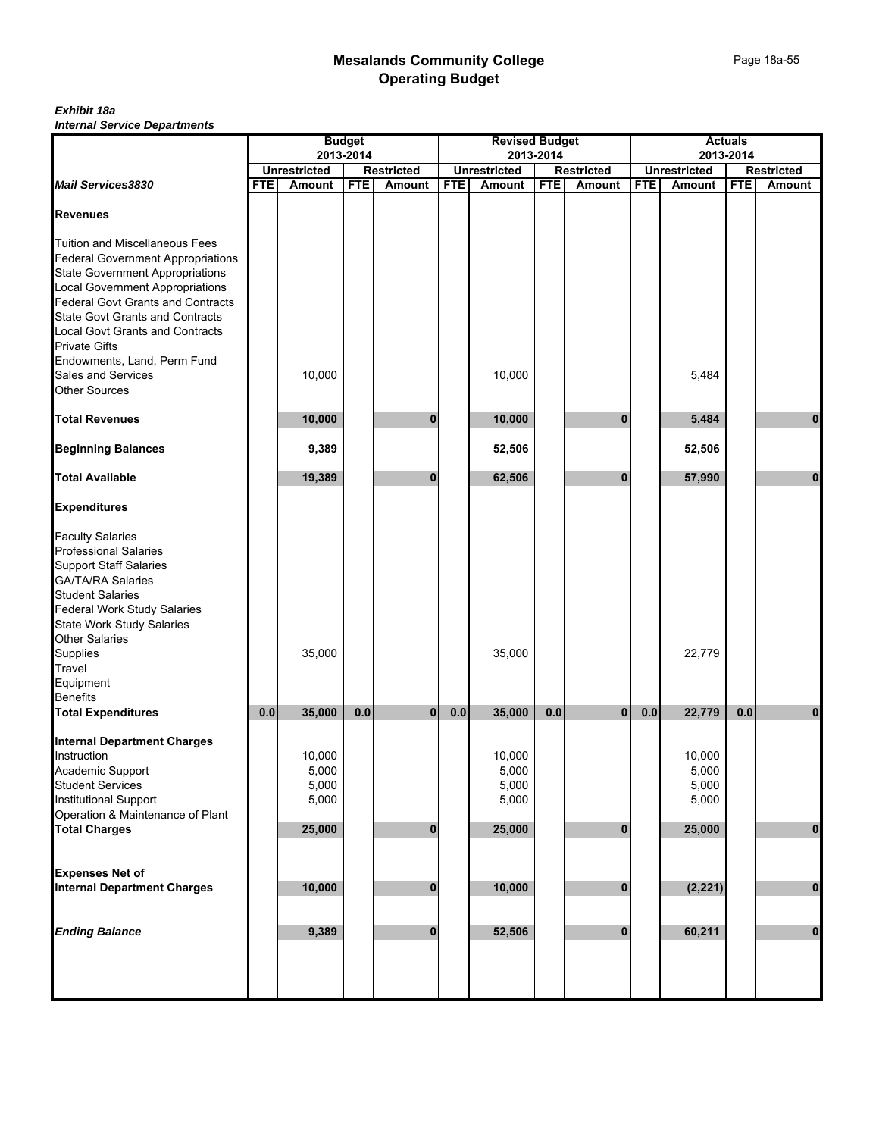|                                                                      |            |                     | <b>Budget</b> |                   |            | <b>Revised Budget</b> |            |                   |            |                     | <b>Actuals</b> |                   |
|----------------------------------------------------------------------|------------|---------------------|---------------|-------------------|------------|-----------------------|------------|-------------------|------------|---------------------|----------------|-------------------|
|                                                                      |            | 2013-2014           |               |                   |            | 2013-2014             |            |                   |            | 2013-2014           |                |                   |
|                                                                      |            | <b>Unrestricted</b> |               | <b>Restricted</b> |            | <b>Unrestricted</b>   |            | <b>Restricted</b> |            | <b>Unrestricted</b> |                | <b>Restricted</b> |
| <b>Mail Services3830</b>                                             | <b>FTE</b> | <b>Amount</b>       | <b>FTE</b>    | Amount            | <b>FTE</b> | Amount                | <b>FTE</b> | <b>Amount</b>     | <b>FTE</b> | Amount              | <b>FTE</b>     | <b>Amount</b>     |
| <b>Revenues</b>                                                      |            |                     |               |                   |            |                       |            |                   |            |                     |                |                   |
| Tuition and Miscellaneous Fees                                       |            |                     |               |                   |            |                       |            |                   |            |                     |                |                   |
| <b>Federal Government Appropriations</b>                             |            |                     |               |                   |            |                       |            |                   |            |                     |                |                   |
| <b>State Government Appropriations</b>                               |            |                     |               |                   |            |                       |            |                   |            |                     |                |                   |
| Local Government Appropriations<br>Federal Govt Grants and Contracts |            |                     |               |                   |            |                       |            |                   |            |                     |                |                   |
|                                                                      |            |                     |               |                   |            |                       |            |                   |            |                     |                |                   |
| <b>State Govt Grants and Contracts</b>                               |            |                     |               |                   |            |                       |            |                   |            |                     |                |                   |
| Local Govt Grants and Contracts                                      |            |                     |               |                   |            |                       |            |                   |            |                     |                |                   |
| <b>Private Gifts</b>                                                 |            |                     |               |                   |            |                       |            |                   |            |                     |                |                   |
| Endowments, Land, Perm Fund                                          |            |                     |               |                   |            |                       |            |                   |            |                     |                |                   |
| Sales and Services                                                   |            | 10,000              |               |                   |            | 10,000                |            |                   |            | 5,484               |                |                   |
| <b>Other Sources</b>                                                 |            |                     |               |                   |            |                       |            |                   |            |                     |                |                   |
|                                                                      |            |                     |               |                   |            |                       |            |                   |            |                     |                |                   |
| <b>Total Revenues</b>                                                |            | 10,000              |               | 0                 |            | 10,000                |            | $\bf{0}$          |            | 5,484               |                | 0                 |
| <b>Beginning Balances</b>                                            |            | 9,389               |               |                   |            | 52,506                |            |                   |            | 52,506              |                |                   |
| <b>Total Available</b>                                               |            | 19,389              |               | 0                 |            | 62,506                |            | $\bf{0}$          |            | 57,990              |                | $\bf{0}$          |
| <b>Expenditures</b>                                                  |            |                     |               |                   |            |                       |            |                   |            |                     |                |                   |
|                                                                      |            |                     |               |                   |            |                       |            |                   |            |                     |                |                   |
| <b>Faculty Salaries<br/>Professional Salaries</b>                    |            |                     |               |                   |            |                       |            |                   |            |                     |                |                   |
| <b>Support Staff Salaries</b>                                        |            |                     |               |                   |            |                       |            |                   |            |                     |                |                   |
|                                                                      |            |                     |               |                   |            |                       |            |                   |            |                     |                |                   |
| GA/TA/RA Salaries<br>Student Salaries                                |            |                     |               |                   |            |                       |            |                   |            |                     |                |                   |
| <b>Federal Work Study Salaries</b>                                   |            |                     |               |                   |            |                       |            |                   |            |                     |                |                   |
| <b>State Work Study Salaries</b>                                     |            |                     |               |                   |            |                       |            |                   |            |                     |                |                   |
| Other Salaries<br>Supplies                                           |            |                     |               |                   |            |                       |            |                   |            |                     |                |                   |
|                                                                      |            | 35,000              |               |                   |            | 35,000                |            |                   |            | 22,779              |                |                   |
| Travel                                                               |            |                     |               |                   |            |                       |            |                   |            |                     |                |                   |
| Equipment                                                            |            |                     |               |                   |            |                       |            |                   |            |                     |                |                   |
| <b>Benefits</b>                                                      |            |                     |               |                   |            |                       |            |                   |            |                     |                |                   |
| <b>Total Expenditures</b>                                            | 0.0        | 35,000              | 0.0           | $\overline{0}$    | 0.0        | 35,000                | 0.0        | $\mathbf{0}$      | $0.0\,$    | 22,779              | 0.0            | 0                 |
|                                                                      |            |                     |               |                   |            |                       |            |                   |            |                     |                |                   |
| <b>Internal Department Charges</b><br>Instruction                    |            |                     |               |                   |            |                       |            |                   |            |                     |                |                   |
| Academic Support                                                     |            | 10,000<br>5,000     |               |                   |            | 10,000<br>5,000       |            |                   |            | 10,000<br>5,000     |                |                   |
| Student Services                                                     |            | 5,000               |               |                   |            | 5,000                 |            |                   |            | 5,000               |                |                   |
| Institutional Support                                                |            | 5,000               |               |                   |            | 5,000                 |            |                   |            | 5,000               |                |                   |
| Operation & Maintenance of Plant                                     |            |                     |               |                   |            |                       |            |                   |            |                     |                |                   |
| <b>Total Charges</b>                                                 |            | 25,000              |               | 0                 |            | 25,000                |            | $\mathbf{0}$      |            | 25,000              |                | $\bf{0}$          |
|                                                                      |            |                     |               |                   |            |                       |            |                   |            |                     |                |                   |
| <b>Expenses Net of</b>                                               |            |                     |               |                   |            |                       |            |                   |            |                     |                |                   |
| <b>Internal Department Charges</b>                                   |            | 10,000              |               | $\bf{0}$          |            | 10,000                |            | $\bf{0}$          |            | (2, 221)            |                | $\bf{0}$          |
|                                                                      |            |                     |               |                   |            |                       |            |                   |            |                     |                |                   |
| <b>Ending Balance</b>                                                |            | 9,389               |               | $\bf{0}$          |            | 52,506                |            | $\bf{0}$          |            | 60,211              |                | $\bf{0}$          |
|                                                                      |            |                     |               |                   |            |                       |            |                   |            |                     |                |                   |
|                                                                      |            |                     |               |                   |            |                       |            |                   |            |                     |                |                   |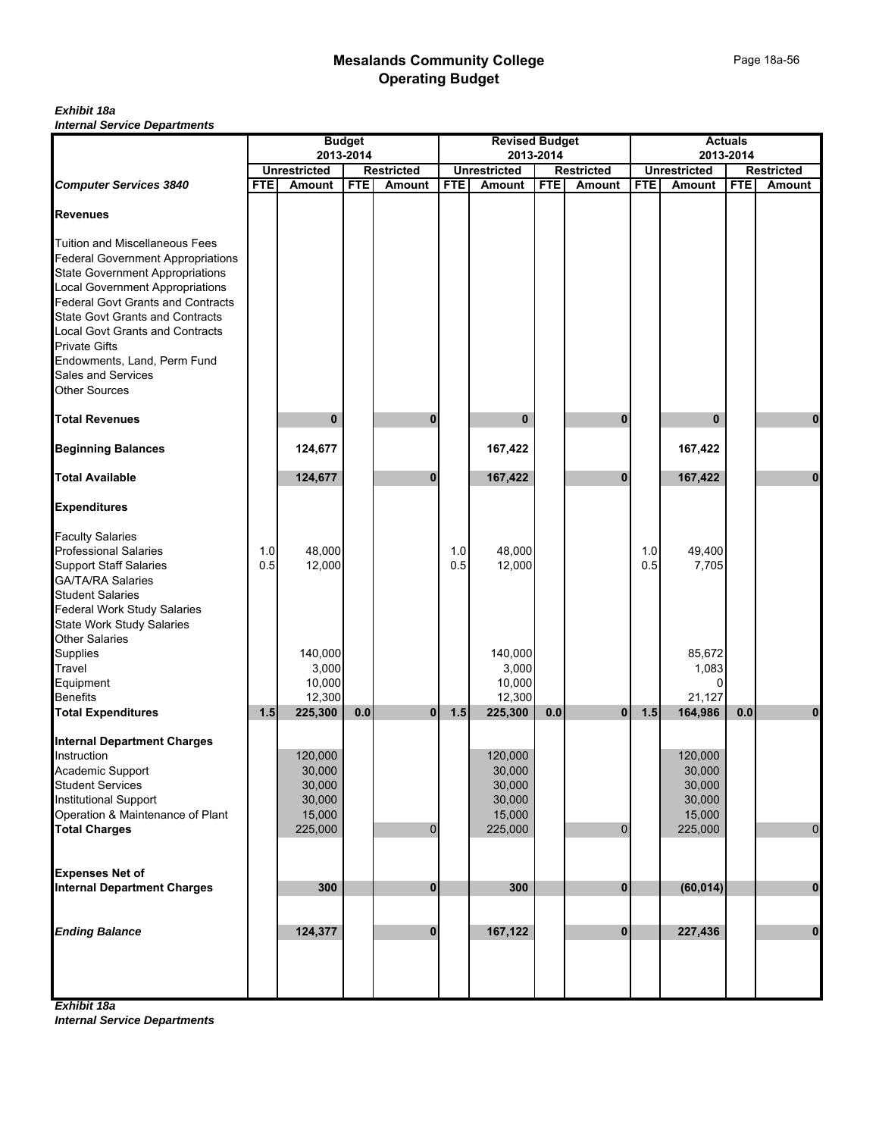|                                          |            |                                                       | <b>Budget</b> |                |            | <b>Revised Budget</b> |            |                   |            | <b>Actuals</b>                   |            |                                    |
|------------------------------------------|------------|-------------------------------------------------------|---------------|----------------|------------|-----------------------|------------|-------------------|------------|----------------------------------|------------|------------------------------------|
|                                          |            | 2013-2014<br><b>Unrestricted</b><br><b>Restricted</b> |               |                |            | <b>Unrestricted</b>   | 2013-2014  | <b>Restricted</b> |            | 2013-2014<br><b>Unrestricted</b> |            |                                    |
| <b>Computer Services 3840</b>            | <b>FTE</b> | Amount                                                | <b>FTE</b>    | Amount         | <b>FTE</b> | Amount                | <b>FTE</b> | Amount            | <b>FTE</b> | Amount                           | <b>FTE</b> | <b>Restricted</b><br><b>Amount</b> |
|                                          |            |                                                       |               |                |            |                       |            |                   |            |                                  |            |                                    |
| <b>Revenues</b>                          |            |                                                       |               |                |            |                       |            |                   |            |                                  |            |                                    |
|                                          |            |                                                       |               |                |            |                       |            |                   |            |                                  |            |                                    |
| <b>Tuition and Miscellaneous Fees</b>    |            |                                                       |               |                |            |                       |            |                   |            |                                  |            |                                    |
| <b>Federal Government Appropriations</b> |            |                                                       |               |                |            |                       |            |                   |            |                                  |            |                                    |
| <b>State Government Appropriations</b>   |            |                                                       |               |                |            |                       |            |                   |            |                                  |            |                                    |
| <b>Local Government Appropriations</b>   |            |                                                       |               |                |            |                       |            |                   |            |                                  |            |                                    |
| <b>Federal Govt Grants and Contracts</b> |            |                                                       |               |                |            |                       |            |                   |            |                                  |            |                                    |
| <b>State Govt Grants and Contracts</b>   |            |                                                       |               |                |            |                       |            |                   |            |                                  |            |                                    |
| Local Govt Grants and Contracts          |            |                                                       |               |                |            |                       |            |                   |            |                                  |            |                                    |
| <b>Private Gifts</b>                     |            |                                                       |               |                |            |                       |            |                   |            |                                  |            |                                    |
| Endowments, Land, Perm Fund              |            |                                                       |               |                |            |                       |            |                   |            |                                  |            |                                    |
| Sales and Services                       |            |                                                       |               |                |            |                       |            |                   |            |                                  |            |                                    |
| <b>Other Sources</b>                     |            |                                                       |               |                |            |                       |            |                   |            |                                  |            |                                    |
| <b>Total Revenues</b>                    |            | $\bf{0}$                                              |               | 0              |            | $\bf{0}$              |            | $\bf{0}$          |            | $\bf{0}$                         |            | 0                                  |
| <b>Beginning Balances</b>                |            | 124,677                                               |               |                |            | 167,422               |            |                   |            | 167,422                          |            |                                    |
|                                          |            |                                                       |               |                |            |                       |            |                   |            |                                  |            |                                    |
| <b>Total Available</b>                   |            | 124,677                                               |               | $\bf{0}$       |            | 167,422               |            | $\bf{0}$          |            | 167,422                          |            | $\mathbf{0}$                       |
| <b>Expenditures</b>                      |            |                                                       |               |                |            |                       |            |                   |            |                                  |            |                                    |
| <b>Faculty Salaries</b>                  |            |                                                       |               |                |            |                       |            |                   |            |                                  |            |                                    |
| <b>Professional Salaries</b>             | 1.0        | 48,000                                                |               |                | 1.0        | 48,000                |            |                   | 1.0        | 49,400                           |            |                                    |
| <b>Support Staff Salaries</b>            | 0.5        | 12,000                                                |               |                | 0.5        | 12,000                |            |                   | 0.5        | 7,705                            |            |                                    |
| <b>GA/TA/RA Salaries</b>                 |            |                                                       |               |                |            |                       |            |                   |            |                                  |            |                                    |
| <b>Student Salaries</b>                  |            |                                                       |               |                |            |                       |            |                   |            |                                  |            |                                    |
| <b>Federal Work Study Salaries</b>       |            |                                                       |               |                |            |                       |            |                   |            |                                  |            |                                    |
| State Work Study Salaries                |            |                                                       |               |                |            |                       |            |                   |            |                                  |            |                                    |
| Other Salaries                           |            |                                                       |               |                |            |                       |            |                   |            |                                  |            |                                    |
| Supplies                                 |            | 140,000                                               |               |                |            | 140,000               |            |                   |            | 85,672                           |            |                                    |
| Travel                                   |            | 3,000                                                 |               |                |            | 3,000                 |            |                   |            | 1,083                            |            |                                    |
| Equipment                                |            | 10,000                                                |               |                |            | 10,000                |            |                   |            | $\overline{0}$                   |            |                                    |
| <b>Benefits</b>                          |            | 12,300                                                |               |                |            | 12,300                |            |                   |            | 21,127                           |            |                                    |
| <b>Total Expenditures</b>                | 1.5        | 225,300                                               | 0.0           | 0              | 1.5        | 225,300               | 0.0        | $\mathbf{0}$      | 1.5        | 164,986                          | 0.0        | 0                                  |
| <b>Internal Department Charges</b>       |            |                                                       |               |                |            |                       |            |                   |            |                                  |            |                                    |
| Instruction                              |            | 120,000                                               |               |                |            | 120,000               |            |                   |            | 120,000                          |            |                                    |
| Academic Support                         |            | 30,000                                                |               |                |            | 30,000                |            |                   |            | 30,000                           |            |                                    |
| <b>Student Services</b>                  |            | 30,000                                                |               |                |            | 30,000                |            |                   |            | 30,000                           |            |                                    |
| <b>Institutional Support</b>             |            | 30,000                                                |               |                |            | 30,000                |            |                   |            | 30,000                           |            |                                    |
| Operation & Maintenance of Plant         |            | 15,000                                                |               |                |            | 15,000                |            |                   |            | 15,000                           |            |                                    |
| <b>Total Charges</b>                     |            | 225,000                                               |               | $\overline{0}$ |            | 225,000               |            | $\Omega$          |            | 225,000                          |            | $\pmb{0}$                          |
|                                          |            |                                                       |               |                |            |                       |            |                   |            |                                  |            |                                    |
| <b>Expenses Net of</b>                   |            |                                                       |               |                |            |                       |            |                   |            |                                  |            |                                    |
| <b>Internal Department Charges</b>       |            | 300                                                   |               | $\pmb{0}$      |            | 300                   |            | $\mathbf{0}$      |            | (60, 014)                        |            | $\pmb{0}$                          |
|                                          |            |                                                       |               |                |            |                       |            |                   |            |                                  |            |                                    |
|                                          |            |                                                       |               |                |            |                       |            |                   |            |                                  |            |                                    |
| <b>Ending Balance</b>                    |            | 124,377                                               |               | $\bf{0}$       |            | 167,122               |            | $\mathbf{0}$      |            | 227,436                          |            | $\mathbf 0$                        |
|                                          |            |                                                       |               |                |            |                       |            |                   |            |                                  |            |                                    |
|                                          |            |                                                       |               |                |            |                       |            |                   |            |                                  |            |                                    |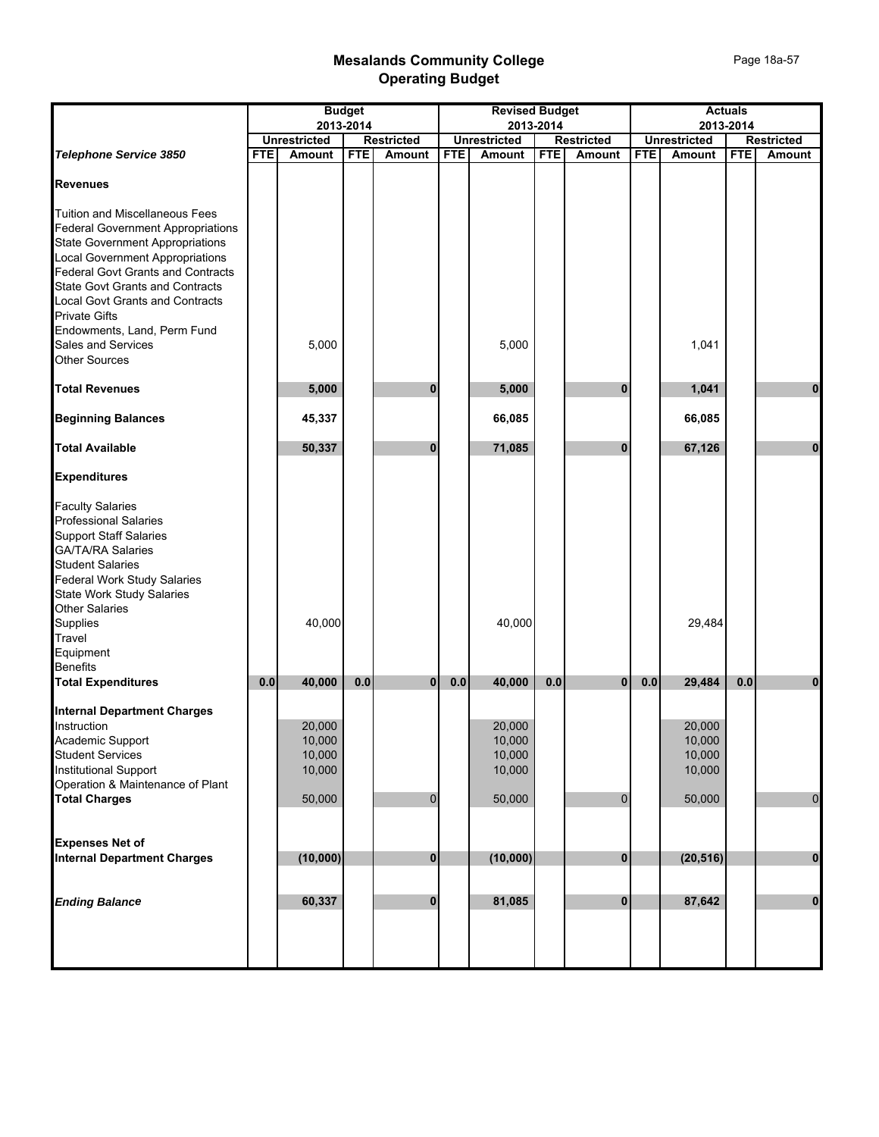|                                                                                                                                                                                                                                                                                                                                                                                                            |            |                                                | <b>Budget</b><br>2013-2014 |                   |            | <b>Revised Budget</b>                          | 2013-2014  |                   |            | 2013-2014                                      | <b>Actuals</b> |                   |
|------------------------------------------------------------------------------------------------------------------------------------------------------------------------------------------------------------------------------------------------------------------------------------------------------------------------------------------------------------------------------------------------------------|------------|------------------------------------------------|----------------------------|-------------------|------------|------------------------------------------------|------------|-------------------|------------|------------------------------------------------|----------------|-------------------|
|                                                                                                                                                                                                                                                                                                                                                                                                            |            | <b>Unrestricted</b>                            |                            | <b>Restricted</b> |            | <b>Unrestricted</b>                            |            | <b>Restricted</b> |            | <b>Unrestricted</b>                            |                | <b>Restricted</b> |
| Telephone Service 3850                                                                                                                                                                                                                                                                                                                                                                                     | <b>FTE</b> | <b>Amount</b>                                  | <b>FTE</b>                 | Amount            | <b>FTE</b> | Amount                                         | <b>FTE</b> | Amount            | <b>FTE</b> | Amount                                         | <b>FTE</b>     | Amount            |
| <b>Revenues</b>                                                                                                                                                                                                                                                                                                                                                                                            |            |                                                |                            |                   |            |                                                |            |                   |            |                                                |                |                   |
| <b>Tuition and Miscellaneous Fees</b><br><b>Federal Government Appropriations</b><br><b>State Government Appropriations</b><br><b>Local Government Appropriations</b><br><b>Federal Govt Grants and Contracts</b><br><b>State Govt Grants and Contracts</b><br><b>Local Govt Grants and Contracts</b><br><b>Private Gifts</b><br>Endowments, Land, Perm Fund<br>Sales and Services<br><b>Other Sources</b> |            | 5,000                                          |                            |                   |            | 5,000                                          |            |                   |            | 1,041                                          |                |                   |
| <b>Total Revenues</b>                                                                                                                                                                                                                                                                                                                                                                                      |            | 5,000                                          |                            | $\bf{0}$          |            | 5,000                                          |            | $\bf{0}$          |            | 1,041                                          |                | $\mathbf 0$       |
| <b>Beginning Balances</b>                                                                                                                                                                                                                                                                                                                                                                                  |            | 45,337                                         |                            |                   |            | 66,085                                         |            |                   |            | 66,085                                         |                |                   |
| <b>Total Available</b>                                                                                                                                                                                                                                                                                                                                                                                     |            | 50,337                                         |                            | 0                 |            | 71,085                                         |            | 0                 |            | 67,126                                         |                | $\mathbf 0$       |
| <b>Expenditures</b>                                                                                                                                                                                                                                                                                                                                                                                        |            |                                                |                            |                   |            |                                                |            |                   |            |                                                |                |                   |
| <b>Faculty Salaries</b><br><b>Professional Salaries</b><br><b>Support Staff Salaries</b><br><b>GA/TA/RA Salaries</b><br><b>Student Salaries</b><br><b>Federal Work Study Salaries</b><br><b>State Work Study Salaries</b><br><b>Other Salaries</b><br>Supplies<br>Travel<br>Equipment<br><b>Benefits</b>                                                                                                   |            | 40,000                                         |                            |                   |            | 40,000                                         |            |                   |            | 29,484                                         |                |                   |
| <b>Total Expenditures</b>                                                                                                                                                                                                                                                                                                                                                                                  | 0.0        | 40,000                                         | $0.0\,$                    | $\mathbf{0}$      | 0.0        | 40.000                                         | 0.0        | $\mathbf{0}$      | 0.0        | 29,484                                         | 0.0            | $\bf{0}$          |
| <b>Internal Department Charges</b><br>Instruction<br>Academic Support<br><b>Student Services</b><br><b>Institutional Support</b><br>Operation & Maintenance of Plant<br><b>Total Charges</b>                                                                                                                                                                                                               |            | 20,000<br>10,000<br>10,000<br>10,000<br>50,000 |                            | $\mathbf 0$       |            | 20,000<br>10,000<br>10,000<br>10,000<br>50,000 |            | $\overline{0}$    |            | 20,000<br>10,000<br>10,000<br>10,000<br>50,000 |                | $\pmb{0}$         |
| <b>Expenses Net of</b><br><b>Internal Department Charges</b>                                                                                                                                                                                                                                                                                                                                               |            |                                                |                            |                   |            | (10,000)                                       |            | $\mathbf{0}$      |            | (20, 516)                                      |                | $\mathbf 0$       |
|                                                                                                                                                                                                                                                                                                                                                                                                            |            | (10,000)                                       |                            | $\pmb{0}$         |            |                                                |            |                   |            |                                                |                |                   |
| <b>Ending Balance</b>                                                                                                                                                                                                                                                                                                                                                                                      |            | 60,337                                         |                            | $\bf{0}$          |            | 81,085                                         |            | $\mathbf{0}$      |            | 87,642                                         |                | $\mathbf 0$       |
|                                                                                                                                                                                                                                                                                                                                                                                                            |            |                                                |                            |                   |            |                                                |            |                   |            |                                                |                |                   |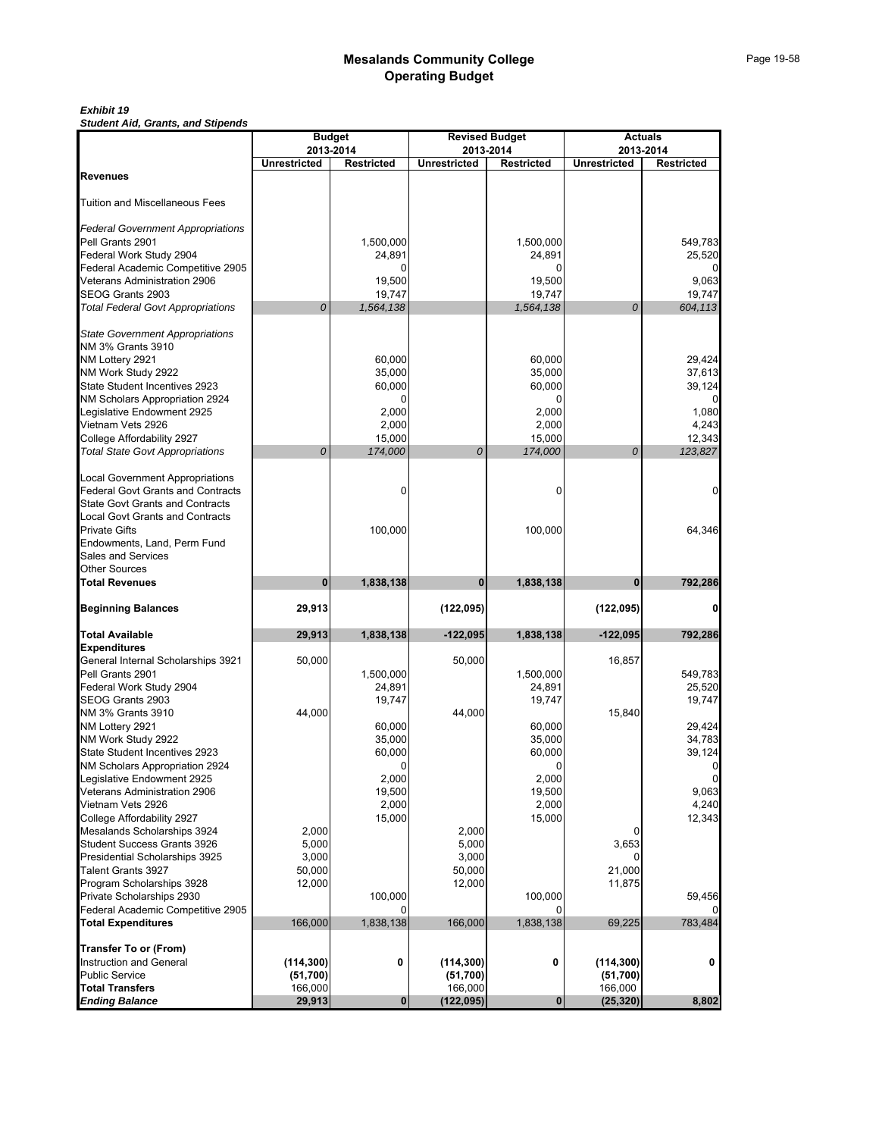#### *Exhibit 19*

*Student Aid, Grants, and Stipends*

|            | <b>Budget</b>                                                                                                       |                                                                                                                                                                                                                                                   | <b>Revised Budget</b>                                                                                      |                                                                                                                                                                                                                                                                   | <b>Actuals</b>                                                                                                                  |
|------------|---------------------------------------------------------------------------------------------------------------------|---------------------------------------------------------------------------------------------------------------------------------------------------------------------------------------------------------------------------------------------------|------------------------------------------------------------------------------------------------------------|-------------------------------------------------------------------------------------------------------------------------------------------------------------------------------------------------------------------------------------------------------------------|---------------------------------------------------------------------------------------------------------------------------------|
|            |                                                                                                                     |                                                                                                                                                                                                                                                   |                                                                                                            |                                                                                                                                                                                                                                                                   | <b>Restricted</b>                                                                                                               |
|            |                                                                                                                     |                                                                                                                                                                                                                                                   |                                                                                                            |                                                                                                                                                                                                                                                                   |                                                                                                                                 |
|            |                                                                                                                     |                                                                                                                                                                                                                                                   |                                                                                                            |                                                                                                                                                                                                                                                                   |                                                                                                                                 |
|            |                                                                                                                     |                                                                                                                                                                                                                                                   |                                                                                                            |                                                                                                                                                                                                                                                                   |                                                                                                                                 |
|            |                                                                                                                     |                                                                                                                                                                                                                                                   |                                                                                                            |                                                                                                                                                                                                                                                                   |                                                                                                                                 |
|            | 1,500,000                                                                                                           |                                                                                                                                                                                                                                                   | 1,500,000                                                                                                  |                                                                                                                                                                                                                                                                   | 549,783                                                                                                                         |
|            | 24,891                                                                                                              |                                                                                                                                                                                                                                                   | 24,891                                                                                                     |                                                                                                                                                                                                                                                                   | 25,520                                                                                                                          |
|            |                                                                                                                     |                                                                                                                                                                                                                                                   |                                                                                                            |                                                                                                                                                                                                                                                                   | 9.063                                                                                                                           |
|            |                                                                                                                     |                                                                                                                                                                                                                                                   |                                                                                                            |                                                                                                                                                                                                                                                                   | 19,747                                                                                                                          |
| 0          | 1,564,138                                                                                                           |                                                                                                                                                                                                                                                   | 1,564,138                                                                                                  | 0                                                                                                                                                                                                                                                                 | 604,113                                                                                                                         |
|            |                                                                                                                     |                                                                                                                                                                                                                                                   |                                                                                                            |                                                                                                                                                                                                                                                                   |                                                                                                                                 |
|            |                                                                                                                     |                                                                                                                                                                                                                                                   |                                                                                                            |                                                                                                                                                                                                                                                                   |                                                                                                                                 |
|            |                                                                                                                     |                                                                                                                                                                                                                                                   |                                                                                                            |                                                                                                                                                                                                                                                                   | 29,424                                                                                                                          |
|            |                                                                                                                     |                                                                                                                                                                                                                                                   |                                                                                                            |                                                                                                                                                                                                                                                                   | 37,613                                                                                                                          |
|            |                                                                                                                     |                                                                                                                                                                                                                                                   |                                                                                                            |                                                                                                                                                                                                                                                                   | 39,124                                                                                                                          |
|            | 0                                                                                                                   |                                                                                                                                                                                                                                                   | 0                                                                                                          |                                                                                                                                                                                                                                                                   |                                                                                                                                 |
|            | 2,000                                                                                                               |                                                                                                                                                                                                                                                   | 2,000                                                                                                      |                                                                                                                                                                                                                                                                   | 1,080                                                                                                                           |
|            |                                                                                                                     |                                                                                                                                                                                                                                                   | 2,000                                                                                                      |                                                                                                                                                                                                                                                                   | 4,243                                                                                                                           |
|            |                                                                                                                     |                                                                                                                                                                                                                                                   |                                                                                                            |                                                                                                                                                                                                                                                                   | 12,343                                                                                                                          |
|            |                                                                                                                     |                                                                                                                                                                                                                                                   |                                                                                                            |                                                                                                                                                                                                                                                                   | 123,827                                                                                                                         |
|            |                                                                                                                     |                                                                                                                                                                                                                                                   |                                                                                                            |                                                                                                                                                                                                                                                                   |                                                                                                                                 |
|            | $\Omega$                                                                                                            |                                                                                                                                                                                                                                                   | 0                                                                                                          |                                                                                                                                                                                                                                                                   | 0                                                                                                                               |
|            |                                                                                                                     |                                                                                                                                                                                                                                                   |                                                                                                            |                                                                                                                                                                                                                                                                   |                                                                                                                                 |
|            |                                                                                                                     |                                                                                                                                                                                                                                                   |                                                                                                            |                                                                                                                                                                                                                                                                   |                                                                                                                                 |
|            |                                                                                                                     |                                                                                                                                                                                                                                                   |                                                                                                            |                                                                                                                                                                                                                                                                   | 64,346                                                                                                                          |
|            |                                                                                                                     |                                                                                                                                                                                                                                                   |                                                                                                            |                                                                                                                                                                                                                                                                   |                                                                                                                                 |
|            |                                                                                                                     |                                                                                                                                                                                                                                                   |                                                                                                            |                                                                                                                                                                                                                                                                   |                                                                                                                                 |
| 0          | 1,838,138                                                                                                           | 0                                                                                                                                                                                                                                                 | 1,838,138                                                                                                  | $\bf{0}$                                                                                                                                                                                                                                                          | 792,286                                                                                                                         |
| 29,913     |                                                                                                                     | (122, 095)                                                                                                                                                                                                                                        |                                                                                                            | (122, 095)                                                                                                                                                                                                                                                        | 0                                                                                                                               |
|            |                                                                                                                     |                                                                                                                                                                                                                                                   |                                                                                                            |                                                                                                                                                                                                                                                                   | 792,286                                                                                                                         |
|            |                                                                                                                     |                                                                                                                                                                                                                                                   |                                                                                                            |                                                                                                                                                                                                                                                                   |                                                                                                                                 |
| 50,000     |                                                                                                                     | 50,000                                                                                                                                                                                                                                            |                                                                                                            | 16,857                                                                                                                                                                                                                                                            |                                                                                                                                 |
|            | 1,500,000                                                                                                           |                                                                                                                                                                                                                                                   | 1,500,000                                                                                                  |                                                                                                                                                                                                                                                                   | 549,783                                                                                                                         |
|            |                                                                                                                     |                                                                                                                                                                                                                                                   |                                                                                                            |                                                                                                                                                                                                                                                                   | 25,520                                                                                                                          |
|            |                                                                                                                     |                                                                                                                                                                                                                                                   |                                                                                                            |                                                                                                                                                                                                                                                                   | 19,747                                                                                                                          |
|            |                                                                                                                     |                                                                                                                                                                                                                                                   |                                                                                                            |                                                                                                                                                                                                                                                                   | 29,424                                                                                                                          |
|            |                                                                                                                     |                                                                                                                                                                                                                                                   |                                                                                                            |                                                                                                                                                                                                                                                                   | 34,783                                                                                                                          |
|            |                                                                                                                     |                                                                                                                                                                                                                                                   |                                                                                                            |                                                                                                                                                                                                                                                                   | 39,124                                                                                                                          |
|            | 0                                                                                                                   |                                                                                                                                                                                                                                                   | 0                                                                                                          |                                                                                                                                                                                                                                                                   | 0                                                                                                                               |
|            | 2,000                                                                                                               |                                                                                                                                                                                                                                                   | 2,000                                                                                                      |                                                                                                                                                                                                                                                                   |                                                                                                                                 |
|            |                                                                                                                     |                                                                                                                                                                                                                                                   |                                                                                                            |                                                                                                                                                                                                                                                                   | 9,063                                                                                                                           |
|            |                                                                                                                     |                                                                                                                                                                                                                                                   |                                                                                                            |                                                                                                                                                                                                                                                                   | 4,240                                                                                                                           |
|            |                                                                                                                     |                                                                                                                                                                                                                                                   |                                                                                                            |                                                                                                                                                                                                                                                                   | 12,343                                                                                                                          |
|            |                                                                                                                     |                                                                                                                                                                                                                                                   |                                                                                                            |                                                                                                                                                                                                                                                                   |                                                                                                                                 |
|            |                                                                                                                     |                                                                                                                                                                                                                                                   |                                                                                                            |                                                                                                                                                                                                                                                                   |                                                                                                                                 |
| 50,000     |                                                                                                                     |                                                                                                                                                                                                                                                   |                                                                                                            |                                                                                                                                                                                                                                                                   |                                                                                                                                 |
| 12,000     |                                                                                                                     | 12,000                                                                                                                                                                                                                                            |                                                                                                            | 11,875                                                                                                                                                                                                                                                            |                                                                                                                                 |
|            | 100,000                                                                                                             |                                                                                                                                                                                                                                                   | 100.000                                                                                                    |                                                                                                                                                                                                                                                                   | 59,456                                                                                                                          |
|            | $\Omega$                                                                                                            |                                                                                                                                                                                                                                                   |                                                                                                            |                                                                                                                                                                                                                                                                   |                                                                                                                                 |
|            |                                                                                                                     |                                                                                                                                                                                                                                                   |                                                                                                            |                                                                                                                                                                                                                                                                   | 783,484                                                                                                                         |
|            |                                                                                                                     |                                                                                                                                                                                                                                                   |                                                                                                            |                                                                                                                                                                                                                                                                   |                                                                                                                                 |
| (114, 300) | 0                                                                                                                   | (114, 300)                                                                                                                                                                                                                                        | 0                                                                                                          | (114, 300)                                                                                                                                                                                                                                                        | 0                                                                                                                               |
|            |                                                                                                                     |                                                                                                                                                                                                                                                   |                                                                                                            |                                                                                                                                                                                                                                                                   |                                                                                                                                 |
|            |                                                                                                                     |                                                                                                                                                                                                                                                   |                                                                                                            |                                                                                                                                                                                                                                                                   | 8,802                                                                                                                           |
|            | <b>Unrestricted</b><br>0<br>29,913<br>44,000<br>2,000<br>5,000<br>3,000<br>166,000<br>(51,700)<br>166,000<br>29,913 | 2013-2014<br><b>Restricted</b><br>19,500<br>19,747<br>60,000<br>35,000<br>60,000<br>2,000<br>15,000<br>174,000<br>100,000<br>1,838,138<br>24,891<br>19,747<br>60,000<br>35,000<br>60,000<br>19,500<br>2,000<br>15,000<br>1,838,138<br>$\mathbf 0$ | <b>Unrestricted</b><br>0<br>$-122,095$<br>44,000<br>3,000<br>166,000<br>(51, 700)<br>166,000<br>(122, 095) | 2013-2014<br><b>Restricted</b><br>19,500<br>19,747<br>60,000<br>35,000<br>60,000<br>15,000<br>174,000<br>100,000<br>1,838,138<br>24,891<br>19,747<br>60,000<br>35,000<br>60,000<br>19,500<br>2,000<br>15,000<br>2,000<br>5,000<br>50,000<br>1,838,138<br>$\bf{0}$ | 2013-2014<br><b>Unrestricted</b><br>0<br>$-122,095$<br>15,840<br>3,653<br>21,000<br>69,225<br>(51, 700)<br>166,000<br>(25, 320) |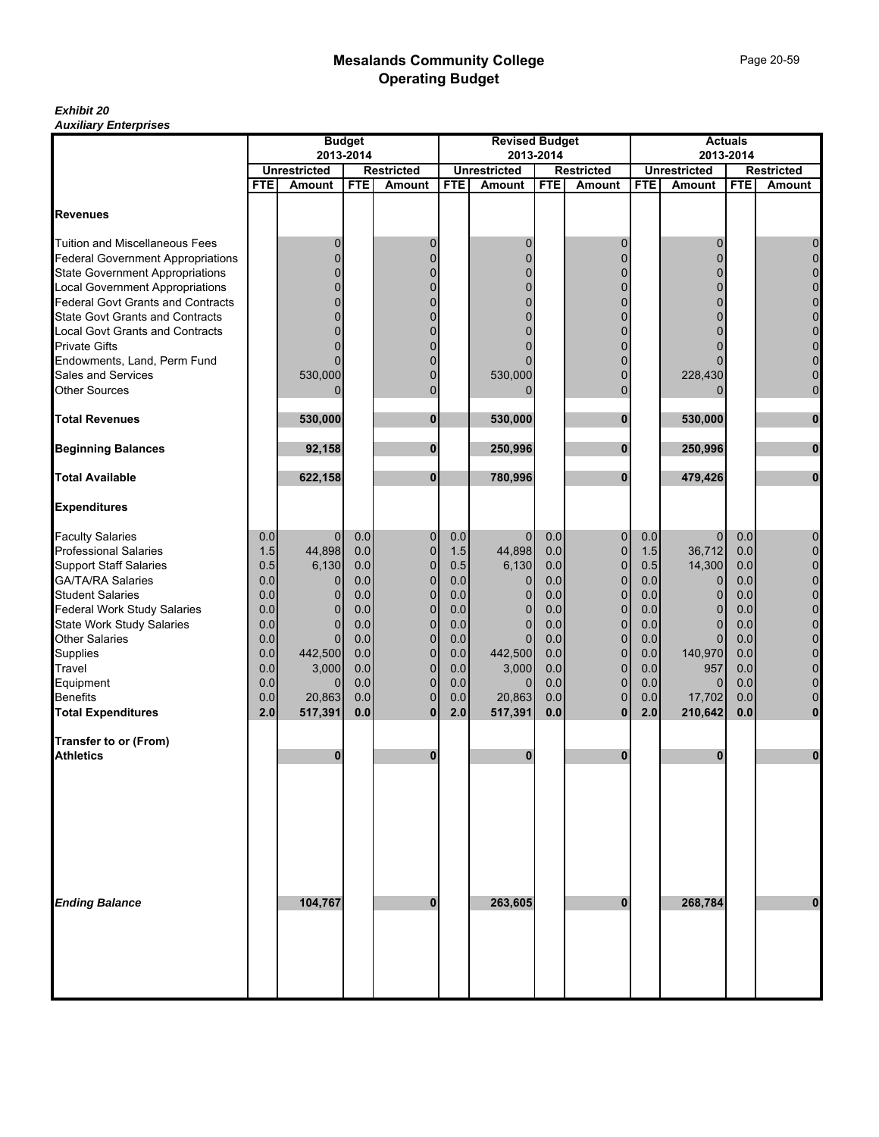#### *Exhibit 20 Auxiliary Enterprises*

|                                            | <b>Budget</b> |                         |            |                                    |            | <b>Revised Budget</b> |            |                            |            |                                      | <b>Actuals</b> |                               |
|--------------------------------------------|---------------|-------------------------|------------|------------------------------------|------------|-----------------------|------------|----------------------------|------------|--------------------------------------|----------------|-------------------------------|
|                                            |               | 2013-2014               |            |                                    |            |                       | 2013-2014  |                            |            |                                      | 2013-2014      |                               |
|                                            | <b>FTE</b>    | <b>Unrestricted</b>     | <b>FTE</b> | <b>Restricted</b><br><b>Amount</b> | <b>FTE</b> | <b>Unrestricted</b>   | <b>FTE</b> | <b>Restricted</b>          | <b>FTE</b> | <b>Unrestricted</b><br><b>Amount</b> | <b>FTE</b>     | <b>Restricted</b>             |
|                                            |               | <b>Amount</b>           |            |                                    |            | Amount                |            | <b>Amount</b>              |            |                                      |                | <b>Amount</b>                 |
| <b>Revenues</b>                            |               |                         |            |                                    |            |                       |            |                            |            |                                      |                |                               |
| <b>Tuition and Miscellaneous Fees</b>      |               | 0                       |            | 0                                  |            | 0                     |            | 0                          |            | 0                                    |                | 0                             |
| <b>Federal Government Appropriations</b>   |               | $\Omega$                |            | $\overline{0}$                     |            | 0                     |            | $\Omega$                   |            | 0                                    |                | $\mathbf 0$                   |
| <b>State Government Appropriations</b>     |               |                         |            | $\Omega$                           |            | 0                     |            |                            |            | $\overline{0}$                       |                | $\mathbf 0$                   |
| <b>Local Government Appropriations</b>     |               | $\Omega$                |            | $\Omega$                           |            | 0                     |            | $\Omega$                   |            | 0                                    |                | $\mathbf 0$                   |
| <b>Federal Govt Grants and Contracts</b>   |               |                         |            | $\Omega$                           |            | 0                     |            | $\Omega$                   |            | 0                                    |                | $\mathbf 0$                   |
| <b>State Govt Grants and Contracts</b>     |               | 0                       |            | 0                                  |            | 0                     |            | $\Omega$                   |            | 0                                    |                | $\mathbf 0$                   |
| <b>Local Govt Grants and Contracts</b>     |               |                         |            | $\Omega$                           |            | 0                     |            | $\Omega$                   |            | 0                                    |                | $\mathbf 0$                   |
| <b>Private Gifts</b>                       |               | 0                       |            | O                                  |            |                       |            | $\Omega$                   |            | ი                                    |                | 0                             |
| Endowments, Land, Perm Fund                |               | ŋ                       |            | $\Omega$<br>$\overline{0}$         |            |                       |            | $\Omega$<br>$\Omega$       |            |                                      |                | $\mathbf 0$<br>$\overline{0}$ |
| Sales and Services<br><b>Other Sources</b> |               | 530,000<br>$\Omega$     |            | $\overline{0}$                     |            | 530,000<br>$\Omega$   |            | $\mathbf{0}$               |            | 228,430                              |                | $\mathbf 0$                   |
|                                            |               |                         |            |                                    |            |                       |            |                            |            | 0                                    |                |                               |
| <b>Total Revenues</b>                      |               | 530.000                 |            | 0                                  |            | 530,000               |            | $\bf{0}$                   |            | 530,000                              |                | 0                             |
| <b>Beginning Balances</b>                  |               | 92,158                  |            | $\bf{0}$                           |            | 250,996               |            | $\bf{0}$                   |            | 250,996                              |                | $\bf{0}$                      |
| <b>Total Available</b>                     |               | 622,158                 |            | $\bf{0}$                           |            | 780,996               |            | $\bf{0}$                   |            | 479,426                              |                | $\bf{0}$                      |
| <b>Expenditures</b>                        |               |                         |            |                                    |            |                       |            |                            |            |                                      |                |                               |
| <b>Faculty Salaries</b>                    | 0.0           | $\overline{0}$          | 0.0        | 0                                  | 0.0        | $\mathbf 0$           | 0.0        | $\mathbf 0$                | 0.0        | $\overline{0}$                       | 0.0            | 0                             |
| <b>Professional Salaries</b>               | 1.5           | 44,898                  | 0.0        | $\mathbf 0$                        | 1.5        | 44,898                | 0.0        | $\mathbf 0$                | 1.5        | 36,712                               | 0.0            | $\pmb{0}$                     |
| <b>Support Staff Salaries</b>              | 0.5           | 6,130                   | 0.0        | $\mathbf 0$                        | 0.5        | 6,130                 | 0.0        | $\mathbf 0$                | 0.5        | 14,300                               | 0.0            | $\mathbf 0$                   |
| <b>GA/TA/RA Salaries</b>                   | 0.0           | $\overline{0}$          | 0.0        | 0                                  | 0.0        | $\mathbf 0$           | 0.0        | $\mathbf 0$                | 0.0        | $\overline{0}$                       | 0.0            | $\pmb{0}$                     |
| <b>Student Salaries</b>                    | 0.0           | $\mathbf{0}$            | 0.0        | $\mathbf 0$                        | 0.0        | $\mathbf 0$           | 0.0        | $\mathbf 0$                | 0.0        | $\overline{0}$                       | 0.0            | $\overline{0}$                |
| <b>Federal Work Study Salaries</b>         | 0.0           | $\mathbf{0}$            | 0.0        | $\mathbf 0$                        | 0.0        | $\mathbf 0$           | 0.0        | $\mathbf 0$                | 0.0        | $\overline{0}$                       | 0.0            | $\mathbf 0$                   |
| State Work Study Salaries                  | 0.0           | $\Omega$                | 0.0        | $\mathbf 0$                        | 0.0        | $\Omega$              | 0.0        | $\mathbf{0}$               | 0.0        | $\overline{0}$                       | 0.0            | $\mathbf 0$                   |
| <b>Other Salaries</b>                      | 0.0           | $\Omega$                | 0.0        | $\mathbf 0$                        | 0.0        | $\mathbf 0$           | 0.0        | $\mathbf 0$                | $0.0\,$    | $\overline{0}$                       | 0.0            | 0                             |
| Supplies                                   | 0.0           | 442,500                 | 0.0        | $\mathbf 0$                        | 0.0        | 442,500               | 0.0        | $\mathbf{0}$               | 0.0        | 140,970                              | 0.0            | 0                             |
| Travel                                     | 0.0<br>0.0    | 3,000<br>$\overline{0}$ | 0.0<br>0.0 | $\overline{0}$<br>0                | 0.0<br>0.0 | 3,000<br>$\mathbf{0}$ | 0.0<br>0.0 | $\mathbf 0$<br>$\mathbf 0$ | 0.0<br>0.0 | 957<br>$\overline{0}$                | 0.0<br>0.0     | $\mathbf 0$<br>$\mathbf 0$    |
| Equipment<br><b>Benefits</b>               | 0.0           | 20,863                  | 0.0        | $\overline{0}$                     | 0.0        | 20,863                | 0.0        | $\mathbf{0}$               | 0.0        | 17,702                               | 0.0            | $\mathbf 0$                   |
| <b>Total Expenditures</b>                  | 2.0           | 517,391                 | 0.0        | $\bf{0}$                           | 2.0        | 517,391               | 0.0        | $\bf{0}$                   | 2.0        | 210,642                              | 0.0            | $\bf{0}$                      |
|                                            |               |                         |            |                                    |            |                       |            |                            |            |                                      |                |                               |
| Transfer to or (From)                      |               |                         |            |                                    |            |                       |            |                            |            |                                      |                |                               |
| <b>Athletics</b>                           |               | 0                       |            | 0                                  |            | 0                     |            | $\bf{0}$                   |            | 0                                    |                | 0                             |
|                                            |               |                         |            |                                    |            |                       |            |                            |            |                                      |                |                               |
|                                            |               |                         |            |                                    |            |                       |            |                            |            |                                      |                |                               |
| <b>Ending Balance</b>                      |               | 104,767                 |            | 0                                  |            | 263,605               |            | $\bf{0}$                   |            | 268,784                              |                | $\bf{0}$                      |
|                                            |               |                         |            |                                    |            |                       |            |                            |            |                                      |                |                               |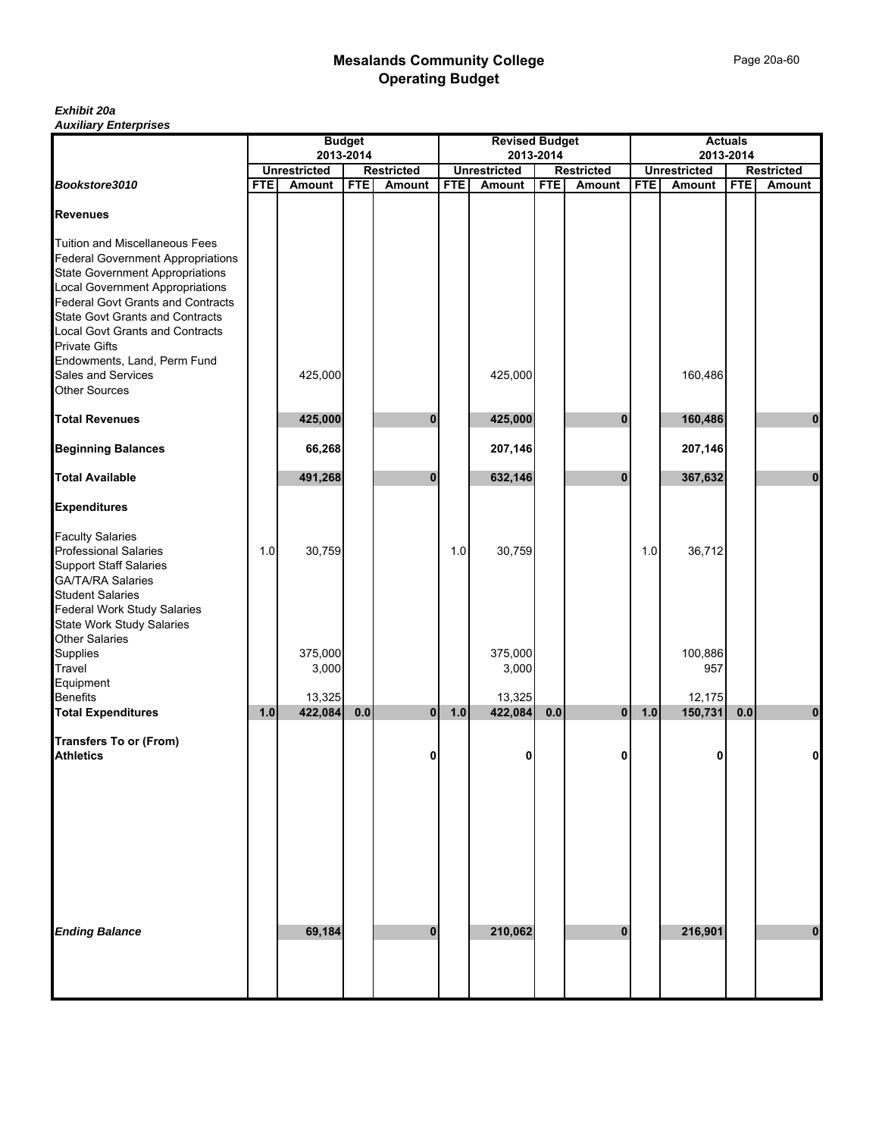#### *Exhibit 20a Auxiliary Enterprises*

|                                                                                                                             |            |                     | <b>Budget</b> |                   |            | <b>Revised Budget</b> |            |                   |            |                     | <b>Actuals</b> |                   |
|-----------------------------------------------------------------------------------------------------------------------------|------------|---------------------|---------------|-------------------|------------|-----------------------|------------|-------------------|------------|---------------------|----------------|-------------------|
|                                                                                                                             |            | 2013-2014           |               |                   |            | 2013-2014             |            |                   | 2013-2014  |                     |                |                   |
|                                                                                                                             |            | <b>Unrestricted</b> |               | <b>Restricted</b> |            | <b>Unrestricted</b>   |            | <b>Restricted</b> |            | <b>Unrestricted</b> |                | <b>Restricted</b> |
| Bookstore3010                                                                                                               | <b>FTE</b> | <b>Amount</b>       | <b>FTE</b>    | Amount            | <b>FTE</b> | Amount                | <b>FTE</b> | Amount            | <b>FTE</b> | <b>Amount</b>       | <b>FTE</b>     | Amount            |
| <b>Revenues</b>                                                                                                             |            |                     |               |                   |            |                       |            |                   |            |                     |                |                   |
| <b>Tuition and Miscellaneous Fees</b><br><b>Federal Government Appropriations</b><br><b>State Government Appropriations</b> |            |                     |               |                   |            |                       |            |                   |            |                     |                |                   |
| <b>Local Government Appropriations</b><br>Federal Govt Grants and Contracts                                                 |            |                     |               |                   |            |                       |            |                   |            |                     |                |                   |
| <b>State Govt Grants and Contracts</b><br>Local Govt Grants and Contracts<br><b>Private Gifts</b>                           |            |                     |               |                   |            |                       |            |                   |            |                     |                |                   |
| Endowments, Land, Perm Fund<br>Sales and Services<br><b>Other Sources</b>                                                   |            | 425,000             |               |                   |            | 425,000               |            |                   |            | 160,486             |                |                   |
| <b>Total Revenues</b>                                                                                                       |            | 425,000             |               | 0                 |            | 425,000               |            | $\mathbf{0}$      |            | 160,486             |                | $\bf{0}$          |
| <b>Beginning Balances</b>                                                                                                   |            | 66,268              |               |                   |            | 207,146               |            |                   |            | 207,146             |                |                   |
| <b>Total Available</b>                                                                                                      |            | 491,268             |               | $\bf{0}$          |            | 632,146               |            | $\bf{0}$          |            | 367,632             |                | $\bf{0}$          |
| <b>Expenditures</b>                                                                                                         |            |                     |               |                   |            |                       |            |                   |            |                     |                |                   |
| <b>Faculty Salaries</b>                                                                                                     |            |                     |               |                   |            |                       |            |                   |            |                     |                |                   |
| <b>Professional Salaries</b>                                                                                                | 1.0        | 30,759              |               |                   | 1.0        | 30,759                |            |                   | 1.0        | 36,712              |                |                   |
| <b>Support Staff Salaries</b><br><b>GA/TA/RA Salaries</b>                                                                   |            |                     |               |                   |            |                       |            |                   |            |                     |                |                   |
| <b>Student Salaries</b>                                                                                                     |            |                     |               |                   |            |                       |            |                   |            |                     |                |                   |
| <b>Federal Work Study Salaries</b>                                                                                          |            |                     |               |                   |            |                       |            |                   |            |                     |                |                   |
| State Work Study Salaries                                                                                                   |            |                     |               |                   |            |                       |            |                   |            |                     |                |                   |
| Other Salaries                                                                                                              |            |                     |               |                   |            |                       |            |                   |            |                     |                |                   |
| Supplies                                                                                                                    |            | 375,000             |               |                   |            | 375,000               |            |                   |            | 100,886             |                |                   |
| Travel<br>Equipment                                                                                                         |            | 3,000               |               |                   |            | 3,000                 |            |                   |            | 957                 |                |                   |
| <b>Benefits</b>                                                                                                             |            | 13,325              |               |                   |            | 13,325                |            |                   |            | 12,175              |                |                   |
| <b>Total Expenditures</b>                                                                                                   | 1.0        | 422,084             | $0.0\,$       | $\mathbf{0}$      | 1.0        | 422,084               | 0.0        | 0                 | $1.0$      | 150,731             | 0.0            | $\mathbf 0$       |
|                                                                                                                             |            |                     |               |                   |            |                       |            |                   |            |                     |                |                   |
| <b>Transfers To or (From)</b><br><b>Athletics</b>                                                                           |            |                     |               | 0                 |            | 0                     |            | 0                 |            | 0                   |                | $\mathbf{0}$      |
|                                                                                                                             |            |                     |               |                   |            |                       |            |                   |            |                     |                |                   |
|                                                                                                                             |            |                     |               |                   |            |                       |            |                   |            |                     |                |                   |
|                                                                                                                             |            |                     |               |                   |            |                       |            |                   |            |                     |                |                   |
|                                                                                                                             |            |                     |               |                   |            |                       |            |                   |            |                     |                |                   |
| <b>Ending Balance</b>                                                                                                       |            | 69,184              |               | $\bf{0}$          |            | 210,062               |            | $\bf{0}$          |            | 216,901             |                | $\mathbf 0$       |
|                                                                                                                             |            |                     |               |                   |            |                       |            |                   |            |                     |                |                   |
|                                                                                                                             |            |                     |               |                   |            |                       |            |                   |            |                     |                |                   |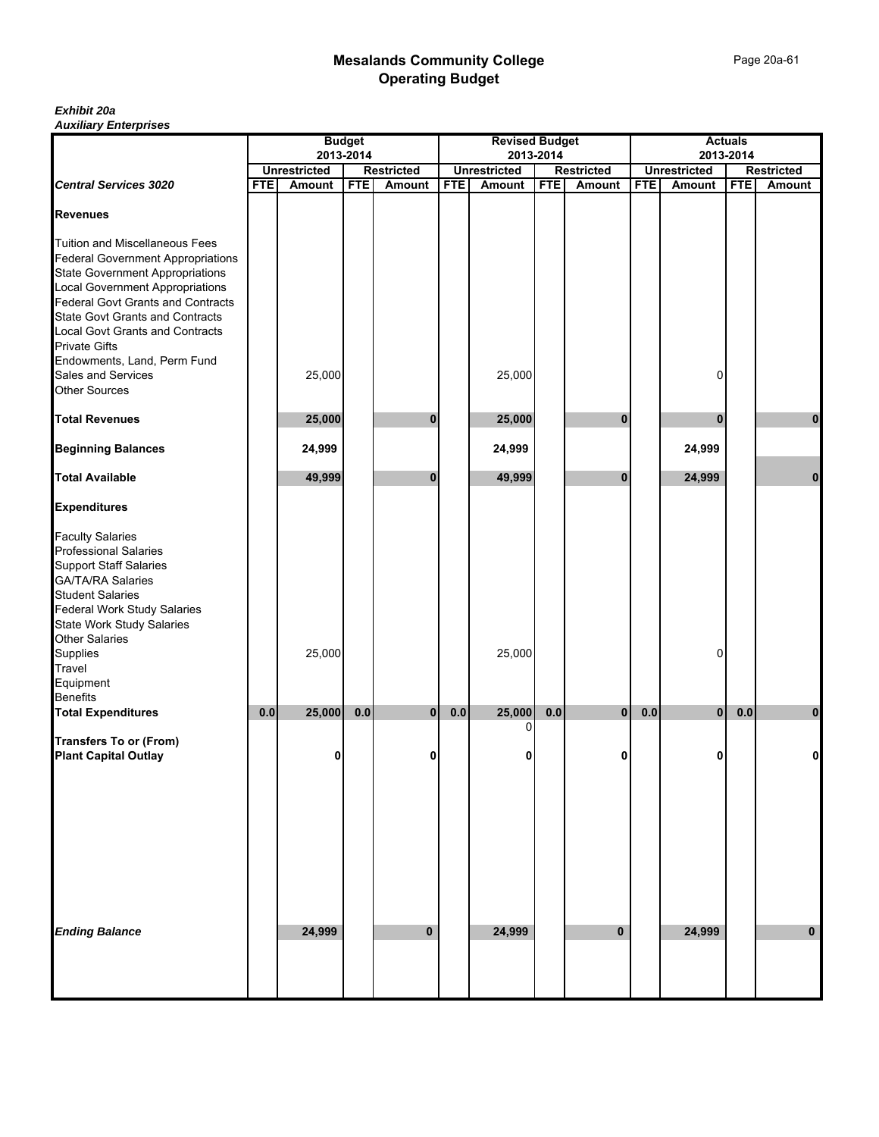#### *Exhibit 20a Auxiliary Enterprises*

|                                                                                                                                                                                                                                                             |            |                                  | <b>Budget</b> |                   |            | <b>Revised Budget</b> |            |                   |            |                     | <b>Actuals</b> |                   |
|-------------------------------------------------------------------------------------------------------------------------------------------------------------------------------------------------------------------------------------------------------------|------------|----------------------------------|---------------|-------------------|------------|-----------------------|------------|-------------------|------------|---------------------|----------------|-------------------|
|                                                                                                                                                                                                                                                             |            | 2013-2014<br><b>Unrestricted</b> |               | <b>Restricted</b> |            | <b>Unrestricted</b>   | 2013-2014  | <b>Restricted</b> |            | <b>Unrestricted</b> | 2013-2014      | <b>Restricted</b> |
| <b>Central Services 3020</b>                                                                                                                                                                                                                                | <b>FTE</b> | <b>Amount</b>                    | <b>FTE</b>    | <b>Amount</b>     | <b>FTE</b> | Amount                | <b>FTE</b> | <b>Amount</b>     | <b>FTE</b> | Amount              | <b>FTE</b>     | Amount            |
| <b>Revenues</b>                                                                                                                                                                                                                                             |            |                                  |               |                   |            |                       |            |                   |            |                     |                |                   |
| <b>Tuition and Miscellaneous Fees</b><br><b>Federal Government Appropriations</b><br><b>State Government Appropriations</b><br><b>Local Government Appropriations</b><br><b>Federal Govt Grants and Contracts</b><br><b>State Govt Grants and Contracts</b> |            |                                  |               |                   |            |                       |            |                   |            |                     |                |                   |
| <b>Local Govt Grants and Contracts</b><br><b>Private Gifts</b><br>Endowments, Land, Perm Fund                                                                                                                                                               |            |                                  |               |                   |            |                       |            |                   |            |                     |                |                   |
| Sales and Services<br><b>Other Sources</b>                                                                                                                                                                                                                  |            | 25,000                           |               |                   |            | 25,000                |            |                   |            | 0                   |                |                   |
| <b>Total Revenues</b>                                                                                                                                                                                                                                       |            | 25,000                           |               | 0                 |            | 25,000                |            | $\bf{0}$          |            | 0                   |                | 0                 |
| <b>Beginning Balances</b>                                                                                                                                                                                                                                   |            | 24,999                           |               |                   |            | 24,999                |            |                   |            | 24,999              |                |                   |
| <b>Total Available</b>                                                                                                                                                                                                                                      |            | 49,999                           |               | $\bf{0}$          |            | 49,999                |            | $\bf{0}$          |            | 24,999              |                | $\mathbf 0$       |
| <b>Expenditures</b>                                                                                                                                                                                                                                         |            |                                  |               |                   |            |                       |            |                   |            |                     |                |                   |
| <b>Faculty Salaries</b><br>Professional Salaries<br><b>Support Staff Salaries</b><br><b>GA/TA/RA Salaries</b><br><b>Student Salaries</b><br>Federal Work Study Salaries<br>State Work Study Salaries<br><b>Other Salaries</b><br>Supplies<br>Travel         |            | 25,000                           |               |                   |            | 25,000                |            |                   |            | 0                   |                |                   |
| Equipment                                                                                                                                                                                                                                                   |            |                                  |               |                   |            |                       |            |                   |            |                     |                |                   |
| <b>Benefits</b><br><b>Total Expenditures</b>                                                                                                                                                                                                                | 0.0        | 25,000                           | 0.0           | 0                 | 0.0        | 25,000                | 0.0        | $\mathbf{0}$      | 0.0        | $\mathbf{0}$        | 0.0            | 0                 |
| <b>Transfers To or (From)</b><br><b>Plant Capital Outlay</b>                                                                                                                                                                                                |            | 0                                |               | 0                 |            | 0<br>0                |            | 0                 |            | 0                   |                | 0                 |
|                                                                                                                                                                                                                                                             |            |                                  |               |                   |            |                       |            |                   |            |                     |                |                   |
| <b>Ending Balance</b>                                                                                                                                                                                                                                       |            | 24,999                           |               | $\mathbf 0$       |            | 24,999                |            | $\mathbf{0}$      |            | 24,999              |                | $\bf{0}$          |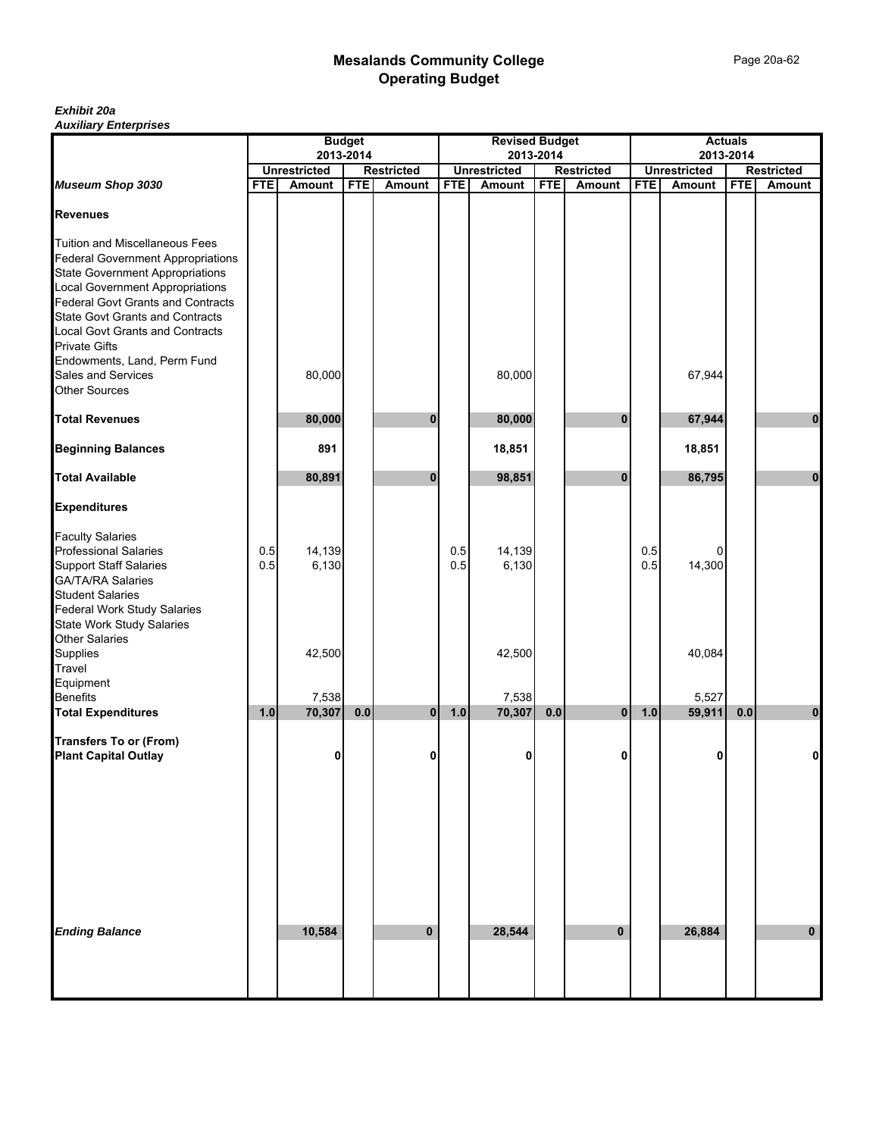Page 20a-62

#### *Exhibit 20a Auxiliary Enterprises*

|                                                                                                                                                                                                                                                                                                                           |            |                     | <b>Budget</b> |                   |            | <b>Revised Budget</b> |            |                   |            |                     | <b>Actuals</b> |                   |
|---------------------------------------------------------------------------------------------------------------------------------------------------------------------------------------------------------------------------------------------------------------------------------------------------------------------------|------------|---------------------|---------------|-------------------|------------|-----------------------|------------|-------------------|------------|---------------------|----------------|-------------------|
|                                                                                                                                                                                                                                                                                                                           |            | <b>Unrestricted</b> | 2013-2014     | <b>Restricted</b> |            | <b>Unrestricted</b>   | 2013-2014  | <b>Restricted</b> |            | <b>Unrestricted</b> | 2013-2014      | <b>Restricted</b> |
| Museum Shop 3030                                                                                                                                                                                                                                                                                                          | <b>FTE</b> | Amount              | <b>FTE</b>    | <b>Amount</b>     | <b>FTE</b> | <b>Amount</b>         | <b>FTE</b> | <b>Amount</b>     | <b>FTE</b> | Amount              | <b>FTE</b>     | Amount            |
| <b>Revenues</b>                                                                                                                                                                                                                                                                                                           |            |                     |               |                   |            |                       |            |                   |            |                     |                |                   |
| Tuition and Miscellaneous Fees<br><b>Federal Government Appropriations</b><br><b>State Government Appropriations</b><br>Local Government Appropriations<br>Federal Govt Grants and Contracts<br><b>State Govt Grants and Contracts</b><br>Local Govt Grants and Contracts<br>Private Gifts<br>Endowments, Land, Perm Fund |            |                     |               |                   |            |                       |            |                   |            |                     |                |                   |
| Sales and Services<br><b>Other Sources</b>                                                                                                                                                                                                                                                                                |            | 80,000              |               |                   |            | 80,000                |            |                   |            | 67,944              |                |                   |
| <b>Total Revenues</b>                                                                                                                                                                                                                                                                                                     |            | 80,000              |               | 0                 |            | 80,000                |            | $\bf{0}$          |            | 67,944              |                | 0                 |
| <b>Beginning Balances</b>                                                                                                                                                                                                                                                                                                 |            | 891                 |               |                   |            | 18,851                |            |                   |            | 18,851              |                |                   |
| <b>Total Available</b>                                                                                                                                                                                                                                                                                                    |            | 80,891              |               | $\bf{0}$          |            | 98,851                |            | $\bf{0}$          |            | 86,795              |                | $\bf{0}$          |
| <b>Expenditures</b>                                                                                                                                                                                                                                                                                                       |            |                     |               |                   |            |                       |            |                   |            |                     |                |                   |
| <b>Faculty Salaries<br/>Professional Salaries</b><br><b>Support Staff Salaries</b><br>GA/TA/RA Salaries<br>Student Salaries<br>Federal Work Study Salaries                                                                                                                                                                | 0.5<br>0.5 | 14,139<br>6,130     |               |                   | 0.5<br>0.5 | 14,139<br>6,130       |            |                   | 0.5<br>0.5 | 0<br>14,300         |                |                   |
| State Work Study Salaries<br>Other Salaries<br>Supplies<br>Travel<br>Equipment                                                                                                                                                                                                                                            |            | 42,500              |               |                   |            | 42,500                |            |                   |            | 40,084              |                |                   |
| Benefits                                                                                                                                                                                                                                                                                                                  |            | 7,538               |               |                   |            | 7,538                 |            |                   |            | 5,527               |                |                   |
| <b>Total Expenditures</b>                                                                                                                                                                                                                                                                                                 | 1.0        | 70,307              | 0.0           | $\mathbf{0}$      | 1.0        | 70,307                | 0.0        | $\mathbf{0}$      | 1.0        | 59,911              | 0.0            | $\pmb{0}$         |
| <b>Transfers To or (From)</b><br><b>Plant Capital Outlay</b>                                                                                                                                                                                                                                                              |            | 0                   |               | 0                 |            | 0                     |            | 0                 |            | 0                   |                | 0                 |
| <b>Ending Balance</b>                                                                                                                                                                                                                                                                                                     |            | 10,584              |               | $\mathbf{0}$      |            | 28,544                |            | $\mathbf{0}$      |            | 26,884              |                | $\bf{0}$          |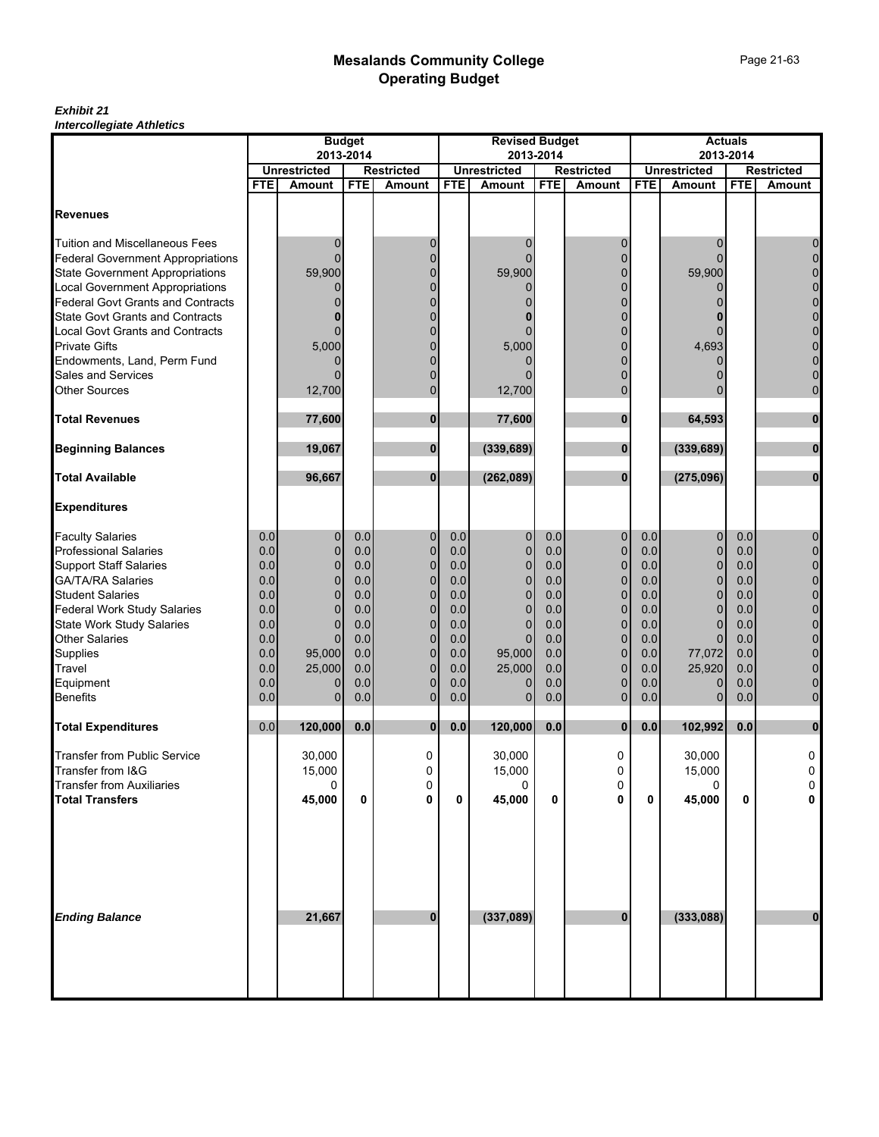#### *Exhibit 21 Intercollegiate Athletics*

|                                          | <b>Budget</b> |                                      |                                                       | <b>Revised Budget</b>       |            |                                                       | <b>Actuals</b> |                |            |                |             |                |
|------------------------------------------|---------------|--------------------------------------|-------------------------------------------------------|-----------------------------|------------|-------------------------------------------------------|----------------|----------------|------------|----------------|-------------|----------------|
|                                          | 2013-2014     |                                      | 2013-2014<br><b>Unrestricted</b><br><b>Restricted</b> |                             |            | 2013-2014<br><b>Unrestricted</b><br><b>Restricted</b> |                |                |            |                |             |                |
|                                          | <b>FTE</b>    | <b>Unrestricted</b><br><b>Amount</b> | <b>FTE</b>                                            | <b>Restricted</b><br>Amount | <b>FTE</b> | Amount                                                | <b>FTE</b>     | Amount         | <b>FTE</b> | Amount         | <b>FTE</b>  | <b>Amount</b>  |
|                                          |               |                                      |                                                       |                             |            |                                                       |                |                |            |                |             |                |
| <b>Revenues</b>                          |               |                                      |                                                       |                             |            |                                                       |                |                |            |                |             |                |
| <b>Tuition and Miscellaneous Fees</b>    |               | 0                                    |                                                       | 0                           |            | 0                                                     |                | 0              |            | 0              |             | 0              |
| <b>Federal Government Appropriations</b> |               | 0                                    |                                                       | $\overline{0}$              |            |                                                       |                | $\Omega$       |            | ი              |             | 0              |
| <b>State Government Appropriations</b>   |               | 59,900                               |                                                       | $\overline{0}$              |            | 59,900                                                |                | 0              |            | 59,900         |             |                |
| <b>Local Government Appropriations</b>   |               | 0                                    |                                                       | $\overline{0}$              |            | 0                                                     |                | 0              |            | 0              |             |                |
| <b>Federal Govt Grants and Contracts</b> |               |                                      |                                                       | $\Omega$                    |            |                                                       |                | $\Omega$       |            |                |             | $\mathbf 0$    |
| <b>State Govt Grants and Contracts</b>   |               |                                      |                                                       | $\Omega$                    |            |                                                       |                |                |            |                |             |                |
| <b>Local Govt Grants and Contracts</b>   |               | $\Omega$                             |                                                       | $\Omega$                    |            | 0                                                     |                | 0              |            | ი              |             | $\mathbf 0$    |
| <b>Private Gifts</b>                     |               | 5,000                                |                                                       | $\Omega$                    |            | 5,000                                                 |                |                |            | 4,693          |             | 0              |
| Endowments, Land, Perm Fund              |               |                                      |                                                       | $\Omega$                    |            |                                                       |                | $\Omega$       |            | ი              |             | 0              |
| Sales and Services                       |               | 0                                    |                                                       | $\overline{0}$              |            |                                                       |                | $\Omega$       |            | 0              |             | 0              |
| <b>Other Sources</b>                     |               | 12,700                               |                                                       | $\overline{0}$              |            | 12,700                                                |                | $\Omega$       |            |                |             | $\mathbf 0$    |
| <b>Total Revenues</b>                    |               | 77,600                               |                                                       | $\bf{0}$                    |            | 77,600                                                |                | $\bf{0}$       |            | 64,593         |             | $\mathbf 0$    |
| <b>Beginning Balances</b>                |               | 19,067                               |                                                       | $\bf{0}$                    |            | (339, 689)                                            |                | 0              |            | (339, 689)     |             | $\bf{0}$       |
| <b>Total Available</b>                   |               | 96,667                               |                                                       | $\mathbf{0}$                |            | (262, 089)                                            |                | $\mathbf{0}$   |            | (275,096)      |             | $\mathbf 0$    |
| <b>Expenditures</b>                      |               |                                      |                                                       |                             |            |                                                       |                |                |            |                |             |                |
| <b>Faculty Salaries</b>                  | 0.0           | $\mathbf 0$                          | 0.0                                                   | 0                           | 0.0        | 0                                                     | 0.0            | 0              | 0.0        | 0              | 0.0         | 0              |
| <b>Professional Salaries</b>             | 0.0           | $\mathbf{0}$                         | 0.0                                                   | 0                           | 0.0        | $\overline{0}$                                        | 0.0            | $\mathbf 0$    | 0.0        | $\overline{0}$ | 0.0         | $\overline{0}$ |
| <b>Support Staff Salaries</b>            | 0.0           | $\mathbf 0$                          | 0.0                                                   | $\overline{0}$              | 0.0        | $\mathbf{0}$                                          | 0.0            | $\mathbf 0$    | 0.0        | $\overline{0}$ | 0.0         | 0              |
| <b>GA/TA/RA Salaries</b>                 | 0.0           | $\mathbf{0}$                         | 0.0                                                   | $\mathbf 0$                 | 0.0        | 0                                                     | 0.0            | $\overline{0}$ | 0.0        | $\mathbf 0$    | 0.0         | 0              |
| <b>Student Salaries</b>                  | 0.0           | $\Omega$                             | 0.0                                                   | $\overline{0}$              | 0.0        | $\Omega$                                              | 0.0            | $\mathbf 0$    | 0.0        | $\overline{0}$ | 0.0         | 0              |
| <b>Federal Work Study Salaries</b>       | 0.0           | $\Omega$                             | 0.0                                                   | $\overline{0}$              | 0.0        | $\mathbf{0}$                                          | 0.0            | $\Omega$       | 0.0        | $\overline{0}$ | 0.0         | 0              |
| <b>State Work Study Salaries</b>         | 0.0           | $\mathbf{0}$                         | 0.0                                                   | $\mathbf 0$                 | 0.0        | $\mathbf 0$                                           | 0.0            | $\overline{0}$ | 0.0        | $\overline{0}$ | 0.0         | 0              |
| <b>Other Salaries</b>                    | 0.0           | $\Omega$                             | 0.0                                                   | $\overline{0}$              | 0.0        | $\mathbf{0}$                                          | 0.0            | 0              | 0.0        | $\Omega$       | 0.0         | $\mathbf 0$    |
| Supplies                                 | 0.0           | 95,000                               | 0.0                                                   | $\mathbf 0$                 | 0.0        | 95,000                                                | 0.0            | $\mathbf 0$    | 0.0        | 77,072         | 0.0         | 0              |
| Travel                                   | 0.0           | 25,000                               | 0.0                                                   | $\overline{0}$              | 0.0        | 25,000                                                | 0.0            | $\overline{0}$ | 0.0        | 25,920         | 0.0         | $\mathbf 0$    |
| Equipment                                | 0.0           | 0                                    | 0.0                                                   | 0                           | 0.0        | 0                                                     | 0.0            | 0              | 0.0        | 0              | 0.0         | 0              |
| <b>Benefits</b>                          | 0.0           | $\mathbf{0}$                         | 0.0                                                   | $\mathbf 0$                 | 0.0        | $\mathbf{0}$                                          | 0.0            | $\overline{0}$ | 0.0        | $\overline{0}$ | 0.0         | $\mathbf 0$    |
| <b>Total Expenditures</b>                | 0.0           | 120,000                              | $0.0$                                                 | $\mathbf{0}$                | 0.0        | 120,000                                               | 0.0            | $\mathbf{0}$   | 0.0        | 102,992        | 0.0         | $\bf{0}$       |
| <b>Transfer from Public Service</b>      |               | 30,000                               |                                                       | 0                           |            | 30,000                                                |                | 0              |            | 30,000         |             | 0              |
| Transfer from I&G                        |               | 15,000                               |                                                       | 0                           |            | 15,000                                                |                | 0              |            | 15,000         |             | 0              |
| <b>Transfer from Auxiliaries</b>         |               | 0                                    |                                                       | 0                           |            | 0                                                     |                | 0              |            | 0              |             | 0              |
| <b>Total Transfers</b>                   |               | 45,000                               | 0                                                     | 0                           | 0          | 45,000                                                | 0              | 0              | 0          | 45,000         | $\mathbf 0$ | 0              |
| <b>Ending Balance</b>                    |               | 21,667                               |                                                       | $\bf{0}$                    |            | (337,089)                                             |                | $\mathbf{0}$   |            | (333,088)      |             | $\mathbf 0$    |
|                                          |               |                                      |                                                       |                             |            |                                                       |                |                |            |                |             |                |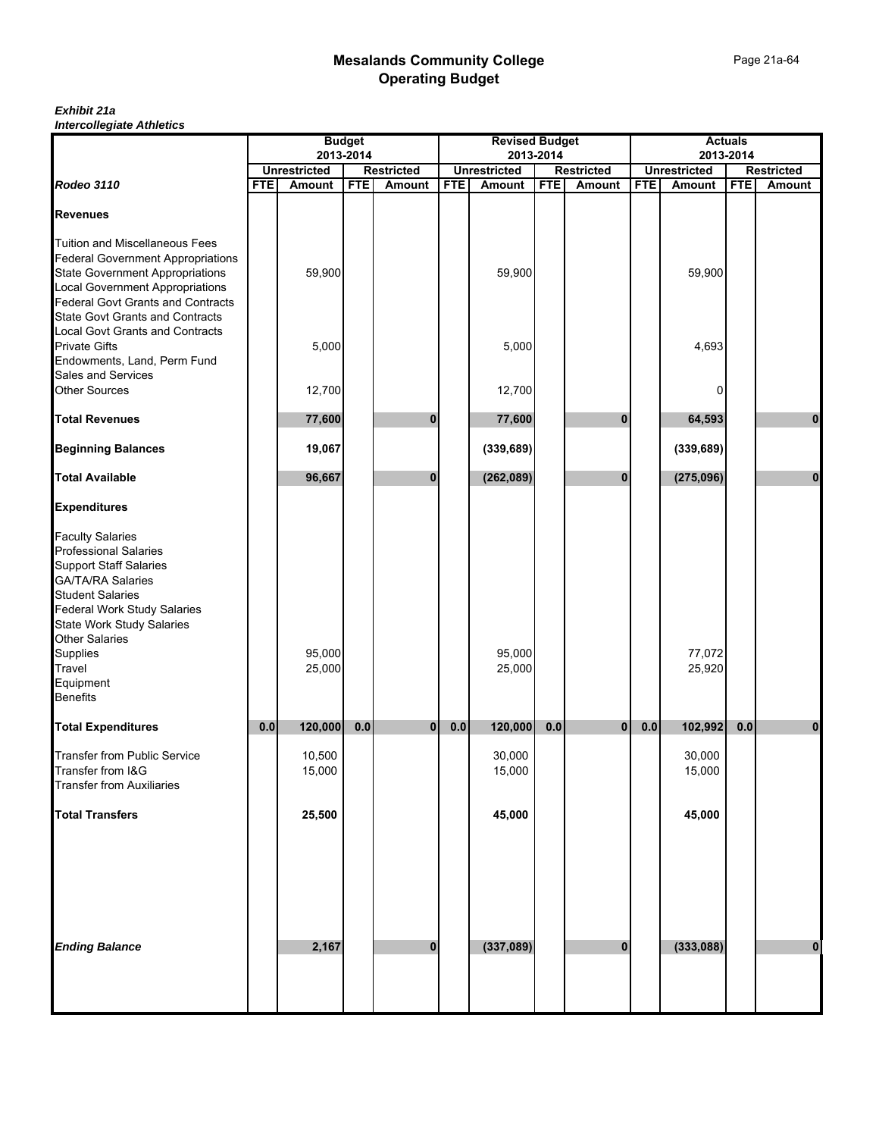#### *Exhibit 21a Intercollegiate Athletics*

|                                                                      |            |                               | <b>Budget</b> |                             |            | <b>Revised Budget</b>                |            |                                    |            |                               | <b>Actuals</b> |                                    |
|----------------------------------------------------------------------|------------|-------------------------------|---------------|-----------------------------|------------|--------------------------------------|------------|------------------------------------|------------|-------------------------------|----------------|------------------------------------|
|                                                                      |            | 2013-2014                     |               |                             |            |                                      | 2013-2014  |                                    |            | 2013-2014                     |                |                                    |
| Rodeo 3110                                                           | <b>FTE</b> | <b>Unrestricted</b><br>Amount | <b>FTE</b>    | <b>Restricted</b><br>Amount | <b>FTE</b> | <b>Unrestricted</b><br><b>Amount</b> | <b>FTE</b> | <b>Restricted</b><br><b>Amount</b> | <b>FTE</b> | <b>Unrestricted</b><br>Amount | <b>FTE</b>     | <b>Restricted</b><br><b>Amount</b> |
|                                                                      |            |                               |               |                             |            |                                      |            |                                    |            |                               |                |                                    |
| <b>Revenues</b>                                                      |            |                               |               |                             |            |                                      |            |                                    |            |                               |                |                                    |
| <b>Tuition and Miscellaneous Fees</b>                                |            |                               |               |                             |            |                                      |            |                                    |            |                               |                |                                    |
| <b>Federal Government Appropriations</b>                             |            |                               |               |                             |            |                                      |            |                                    |            |                               |                |                                    |
| <b>State Government Appropriations</b>                               |            | 59,900                        |               |                             |            | 59,900                               |            |                                    |            | 59,900                        |                |                                    |
| Local Government Appropriations<br>Federal Govt Grants and Contracts |            |                               |               |                             |            |                                      |            |                                    |            |                               |                |                                    |
|                                                                      |            |                               |               |                             |            |                                      |            |                                    |            |                               |                |                                    |
| <b>State Govt Grants and Contracts</b>                               |            |                               |               |                             |            |                                      |            |                                    |            |                               |                |                                    |
| Local Govt Grants and Contracts<br><b>Private Gifts</b>              |            | 5,000                         |               |                             |            | 5,000                                |            |                                    |            | 4,693                         |                |                                    |
| Endowments, Land, Perm Fund                                          |            |                               |               |                             |            |                                      |            |                                    |            |                               |                |                                    |
| Sales and Services                                                   |            |                               |               |                             |            |                                      |            |                                    |            |                               |                |                                    |
| <b>Other Sources</b>                                                 |            | 12,700                        |               |                             |            | 12,700                               |            |                                    |            | 0                             |                |                                    |
|                                                                      |            |                               |               |                             |            |                                      |            |                                    |            |                               |                |                                    |
| <b>Total Revenues</b>                                                |            | 77,600                        |               | 0                           |            | 77,600                               |            | $\bf{0}$                           |            | 64,593                        |                | 0                                  |
| <b>Beginning Balances</b>                                            |            | 19,067                        |               |                             |            | (339, 689)                           |            |                                    |            | (339, 689)                    |                |                                    |
| <b>Total Available</b>                                               |            | 96,667                        |               | $\bf{0}$                    |            | (262, 089)                           |            | $\bf{0}$                           |            | (275,096)                     |                | $\mathbf{0}$                       |
| <b>Expenditures</b>                                                  |            |                               |               |                             |            |                                      |            |                                    |            |                               |                |                                    |
| <b>Faculty Salaries</b>                                              |            |                               |               |                             |            |                                      |            |                                    |            |                               |                |                                    |
| Professional Salaries                                                |            |                               |               |                             |            |                                      |            |                                    |            |                               |                |                                    |
| <b>Support Staff Salaries</b>                                        |            |                               |               |                             |            |                                      |            |                                    |            |                               |                |                                    |
| GA/TA/RA Salaries<br>Student Salaries                                |            |                               |               |                             |            |                                      |            |                                    |            |                               |                |                                    |
|                                                                      |            |                               |               |                             |            |                                      |            |                                    |            |                               |                |                                    |
| <b>Federal Work Study Salaries</b>                                   |            |                               |               |                             |            |                                      |            |                                    |            |                               |                |                                    |
| State Work Study Salaries<br>Other Salaries                          |            |                               |               |                             |            |                                      |            |                                    |            |                               |                |                                    |
|                                                                      |            |                               |               |                             |            |                                      |            |                                    |            |                               |                |                                    |
| Supplies                                                             |            | 95,000<br>25,000              |               |                             |            | 95,000<br>25,000                     |            |                                    |            | 77,072                        |                |                                    |
| Travel<br>Equipment                                                  |            |                               |               |                             |            |                                      |            |                                    |            | 25,920                        |                |                                    |
| <b>Benefits</b>                                                      |            |                               |               |                             |            |                                      |            |                                    |            |                               |                |                                    |
|                                                                      |            |                               |               |                             |            |                                      |            |                                    |            |                               |                |                                    |
| <b>Total Expenditures</b>                                            | 0.0        | 120,000                       | 0.0           | $\mathbf{0}$                | 0.0        | 120,000                              | 0.0        | $\mathbf{0}$                       | $0.0\,$    | 102,992                       | 0.0            | $\bf{0}$                           |
| Transfer from Public Service                                         |            | 10,500                        |               |                             |            | 30,000                               |            |                                    |            | 30,000                        |                |                                    |
| Transfer from I&G                                                    |            | 15,000                        |               |                             |            | 15,000                               |            |                                    |            | 15,000                        |                |                                    |
| <b>Transfer from Auxiliaries</b>                                     |            |                               |               |                             |            |                                      |            |                                    |            |                               |                |                                    |
|                                                                      |            |                               |               |                             |            |                                      |            |                                    |            |                               |                |                                    |
| <b>Total Transfers</b>                                               |            | 25,500                        |               |                             |            | 45,000                               |            |                                    |            | 45,000                        |                |                                    |
|                                                                      |            |                               |               |                             |            |                                      |            |                                    |            |                               |                |                                    |
|                                                                      |            |                               |               |                             |            |                                      |            |                                    |            |                               |                |                                    |
|                                                                      |            |                               |               |                             |            |                                      |            |                                    |            |                               |                |                                    |
|                                                                      |            |                               |               |                             |            |                                      |            |                                    |            |                               |                |                                    |
|                                                                      |            |                               |               |                             |            |                                      |            |                                    |            |                               |                |                                    |
|                                                                      |            |                               |               |                             |            |                                      |            |                                    |            |                               |                |                                    |
| <b>Ending Balance</b>                                                |            | 2,167                         |               | 0                           |            | (337, 089)                           |            | $\bf{0}$                           |            | (333,088)                     |                | 0                                  |
|                                                                      |            |                               |               |                             |            |                                      |            |                                    |            |                               |                |                                    |
|                                                                      |            |                               |               |                             |            |                                      |            |                                    |            |                               |                |                                    |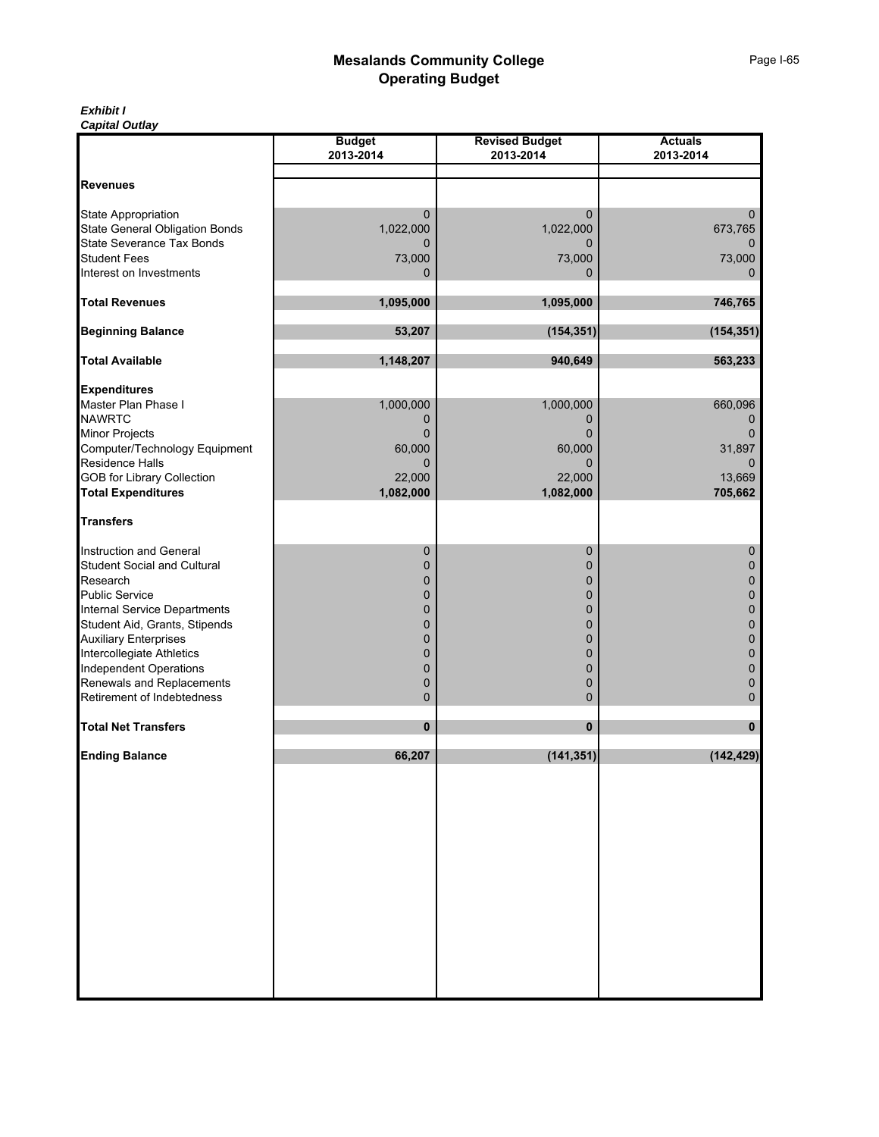#### *Exhibit I Capital Outlay*

|                                       | <b>Budget</b> | <b>Revised Budget</b> | <b>Actuals</b> |
|---------------------------------------|---------------|-----------------------|----------------|
|                                       | 2013-2014     | 2013-2014             | 2013-2014      |
| <b>Revenues</b>                       |               |                       |                |
|                                       |               |                       |                |
| State Appropriation                   | 0             | $\mathbf{0}$          | 0              |
| <b>State General Obligation Bonds</b> | 1,022,000     | 1,022,000             | 673,765        |
| State Severance Tax Bonds             | 0             | 0                     | $\Omega$       |
| <b>Student Fees</b>                   | 73,000        | 73,000                | 73,000         |
| Interest on Investments               | 0             | $\mathbf{0}$          | $\mathbf 0$    |
|                                       |               |                       |                |
| <b>Total Revenues</b>                 | 1,095,000     | 1,095,000             | 746,765        |
| <b>Beginning Balance</b>              | 53,207        | (154, 351)            | (154, 351)     |
|                                       |               |                       |                |
| <b>Total Available</b>                | 1,148,207     | 940,649               | 563,233        |
|                                       |               |                       |                |
| <b>Expenditures</b>                   |               |                       |                |
| Master Plan Phase I                   | 1,000,000     | 1,000,000             | 660,096        |
| <b>NAWRTC</b>                         | 0             | $\mathbf{0}$          | 0              |
| Minor Projects                        | 0             | $\Omega$              | $\Omega$       |
| Computer/Technology Equipment         | 60,000        | 60,000                | 31,897         |
| Residence Halls                       | 0             | 0                     | 0              |
| GOB for Library Collection            | 22,000        | 22,000                | 13,669         |
| <b>Total Expenditures</b>             | 1,082,000     | 1,082,000             | 705,662        |
| <b>Transfers</b>                      |               |                       |                |
|                                       |               |                       |                |
| <b>Instruction and General</b>        | 0             | 0                     | 0              |
| <b>Student Social and Cultural</b>    | 0             | $\mathbf 0$           | 0              |
| Research                              | 0             | 0                     | 0              |
| <b>Public Service</b>                 | 0             | 0                     | 0              |
| Internal Service Departments          | 0             | 0                     | 0              |
| Student Aid, Grants, Stipends         | 0             | 0                     | 0              |
| <b>Auxiliary Enterprises</b>          | 0             | 0                     | 0              |
| Intercollegiate Athletics             | 0             | $\mathbf 0$           | 0              |
| <b>Independent Operations</b>         | 0             | $\mathbf 0$           | 0              |
| Renewals and Replacements             | 0             | 0                     | 0              |
| Retirement of Indebtedness            | 0             | 0                     | 0              |
| <b>Total Net Transfers</b>            | 0             | $\bf{0}$              | 0              |
|                                       |               |                       |                |
| <b>Ending Balance</b>                 | 66,207        | (141, 351)            | (142, 429)     |
|                                       |               |                       |                |
|                                       |               |                       |                |
|                                       |               |                       |                |
|                                       |               |                       |                |
|                                       |               |                       |                |
|                                       |               |                       |                |
|                                       |               |                       |                |
|                                       |               |                       |                |
|                                       |               |                       |                |
|                                       |               |                       |                |
|                                       |               |                       |                |
|                                       |               |                       |                |
|                                       |               |                       |                |
|                                       |               |                       |                |
|                                       |               |                       |                |
|                                       |               |                       |                |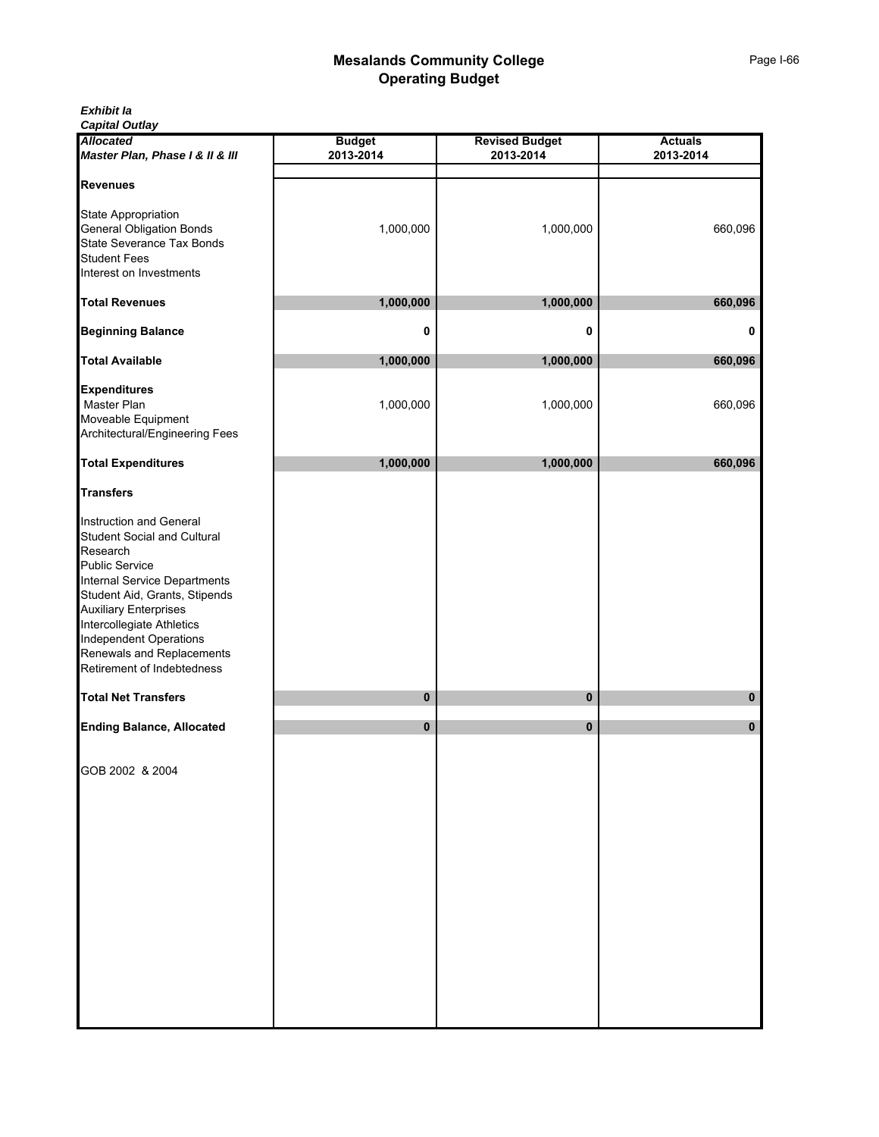| Exhibit la |  |
|------------|--|
|------------|--|

*Capital Outlay*

| <b>Allocated</b><br>Master Plan, Phase I & II & III                                                                                                                                                                                                                                                                   | <b>Budget</b><br>2013-2014 | <b>Revised Budget</b><br>2013-2014 | <b>Actuals</b><br>2013-2014 |
|-----------------------------------------------------------------------------------------------------------------------------------------------------------------------------------------------------------------------------------------------------------------------------------------------------------------------|----------------------------|------------------------------------|-----------------------------|
|                                                                                                                                                                                                                                                                                                                       |                            |                                    |                             |
| <b>Revenues</b><br>State Appropriation<br><b>General Obligation Bonds</b><br><b>State Severance Tax Bonds</b><br><b>Student Fees</b>                                                                                                                                                                                  | 1,000,000                  | 1,000,000                          | 660,096                     |
| Interest on Investments                                                                                                                                                                                                                                                                                               |                            |                                    |                             |
| <b>Total Revenues</b>                                                                                                                                                                                                                                                                                                 | 1,000,000                  | 1,000,000                          | 660,096                     |
| <b>Beginning Balance</b>                                                                                                                                                                                                                                                                                              | 0                          | 0                                  | 0                           |
| <b>Total Available</b>                                                                                                                                                                                                                                                                                                | 1,000,000                  | 1,000,000                          | 660,096                     |
| <b>Expenditures</b><br>Master Plan<br>Moveable Equipment<br>Architectural/Engineering Fees                                                                                                                                                                                                                            | 1,000,000                  | 1,000,000                          | 660,096                     |
| <b>Total Expenditures</b>                                                                                                                                                                                                                                                                                             | 1,000,000                  | 1,000,000                          | 660,096                     |
| <b>Transfers</b>                                                                                                                                                                                                                                                                                                      |                            |                                    |                             |
| Instruction and General<br><b>Student Social and Cultural</b><br>Research<br><b>Public Service</b><br>Internal Service Departments<br>Student Aid, Grants, Stipends<br><b>Auxiliary Enterprises</b><br>Intercollegiate Athletics<br>Independent Operations<br>Renewals and Replacements<br>Retirement of Indebtedness |                            |                                    |                             |
| <b>Total Net Transfers</b>                                                                                                                                                                                                                                                                                            | 0                          | 0                                  | 0                           |
| <b>Ending Balance, Allocated</b>                                                                                                                                                                                                                                                                                      | $\pmb{0}$                  | $\pmb{0}$                          | 0                           |
| GOB 2002 & 2004                                                                                                                                                                                                                                                                                                       |                            |                                    |                             |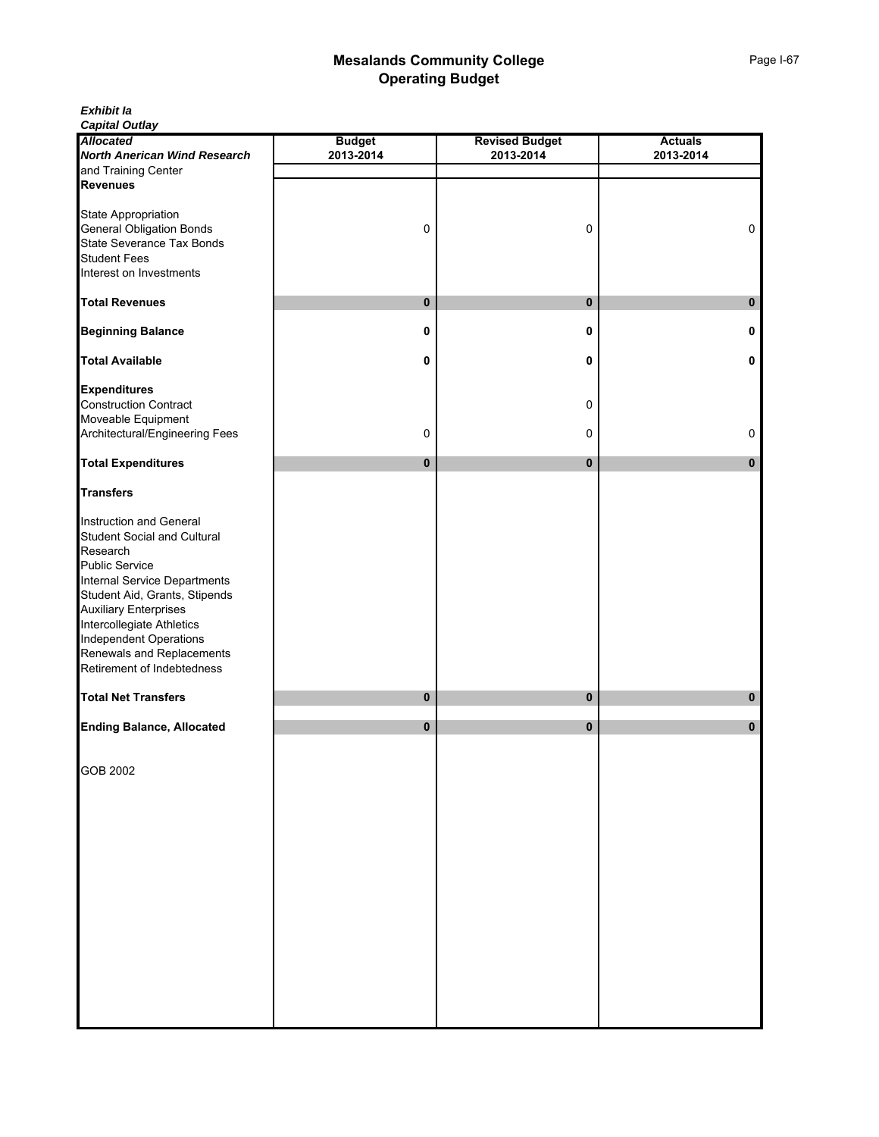*Exhibit Ia Capital Outlay*

| <b>Allocated</b>                    | <b>Budget</b> | <b>Revised Budget</b> | <b>Actuals</b> |
|-------------------------------------|---------------|-----------------------|----------------|
| <b>North Anerican Wind Research</b> | 2013-2014     | 2013-2014             | 2013-2014      |
| and Training Center                 |               |                       |                |
| <b>Revenues</b>                     |               |                       |                |
|                                     |               |                       |                |
| State Appropriation                 |               |                       |                |
| <b>General Obligation Bonds</b>     | 0             | 0                     | $\mathsf 0$    |
| <b>State Severance Tax Bonds</b>    |               |                       |                |
| <b>Student Fees</b>                 |               |                       |                |
|                                     |               |                       |                |
| Interest on Investments             |               |                       |                |
|                                     |               |                       |                |
| <b>Total Revenues</b>               | 0             | 0                     | $\mathbf{0}$   |
|                                     |               |                       |                |
| <b>Beginning Balance</b>            | 0             | 0                     | 0              |
|                                     |               |                       |                |
| <b>Total Available</b>              | 0             | 0                     | 0              |
|                                     |               |                       |                |
| <b>Expenditures</b>                 |               |                       |                |
| <b>Construction Contract</b>        |               | 0                     |                |
| Moveable Equipment                  |               |                       |                |
| Architectural/Engineering Fees      | 0             | 0                     | 0              |
|                                     |               |                       |                |
| <b>Total Expenditures</b>           | 0             | $\pmb{0}$             | $\pmb{0}$      |
|                                     |               |                       |                |
| <b>Transfers</b>                    |               |                       |                |
|                                     |               |                       |                |
| Instruction and General             |               |                       |                |
| <b>Student Social and Cultural</b>  |               |                       |                |
| Research                            |               |                       |                |
| <b>Public Service</b>               |               |                       |                |
| <b>Internal Service Departments</b> |               |                       |                |
| Student Aid, Grants, Stipends       |               |                       |                |
| <b>Auxiliary Enterprises</b>        |               |                       |                |
| Intercollegiate Athletics           |               |                       |                |
| <b>Independent Operations</b>       |               |                       |                |
| Renewals and Replacements           |               |                       |                |
|                                     |               |                       |                |
| Retirement of Indebtedness          |               |                       |                |
| <b>Total Net Transfers</b>          | 0             | $\bf{0}$              | 0              |
|                                     |               |                       |                |
| <b>Ending Balance, Allocated</b>    | 0             | 0                     | 0              |
|                                     |               |                       |                |
|                                     |               |                       |                |
| GOB 2002                            |               |                       |                |
|                                     |               |                       |                |
|                                     |               |                       |                |
|                                     |               |                       |                |
|                                     |               |                       |                |
|                                     |               |                       |                |
|                                     |               |                       |                |
|                                     |               |                       |                |
|                                     |               |                       |                |
|                                     |               |                       |                |
|                                     |               |                       |                |
|                                     |               |                       |                |
|                                     |               |                       |                |
|                                     |               |                       |                |
|                                     |               |                       |                |
|                                     |               |                       |                |
|                                     |               |                       |                |
|                                     |               |                       |                |
|                                     |               |                       |                |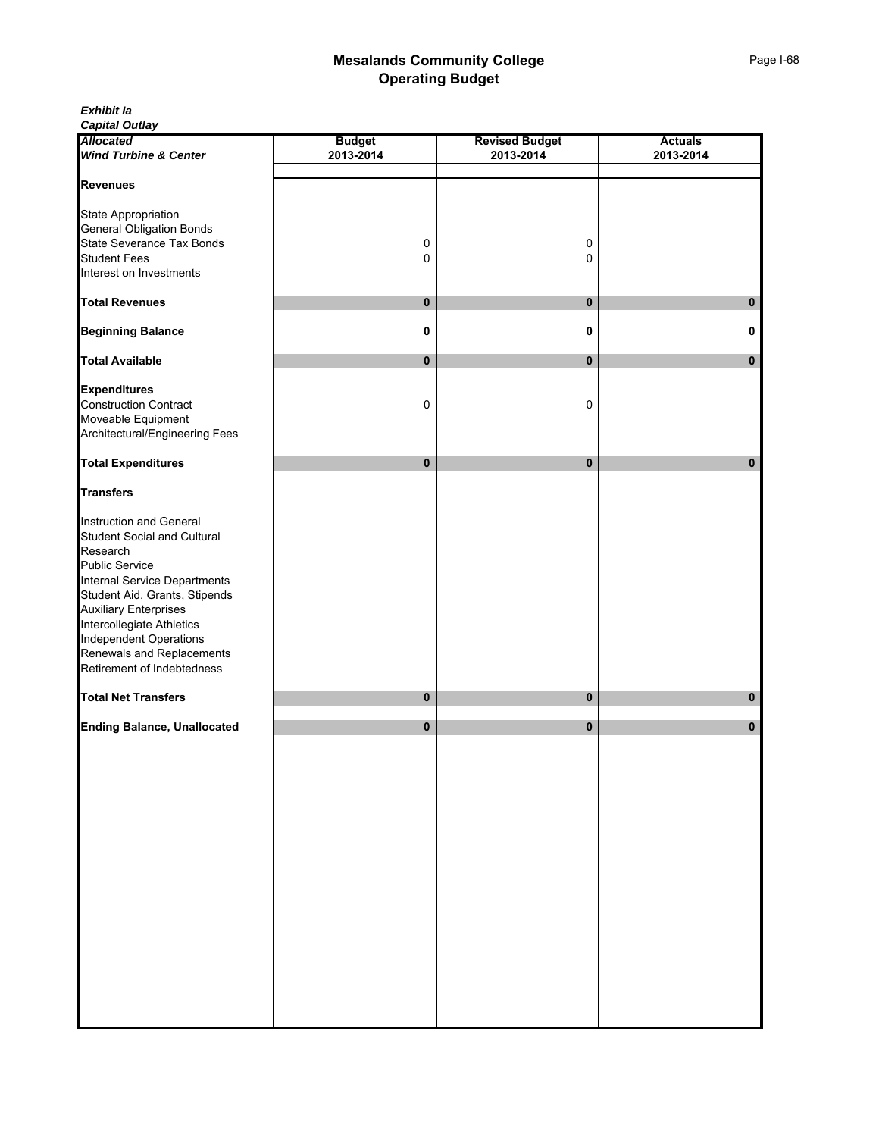*Exhibit Ia*

| <b>Allocated</b>                                    | <b>Budget</b> | <b>Revised Budget</b> | <b>Actuals</b> |
|-----------------------------------------------------|---------------|-----------------------|----------------|
| <b>Wind Turbine &amp; Center</b>                    | 2013-2014     | 2013-2014             | 2013-2014      |
| <b>Revenues</b>                                     |               |                       |                |
|                                                     |               |                       |                |
| State Appropriation                                 |               |                       |                |
| <b>General Obligation Bonds</b>                     |               |                       |                |
| State Severance Tax Bonds<br><b>Student Fees</b>    | 0<br>0        | $\mathsf 0$<br>0      |                |
| Interest on Investments                             |               |                       |                |
|                                                     |               |                       |                |
| <b>Total Revenues</b>                               | $\pmb{0}$     | $\mathbf 0$           | 0              |
| <b>Beginning Balance</b>                            | 0             | 0                     | 0              |
|                                                     |               |                       |                |
| <b>Total Available</b>                              | $\pmb{0}$     | $\pmb{0}$             | $\bf{0}$       |
| <b>Expenditures</b>                                 |               |                       |                |
| <b>Construction Contract</b>                        | 0             | 0                     |                |
| Moveable Equipment                                  |               |                       |                |
| Architectural/Engineering Fees                      |               |                       |                |
| <b>Total Expenditures</b>                           | $\mathbf 0$   | $\pmb{0}$             | 0              |
| <b>Transfers</b>                                    |               |                       |                |
| Instruction and General                             |               |                       |                |
| <b>Student Social and Cultural</b>                  |               |                       |                |
| Research                                            |               |                       |                |
| <b>Public Service</b>                               |               |                       |                |
| Internal Service Departments                        |               |                       |                |
| Student Aid, Grants, Stipends                       |               |                       |                |
| <b>Auxiliary Enterprises</b>                        |               |                       |                |
| Intercollegiate Athletics                           |               |                       |                |
| Independent Operations<br>Renewals and Replacements |               |                       |                |
| Retirement of Indebtedness                          |               |                       |                |
|                                                     |               |                       |                |
| <b>Total Net Transfers</b>                          | $\pmb{0}$     | $\pmb{0}$             | 0              |
| <b>Ending Balance, Unallocated</b>                  | $\pmb{0}$     | $\pmb{0}$             | $\bf{0}$       |
|                                                     |               |                       |                |
|                                                     |               |                       |                |
|                                                     |               |                       |                |
|                                                     |               |                       |                |
|                                                     |               |                       |                |
|                                                     |               |                       |                |
|                                                     |               |                       |                |
|                                                     |               |                       |                |
|                                                     |               |                       |                |
|                                                     |               |                       |                |
|                                                     |               |                       |                |
|                                                     |               |                       |                |
|                                                     |               |                       |                |
|                                                     |               |                       |                |
|                                                     |               |                       |                |
|                                                     |               |                       |                |
|                                                     |               |                       |                |
|                                                     |               |                       |                |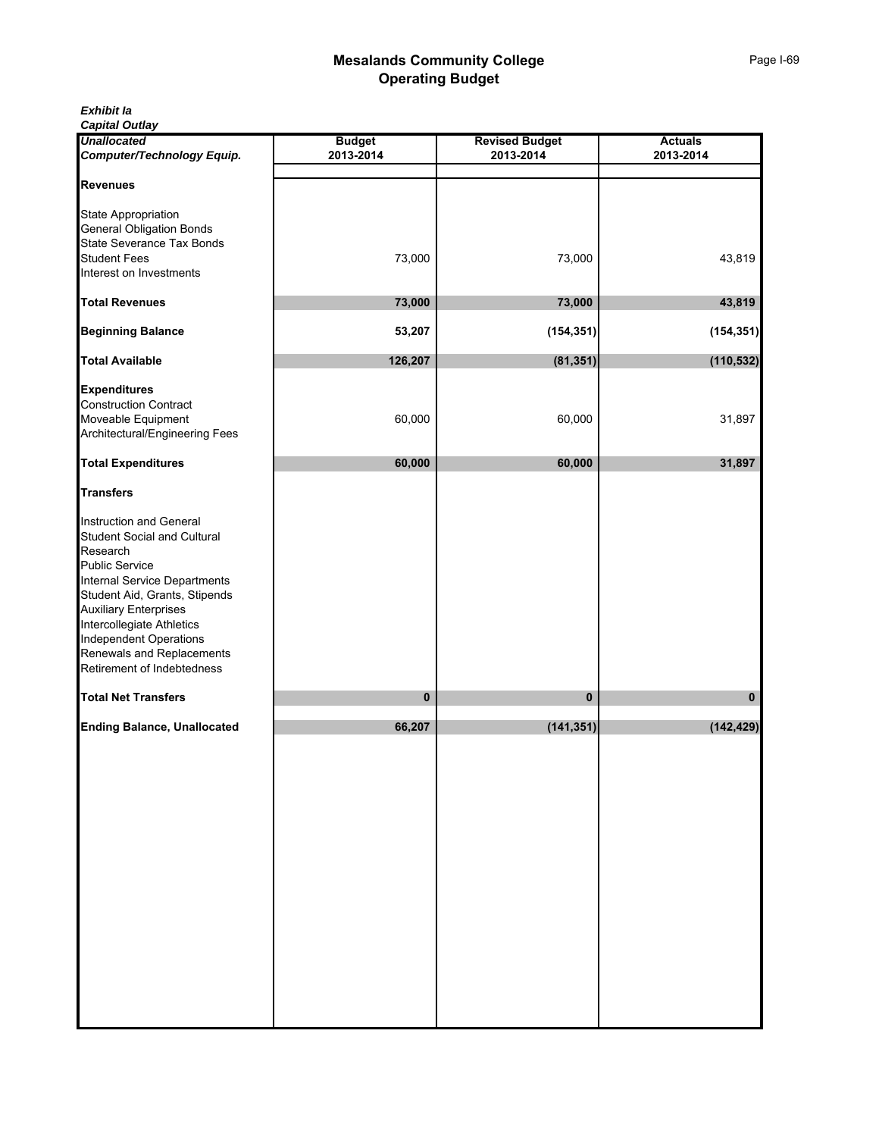| Exhibit la |
|------------|
|------------|

*Capital Outlay*

| <b>Unallocated</b><br>Computer/Technology Equip.                                                                                                                                                                                                                                                                             | <b>Budget</b><br>2013-2014 | <b>Revised Budget</b><br>2013-2014 | <b>Actuals</b><br>2013-2014 |
|------------------------------------------------------------------------------------------------------------------------------------------------------------------------------------------------------------------------------------------------------------------------------------------------------------------------------|----------------------------|------------------------------------|-----------------------------|
| <b>Revenues</b>                                                                                                                                                                                                                                                                                                              |                            |                                    |                             |
| <b>State Appropriation</b><br><b>General Obligation Bonds</b><br>State Severance Tax Bonds                                                                                                                                                                                                                                   |                            |                                    |                             |
| <b>Student Fees</b><br>Interest on Investments                                                                                                                                                                                                                                                                               | 73,000                     | 73,000                             | 43,819                      |
| <b>Total Revenues</b>                                                                                                                                                                                                                                                                                                        | 73,000                     | 73,000                             | 43,819                      |
| <b>Beginning Balance</b>                                                                                                                                                                                                                                                                                                     | 53,207                     | (154, 351)                         | (154, 351)                  |
| <b>Total Available</b>                                                                                                                                                                                                                                                                                                       | 126,207                    | (81, 351)                          | (110, 532)                  |
| <b>Expenditures</b><br><b>Construction Contract</b><br>Moveable Equipment<br>Architectural/Engineering Fees                                                                                                                                                                                                                  | 60,000                     | 60,000                             | 31,897                      |
| <b>Total Expenditures</b>                                                                                                                                                                                                                                                                                                    | 60,000                     | 60,000                             | 31,897                      |
| <b>Transfers</b>                                                                                                                                                                                                                                                                                                             |                            |                                    |                             |
| Instruction and General<br>Student Social and Cultural<br>Research<br><b>Public Service</b><br><b>Internal Service Departments</b><br>Student Aid, Grants, Stipends<br><b>Auxiliary Enterprises</b><br>Intercollegiate Athletics<br><b>Independent Operations</b><br>Renewals and Replacements<br>Retirement of Indebtedness |                            |                                    |                             |
| <b>Total Net Transfers</b>                                                                                                                                                                                                                                                                                                   | 0                          | 0                                  | 0                           |
| <b>Ending Balance, Unallocated</b>                                                                                                                                                                                                                                                                                           | 66,207                     | (141, 351)                         | (142, 429)                  |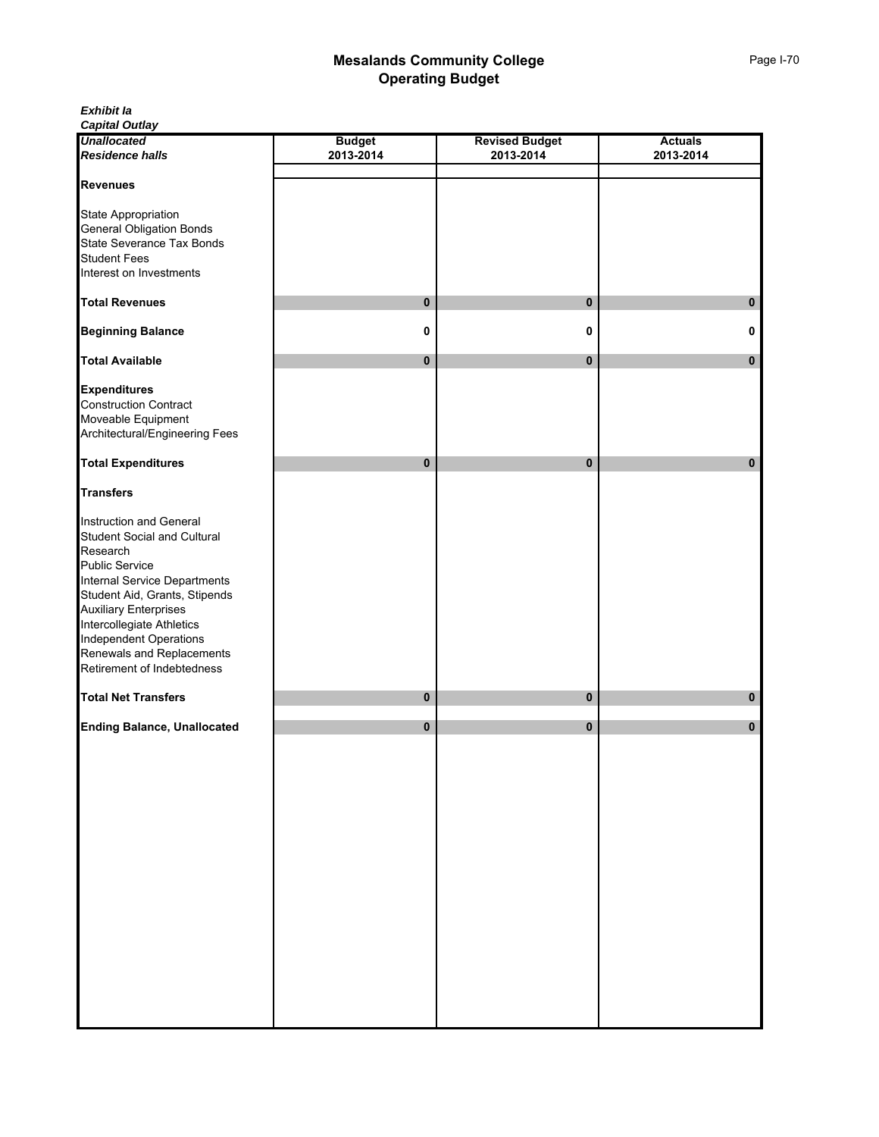*Exhibit Ia Capital Outlay*

| <b>Unallocated</b>                 | <b>Budget</b> | <b>Revised Budget</b> | <b>Actuals</b> |
|------------------------------------|---------------|-----------------------|----------------|
| <b>Residence halls</b>             | 2013-2014     | 2013-2014             | 2013-2014      |
|                                    |               |                       |                |
| <b>Revenues</b>                    |               |                       |                |
| State Appropriation                |               |                       |                |
| <b>General Obligation Bonds</b>    |               |                       |                |
| State Severance Tax Bonds          |               |                       |                |
| <b>Student Fees</b>                |               |                       |                |
| Interest on Investments            |               |                       |                |
|                                    |               |                       |                |
| <b>Total Revenues</b>              | 0             | $\mathbf 0$           | 0              |
| <b>Beginning Balance</b>           | 0             | 0                     | 0              |
| <b>Total Available</b>             | 0             | $\pmb{0}$             | 0              |
| <b>Expenditures</b>                |               |                       |                |
| <b>Construction Contract</b>       |               |                       |                |
| Moveable Equipment                 |               |                       |                |
| Architectural/Engineering Fees     |               |                       |                |
|                                    |               |                       |                |
| <b>Total Expenditures</b>          | 0             | $\mathbf 0$           | $\bf{0}$       |
| <b>Transfers</b>                   |               |                       |                |
|                                    |               |                       |                |
| Instruction and General            |               |                       |                |
| <b>Student Social and Cultural</b> |               |                       |                |
| Research                           |               |                       |                |
| <b>Public Service</b>              |               |                       |                |
| Internal Service Departments       |               |                       |                |
| Student Aid, Grants, Stipends      |               |                       |                |
| <b>Auxiliary Enterprises</b>       |               |                       |                |
| Intercollegiate Athletics          |               |                       |                |
| <b>Independent Operations</b>      |               |                       |                |
| Renewals and Replacements          |               |                       |                |
| Retirement of Indebtedness         |               |                       |                |
| <b>Total Net Transfers</b>         | 0             | $\mathbf 0$           | 0              |
|                                    | 0             | 0                     | 0              |
| <b>Ending Balance, Unallocated</b> |               |                       |                |
|                                    |               |                       |                |
|                                    |               |                       |                |
|                                    |               |                       |                |
|                                    |               |                       |                |
|                                    |               |                       |                |
|                                    |               |                       |                |
|                                    |               |                       |                |
|                                    |               |                       |                |
|                                    |               |                       |                |
|                                    |               |                       |                |
|                                    |               |                       |                |
|                                    |               |                       |                |
|                                    |               |                       |                |
|                                    |               |                       |                |
|                                    |               |                       |                |
|                                    |               |                       |                |
|                                    |               |                       |                |
|                                    |               |                       |                |
|                                    |               |                       |                |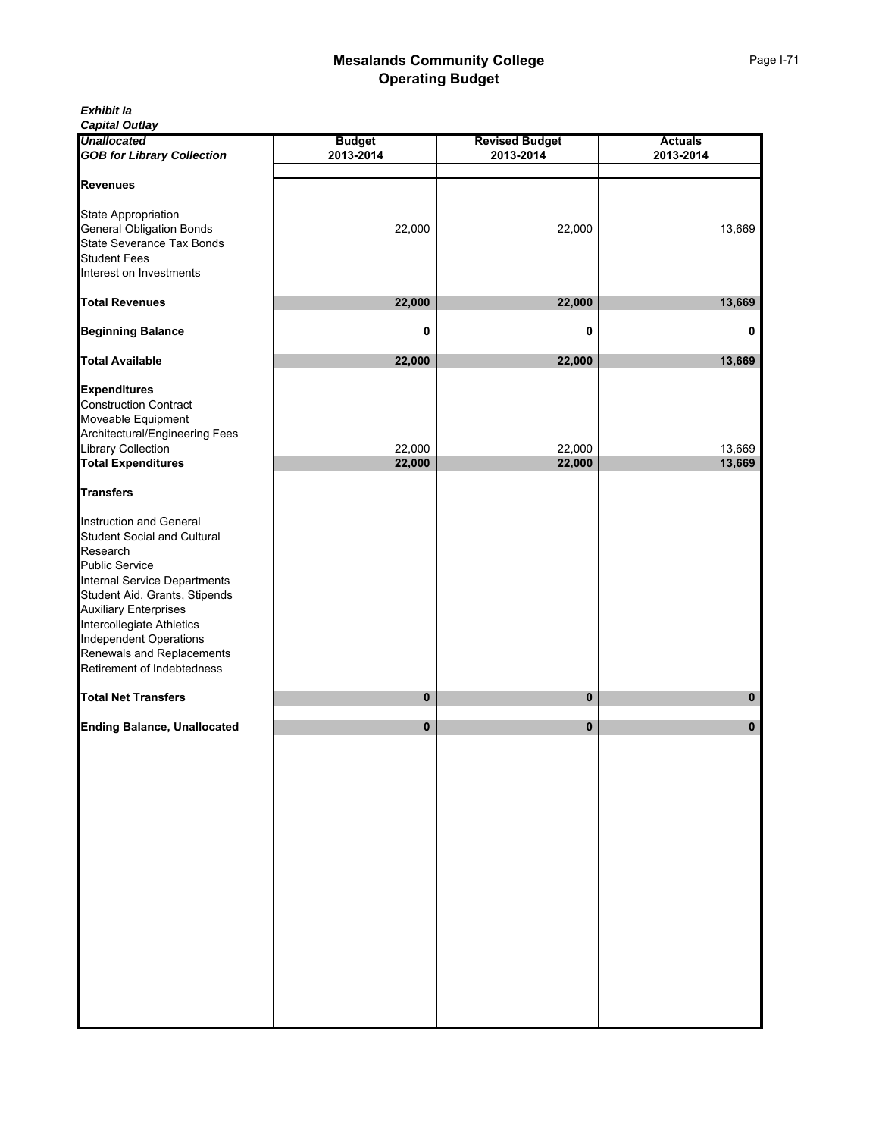*Capital Outlay*

| <b>Unallocated</b>                                                                                                                                                                                                                                                                                                           | <b>Budget</b> | <b>Revised Budget</b> | <b>Actuals</b> |
|------------------------------------------------------------------------------------------------------------------------------------------------------------------------------------------------------------------------------------------------------------------------------------------------------------------------------|---------------|-----------------------|----------------|
| <b>GOB for Library Collection</b>                                                                                                                                                                                                                                                                                            | 2013-2014     | 2013-2014             | 2013-2014      |
| <b>Revenues</b>                                                                                                                                                                                                                                                                                                              |               |                       |                |
| State Appropriation<br><b>General Obligation Bonds</b><br>State Severance Tax Bonds<br><b>Student Fees</b><br>Interest on Investments                                                                                                                                                                                        | 22,000        | 22,000                | 13,669         |
|                                                                                                                                                                                                                                                                                                                              |               |                       |                |
| <b>Total Revenues</b>                                                                                                                                                                                                                                                                                                        | 22,000        | 22,000                | 13,669         |
| <b>Beginning Balance</b>                                                                                                                                                                                                                                                                                                     | 0             | 0                     | 0              |
| <b>Total Available</b>                                                                                                                                                                                                                                                                                                       | 22,000        | 22,000                | 13,669         |
| <b>Expenditures</b><br><b>Construction Contract</b><br>Moveable Equipment<br>Architectural/Engineering Fees<br>Library Collection                                                                                                                                                                                            | 22,000        | 22,000                | 13,669         |
| <b>Total Expenditures</b>                                                                                                                                                                                                                                                                                                    | 22,000        | 22,000                | 13,669         |
| <b>Transfers</b>                                                                                                                                                                                                                                                                                                             |               |                       |                |
| Instruction and General<br><b>Student Social and Cultural</b><br>Research<br><b>Public Service</b><br>Internal Service Departments<br>Student Aid, Grants, Stipends<br><b>Auxiliary Enterprises</b><br>Intercollegiate Athletics<br><b>Independent Operations</b><br>Renewals and Replacements<br>Retirement of Indebtedness |               |                       |                |
| <b>Total Net Transfers</b>                                                                                                                                                                                                                                                                                                   | 0             | 0                     | 0              |
| <b>Ending Balance, Unallocated</b>                                                                                                                                                                                                                                                                                           | 0             | 0                     | 0              |
|                                                                                                                                                                                                                                                                                                                              |               |                       |                |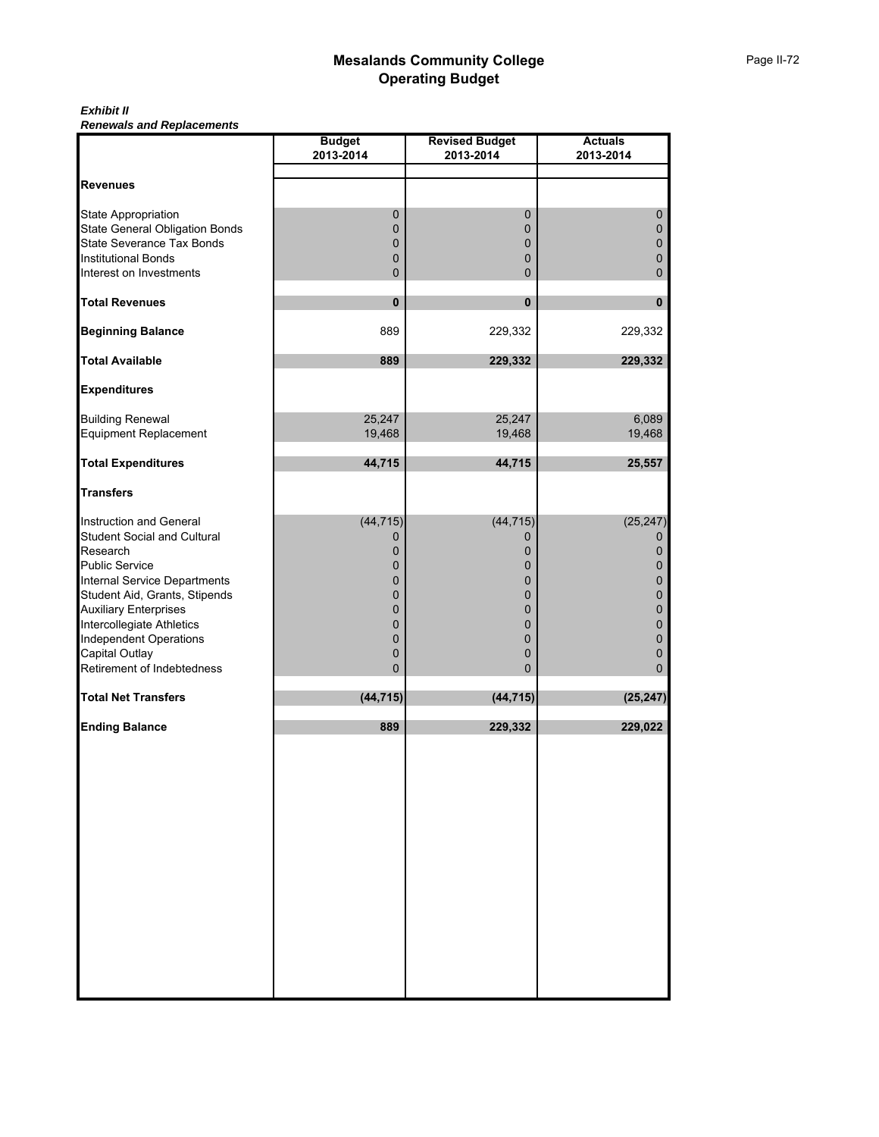#### *Exhibit II Renewals and Replacements*

|                                                                                                                                                                                                                                                                                                                   | <b>Budget</b><br>2013-2014                                            | <b>Revised Budget</b><br>2013-2014                                       | <b>Actuals</b><br>2013-2014                                                     |
|-------------------------------------------------------------------------------------------------------------------------------------------------------------------------------------------------------------------------------------------------------------------------------------------------------------------|-----------------------------------------------------------------------|--------------------------------------------------------------------------|---------------------------------------------------------------------------------|
|                                                                                                                                                                                                                                                                                                                   |                                                                       |                                                                          |                                                                                 |
| <b>Revenues</b>                                                                                                                                                                                                                                                                                                   |                                                                       |                                                                          |                                                                                 |
| State Appropriation<br>State General Obligation Bonds<br>State Severance Tax Bonds<br><b>Institutional Bonds</b>                                                                                                                                                                                                  | $\pmb{0}$<br>0<br>0                                                   | $\pmb{0}$<br>$\pmb{0}$<br>0<br>0                                         | $\pmb{0}$<br>$\pmb{0}$<br>$\pmb{0}$<br>0                                        |
| Interest on Investments                                                                                                                                                                                                                                                                                           | 0<br>0                                                                | $\mathbf{0}$                                                             | 0                                                                               |
| <b>Total Revenues</b>                                                                                                                                                                                                                                                                                             | $\pmb{0}$                                                             | $\mathbf{0}$                                                             | $\pmb{0}$                                                                       |
| <b>Beginning Balance</b>                                                                                                                                                                                                                                                                                          | 889                                                                   | 229,332                                                                  | 229,332                                                                         |
| <b>Total Available</b>                                                                                                                                                                                                                                                                                            | 889                                                                   | 229,332                                                                  | 229,332                                                                         |
| <b>Expenditures</b>                                                                                                                                                                                                                                                                                               |                                                                       |                                                                          |                                                                                 |
| <b>Building Renewal</b><br><b>Equipment Replacement</b>                                                                                                                                                                                                                                                           | 25,247<br>19,468                                                      | 25,247<br>19,468                                                         | 6,089<br>19,468                                                                 |
| <b>Total Expenditures</b>                                                                                                                                                                                                                                                                                         | 44,715                                                                | 44,715                                                                   | 25,557                                                                          |
| <b>Transfers</b>                                                                                                                                                                                                                                                                                                  |                                                                       |                                                                          |                                                                                 |
| Instruction and General<br><b>Student Social and Cultural</b><br>Research<br><b>Public Service</b><br>Internal Service Departments<br>Student Aid, Grants, Stipends<br><b>Auxiliary Enterprises</b><br>Intercollegiate Athletics<br><b>Independent Operations</b><br>Capital Outlay<br>Retirement of Indebtedness | (44, 715)<br>0<br>0<br>0<br>0<br>0<br>$\mathbf 0$<br>0<br>0<br>0<br>0 | (44, 715)<br>0<br>0<br>0<br>0<br>0<br>0<br>0<br>0<br>0<br>$\overline{0}$ | (25, 247)<br>0<br>0<br>$\mathbf 0$<br>0<br>0<br>$\mathbf 0$<br>0<br>0<br>0<br>0 |
| <b>Total Net Transfers</b>                                                                                                                                                                                                                                                                                        | (44, 715)                                                             | (44, 715)                                                                | (25, 247)                                                                       |
| <b>Ending Balance</b>                                                                                                                                                                                                                                                                                             | 889                                                                   | 229,332                                                                  | 229,022                                                                         |
|                                                                                                                                                                                                                                                                                                                   |                                                                       |                                                                          |                                                                                 |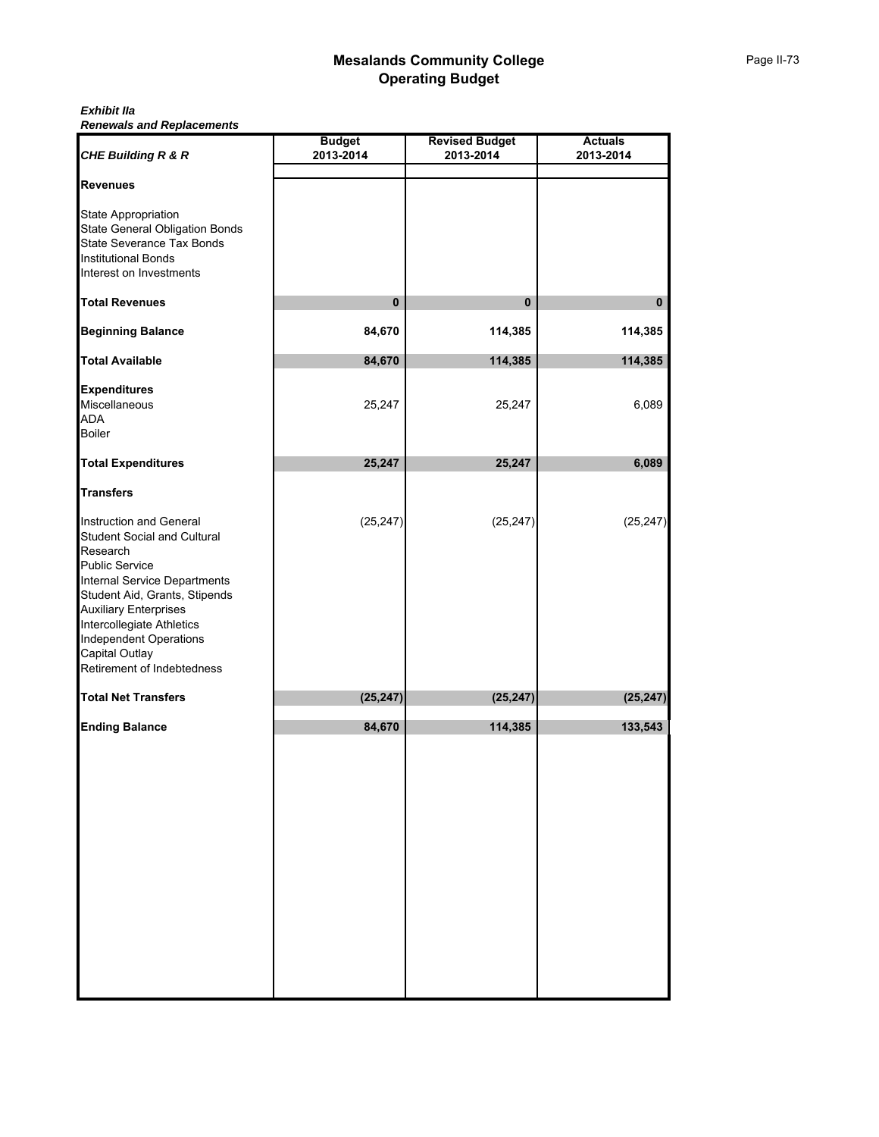#### *Exhibit IIa Renewals and Replacements*

| <b>CHE Building R &amp; R</b>                                                                                                                                                                                                                                                                                                   | <b>Budget</b><br>2013-2014 | <b>Revised Budget</b><br>2013-2014 | <b>Actuals</b><br>2013-2014 |
|---------------------------------------------------------------------------------------------------------------------------------------------------------------------------------------------------------------------------------------------------------------------------------------------------------------------------------|----------------------------|------------------------------------|-----------------------------|
|                                                                                                                                                                                                                                                                                                                                 |                            |                                    |                             |
| <b>Revenues</b>                                                                                                                                                                                                                                                                                                                 |                            |                                    |                             |
| <b>State Appropriation</b><br><b>State General Obligation Bonds</b><br>State Severance Tax Bonds<br><b>Institutional Bonds</b><br>Interest on Investments                                                                                                                                                                       |                            |                                    |                             |
| <b>Total Revenues</b>                                                                                                                                                                                                                                                                                                           | $\pmb{0}$                  | $\mathbf{0}$                       | 0                           |
| <b>Beginning Balance</b>                                                                                                                                                                                                                                                                                                        | 84,670                     | 114,385                            | 114,385                     |
| <b>Total Available</b>                                                                                                                                                                                                                                                                                                          | 84,670                     | 114,385                            | 114,385                     |
| <b>Expenditures</b><br>Miscellaneous<br><b>ADA</b><br><b>Boiler</b>                                                                                                                                                                                                                                                             | 25,247                     | 25,247                             | 6,089                       |
| <b>Total Expenditures</b>                                                                                                                                                                                                                                                                                                       | 25,247                     | 25,247                             | 6,089                       |
| <b>Transfers</b>                                                                                                                                                                                                                                                                                                                |                            |                                    |                             |
| Instruction and General<br><b>Student Social and Cultural</b><br>Research<br><b>Public Service</b><br><b>Internal Service Departments</b><br>Student Aid, Grants, Stipends<br><b>Auxiliary Enterprises</b><br>Intercollegiate Athletics<br><b>Independent Operations</b><br><b>Capital Outlay</b><br>Retirement of Indebtedness | (25, 247)                  | (25, 247)                          | (25, 247)                   |
| <b>Total Net Transfers</b>                                                                                                                                                                                                                                                                                                      | (25, 247)                  | (25, 247)                          | (25, 247)                   |
| <b>Ending Balance</b>                                                                                                                                                                                                                                                                                                           | 84,670                     | 114,385                            | 133,543                     |
|                                                                                                                                                                                                                                                                                                                                 |                            |                                    |                             |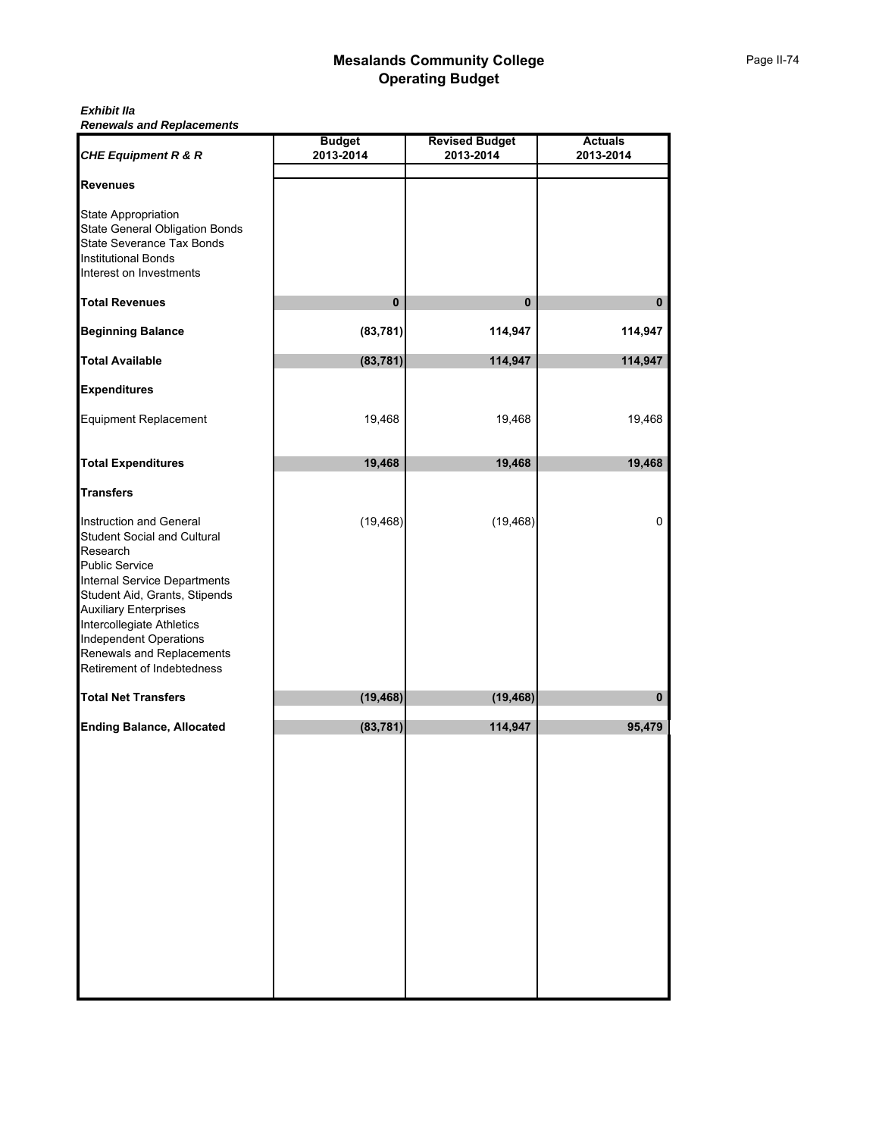#### *Exhibit IIa Renewals and Replacements*

| <b>CHE Equipment R &amp; R</b>                                                                                                                                                                                                                                                                                               | <b>Budget</b><br>2013-2014 | <b>Revised Budget</b><br>2013-2014 | <b>Actuals</b><br>2013-2014 |
|------------------------------------------------------------------------------------------------------------------------------------------------------------------------------------------------------------------------------------------------------------------------------------------------------------------------------|----------------------------|------------------------------------|-----------------------------|
| <b>Revenues</b>                                                                                                                                                                                                                                                                                                              |                            |                                    |                             |
| State Appropriation<br><b>State General Obligation Bonds</b><br>State Severance Tax Bonds<br><b>Institutional Bonds</b><br>Interest on Investments                                                                                                                                                                           |                            |                                    |                             |
| <b>Total Revenues</b>                                                                                                                                                                                                                                                                                                        | $\pmb{0}$                  | $\mathbf{0}$                       | 0                           |
| <b>Beginning Balance</b>                                                                                                                                                                                                                                                                                                     | (83, 781)                  | 114,947                            | 114,947                     |
| <b>Total Available</b>                                                                                                                                                                                                                                                                                                       | (83, 781)                  | 114,947                            | 114,947                     |
| <b>Expenditures</b>                                                                                                                                                                                                                                                                                                          |                            |                                    |                             |
| <b>Equipment Replacement</b>                                                                                                                                                                                                                                                                                                 | 19,468                     | 19,468                             | 19,468                      |
| <b>Total Expenditures</b>                                                                                                                                                                                                                                                                                                    | 19,468                     | 19,468                             | 19,468                      |
| <b>Transfers</b>                                                                                                                                                                                                                                                                                                             |                            |                                    |                             |
| Instruction and General<br><b>Student Social and Cultural</b><br>Research<br><b>Public Service</b><br>Internal Service Departments<br>Student Aid, Grants, Stipends<br><b>Auxiliary Enterprises</b><br>Intercollegiate Athletics<br><b>Independent Operations</b><br>Renewals and Replacements<br>Retirement of Indebtedness | (19, 468)                  | (19, 468)                          | 0                           |
| <b>Total Net Transfers</b>                                                                                                                                                                                                                                                                                                   | (19, 468)                  | (19, 468)                          | $\mathbf{0}$                |
| <b>Ending Balance, Allocated</b>                                                                                                                                                                                                                                                                                             | (83, 781)                  | 114,947                            | 95,479                      |
|                                                                                                                                                                                                                                                                                                                              |                            |                                    |                             |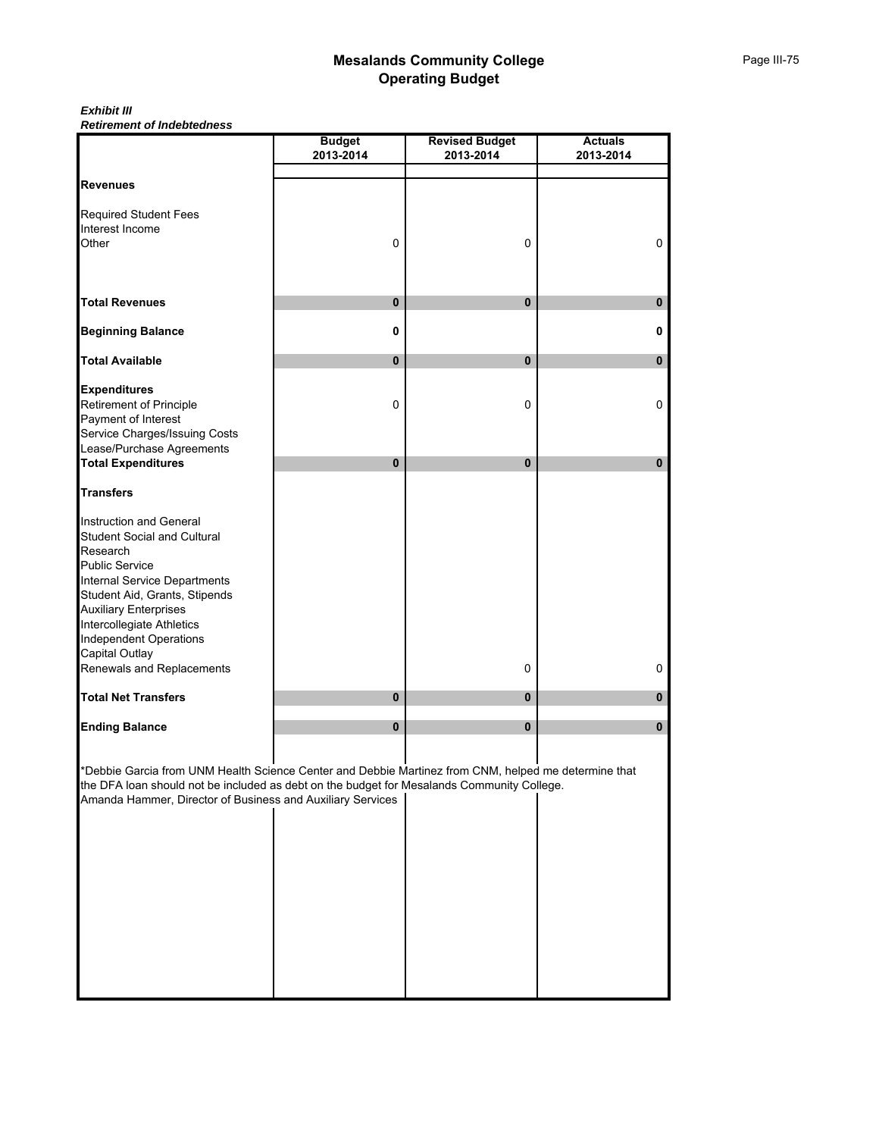*Exhibit III Retirement of Indebtedness*

|                                                                                                      | <b>Budget</b> | <b>Revised Budget</b> | <b>Actuals</b> |
|------------------------------------------------------------------------------------------------------|---------------|-----------------------|----------------|
|                                                                                                      | 2013-2014     | 2013-2014             | 2013-2014      |
| <b>Revenues</b>                                                                                      |               |                       |                |
|                                                                                                      |               |                       |                |
| <b>Required Student Fees</b>                                                                         |               |                       |                |
| Interest Income                                                                                      |               |                       |                |
| Other                                                                                                | 0             | 0                     | $\mathbf 0$    |
|                                                                                                      |               |                       |                |
|                                                                                                      |               |                       |                |
| <b>Total Revenues</b>                                                                                | 0             | $\bf{0}$              | $\pmb{0}$      |
| <b>Beginning Balance</b>                                                                             | 0             |                       | 0              |
| <b>Total Available</b>                                                                               | 0             | 0                     | 0              |
| <b>Expenditures</b>                                                                                  |               |                       |                |
| Retirement of Principle                                                                              | 0             | 0                     | $\mathbf 0$    |
| Payment of Interest                                                                                  |               |                       |                |
| Service Charges/Issuing Costs                                                                        |               |                       |                |
| Lease/Purchase Agreements                                                                            |               |                       |                |
| <b>Total Expenditures</b>                                                                            | 0             | 0                     | 0              |
| <b>Transfers</b>                                                                                     |               |                       |                |
| Instruction and General                                                                              |               |                       |                |
| <b>Student Social and Cultural</b>                                                                   |               |                       |                |
| Research                                                                                             |               |                       |                |
| <b>Public Service</b>                                                                                |               |                       |                |
| Internal Service Departments                                                                         |               |                       |                |
| Student Aid, Grants, Stipends                                                                        |               |                       |                |
| <b>Auxiliary Enterprises</b>                                                                         |               |                       |                |
| Intercollegiate Athletics                                                                            |               |                       |                |
| <b>Independent Operations</b>                                                                        |               |                       |                |
| Capital Outlay                                                                                       |               |                       |                |
| Renewals and Replacements                                                                            |               | 0                     | 0              |
| <b>Total Net Transfers</b>                                                                           | 0             | $\pmb{0}$             | 0              |
| <b>Ending Balance</b>                                                                                | $\pmb{0}$     | $\mathbf{0}$          | 0              |
|                                                                                                      |               |                       |                |
| *Debbie Garcia from UNM Health Science Center and Debbie Martinez from CNM, helped me determine that |               |                       |                |
| the DFA loan should not be included as debt on the budget for Mesalands Community College.           |               |                       |                |
| Amanda Hammer, Director of Business and Auxiliary Services                                           |               |                       |                |
|                                                                                                      |               |                       |                |
|                                                                                                      |               |                       |                |
|                                                                                                      |               |                       |                |
|                                                                                                      |               |                       |                |
|                                                                                                      |               |                       |                |
|                                                                                                      |               |                       |                |
|                                                                                                      |               |                       |                |
|                                                                                                      |               |                       |                |
|                                                                                                      |               |                       |                |
|                                                                                                      |               |                       |                |
|                                                                                                      |               |                       |                |
|                                                                                                      |               |                       |                |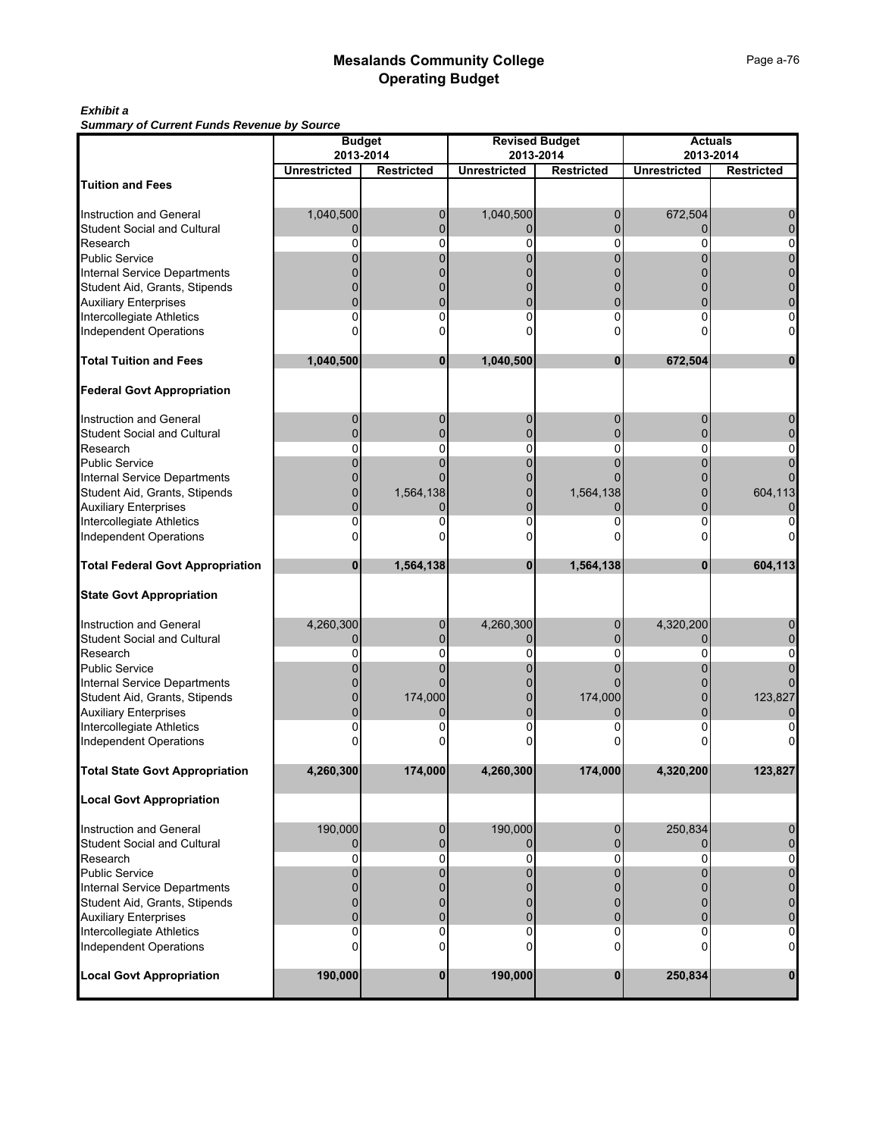### *Exhibit a*

*Summary of Current Funds Revenue by Source*

| Summary or Current runds Revenue by Source<br><b>Budget</b>   |                     |                   |                     | <b>Revised Budget</b> | <b>Actuals</b>      |                   |  |  |
|---------------------------------------------------------------|---------------------|-------------------|---------------------|-----------------------|---------------------|-------------------|--|--|
|                                                               | 2013-2014           |                   | 2013-2014           |                       |                     | 2013-2014         |  |  |
|                                                               | <b>Unrestricted</b> | <b>Restricted</b> | <b>Unrestricted</b> | <b>Restricted</b>     | <b>Unrestricted</b> | <b>Restricted</b> |  |  |
| <b>Tuition and Fees</b>                                       |                     |                   |                     |                       |                     |                   |  |  |
|                                                               |                     |                   |                     |                       |                     |                   |  |  |
| Instruction and General                                       | 1,040,500           | 0                 | 1,040,500           | 0                     | 672,504             |                   |  |  |
| <b>Student Social and Cultural</b>                            | $\Omega$            | 0                 | 0                   |                       | 0                   |                   |  |  |
| Research                                                      | O                   | 0                 | 0                   | ŋ                     | n                   |                   |  |  |
| Public Service                                                |                     |                   | 0                   |                       |                     |                   |  |  |
| Internal Service Departments                                  |                     |                   |                     |                       |                     |                   |  |  |
| Student Aid, Grants, Stipends                                 |                     |                   |                     |                       |                     |                   |  |  |
|                                                               |                     |                   |                     |                       |                     |                   |  |  |
| <b>Auxiliary Enterprises</b>                                  | 0                   | 0                 | 0                   | 0                     | n                   |                   |  |  |
| Intercollegiate Athletics                                     |                     |                   |                     |                       |                     |                   |  |  |
| <b>Independent Operations</b>                                 |                     |                   |                     |                       |                     |                   |  |  |
| <b>Total Tuition and Fees</b>                                 | 1,040,500           | 0                 | 1,040,500           | $\bf{0}$              | 672,504             |                   |  |  |
| <b>Federal Govt Appropriation</b>                             |                     |                   |                     |                       |                     |                   |  |  |
| Instruction and General                                       | 0                   | 0                 | 0                   | 0                     | 0                   |                   |  |  |
| <b>Student Social and Cultural</b>                            | $\Omega$            | $\Omega$          | $\overline{0}$      |                       | U                   |                   |  |  |
| Research                                                      | 0                   | 0                 | 0                   | 0                     | 0                   |                   |  |  |
| <b>Public Service</b>                                         |                     | 0                 | 0                   |                       | 0                   |                   |  |  |
| Internal Service Departments                                  |                     |                   |                     |                       |                     |                   |  |  |
|                                                               |                     |                   |                     |                       |                     | 604,113           |  |  |
| Student Aid, Grants, Stipends<br><b>Auxiliary Enterprises</b> |                     | 1,564,138         | 0<br>0              | 1,564,138             |                     |                   |  |  |
|                                                               |                     |                   | ŋ                   |                       | 0<br>U              |                   |  |  |
| Intercollegiate Athletics                                     |                     |                   | n                   |                       |                     |                   |  |  |
| <b>Independent Operations</b>                                 |                     |                   |                     |                       |                     |                   |  |  |
| <b>Total Federal Govt Appropriation</b>                       | 0                   | 1,564,138         | $\bf{0}$            | 1,564,138             | 0                   | 604,113           |  |  |
| <b>State Govt Appropriation</b>                               |                     |                   |                     |                       |                     |                   |  |  |
| <b>Instruction and General</b>                                | 4,260,300           | 0                 | 4,260,300           | 0                     | 4,320,200           |                   |  |  |
| <b>Student Social and Cultural</b>                            | 0                   | U                 | 0                   |                       | 0                   |                   |  |  |
| Research                                                      | 0                   | 0                 | 0                   | 0                     | 0                   |                   |  |  |
| <b>Public Service</b>                                         |                     |                   |                     |                       |                     |                   |  |  |
| <b>Internal Service Departments</b>                           |                     |                   |                     |                       |                     |                   |  |  |
| Student Aid, Grants, Stipends                                 |                     | 174,000           | 0                   | 174,000               |                     | 123,827           |  |  |
| <b>Auxiliary Enterprises</b>                                  |                     | U                 | 0                   |                       |                     |                   |  |  |
| Intercollegiate Athletics                                     |                     |                   |                     |                       |                     |                   |  |  |
| Independent Operations                                        |                     |                   |                     |                       |                     |                   |  |  |
| <b>Total State Govt Appropriation</b>                         | 4,260,300           | 174,000           | 4,260,300           | 174,000               | 4,320,200           | 123,827           |  |  |
| <b>Local Govt Appropriation</b>                               |                     |                   |                     |                       |                     |                   |  |  |
| <b>Instruction and General</b>                                | 190,000             | 0                 | 190,000             | 0                     | 250,834             |                   |  |  |
| <b>Student Social and Cultural</b>                            | $\Omega$            | 0                 | $\Omega$            | $\Omega$              |                     |                   |  |  |
| Research                                                      | 0                   | 0                 | 0                   | 0                     | 0                   | 0                 |  |  |
| <b>Public Service</b>                                         |                     |                   |                     |                       |                     |                   |  |  |
| <b>Internal Service Departments</b>                           |                     |                   | ŋ                   |                       |                     |                   |  |  |
| Student Aid, Grants, Stipends                                 | 0                   |                   | 0                   |                       | 0                   | 0                 |  |  |
| <b>Auxiliary Enterprises</b>                                  | $\Omega$            |                   | 0                   |                       |                     |                   |  |  |
| Intercollegiate Athletics                                     | 0                   | 0                 | 0                   |                       | n                   | 0                 |  |  |
| <b>Independent Operations</b>                                 | 0                   | ი                 | 0                   |                       | U                   | 0                 |  |  |
| <b>Local Govt Appropriation</b>                               | 190,000             | $\mathbf{0}$      | 190,000             | 0                     | 250,834             | $\bf{0}$          |  |  |
|                                                               |                     |                   |                     |                       |                     |                   |  |  |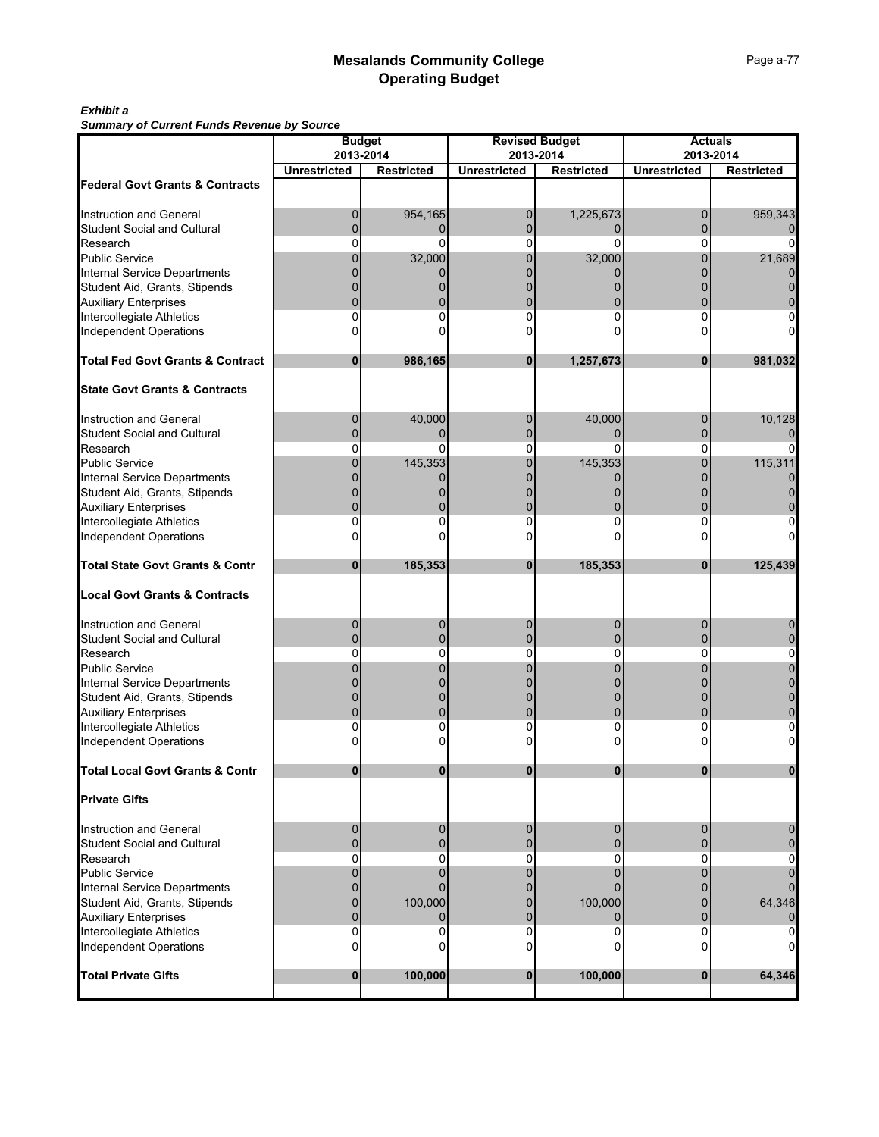### *Exhibit a*

*Summary of Current Funds Revenue by Source*

| Summary or Current runds Revenue by Source                           |                     | <b>Budget</b>     |                     | <b>Revised Budget</b> | <b>Actuals</b>      |                   |  |  |
|----------------------------------------------------------------------|---------------------|-------------------|---------------------|-----------------------|---------------------|-------------------|--|--|
|                                                                      | 2013-2014           |                   | 2013-2014           |                       |                     | 2013-2014         |  |  |
|                                                                      | <b>Unrestricted</b> | <b>Restricted</b> | <b>Unrestricted</b> | <b>Restricted</b>     | <b>Unrestricted</b> | <b>Restricted</b> |  |  |
| <b>Federal Govt Grants &amp; Contracts</b>                           |                     |                   |                     |                       |                     |                   |  |  |
|                                                                      |                     |                   |                     |                       |                     |                   |  |  |
| <b>Instruction and General</b><br><b>Student Social and Cultural</b> | $\mathbf 0$<br>0    | 954,165<br>0      | 0<br>$\mathbf{0}$   | 1,225,673             | 0<br>0              | 959,343           |  |  |
| Research                                                             | O                   | U                 | 0                   |                       | n                   |                   |  |  |
| Public Service                                                       |                     | 32,000            | 0                   | 32,000                | 0                   | 21,689            |  |  |
| <b>Internal Service Departments</b>                                  |                     |                   |                     |                       |                     |                   |  |  |
| Student Aid, Grants, Stipends                                        |                     |                   |                     |                       |                     |                   |  |  |
| <b>Auxiliary Enterprises</b>                                         |                     |                   |                     |                       |                     |                   |  |  |
| Intercollegiate Athletics                                            | 0                   | O                 | 0                   |                       | U                   |                   |  |  |
| <b>Independent Operations</b>                                        |                     |                   | n                   |                       |                     |                   |  |  |
| <b>Total Fed Govt Grants &amp; Contract</b>                          | $\bf{0}$            | 986,165           | $\bf{0}$            | 1,257,673             | 0                   | 981,032           |  |  |
| <b>State Govt Grants &amp; Contracts</b>                             |                     |                   |                     |                       |                     |                   |  |  |
| Instruction and General                                              | 0                   | 40,000            | 0                   | 40,000                | 0                   | 10,128            |  |  |
| <b>Student Social and Cultural</b>                                   | $\Omega$            | 0                 | $\Omega$            | 0                     | O                   |                   |  |  |
| Research                                                             | 0                   | ŋ                 | 0                   | ŋ                     | 0                   |                   |  |  |
| <b>Public Service</b>                                                |                     | 145,353           | 0                   | 145,353               | 0                   | 115,311           |  |  |
| Internal Service Departments                                         |                     |                   |                     |                       |                     |                   |  |  |
| Student Aid, Grants, Stipends                                        |                     |                   |                     |                       |                     |                   |  |  |
| <b>Auxiliary Enterprises</b>                                         |                     |                   | 0                   |                       |                     |                   |  |  |
| Intercollegiate Athletics                                            | 0                   |                   | 0                   |                       | U                   |                   |  |  |
| <b>Independent Operations</b>                                        |                     |                   | n                   |                       |                     |                   |  |  |
| <b>Total State Govt Grants &amp; Contr</b>                           | 0                   | 185,353           | 0                   | 185,353               | 0                   | 125,439           |  |  |
| <b>Local Govt Grants &amp; Contracts</b>                             |                     |                   |                     |                       |                     |                   |  |  |
| <b>Instruction and General</b>                                       | 0                   | 0                 | 0                   | 0                     | 0                   |                   |  |  |
| <b>Student Social and Cultural</b>                                   | 0                   |                   | 0                   |                       | U                   |                   |  |  |
| Research                                                             | 0                   | 0                 | 0                   | 0                     | 0                   | 0                 |  |  |
| <b>Public Service</b>                                                |                     |                   |                     |                       |                     |                   |  |  |
| <b>Internal Service Departments</b>                                  |                     |                   |                     |                       |                     |                   |  |  |
| Student Aid, Grants, Stipends                                        |                     |                   | 0                   |                       |                     |                   |  |  |
| <b>Auxiliary Enterprises</b>                                         |                     |                   | 0<br>0              |                       | 0                   |                   |  |  |
| Intercollegiate Athletics<br>Independent Operations                  |                     |                   | n                   |                       |                     |                   |  |  |
|                                                                      |                     |                   |                     |                       |                     |                   |  |  |
| <b>Total Local Govt Grants &amp; Contr</b>                           |                     |                   |                     |                       |                     |                   |  |  |
| <b>Private Gifts</b>                                                 |                     |                   |                     |                       |                     |                   |  |  |
| Instruction and General                                              | 0                   | 0                 | 0                   | $\Omega$              | 0                   |                   |  |  |
| <b>Student Social and Cultural</b>                                   | $\Omega$            | 0                 | $\mathbf 0$         |                       | 0                   |                   |  |  |
| Research                                                             | 0                   | 0                 | 0                   | 0                     | 0                   |                   |  |  |
| <b>Public Service</b>                                                | $\Omega$            |                   | 0                   |                       | 0                   |                   |  |  |
| <b>Internal Service Departments</b>                                  | 0                   |                   | 0                   |                       | U                   |                   |  |  |
| Student Aid, Grants, Stipends<br><b>Auxiliary Enterprises</b>        | 0<br>$\Omega$       | 100,000           | 0<br>$\mathbf 0$    | 100,000               | 0<br>0              | 64,346            |  |  |
| Intercollegiate Athletics                                            | 0                   | ი                 | 0                   |                       | 0                   |                   |  |  |
| <b>Independent Operations</b>                                        | 0                   | ი                 | 0                   |                       | 0                   |                   |  |  |
| <b>Total Private Gifts</b>                                           | $\bf{0}$            | 100,000           | $\bf{0}$            | 100,000               | $\bf{0}$            | 64,346            |  |  |
|                                                                      |                     |                   |                     |                       |                     |                   |  |  |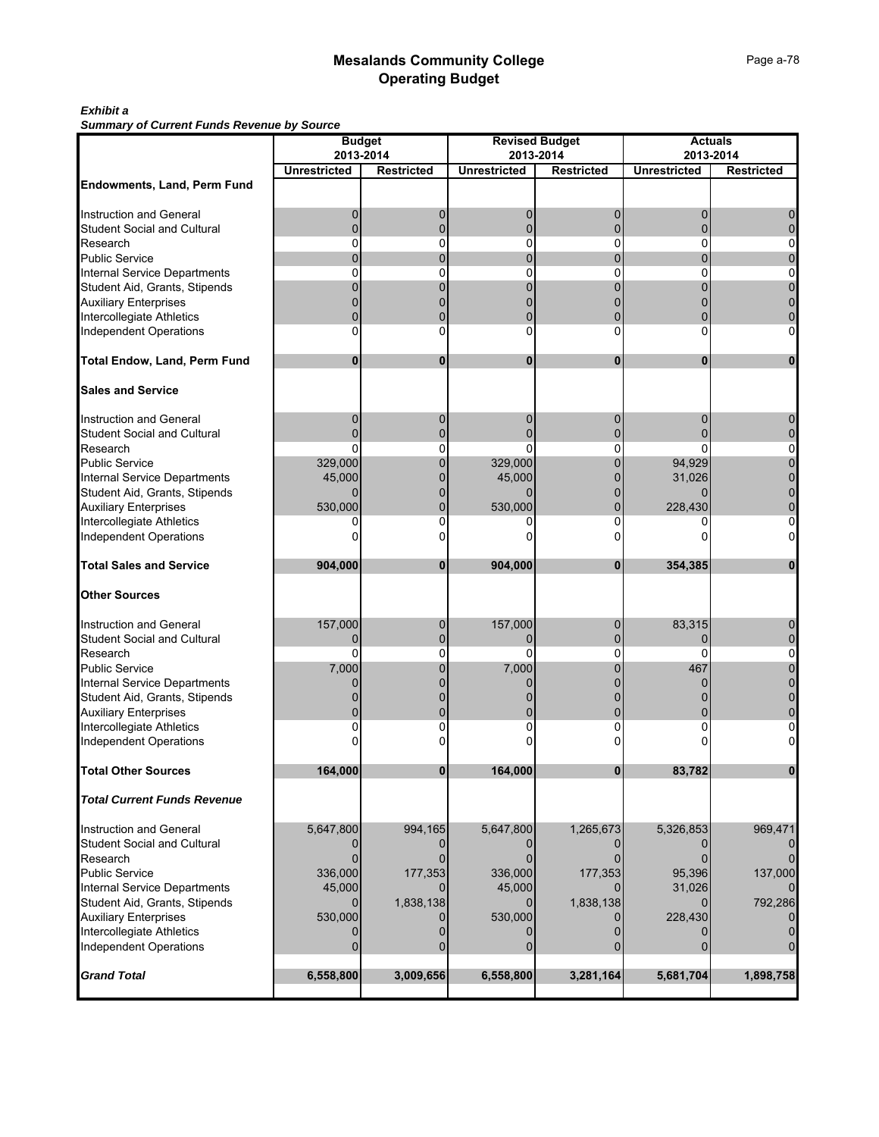### *Exhibit a*

*Summary of Current Funds Revenue by Source*

|                                     |                                  | <b>Budget</b>     |                     | <b>Revised Budget</b> | <b>Actuals</b><br>2013-2014 |                   |  |  |
|-------------------------------------|----------------------------------|-------------------|---------------------|-----------------------|-----------------------------|-------------------|--|--|
|                                     | 2013-2014<br><b>Unrestricted</b> |                   | <b>Unrestricted</b> | 2013-2014             |                             |                   |  |  |
| Endowments, Land, Perm Fund         |                                  | <b>Restricted</b> |                     | <b>Restricted</b>     | <b>Unrestricted</b>         | <b>Restricted</b> |  |  |
|                                     |                                  |                   |                     |                       |                             |                   |  |  |
| Instruction and General             | $\mathbf 0$                      | 0                 | 0                   | 0                     |                             |                   |  |  |
| <b>Student Social and Cultural</b>  | 0                                | $\mathbf 0$       | $\mathbf 0$         | $\Omega$              | $\Omega$                    |                   |  |  |
| Research                            | $\Omega$                         | 0                 | 0                   | 0                     | $\Omega$                    | 0                 |  |  |
| Public Service                      | $\Omega$                         | $\Omega$          | $\Omega$            | 0                     | 0                           | $\Omega$          |  |  |
| <b>Internal Service Departments</b> | 0                                | 0                 | 0                   | 0                     | 0                           | 0                 |  |  |
| Student Aid, Grants, Stipends       | U                                | $\Omega$          | $\Omega$            |                       |                             |                   |  |  |
| <b>Auxiliary Enterprises</b>        |                                  |                   |                     |                       |                             |                   |  |  |
| Intercollegiate Athletics           | $\Omega$                         | $\Omega$          | $\Omega$            | 0                     | 0                           |                   |  |  |
| <b>Independent Operations</b>       | $\Omega$                         | 0                 | 0                   | 0                     | $\Omega$                    | 0                 |  |  |
| <b>Total Endow, Land, Perm Fund</b> | $\bf{0}$                         | $\bf{0}$          | $\bf{0}$            | $\bf{0}$              | $\bf{0}$                    | 0                 |  |  |
| <b>Sales and Service</b>            |                                  |                   |                     |                       |                             |                   |  |  |
| <b>Instruction and General</b>      | $\mathbf 0$                      | $\mathbf 0$       | 0                   | $\mathbf 0$           | 0                           | 0                 |  |  |
| <b>Student Social and Cultural</b>  | 0                                | $\mathbf 0$       | 0                   | 0                     |                             |                   |  |  |
| Research                            | $\Omega$                         | 0                 | $\Omega$            | 0                     | $\Omega$                    | 0                 |  |  |
| <b>Public Service</b>               | 329,000                          | $\mathbf{0}$      | 329,000             | 0                     | 94,929                      | $\Omega$          |  |  |
| <b>Internal Service Departments</b> | 45,000                           | $\Omega$          | 45,000              | 0                     | 31,026                      |                   |  |  |
| Student Aid, Grants, Stipends       | 0                                | $\Omega$          | $\Omega$            |                       |                             |                   |  |  |
| <b>Auxiliary Enterprises</b>        | 530,000                          | $\Omega$          | 530,000             |                       | 228,430                     |                   |  |  |
| Intercollegiate Athletics           | 0<br>U                           | 0<br>ŋ            | 0                   | 0                     |                             |                   |  |  |
| <b>Independent Operations</b>       |                                  |                   |                     |                       |                             | 0                 |  |  |
| <b>Total Sales and Service</b>      | 904,000                          | $\mathbf{0}$      | 904,000             | $\mathbf{0}$          | 354,385                     | $\mathbf 0$       |  |  |
|                                     |                                  |                   |                     |                       |                             |                   |  |  |
| <b>Other Sources</b>                |                                  |                   |                     |                       |                             |                   |  |  |
| Instruction and General             | 157,000                          | 0                 | 157,000             | 0                     | 83,315                      |                   |  |  |
| <b>Student Social and Cultural</b>  | $\Omega$                         | $\mathbf 0$       | $\Omega$            | $\Omega$              | $\Omega$                    | $\Omega$          |  |  |
| Research                            | 0                                | 0                 | 0                   | 0                     | $\Omega$                    | 0                 |  |  |
| <b>Public Service</b>               | 7,000                            | 0                 | 7,000               | 0                     | 467                         |                   |  |  |
| <b>Internal Service Departments</b> | 0                                |                   | $\Omega$            |                       |                             |                   |  |  |
| Student Aid, Grants, Stipends       |                                  |                   |                     |                       |                             |                   |  |  |
| <b>Auxiliary Enterprises</b>        | 0                                | $\Omega$          | 0                   | 0                     | 0                           |                   |  |  |
| Intercollegiate Athletics           | 0                                | 0                 | 0                   | 0                     |                             | 0                 |  |  |
| <b>Independent Operations</b>       |                                  |                   |                     |                       |                             |                   |  |  |
| <b>Total Other Sources</b>          | 164,000                          | 0                 | 164,000             | 0                     | 83,782                      |                   |  |  |
| <b>Total Current Funds Revenue</b>  |                                  |                   |                     |                       |                             |                   |  |  |
| Instruction and General             | 5,647,800                        | 994,165           | 5,647,800           | 1,265,673             | 5,326,853                   | 969,471           |  |  |
| <b>Student Social and Cultural</b>  |                                  |                   |                     |                       |                             |                   |  |  |
| Research                            | $\Omega$                         |                   | $\Omega$            |                       | $\Omega$                    |                   |  |  |
| <b>Public Service</b>               | 336,000                          | 177,353           | 336,000             | 177,353               | 95,396                      | 137,000           |  |  |
| <b>Internal Service Departments</b> | 45,000                           |                   | 45,000              |                       | 31,026                      |                   |  |  |
| Student Aid, Grants, Stipends       | $\Omega$                         | 1,838,138         | $\Omega$            | 1,838,138             |                             | 792,286           |  |  |
| <b>Auxiliary Enterprises</b>        | 530,000                          |                   | 530,000             |                       | 228,430                     |                   |  |  |
| Intercollegiate Athletics           |                                  |                   |                     |                       |                             |                   |  |  |
| <b>Independent Operations</b>       | $\Omega$                         | $\Omega$          | $\Omega$            |                       |                             |                   |  |  |
| <b>Grand Total</b>                  | 6,558,800                        | 3,009,656         | 6,558,800           | 3,281,164             | 5,681,704                   | 1,898,758         |  |  |
|                                     |                                  |                   |                     |                       |                             |                   |  |  |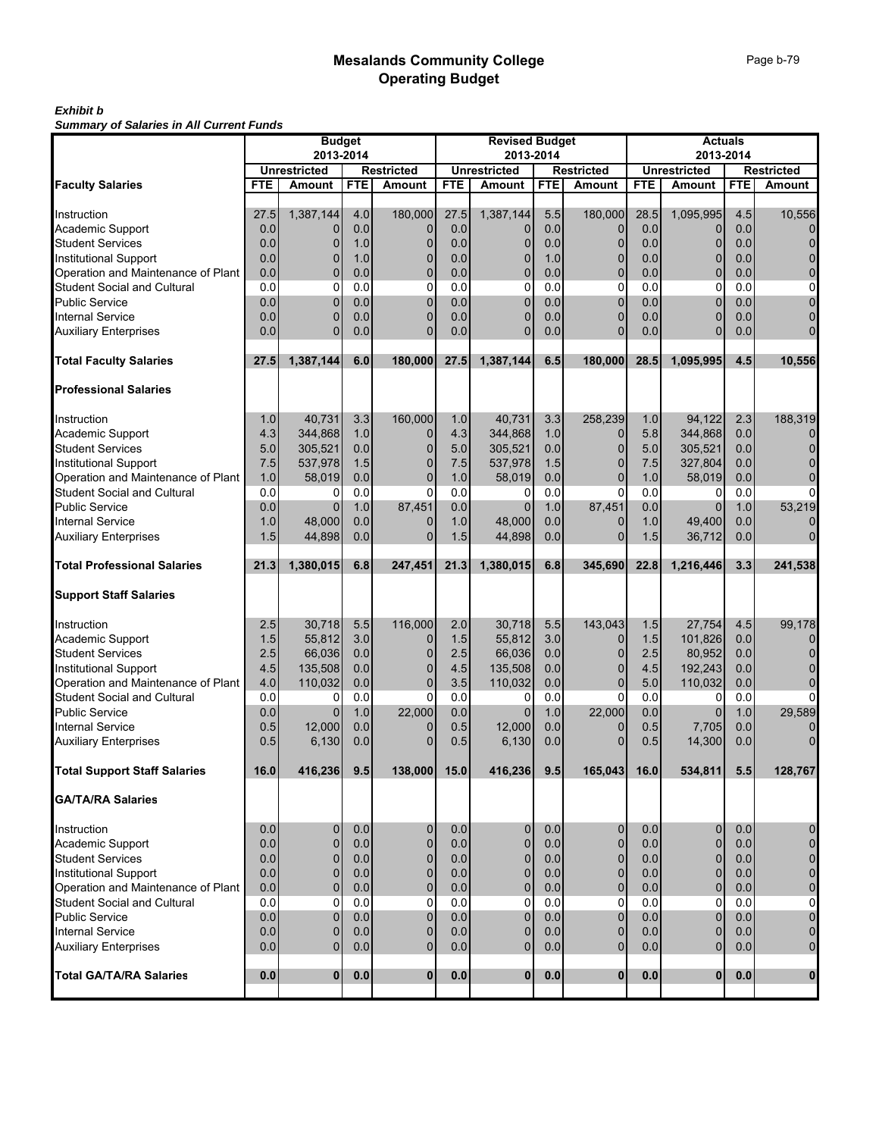#### *Exhibit b Summary of Salaries in All Current Funds*

|                                     | <b>Budget</b><br>2013-2014 |                     |            | <b>Revised Budget</b><br>2013-2014 |            |                     |            | <b>Actuals</b><br>2013-2014 |            |                     |            |                    |
|-------------------------------------|----------------------------|---------------------|------------|------------------------------------|------------|---------------------|------------|-----------------------------|------------|---------------------|------------|--------------------|
|                                     |                            | <b>Unrestricted</b> |            | <b>Restricted</b>                  |            | <b>Unrestricted</b> |            | <b>Restricted</b>           |            | <b>Unrestricted</b> |            | Restricted         |
| <b>Faculty Salaries</b>             | <b>FTE</b>                 | Amount              | <b>FTE</b> | <b>Amount</b>                      | <b>FTE</b> | Amount              | <b>FTE</b> | Amount                      | <b>FTE</b> | <b>Amount</b>       | <b>FTE</b> | <b>Amount</b>      |
|                                     |                            |                     |            |                                    |            |                     |            |                             |            |                     |            |                    |
| Instruction                         | 27.5                       | 1,387,144           | 4.0        | 180,000                            | 27.5       | 1,387,144           | 5.5        | 180,000                     | 28.5       | 1,095,995           | 4.5        | 10,556             |
| Academic Support                    | 0.0                        | 0                   | 0.0        | 0                                  | 0.0        | 0                   | 0.0        | 0                           | 0.0        | 0                   | 0.0        | 0                  |
| <b>Student Services</b>             | 0.0                        | 0                   | 1.0        | 0                                  | 0.0        | 0                   | 0.0        | 0                           | 0.0        | 0                   | 0.0        | $\mathbf 0$        |
| <b>Institutional Support</b>        | 0.0                        | $\Omega$            | 1.0        | 0                                  | 0.0        | 0                   | 1.0        | 0                           | 0.0        | $\overline{0}$      | 0.0        | $\pmb{0}$          |
| Operation and Maintenance of Plant  | 0.0                        | $\Omega$            | 0.0        | 0                                  | 0.0        | $\mathbf{0}$        | 0.0        | 0                           | 0.0        | $\overline{0}$      | 0.0        | $\pmb{0}$          |
| <b>Student Social and Cultural</b>  | 0.0                        | 0                   | 0.0        | 0                                  | 0.0        | 0                   | 0.0        | 0                           | 0.0        | 0                   | 0.0        | $\mathsf 0$        |
| <b>Public Service</b>               | 0.0                        | $\Omega$            | 0.0        | $\Omega$                           | 0.0        | 0                   | 0.0        | $\overline{0}$              | 0.0        | $\overline{0}$      | 0.0        | $\pmb{0}$          |
| <b>Internal Service</b>             | 0.0                        | $\Omega$            | 0.0        | $\Omega$                           | 0.0        | $\mathbf{0}$        | 0.0        | $\overline{0}$              | 0.0        | $\overline{0}$      | 0.0        | 0                  |
| <b>Auxiliary Enterprises</b>        | 0.0                        | $\Omega$            | 0.0        | $\Omega$                           | 0.0        | $\Omega$            | 0.0        | $\Omega$                    | 0.0        | $\overline{0}$      | 0.0        | $\mathbf 0$        |
| <b>Total Faculty Salaries</b>       | 27.5                       | 1,387,144           | 6.0        | 180,000                            | 27.5       | 1,387,144           | 6.5        | 180,000                     | 28.5       | 1,095,995           | 4.5        | 10,556             |
| <b>Professional Salaries</b>        |                            |                     |            |                                    |            |                     |            |                             |            |                     |            |                    |
| Instruction                         | 1.0                        | 40,731              | 3.3        | 160,000                            | 1.0        | 40,731              | 3.3        | 258,239                     | 1.0        | 94,122              | 2.3        | 188,319            |
| Academic Support                    | 4.3                        | 344,868             | 1.0        | 0                                  | 4.3        | 344,868             | 1.0        | 0                           | 5.8        | 344,868             | 0.0        | 0                  |
| <b>Student Services</b>             | 5.0                        | 305,521             | 0.0        | 0                                  | 5.0        | 305,521             | 0.0        | 0                           | 5.0        | 305,521             | 0.0        | $\mathbf 0$        |
| <b>Institutional Support</b>        | 7.5                        | 537,978             | 1.5        | 0                                  | 7.5        | 537,978             | 1.5        | 0                           | 7.5        | 327,804             | 0.0        | 0                  |
| Operation and Maintenance of Plant  | 1.0                        | 58,019              | 0.0        | $\mathbf{0}$                       | 1.0        | 58,019              | 0.0        | $\overline{0}$              | 1.0        | 58,019              | 0.0        | $\mathbf 0$        |
| Student Social and Cultural         | 0.0                        | 0                   | 0.0        | 0                                  | 0.0        | 0                   | 0.0        | 0                           | 0.0        | 0                   | 0.0        | $\overline{0}$     |
| <b>Public Service</b>               | 0.0                        | $\Omega$            | 1.0        | 87,451                             | 0.0        | 0                   | 1.0        | 87,451                      | 0.0        | $\mathbf{0}$        | 1.0        | 53,219             |
| <b>Internal Service</b>             | 1.0                        | 48,000              | 0.0        | 0                                  | 1.0        | 48,000              | 0.0        | 0                           | 1.0        | 49,400              | 0.0        | 0                  |
| <b>Auxiliary Enterprises</b>        | 1.5                        | 44,898              | 0.0        | $\Omega$                           | 1.5        | 44,898              | 0.0        | $\overline{0}$              | 1.5        | 36.712              | 0.0        | $\overline{0}$     |
| <b>Total Professional Salaries</b>  | 21.3                       | 1,380,015           | 6.8        | 247,451                            | 21.3       | 1,380,015           | 6.8        | 345,690                     | 22.8       | 1,216,446           | 3.3        | 241,538            |
|                                     |                            |                     |            |                                    |            |                     |            |                             |            |                     |            |                    |
| <b>Support Staff Salaries</b>       |                            |                     |            |                                    |            |                     |            |                             |            |                     |            |                    |
| Instruction                         | 2.5                        | 30,718              | 5.5        | 116,000                            | 2.0        | 30,718              | 5.5        | 143,043                     | 1.5        | 27,754              | 4.5        | 99,178             |
| Academic Support                    | 1.5                        | 55,812              | 3.0        | 0                                  | 1.5        | 55,812              | 3.0        | 0                           | 1.5        | 101,826             | 0.0        | 0                  |
| <b>Student Services</b>             | 2.5                        | 66,036              | 0.0        | 0                                  | 2.5        | 66,036              | 0.0        | 0                           | 2.5        | 80,952              | 0.0        | 0                  |
| Institutional Support               | 4.5                        | 135,508             | 0.0        | $\mathbf{0}$                       | 4.5        | 135,508             | 0.0        | 0                           | 4.5        | 192,243             | 0.0        | 0                  |
| Operation and Maintenance of Plant  | 4.0                        | 110,032             | 0.0        | $\mathbf{0}$                       | 3.5        | 110,032             | 0.0        | 0                           | 5.0        | 110,032             | 0.0        | $\overline{0}$     |
| Student Social and Cultural         | 0.0                        | 0                   | 0.0        | 0                                  | 0.0        | 0                   | 0.0        | 0                           | 0.0        | 0                   | 0.0        | $\overline{0}$     |
| <b>Public Service</b>               | 0.0                        | $\Omega$            | 1.0        | 22,000                             | 0.0        | 0                   | 1.0        | 22,000                      | 0.0        | $\Omega$            | 1.0        | 29,589             |
| <b>Internal Service</b>             | 0.5                        | 12,000              | 0.0        | 0                                  | 0.5        | 12,000              | 0.0        | 0                           | 0.5        | 7,705               | 0.0        | 0                  |
| <b>Auxiliary Enterprises</b>        | 0.5                        | 6,130               | 0.0        | $\Omega$                           | 0.5        | 6,130               | 0.0        | 0                           | 0.5        | 14,300              | 0.0        | $\Omega$           |
| <b>Total Support Staff Salaries</b> | 16.0                       | 416.236             | 9.5        | 138,000                            | 15.0       | 416,236             | 9.5        | 165,043                     | 16.0       | 534,811             | 5.5        | 128,767            |
| <b>GA/TA/RA Salaries</b>            |                            |                     |            |                                    |            |                     |            |                             |            |                     |            |                    |
| Instruction                         | 0.0                        | $\mathbf 0$         | 0.0        | 0                                  | 0.0        | 0                   | 0.0        | 0                           | 0.0        | 0                   | 0.0        | 0                  |
| Academic Support                    | 0.0                        | $\mathbf 0$         | 0.0        | $\mathbf{0}$                       | 0.0        | 0                   | 0.0        | $\overline{0}$              | 0.0        | $\mathbf 0$         | 0.0        | $\pmb{0}$          |
| <b>Student Services</b>             | 0.0                        | $\mathbf 0$         | 0.0        | $\mathbf{0}$                       | 0.0        | $\mathbf{0}$        | 0.0        | $\mathbf 0$                 | 0.0        | $\overline{0}$      | 0.0        | $\pmb{0}$          |
| <b>Institutional Support</b>        | 0.0                        | $\overline{0}$      | 0.0        | 0                                  | 0.0        | 0                   | 0.0        | 0                           | 0.0        | $\overline{0}$      | 0.0        | $\pmb{\mathsf{O}}$ |
| Operation and Maintenance of Plant  | 0.0                        | $\overline{0}$      | 0.0        | $\mathbf{0}$                       | 0.0        | 0                   | 0.0        | $\overline{0}$              | 0.0        | $\overline{0}$      | 0.0        | $\mathbf 0$        |
| <b>Student Social and Cultural</b>  | 0.0                        | $\mathbf 0$         | 0.0        | $\Omega$                           | 0.0        | 0                   | 0.0        | 0                           | 0.0        | 0                   | 0.0        | 0                  |
| <b>Public Service</b>               | 0.0                        | $\mathbf 0$         | 0.0        | $\mathbf{0}$                       | 0.0        | $\mathbf{0}$        | 0.0        | $\overline{0}$              | 0.0        | $\overline{0}$      | 0.0        | $\mathbf 0$        |
| <b>Internal Service</b>             | 0.0                        | $\mathbf 0$         | 0.0        | 0                                  | 0.0        | 0                   | 0.0        | 0                           | 0.0        | 0                   | 0.0        | $\pmb{0}$          |
| <b>Auxiliary Enterprises</b>        | 0.0                        | $\mathbf 0$         | 0.0        | $\mathbf{0}$                       | 0.0        | $\overline{0}$      | 0.0        | $\overline{0}$              | 0.0        | $\overline{0}$      | 0.0        | $\overline{0}$     |
| <b>Total GA/TA/RA Salaries</b>      | 0.0                        | $\mathbf{0}$        | 0.0        | $\mathbf{0}$                       | 0.0        | $\mathbf{0}$        | 0.0        | $\bf{0}$                    | 0.0        | $\mathbf{0}$        | 0.0        | $\mathbf{0}$       |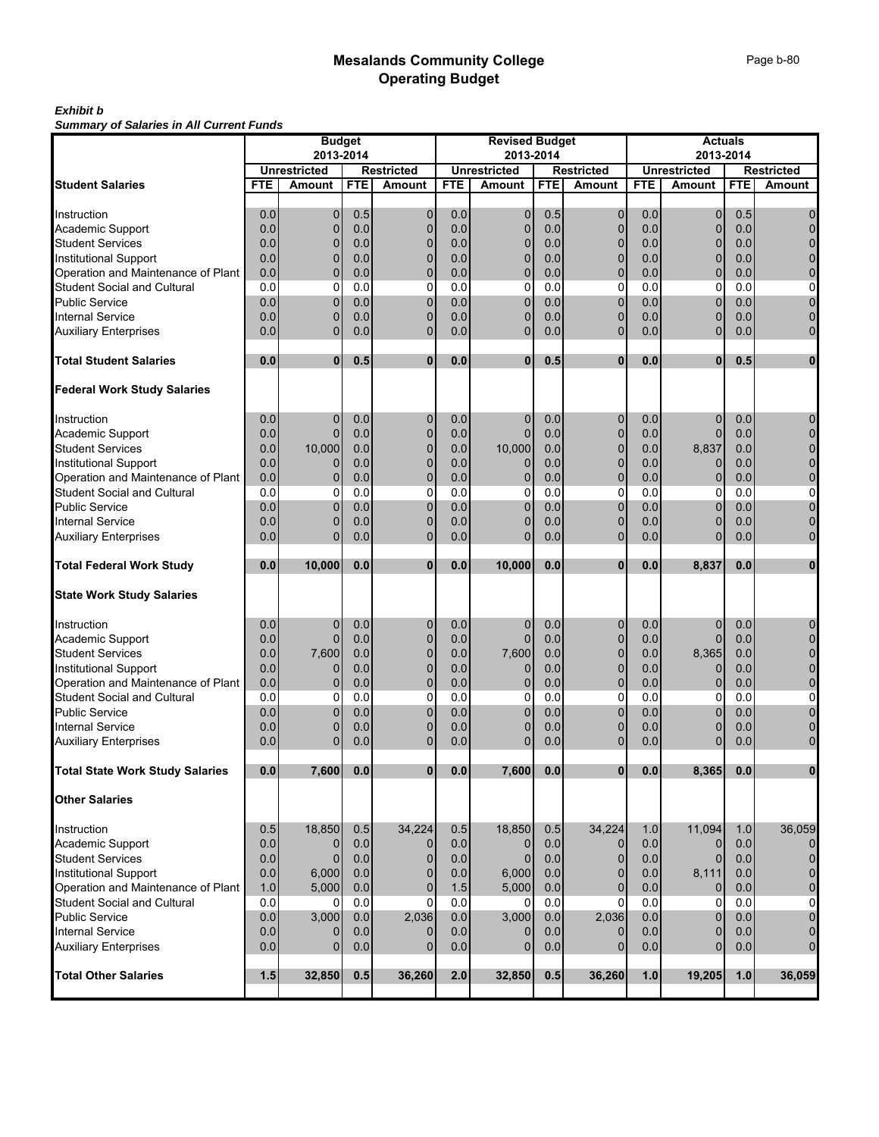#### *Exhibit b Summary of Salaries in All Current Funds*

|                                                                   |            | <b>Budget</b>              |            |                   |            | <b>Revised Budget</b> |            |                            |            | <b>Actuals</b>                |            |                     |
|-------------------------------------------------------------------|------------|----------------------------|------------|-------------------|------------|-----------------------|------------|----------------------------|------------|-------------------------------|------------|---------------------|
|                                                                   |            | 2013-2014                  |            |                   |            | 2013-2014             |            |                            |            | 2013-2014                     |            |                     |
|                                                                   |            | <b>Unrestricted</b>        |            | <b>Restricted</b> |            | <b>Unrestricted</b>   |            | <b>Restricted</b>          |            | <b>Unrestricted</b>           |            | <b>Restricted</b>   |
| <b>Student Salaries</b>                                           | FTE        | Amount                     | <b>FTE</b> | <b>Amount</b>     | <b>FTE</b> | <b>Amount</b>         | <b>FTE</b> | Amount                     | <b>FTE</b> | <b>Amount</b>                 | <b>FTE</b> | Amount              |
|                                                                   |            |                            |            |                   |            |                       |            |                            | 0.0        |                               | 0.5        |                     |
| Instruction                                                       | 0.0<br>0.0 | $\mathbf 0$<br>$\mathbf 0$ | 0.5<br>0.0 | $\mathbf 0$<br>0  | 0.0<br>0.0 | 0<br>0                | 0.5<br>0.0 | $\mathbf 0$<br>$\mathbf 0$ |            | $\mathbf 0$<br>$\overline{0}$ | 0.0        | $\mathbf 0$<br>0    |
| Academic Support                                                  | 0.0        | $\mathbf 0$                | 0.0        |                   | 0.0        |                       | 0.0        | 0                          | 0.0        | $\mathbf 0$                   | 0.0        |                     |
| <b>Student Services</b><br><b>Institutional Support</b>           |            |                            | 0.0        | 0                 |            | 0                     |            | 0                          | 0.0        | $\overline{0}$                |            | 0                   |
|                                                                   | 0.0        | $\mathbf 0$                |            | 0                 | 0.0        | 0                     | 0.0        |                            | 0.0        |                               | 0.0        | 0                   |
| Operation and Maintenance of Plant                                | 0.0        | $\mathbf 0$                | 0.0        | $\overline{0}$    | 0.0        | 0                     | 0.0        | 0                          | 0.0        | $\overline{0}$                | 0.0        | $\overline{0}$      |
| <b>Student Social and Cultural</b>                                | 0.0        | $\mathbf 0$                | 0.0        | 0                 | 0.0        | 0                     | 0.0        | $\mathbf 0$                | 0.0        | $\mathbf 0$                   | 0.0        | $\mathsf{O}\xspace$ |
| <b>Public Service</b>                                             | 0.0        | $\mathbf 0$                | 0.0        | 0                 | 0.0        | 0                     | 0.0        | $\overline{0}$             | 0.0        | $\mathbf 0$                   | 0.0        | $\pmb{0}$           |
| <b>Internal Service</b>                                           | 0.0        | $\mathbf 0$                | 0.0        | 0                 | 0.0        | 0                     | 0.0        | $\overline{0}$             | 0.0        | $\overline{0}$                | 0.0        | 0                   |
| <b>Auxiliary Enterprises</b>                                      | 0.0        | $\Omega$                   | 0.0        | $\Omega$          | 0.0        | $\overline{0}$        | 0.0        | $\overline{0}$             | 0.0        | $\overline{0}$                | 0.0        | $\overline{0}$      |
| <b>Total Student Salaries</b>                                     | 0.0        | $\bf{0}$                   | 0.5        | $\bf{0}$          | 0.0        | $\mathbf{0}$          | 0.5        | $\bf{0}$                   | 0.0        | $\mathbf{0}$                  | 0.5        | $\mathbf{0}$        |
| <b>Federal Work Study Salaries</b>                                |            |                            |            |                   |            |                       |            |                            |            |                               |            |                     |
| Instruction                                                       | 0.0        | $\mathbf 0$                | 0.0        | 0                 | 0.0        | 0                     | 0.0        | 0                          | 0.0        | 0                             | 0.0        | 0                   |
| Academic Support                                                  | 0.0        | $\Omega$                   | 0.0        | $\mathbf{0}$      | 0.0        | $\Omega$              | 0.0        | $\mathbf 0$                | 0.0        | $\overline{0}$                | 0.0        | $\mathbf 0$         |
| <b>Student Services</b>                                           | 0.0        | 10,000                     | 0.0        | 0                 | 0.0        | 10,000                | 0.0        | 0                          | 0.0        | 8,837                         | 0.0        | $\pmb{0}$           |
| Institutional Support                                             | 0.0        | 0                          | 0.0        | 0                 | 0.0        | 0                     | 0.0        | $\overline{0}$             | 0.0        | 0                             | 0.0        | 0                   |
| Operation and Maintenance of Plant                                | 0.0        | $\mathbf{0}$               | 0.0        | $\overline{0}$    | 0.0        | 0                     | 0.0        | $\overline{0}$             | 0.0        | $\overline{0}$                | 0.0        | $\pmb{0}$           |
| <b>Student Social and Cultural</b>                                | 0.0        | 0                          | 0.0        | 0                 | 0.0        | 0                     | 0.0        | 0                          | 0.0        | 0                             | 0.0        | $\mathsf{O}\xspace$ |
| <b>Public Service</b>                                             | 0.0        | $\Omega$                   | 0.0        | $\mathbf 0$       | 0.0        | $\mathbf{0}$          | 0.0        | $\overline{0}$             | 0.0        | $\mathbf{0}$                  | 0.0        | $\pmb{0}$           |
| <b>Internal Service</b>                                           | 0.0        | $\mathbf 0$                | 0.0        | 0                 | 0.0        | 0                     | 0.0        | $\overline{0}$             | 0.0        | $\overline{0}$                | 0.0        | 0                   |
| <b>Auxiliary Enterprises</b>                                      | 0.0        | $\Omega$                   | 0.0        | $\overline{0}$    | 0.0        | 0                     | 0.0        | 0                          | 0.0        | $\overline{0}$                | 0.0        | $\overline{0}$      |
|                                                                   |            |                            |            |                   |            |                       |            |                            |            |                               |            |                     |
| <b>Total Federal Work Study</b>                                   | 0.0        | 10,000                     | 0.0        | $\bf{0}$          | 0.0        | 10,000                | 0.0        | $\bf{0}$                   | 0.0        | 8,837                         | 0.0        | $\mathbf{0}$        |
|                                                                   |            |                            |            |                   |            |                       |            |                            |            |                               |            |                     |
| <b>State Work Study Salaries</b>                                  |            |                            |            |                   |            |                       |            |                            |            |                               |            |                     |
| Instruction                                                       | 0.0        | $\mathbf 0$                | 0.0        | $\mathbf{0}$      | 0.0        | 0                     | 0.0        | 0                          | 0.0        | 0                             | 0.0        | 0                   |
| Academic Support                                                  | 0.0        | $\mathbf 0$                | 0.0        | 0                 | 0.0        | 0                     | 0.0        | 0                          | 0.0        | 0                             | 0.0        | 0                   |
| <b>Student Services</b>                                           | 0.0        | 7,600                      | 0.0        | $\mathbf 0$       | 0.0        | 7,600                 | 0.0        | 0                          | 0.0        | 8,365                         | 0.0        | $\mathbf 0$         |
| <b>Institutional Support</b>                                      | 0.0        | $\Omega$                   | 0.0        | $\mathbf 0$       | 0.0        | 0                     | 0.0        | 0                          | 0.0        | 0                             | 0.0        | $\mathbf 0$         |
|                                                                   | 0.0        | $\mathbf 0$                | 0.0        | 0                 | 0.0        | 0                     | 0.0        | $\mathbf 0$                | 0.0        | $\mathbf 0$                   | 0.0        | $\pmb{0}$           |
| Operation and Maintenance of Plant<br>Student Social and Cultural | 0.0        | 0                          | 0.0        | 0                 | 0.0        | 0                     | 0.0        | 0                          | 0.0        | 0                             | 0.0        | 0                   |
| <b>Public Service</b>                                             | 0.0        | $\mathbf 0$                | 0.0        | 0                 | 0.0        | 0                     | 0.0        | $\mathbf 0$                | 0.0        | $\overline{0}$                | 0.0        | 0                   |
| <b>Internal Service</b>                                           | 0.0        | $\mathbf 0$                | 0.0        | $\mathbf{0}$      | 0.0        | 0                     | 0.0        | 0                          | 0.0        | $\overline{0}$                | 0.0        | 0                   |
| <b>Auxiliary Enterprises</b>                                      | 0.0        | $\Omega$                   | 0.0        | 0                 | 0.0        | 0                     | 0.0        | 0                          | 0.0        | $\overline{0}$                | 0.0        | $\overline{0}$      |
| <b>Total State Work Study Salaries</b>                            | 0.0        | 7.600 l                    | 0.0        | $\mathbf{0}$      | 0.0        | 7,600                 | 0.0        | $\mathbf{0}$               | 0.0        | 8,365                         | 0.0        | $\mathbf 0$         |
| <b>Other Salaries</b>                                             |            |                            |            |                   |            |                       |            |                            |            |                               |            |                     |
|                                                                   |            |                            |            |                   |            |                       |            |                            |            |                               |            |                     |
| Instruction                                                       | 0.5        | 18,850                     | 0.5        | 34,224            | 0.5        | 18,850                | 0.5        | 34,224                     | 1.0        | 11,094                        | 1.0        | 36,059              |
| Academic Support                                                  | 0.0        | 0                          | 0.0        | 0                 | 0.0        | 0                     | 0.0        | $\overline{0}$             | 0.0        | $\mathbf{0}$                  | 0.0        | $\mathbf{0}$        |
| <b>Student Services</b>                                           | 0.0        | $\mathbf 0$                | 0.0        | 0                 | 0.0        | $\mathbf{0}$          | 0.0        | $\overline{0}$             | 0.0        | $\overline{0}$                | 0.0        | $\mathbf 0$         |
| <b>Institutional Support</b>                                      | 0.0        | 6,000                      | 0.0        | $\mathbf{0}$      | 0.0        | 6,000                 | 0.0        | $\overline{0}$             | 0.0        | 8,111                         | 0.0        | $\pmb{0}$           |
| Operation and Maintenance of Plant                                | 1.0        | 5,000                      | 0.0        | 0                 | 1.5        | 5,000                 | 0.0        | 0                          | 0.0        | $\overline{0}$                | 0.0        | $\mathbf 0$         |
| Student Social and Cultural                                       | 0.0        | 0                          | 0.0        | 0                 | 0.0        | 0                     | 0.0        | 0                          | 0.0        | 0                             | 0.0        | $\overline{0}$      |
| <b>Public Service</b>                                             | 0.0        | 3,000                      | 0.0        | 2,036             | 0.0        | 3,000                 | 0.0        | 2,036                      | 0.0        | $\overline{0}$                | 0.0        | $\mathbf 0$         |
| <b>Internal Service</b>                                           | 0.0        | $\overline{0}$             | 0.0        | 0                 | 0.0        | 0                     | 0.0        | 0                          | 0.0        | $\overline{0}$                | 0.0        | $\mathbf 0$         |
| <b>Auxiliary Enterprises</b>                                      | 0.0        | $\Omega$                   | 0.0        | $\Omega$          | 0.0        | $\overline{0}$        | 0.0        | $\Omega$                   | 0.0        | $\Omega$                      | 0.0        | $\overline{0}$      |
| <b>Total Other Salaries</b>                                       | 1.5        | 32,850                     | 0.5        | 36,260            | 2.0        | 32,850                | 0.5        | 36,260                     | 1.0        | 19,205                        | 1.0        | 36,059              |
|                                                                   |            |                            |            |                   |            |                       |            |                            |            |                               |            |                     |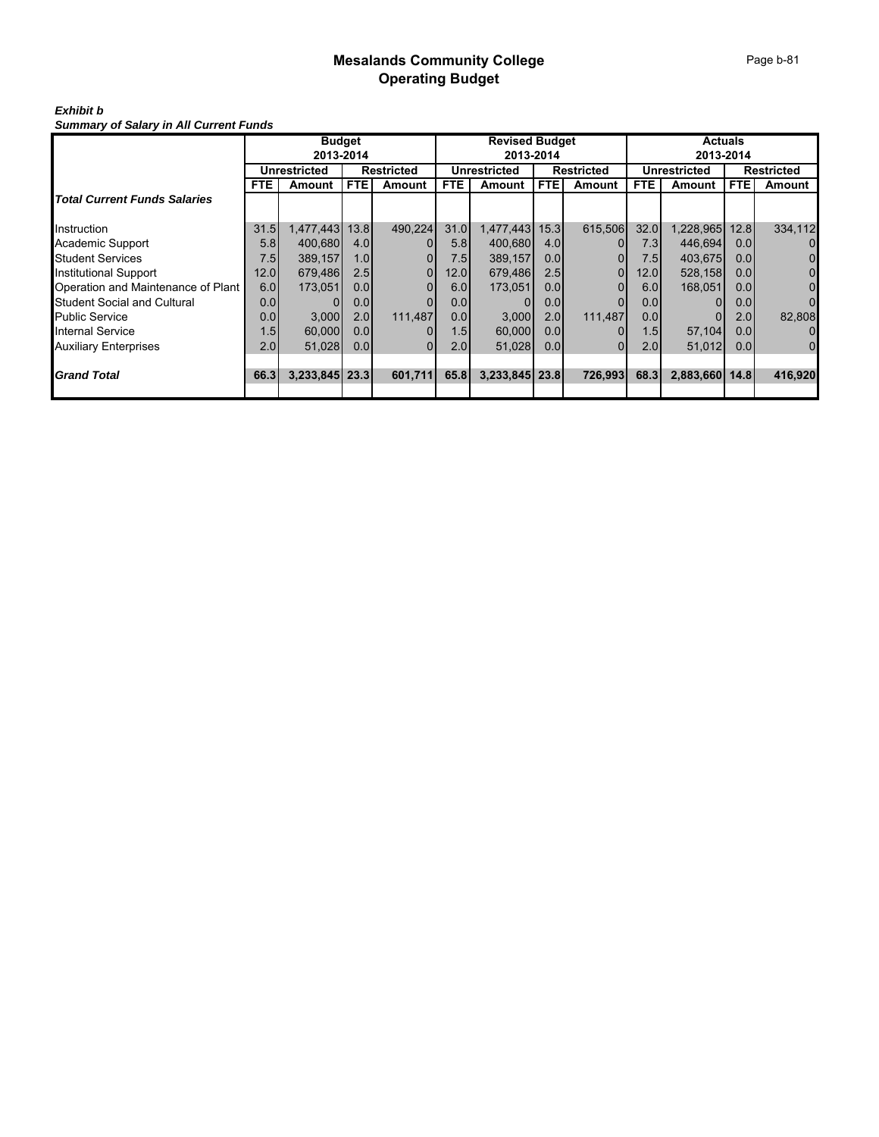# *Exhibit b*

*Summary of Salary in All Current Funds*

|                                     | <b>Budget</b>    |                |            |                   |                  | <b>Revised Budget</b> |                   |         | <b>Actuals</b>      |                |                   |                |  |
|-------------------------------------|------------------|----------------|------------|-------------------|------------------|-----------------------|-------------------|---------|---------------------|----------------|-------------------|----------------|--|
|                                     | 2013-2014        |                |            |                   |                  | 2013-2014             |                   |         |                     | 2013-2014      |                   |                |  |
|                                     |                  | Unrestricted   |            | <b>Restricted</b> |                  | <b>Unrestricted</b>   | <b>Restricted</b> |         | <b>Unrestricted</b> |                | <b>Restricted</b> |                |  |
|                                     | <b>FTE</b>       | Amount         | <b>FTE</b> | <b>Amount</b>     | <b>FTE</b>       | Amount                | <b>FTE</b>        | Amount  | <b>FTE</b>          | Amount         | <b>FTE</b>        | Amount         |  |
| <b>Total Current Funds Salaries</b> |                  |                |            |                   |                  |                       |                   |         |                     |                |                   |                |  |
| Instruction                         | 31.5             | 1,477,443      | 13.8       | 490,224           | 31.0             | 1,477,443             | 15.3              | 615,506 | 32.0                | 1,228,965      | 12.8              | 334,112        |  |
| Academic Support                    | 5.8              | 400.680        | 4.0        |                   | 5.8 <sub>1</sub> | 400.680               | 4.0               |         | 7.31                | 446,694        | 0.01              | 0              |  |
| <b>Student Services</b>             | 7.5              | 389,157        | 1.0        |                   | 7.51             | 389,157               | 0.0 <sub>l</sub>  |         | 7.5                 | 403,675        | 0.01              | 0              |  |
| <b>Institutional Support</b>        | 12.0             | 679,486        | 2.5        |                   | 12.0             | 679,486               | 2.5               | 0       | 12.0                | 528,158        | 0.0 <sub>l</sub>  | $\overline{0}$ |  |
| Operation and Maintenance of Plant  | 6.0              | 173,051        | 0.0        |                   | 6.0              | 173,051               | 0.0               |         | 6.0                 | 168,051        | 0.0 <sub>l</sub>  | $\Omega$       |  |
| <b>Student Social and Cultural</b>  | 0.0 <sub>l</sub> |                | 0.0        |                   | 0.0              |                       | 0.0 <sub>l</sub>  |         | 0.0                 |                | 0.0               | $\Omega$       |  |
| <b>Public Service</b>               | 0.0              | 3,000          | 2.0        | 111.487           | 0.0              | 3,000                 | 2.0               | 111.487 | 0.0                 |                | 2.0               | 82,808         |  |
| <b>Internal Service</b>             | 1.5              | 60,000         | 0.0        |                   | 1.5              | 60,000                | 0.01              |         | 1.5I                | 57,104         | 0.0 <sub>l</sub>  | 0              |  |
| <b>Auxiliary Enterprises</b>        | 2.0              | 51,028         | 0.0        | 01                | 2.0              | 51,028                | 0.01              |         | 2.0                 | 51,012         | 0.0               | $\overline{0}$ |  |
|                                     |                  |                |            |                   |                  |                       |                   |         |                     |                |                   |                |  |
| <b>Grand Total</b>                  | 66.3             | 3,233,845 23.3 |            | 601,711           | 65.8             | 3,233,845 23.8        |                   | 726,993 | 68.3                | 2,883,660 14.8 |                   | 416,920        |  |
|                                     |                  |                |            |                   |                  |                       |                   |         |                     |                |                   |                |  |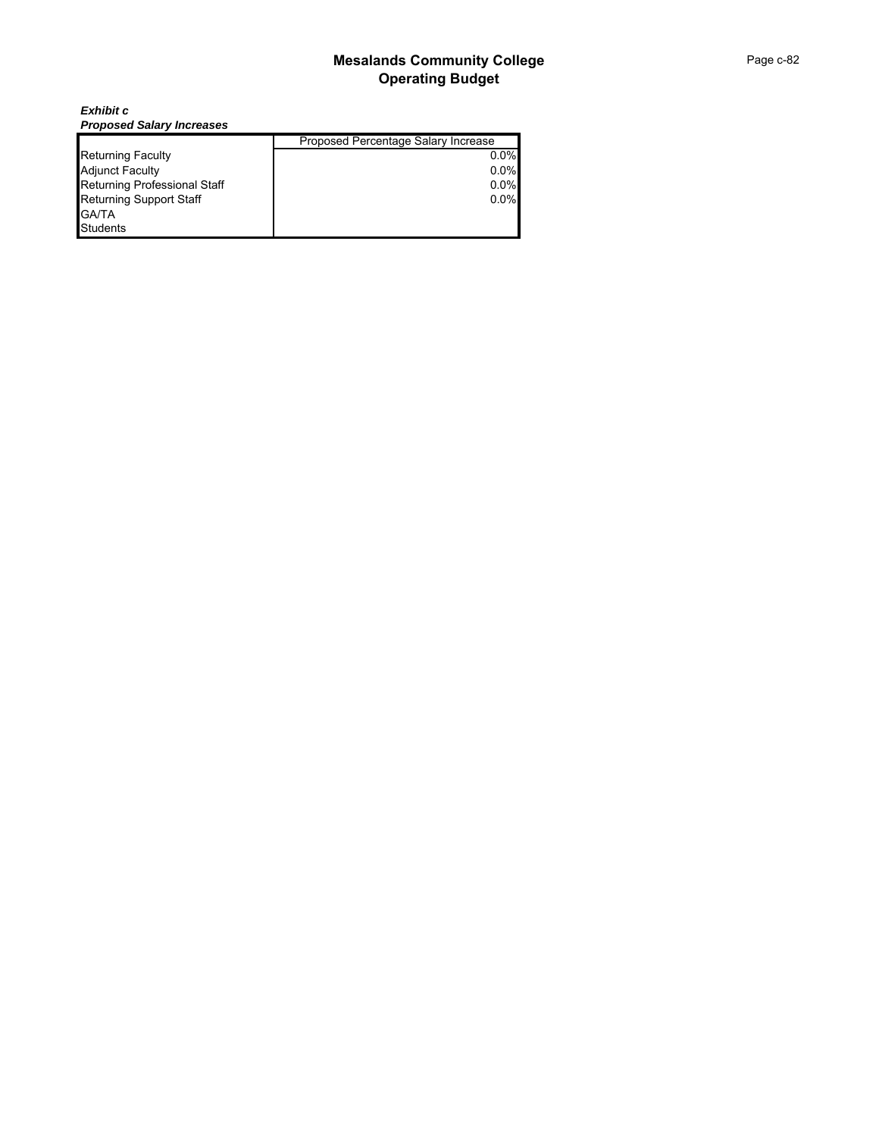*Exhibit c Proposed Salary Increases*

|                                | Proposed Percentage Salary Increase |
|--------------------------------|-------------------------------------|
| <b>Returning Faculty</b>       | $0.0\%$                             |
| <b>Adjunct Faculty</b>         | 0.0%                                |
| Returning Professional Staff   | $0.0\%$                             |
| <b>Returning Support Staff</b> | 0.0%                                |
| <b>GA/TA</b>                   |                                     |
| <b>Students</b>                |                                     |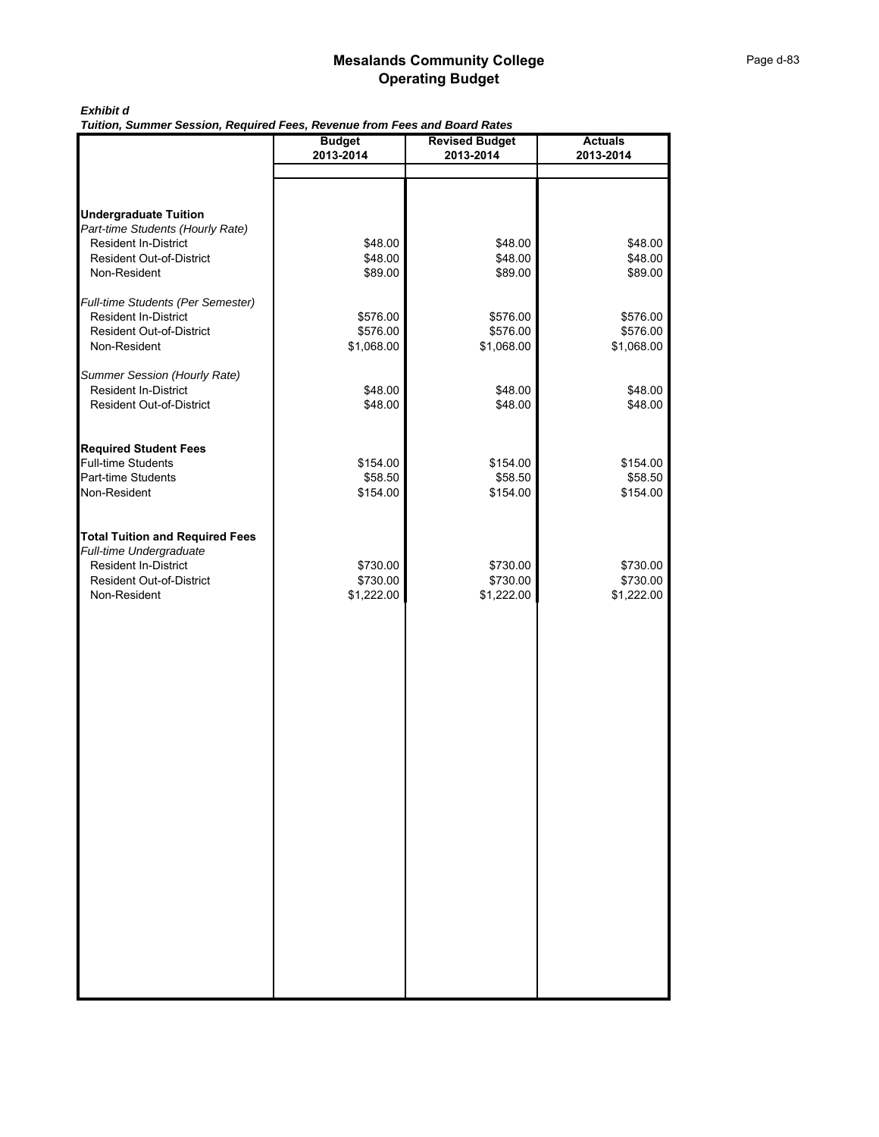### *Exhibit d*

*Tuition, Summer Session, Required Fees, Revenue from Fees and Board Rates*

|                                                         | <b>Budget</b>        | <b>Revised Budget</b> | <b>Actuals</b>       |
|---------------------------------------------------------|----------------------|-----------------------|----------------------|
|                                                         | 2013-2014            | 2013-2014             | 2013-2014            |
|                                                         |                      |                       |                      |
|                                                         |                      |                       |                      |
| <b>Undergraduate Tuition</b>                            |                      |                       |                      |
| Part-time Students (Hourly Rate)                        |                      |                       |                      |
| Resident In-District                                    | \$48.00              | \$48.00               | \$48.00              |
| <b>Resident Out-of-District</b>                         | \$48.00              | \$48.00               | \$48.00              |
| Non-Resident                                            | \$89.00              | \$89.00               | \$89.00              |
|                                                         |                      |                       |                      |
| Full-time Students (Per Semester)                       |                      |                       |                      |
| Resident In-District<br><b>Resident Out-of-District</b> | \$576.00<br>\$576.00 | \$576.00<br>\$576.00  | \$576.00<br>\$576.00 |
| Non-Resident                                            | \$1,068.00           | \$1,068.00            | \$1,068.00           |
|                                                         |                      |                       |                      |
| Summer Session (Hourly Rate)                            |                      |                       |                      |
| <b>Resident In-District</b>                             | \$48.00              | \$48.00               | \$48.00              |
| <b>Resident Out-of-District</b>                         | \$48.00              | \$48.00               | \$48.00              |
|                                                         |                      |                       |                      |
|                                                         |                      |                       |                      |
| <b>Required Student Fees</b>                            |                      |                       |                      |
| <b>Full-time Students</b><br>Part-time Students         | \$154.00             | \$154.00<br>\$58.50   | \$154.00             |
| Non-Resident                                            | \$58.50<br>\$154.00  | \$154.00              | \$58.50<br>\$154.00  |
|                                                         |                      |                       |                      |
|                                                         |                      |                       |                      |
| <b>Total Tuition and Required Fees</b>                  |                      |                       |                      |
| Full-time Undergraduate                                 |                      |                       |                      |
| <b>Resident In-District</b>                             | \$730.00             | \$730.00              | \$730.00             |
| <b>Resident Out-of-District</b>                         | \$730.00             | \$730.00              | \$730.00             |
| Non-Resident                                            | \$1,222.00           | \$1,222.00            | \$1,222.00           |
|                                                         |                      |                       |                      |
|                                                         |                      |                       |                      |
|                                                         |                      |                       |                      |
|                                                         |                      |                       |                      |
|                                                         |                      |                       |                      |
|                                                         |                      |                       |                      |
|                                                         |                      |                       |                      |
|                                                         |                      |                       |                      |
|                                                         |                      |                       |                      |
|                                                         |                      |                       |                      |
|                                                         |                      |                       |                      |
|                                                         |                      |                       |                      |
|                                                         |                      |                       |                      |
|                                                         |                      |                       |                      |
|                                                         |                      |                       |                      |
|                                                         |                      |                       |                      |
|                                                         |                      |                       |                      |
|                                                         |                      |                       |                      |
|                                                         |                      |                       |                      |
|                                                         |                      |                       |                      |
|                                                         |                      |                       |                      |
|                                                         |                      |                       |                      |
|                                                         |                      |                       |                      |
|                                                         |                      |                       |                      |